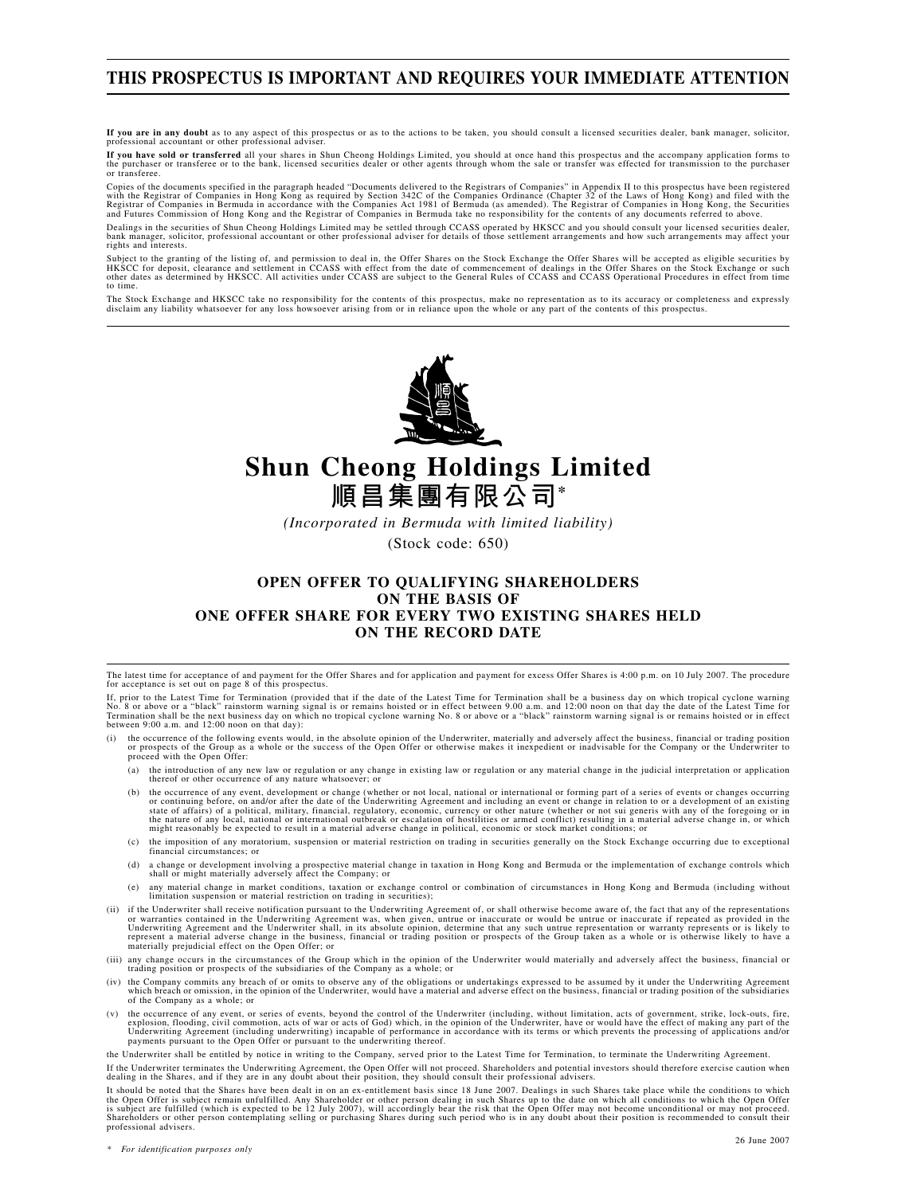## **THis PROSPECTUS IS IMPORTANT AND REQUIRES YOUR IMMEDIATE ATTENTION**

**If you are in any doubt** as to any aspect of this prospectus or as to the actions to be taken, you should consult a licensed securities dealer, bank manager, solicitor,<br>professional accountant or other professional advise

**If you have sold or transferred** all your shares in Shun Cheong Holdings Limited, you should at once hand this prospectus and the accompany application forms to<br>the purchaser or transferee or to the bank, licensed securit or transferee.

Copies of the documents specified in the paragraph headed "Documents delivered to the Registrars of Companies" in Appendix II to this prospectus have been registered<br>with the Registrar of Companies in Hong Kong as required

Dealings in the securities of Shun Cheong Holdings Limited may be settled through CCASS operated by HKSCC and you should consult your licensed securities dealer,<br>bank manager, solicitor, professional accountant or other pr rights and interests.

Subject to the granting of the listing of, and permission to deal in, the Offer Shares on the Stock Exchange the Offer Shares will be accepted as eligible securities by<br>HKSCC for deposit, clearance and settlement in CCASS to time.

The Stock Exchange and HKSCC take no responsibility for the contents of this prospectus, make no representation as to its accuracy or completeness and expressly disclaim any liability whatsoever for any loss howsoever arising from or in reliance upon the whole or any part of the contents of this prospectus.



# **Shun Cheong Holdings Limited 順昌集團有限公司\***

*(Incorporated in Bermuda with limited liability)*

(Stock code: 650)

## **OPEN OFFER TO QUALIFYING SHAREHOLDERS ON THE BASIS OF ONE OFFER SHARE FOR EVERY TWO EXISTING SHARES HELD ON THE RECORD DATE**

The latest time for acceptance of and payment for the Offer Shares and for application and payment for excess Offer Shares is 4:00 p.m. on 10 July 2007. The procedure for acceptance is set out on page 8 of this prospectus.

If, prior to the Latest Time for Termination (provided that if the date of the Latest Time for Termination shall be a business day on which tropical cyclone warning<br>No. 8 or above or a "black" rainstorm warning signal is o

- (i) the occurrence of the following events would, in the absolute opinion of the Underwriter, materially and adversely affect the business, financial or trading position or prospects of the Group as a whole or the success proceed with the Open Offer:
	- (a) the introduction of any new law or regulation or any change in existing law or regulation or any material change in the judicial interpretation or application thereof or other occurrence of any nature whatsoever; or
	- (b) the occurrence of any event, development or change (whether or not local, national or international or forming part of a series of events or changes occurring or continuity before, on and/or after the date of the Under might reasonably be expected to result in a material adverse change in political, economic or stock market conditions; or
	- (c) the imposition of any moratorium, suspension or material restriction on trading in securities generally on the Stock Exchange occurring due to exceptional financial circumstances; or
	- (d) a change or development involving a prospective material change in taxation in Hong Kong and Bermuda or the implementation of exchange controls which shall or might materially adversely affect the Company; or
	- (e) any material change in market conditions, taxation or exchange control or combination of circumstances in Hong Kong and Bermuda (including without limitation suspension or material restriction on trading in securities);
- (ii) if the Underwriter shall receive notification pursuant to the Underwriting Agreement of, or shall otherwise become aware of, the fact that any of the representations or warranties contained in the Underwriting Agreement was, when given, untrue or inaccurate or would be untrue or inaccurate if repeated as provided in the<br>Underwriting Agreement and the Underwriter shall, in its absolute
- (iii) any change occurs in the circumstances of the Group which in the opinion of the Underwriter would materially and adversely affect the business, financial or trading position or prospects of the subsidiaries of the Co
- (iv) the Company commits any breach of or omits to observe any of the obligations or undertakings expressed to be assumed by it under the Underwriting Agreement<br>which breach or omission, in the opinion of the Underwriter,
- (v) the occurrence of any event, or series of events, beyond the control of the Underwriter (including, without limitation, acts of government, strike, lock-outs, fire, explosion, flooding, civil commotion, acts of war or

the Underwriter shall be entitled by notice in writing to the Company, served prior to the Latest Time for Termination, to terminate the Underwriting Agreement.

If the Underwriter terminates the Underwriting Agreement, the Open Offer will not proceed. Shareholders and potential investors should therefore exercise caution when<br>dealing in the Shares, and if they are in any doubt abo

It should be noted that the Shares have been dealt in on an ex-entitlement basis since 18 June 2007. Dealings in such Shares take place while the conditions to which the Open Offer is subject remain unfulfilled. Any Shareholder or other person dealing in such Shares up to the date on which all conditions to which the Open Offer<br>is subject are fulfilled (which is expected to be 12 July professional advisers.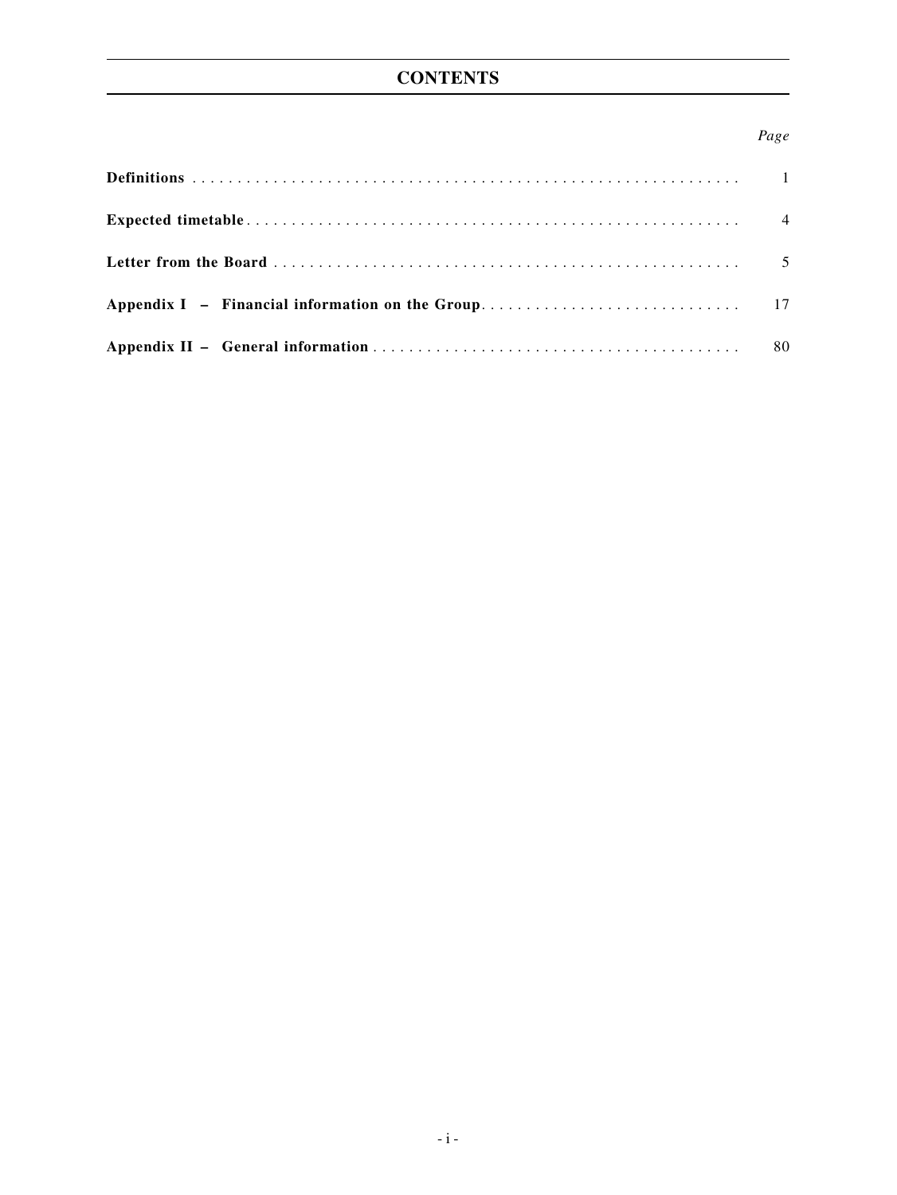## *Page*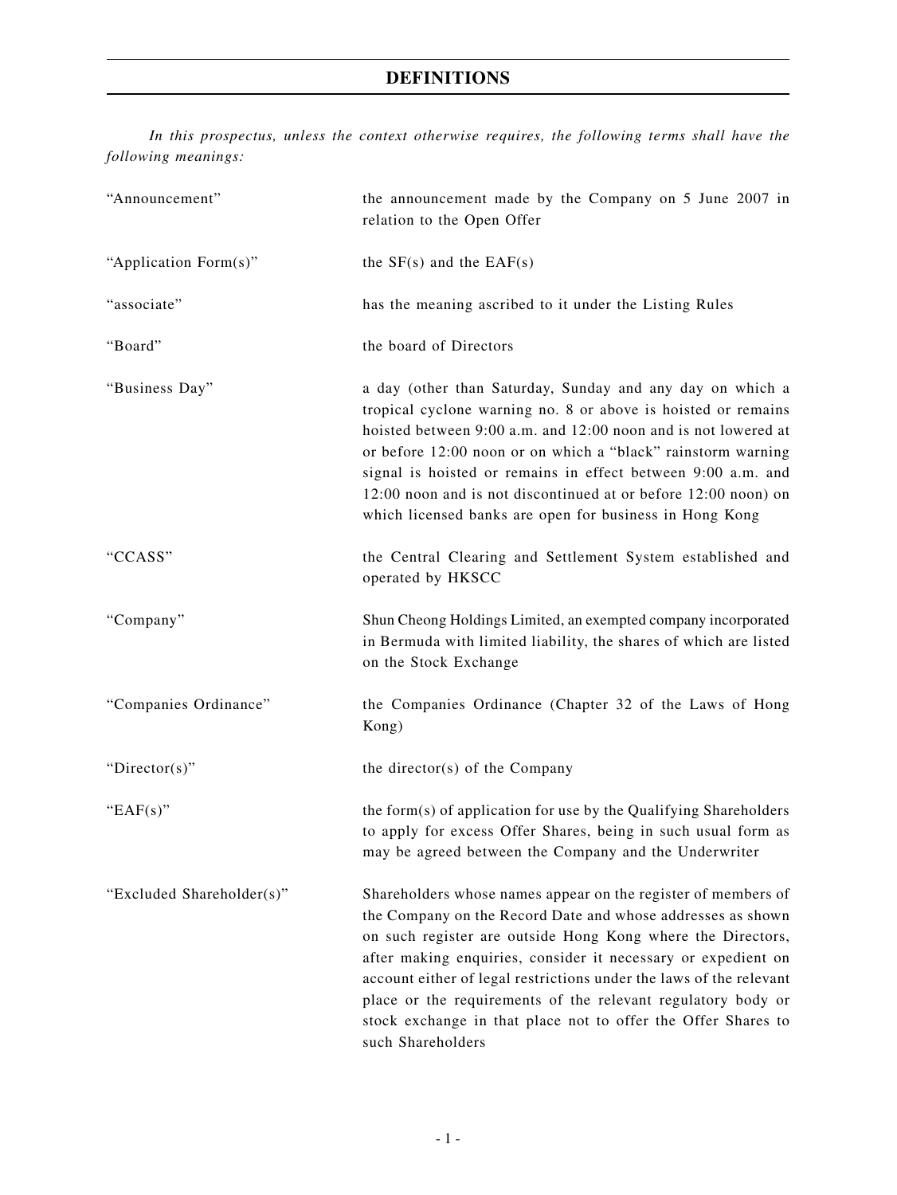## **DEFINITIONS**

*In this prospectus, unless the context otherwise requires, the following terms shall have the following meanings:*

| "Announcement"            | the announcement made by the Company on 5 June 2007 in<br>relation to the Open Offer                                                                                                                                                                                                                                                                                                                                                                                                      |  |  |
|---------------------------|-------------------------------------------------------------------------------------------------------------------------------------------------------------------------------------------------------------------------------------------------------------------------------------------------------------------------------------------------------------------------------------------------------------------------------------------------------------------------------------------|--|--|
| "Application Form(s)"     | the $SF(s)$ and the $EAF(s)$                                                                                                                                                                                                                                                                                                                                                                                                                                                              |  |  |
| "associate"               | has the meaning ascribed to it under the Listing Rules                                                                                                                                                                                                                                                                                                                                                                                                                                    |  |  |
| "Board"                   | the board of Directors                                                                                                                                                                                                                                                                                                                                                                                                                                                                    |  |  |
| "Business Day"            | a day (other than Saturday, Sunday and any day on which a<br>tropical cyclone warning no. 8 or above is hoisted or remains<br>hoisted between 9:00 a.m. and 12:00 noon and is not lowered at<br>or before 12:00 noon or on which a "black" rainstorm warning<br>signal is hoisted or remains in effect between 9:00 a.m. and<br>12:00 noon and is not discontinued at or before 12:00 noon) on<br>which licensed banks are open for business in Hong Kong                                 |  |  |
| "CCASS"                   | the Central Clearing and Settlement System established and<br>operated by HKSCC                                                                                                                                                                                                                                                                                                                                                                                                           |  |  |
| "Company"                 | Shun Cheong Holdings Limited, an exempted company incorporated<br>in Bermuda with limited liability, the shares of which are listed<br>on the Stock Exchange                                                                                                                                                                                                                                                                                                                              |  |  |
| "Companies Ordinance"     | the Companies Ordinance (Chapter 32 of the Laws of Hong<br>Kong)                                                                                                                                                                                                                                                                                                                                                                                                                          |  |  |
| " $Directory$ "           | the director(s) of the Company                                                                                                                                                                                                                                                                                                                                                                                                                                                            |  |  |
| " $EAF(s)$ "              | the form(s) of application for use by the Qualifying Shareholders<br>to apply for excess Offer Shares, being in such usual form as<br>may be agreed between the Company and the Underwriter                                                                                                                                                                                                                                                                                               |  |  |
| "Excluded Shareholder(s)" | Shareholders whose names appear on the register of members of<br>the Company on the Record Date and whose addresses as shown<br>on such register are outside Hong Kong where the Directors,<br>after making enquiries, consider it necessary or expedient on<br>account either of legal restrictions under the laws of the relevant<br>place or the requirements of the relevant regulatory body or<br>stock exchange in that place not to offer the Offer Shares to<br>such Shareholders |  |  |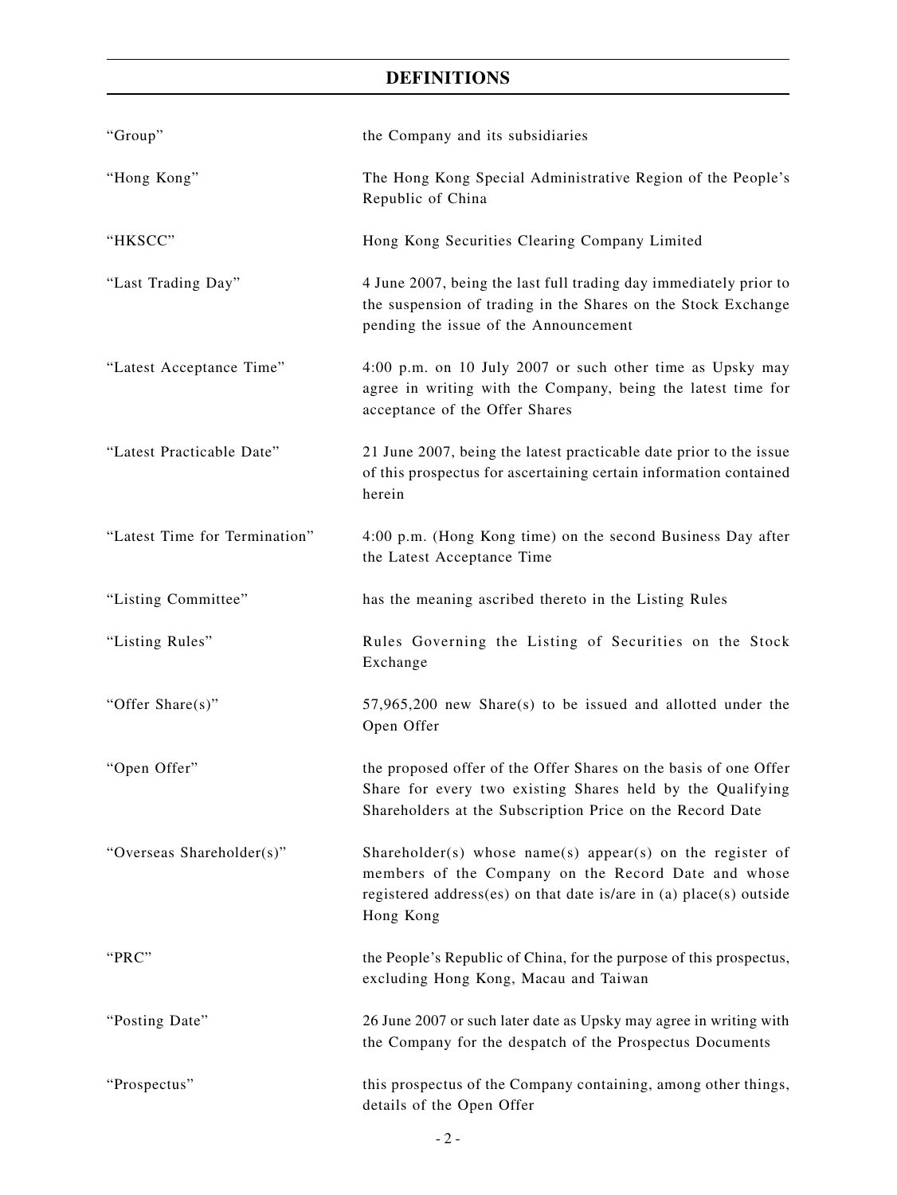# **DEFINITIONS**

| "Group"                       | the Company and its subsidiaries                                                                                                                                                                    |
|-------------------------------|-----------------------------------------------------------------------------------------------------------------------------------------------------------------------------------------------------|
| "Hong Kong"                   | The Hong Kong Special Administrative Region of the People's<br>Republic of China                                                                                                                    |
| "HKSCC"                       | Hong Kong Securities Clearing Company Limited                                                                                                                                                       |
| "Last Trading Day"            | 4 June 2007, being the last full trading day immediately prior to<br>the suspension of trading in the Shares on the Stock Exchange<br>pending the issue of the Announcement                         |
| "Latest Acceptance Time"      | 4:00 p.m. on 10 July 2007 or such other time as Upsky may<br>agree in writing with the Company, being the latest time for<br>acceptance of the Offer Shares                                         |
| "Latest Practicable Date"     | 21 June 2007, being the latest practicable date prior to the issue<br>of this prospectus for ascertaining certain information contained<br>herein                                                   |
| "Latest Time for Termination" | 4:00 p.m. (Hong Kong time) on the second Business Day after<br>the Latest Acceptance Time                                                                                                           |
| "Listing Committee"           | has the meaning ascribed thereto in the Listing Rules                                                                                                                                               |
| "Listing Rules"               | Rules Governing the Listing of Securities on the Stock<br>Exchange                                                                                                                                  |
| "Offer Share(s)"              | $57,965,200$ new Share(s) to be issued and allotted under the<br>Open Offer                                                                                                                         |
| "Open Offer"                  | the proposed offer of the Offer Shares on the basis of one Offer<br>Share for every two existing Shares held by the Qualifying<br>Shareholders at the Subscription Price on the Record Date         |
| "Overseas Shareholder(s)"     | Shareholder(s) whose name(s) appear(s) on the register of<br>members of the Company on the Record Date and whose<br>registered address(es) on that date is/are in (a) place(s) outside<br>Hong Kong |
| "PRC"                         | the People's Republic of China, for the purpose of this prospectus,<br>excluding Hong Kong, Macau and Taiwan                                                                                        |
| "Posting Date"                | 26 June 2007 or such later date as Upsky may agree in writing with<br>the Company for the despatch of the Prospectus Documents                                                                      |
| "Prospectus"                  | this prospectus of the Company containing, among other things,<br>details of the Open Offer                                                                                                         |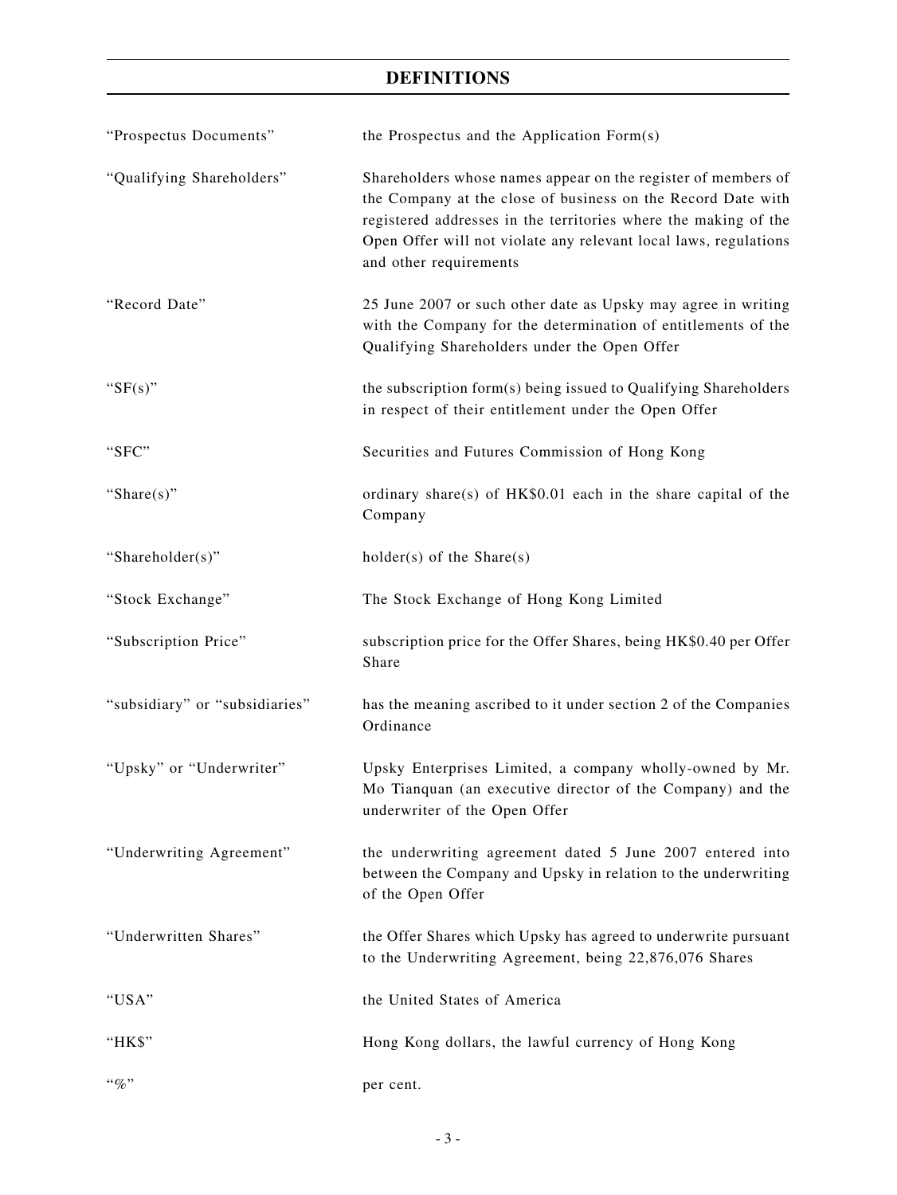# **DEFINITIONS**

| "Prospectus Documents"         | the Prospectus and the Application Form(s)                                                                                                                                                                                                                                                     |
|--------------------------------|------------------------------------------------------------------------------------------------------------------------------------------------------------------------------------------------------------------------------------------------------------------------------------------------|
| "Qualifying Shareholders"      | Shareholders whose names appear on the register of members of<br>the Company at the close of business on the Record Date with<br>registered addresses in the territories where the making of the<br>Open Offer will not violate any relevant local laws, regulations<br>and other requirements |
| "Record Date"                  | 25 June 2007 or such other date as Upsky may agree in writing<br>with the Company for the determination of entitlements of the<br>Qualifying Shareholders under the Open Offer                                                                                                                 |
| " $SF(s)$ "                    | the subscription form(s) being issued to Qualifying Shareholders<br>in respect of their entitlement under the Open Offer                                                                                                                                                                       |
| "SFC"                          | Securities and Futures Commission of Hong Kong                                                                                                                                                                                                                                                 |
| "Share $(s)$ "                 | ordinary share(s) of HK\$0.01 each in the share capital of the<br>Company                                                                                                                                                                                                                      |
| "Shareholder(s)"               | $holder(s)$ of the Share(s)                                                                                                                                                                                                                                                                    |
| "Stock Exchange"               | The Stock Exchange of Hong Kong Limited                                                                                                                                                                                                                                                        |
| "Subscription Price"           | subscription price for the Offer Shares, being HK\$0.40 per Offer<br>Share                                                                                                                                                                                                                     |
| "subsidiary" or "subsidiaries" | has the meaning ascribed to it under section 2 of the Companies<br>Ordinance                                                                                                                                                                                                                   |
| "Upsky" or "Underwriter"       | Upsky Enterprises Limited, a company wholly-owned by Mr.<br>Mo Tianquan (an executive director of the Company) and the<br>underwriter of the Open Offer                                                                                                                                        |
| "Underwriting Agreement"       | the underwriting agreement dated 5 June 2007 entered into<br>between the Company and Upsky in relation to the underwriting<br>of the Open Offer                                                                                                                                                |
| "Underwritten Shares"          | the Offer Shares which Upsky has agreed to underwrite pursuant<br>to the Underwriting Agreement, being 22,876,076 Shares                                                                                                                                                                       |
| "USA"                          | the United States of America                                                                                                                                                                                                                                                                   |
| "HK\$"                         | Hong Kong dollars, the lawful currency of Hong Kong                                                                                                                                                                                                                                            |
| $``q_0"$                       | per cent.                                                                                                                                                                                                                                                                                      |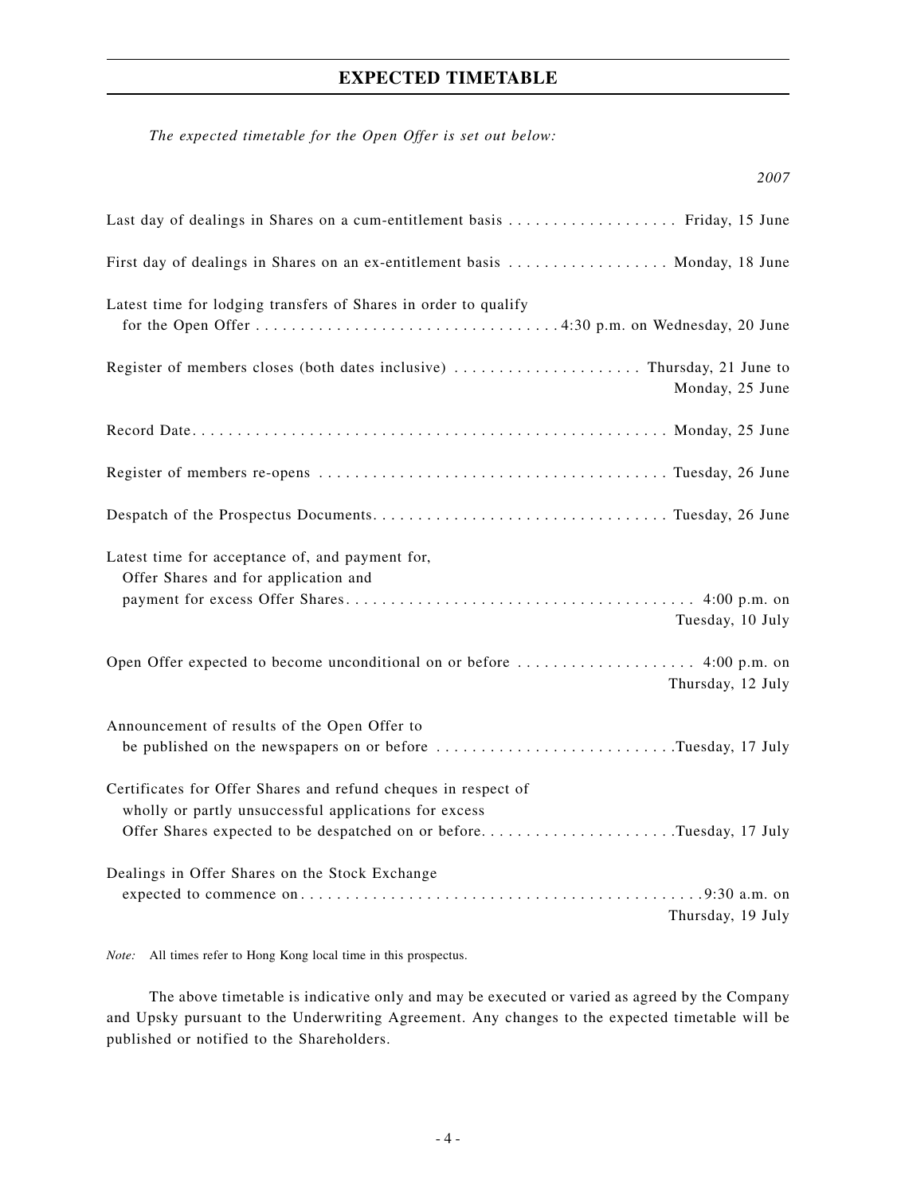## **EXPECTED TIMETABLE**

*The expected timetable for the Open Offer is set out below:*

| First day of dealings in Shares on an ex-entitlement basis  Monday, 18 June                                                                                                                    |
|------------------------------------------------------------------------------------------------------------------------------------------------------------------------------------------------|
| Latest time for lodging transfers of Shares in order to qualify                                                                                                                                |
| Monday, 25 June                                                                                                                                                                                |
|                                                                                                                                                                                                |
|                                                                                                                                                                                                |
|                                                                                                                                                                                                |
| Latest time for acceptance of, and payment for,<br>Offer Shares and for application and<br>Tuesday, 10 July                                                                                    |
| Thursday, 12 July                                                                                                                                                                              |
| Announcement of results of the Open Offer to<br>be published on the newspapers on or before Tuesday, 17 July                                                                                   |
| Certificates for Offer Shares and refund cheques in respect of<br>wholly or partly unsuccessful applications for excess<br>Offer Shares expected to be despatched on or beforeTuesday, 17 July |
| Dealings in Offer Shares on the Stock Exchange<br>Thursday, 19 July                                                                                                                            |

*Note:* All times refer to Hong Kong local time in this prospectus.

The above timetable is indicative only and may be executed or varied as agreed by the Company and Upsky pursuant to the Underwriting Agreement. Any changes to the expected timetable will be published or notified to the Shareholders.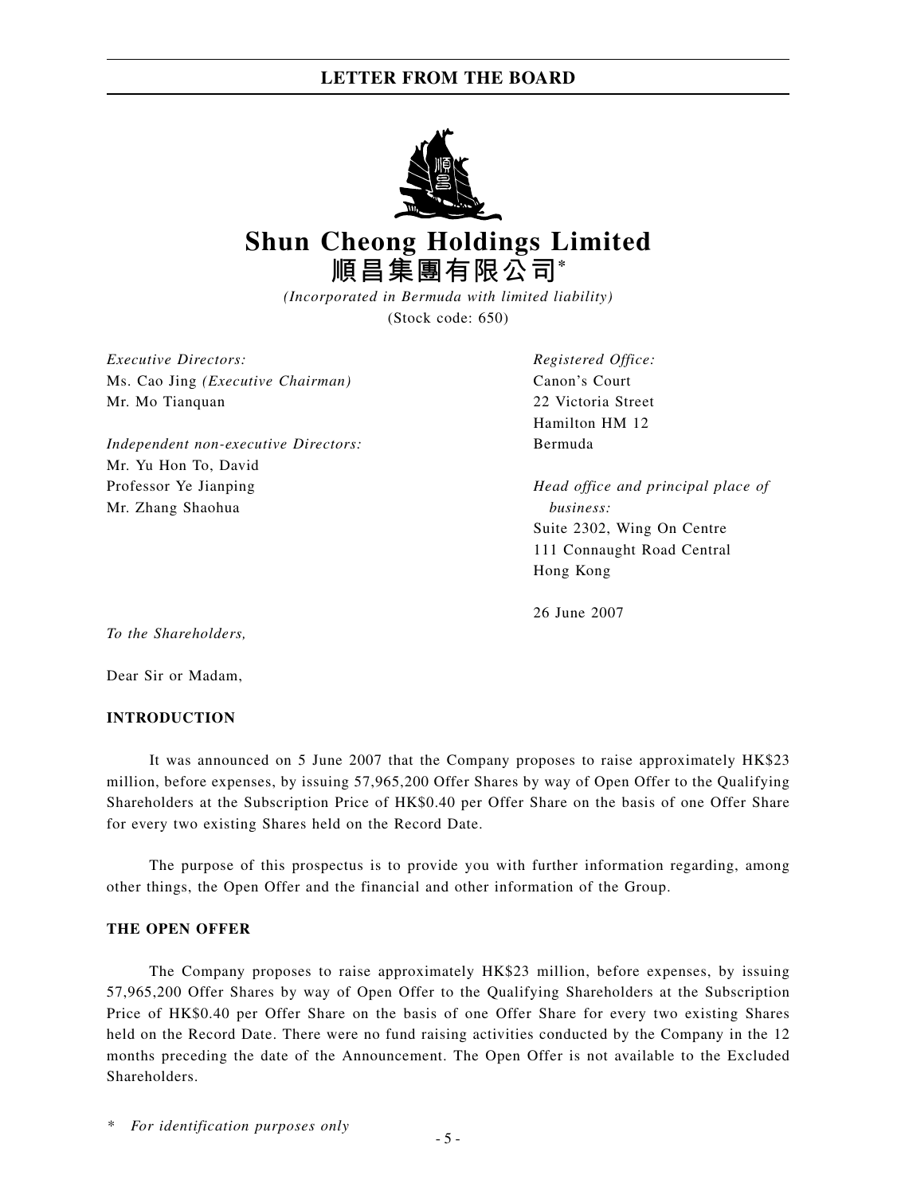

# **Shun Cheong Holdings Limited 順昌集團有限公司\***

*(Incorporated in Bermuda with limited liability)* (Stock code: 650)

*Executive Directors: Registered Office:* Ms. Cao Jing *(Executive Chairman)* Canon's Court Mr. Mo Tianquan 22 Victoria Street

*Independent non-executive Directors:* Bermuda Mr. Yu Hon To, David Professor Ye Jianping *Head office and principal place of* Mr. Zhang Shaohua *business:*

Hamilton HM 12

Suite 2302, Wing On Centre 111 Connaught Road Central Hong Kong

26 June 2007

*To the Shareholders,*

Dear Sir or Madam,

## **INTRODUCTION**

It was announced on 5 June 2007 that the Company proposes to raise approximately HK\$23 million, before expenses, by issuing 57,965,200 Offer Shares by way of Open Offer to the Qualifying Shareholders at the Subscription Price of HK\$0.40 per Offer Share on the basis of one Offer Share for every two existing Shares held on the Record Date.

The purpose of this prospectus is to provide you with further information regarding, among other things, the Open Offer and the financial and other information of the Group.

## **THE OPEN OFFER**

The Company proposes to raise approximately HK\$23 million, before expenses, by issuing 57,965,200 Offer Shares by way of Open Offer to the Qualifying Shareholders at the Subscription Price of HK\$0.40 per Offer Share on the basis of one Offer Share for every two existing Shares held on the Record Date. There were no fund raising activities conducted by the Company in the 12 months preceding the date of the Announcement. The Open Offer is not available to the Excluded Shareholders.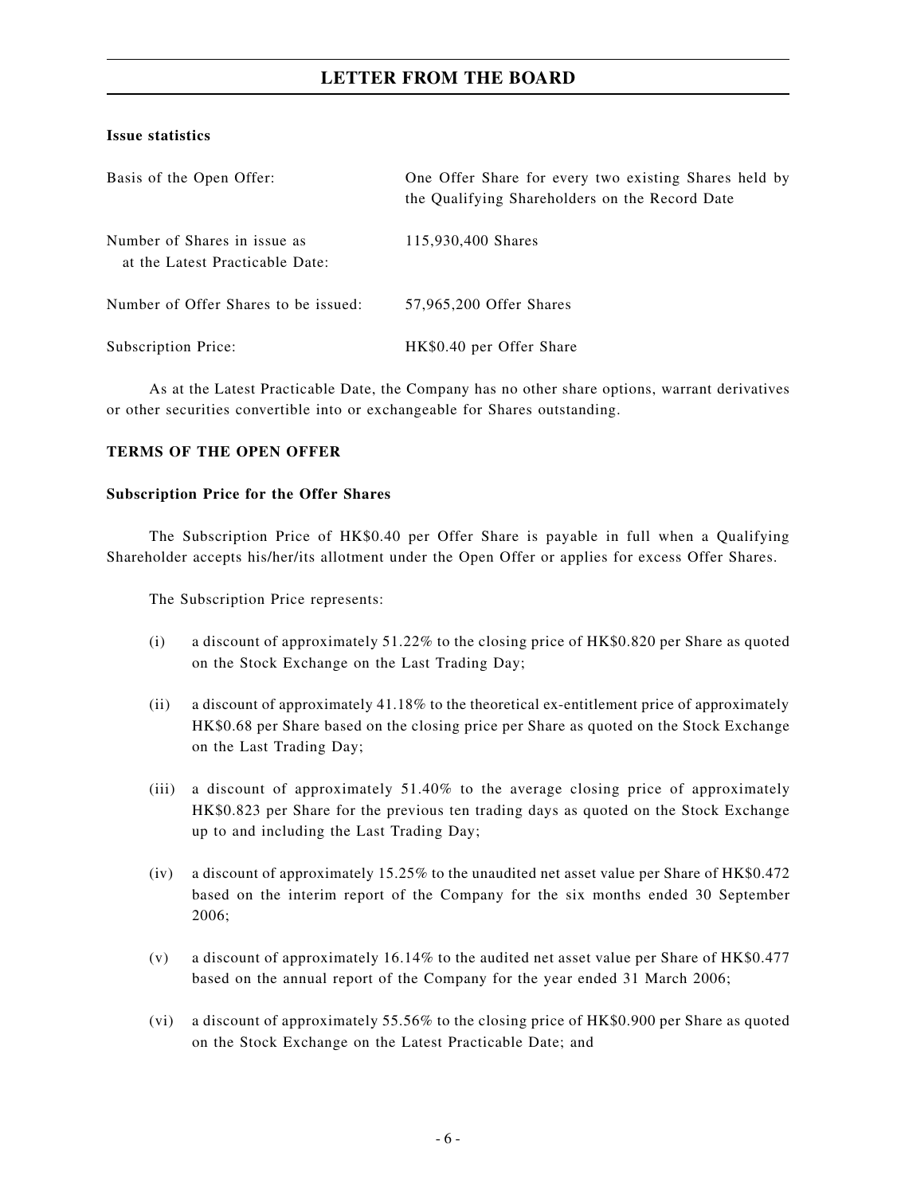## **Issue statistics**

| Basis of the Open Offer:                                        | One Offer Share for every two existing Shares held by<br>the Qualifying Shareholders on the Record Date |
|-----------------------------------------------------------------|---------------------------------------------------------------------------------------------------------|
| Number of Shares in issue as<br>at the Latest Practicable Date: | 115,930,400 Shares                                                                                      |
| Number of Offer Shares to be issued:                            | 57,965,200 Offer Shares                                                                                 |
| Subscription Price:                                             | HK\$0.40 per Offer Share                                                                                |

As at the Latest Practicable Date, the Company has no other share options, warrant derivatives or other securities convertible into or exchangeable for Shares outstanding.

## **TERMS OF THE OPEN OFFER**

## **Subscription Price for the Offer Shares**

The Subscription Price of HK\$0.40 per Offer Share is payable in full when a Qualifying Shareholder accepts his/her/its allotment under the Open Offer or applies for excess Offer Shares.

The Subscription Price represents:

- (i) a discount of approximately 51.22% to the closing price of HK\$0.820 per Share as quoted on the Stock Exchange on the Last Trading Day;
- (ii) a discount of approximately 41.18% to the theoretical ex-entitlement price of approximately HK\$0.68 per Share based on the closing price per Share as quoted on the Stock Exchange on the Last Trading Day;
- (iii) a discount of approximately 51.40% to the average closing price of approximately HK\$0.823 per Share for the previous ten trading days as quoted on the Stock Exchange up to and including the Last Trading Day;
- (iv) a discount of approximately 15.25% to the unaudited net asset value per Share of HK\$0.472 based on the interim report of the Company for the six months ended 30 September 2006;
- (v) a discount of approximately 16.14% to the audited net asset value per Share of HK\$0.477 based on the annual report of the Company for the year ended 31 March 2006;
- (vi) a discount of approximately 55.56% to the closing price of HK\$0.900 per Share as quoted on the Stock Exchange on the Latest Practicable Date; and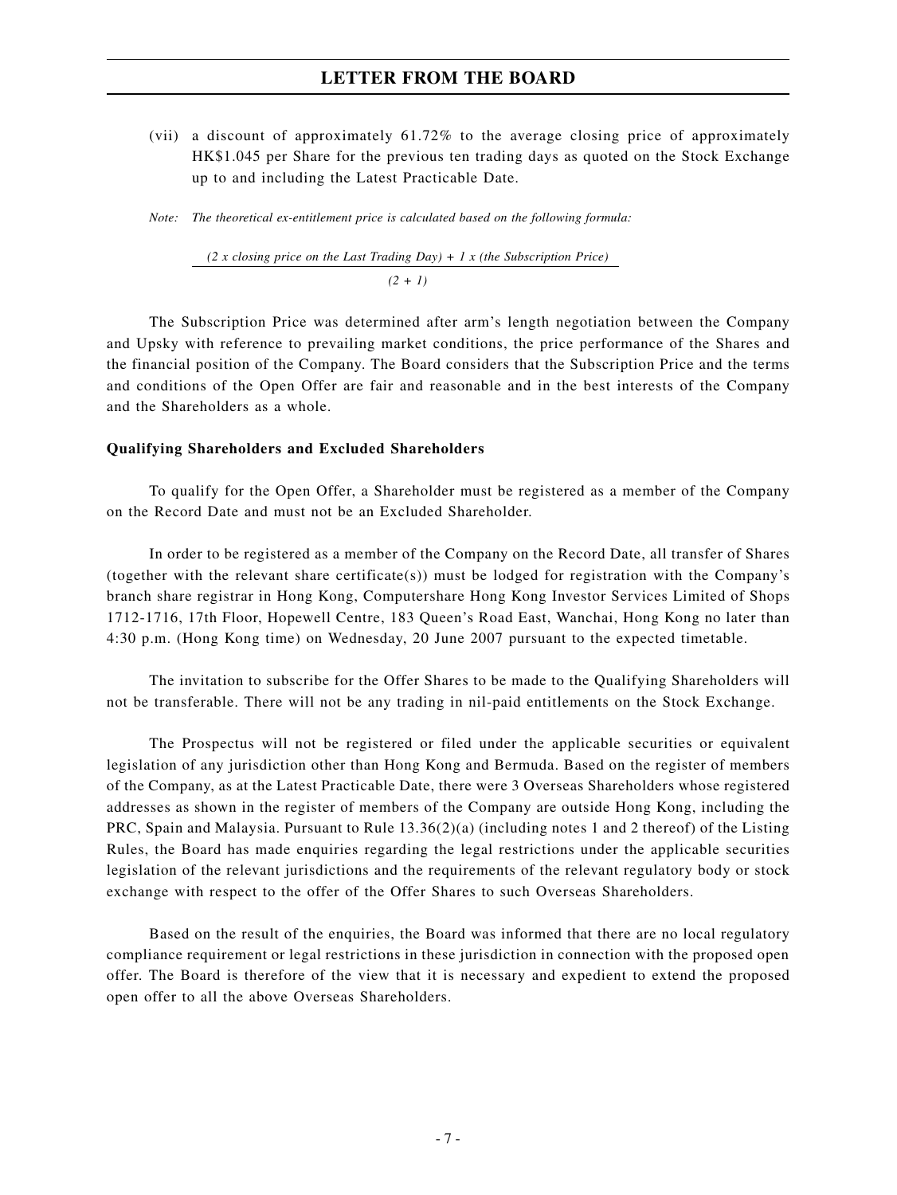(vii) a discount of approximately 61.72% to the average closing price of approximately HK\$1.045 per Share for the previous ten trading days as quoted on the Stock Exchange up to and including the Latest Practicable Date.

*Note: The theoretical ex-entitlement price is calculated based on the following formula:*

*(2 x closing price on the Last Trading Day) + 1 x (the Subscription Price) (2 + 1)*

The Subscription Price was determined after arm's length negotiation between the Company and Upsky with reference to prevailing market conditions, the price performance of the Shares and the financial position of the Company. The Board considers that the Subscription Price and the terms and conditions of the Open Offer are fair and reasonable and in the best interests of the Company and the Shareholders as a whole.

### **Qualifying Shareholders and Excluded Shareholders**

To qualify for the Open Offer, a Shareholder must be registered as a member of the Company on the Record Date and must not be an Excluded Shareholder.

In order to be registered as a member of the Company on the Record Date, all transfer of Shares (together with the relevant share certificate(s)) must be lodged for registration with the Company's branch share registrar in Hong Kong, Computershare Hong Kong Investor Services Limited of Shops 1712-1716, 17th Floor, Hopewell Centre, 183 Queen's Road East, Wanchai, Hong Kong no later than 4:30 p.m. (Hong Kong time) on Wednesday, 20 June 2007 pursuant to the expected timetable.

The invitation to subscribe for the Offer Shares to be made to the Qualifying Shareholders will not be transferable. There will not be any trading in nil-paid entitlements on the Stock Exchange.

The Prospectus will not be registered or filed under the applicable securities or equivalent legislation of any jurisdiction other than Hong Kong and Bermuda. Based on the register of members of the Company, as at the Latest Practicable Date, there were 3 Overseas Shareholders whose registered addresses as shown in the register of members of the Company are outside Hong Kong, including the PRC, Spain and Malaysia. Pursuant to Rule 13.36(2)(a) (including notes 1 and 2 thereof) of the Listing Rules, the Board has made enquiries regarding the legal restrictions under the applicable securities legislation of the relevant jurisdictions and the requirements of the relevant regulatory body or stock exchange with respect to the offer of the Offer Shares to such Overseas Shareholders.

Based on the result of the enquiries, the Board was informed that there are no local regulatory compliance requirement or legal restrictions in these jurisdiction in connection with the proposed open offer. The Board is therefore of the view that it is necessary and expedient to extend the proposed open offer to all the above Overseas Shareholders.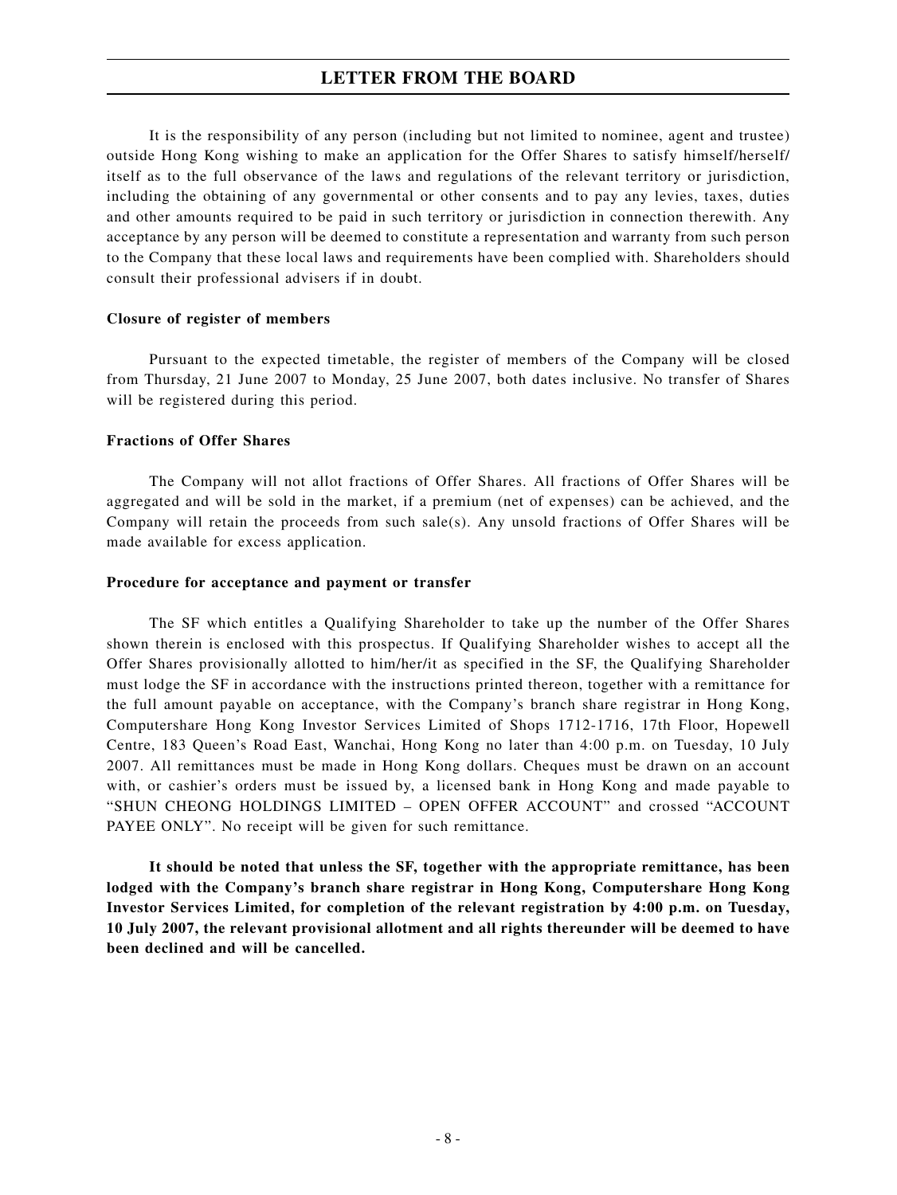It is the responsibility of any person (including but not limited to nominee, agent and trustee) outside Hong Kong wishing to make an application for the Offer Shares to satisfy himself/herself/ itself as to the full observance of the laws and regulations of the relevant territory or jurisdiction, including the obtaining of any governmental or other consents and to pay any levies, taxes, duties and other amounts required to be paid in such territory or jurisdiction in connection therewith. Any acceptance by any person will be deemed to constitute a representation and warranty from such person to the Company that these local laws and requirements have been complied with. Shareholders should consult their professional advisers if in doubt.

### **Closure of register of members**

Pursuant to the expected timetable, the register of members of the Company will be closed from Thursday, 21 June 2007 to Monday, 25 June 2007, both dates inclusive. No transfer of Shares will be registered during this period.

## **Fractions of Offer Shares**

The Company will not allot fractions of Offer Shares. All fractions of Offer Shares will be aggregated and will be sold in the market, if a premium (net of expenses) can be achieved, and the Company will retain the proceeds from such sale(s). Any unsold fractions of Offer Shares will be made available for excess application.

### **Procedure for acceptance and payment or transfer**

The SF which entitles a Qualifying Shareholder to take up the number of the Offer Shares shown therein is enclosed with this prospectus. If Qualifying Shareholder wishes to accept all the Offer Shares provisionally allotted to him/her/it as specified in the SF, the Qualifying Shareholder must lodge the SF in accordance with the instructions printed thereon, together with a remittance for the full amount payable on acceptance, with the Company's branch share registrar in Hong Kong, Computershare Hong Kong Investor Services Limited of Shops 1712-1716, 17th Floor, Hopewell Centre, 183 Queen's Road East, Wanchai, Hong Kong no later than 4:00 p.m. on Tuesday, 10 July 2007. All remittances must be made in Hong Kong dollars. Cheques must be drawn on an account with, or cashier's orders must be issued by, a licensed bank in Hong Kong and made payable to "SHUN CHEONG HOLDINGS LIMITED – OPEN OFFER ACCOUNT" and crossed "ACCOUNT PAYEE ONLY". No receipt will be given for such remittance.

**It should be noted that unless the SF, together with the appropriate remittance, has been lodged with the Company's branch share registrar in Hong Kong, Computershare Hong Kong Investor Services Limited, for completion of the relevant registration by 4:00 p.m. on Tuesday, 10 July 2007, the relevant provisional allotment and all rights thereunder will be deemed to have been declined and will be cancelled.**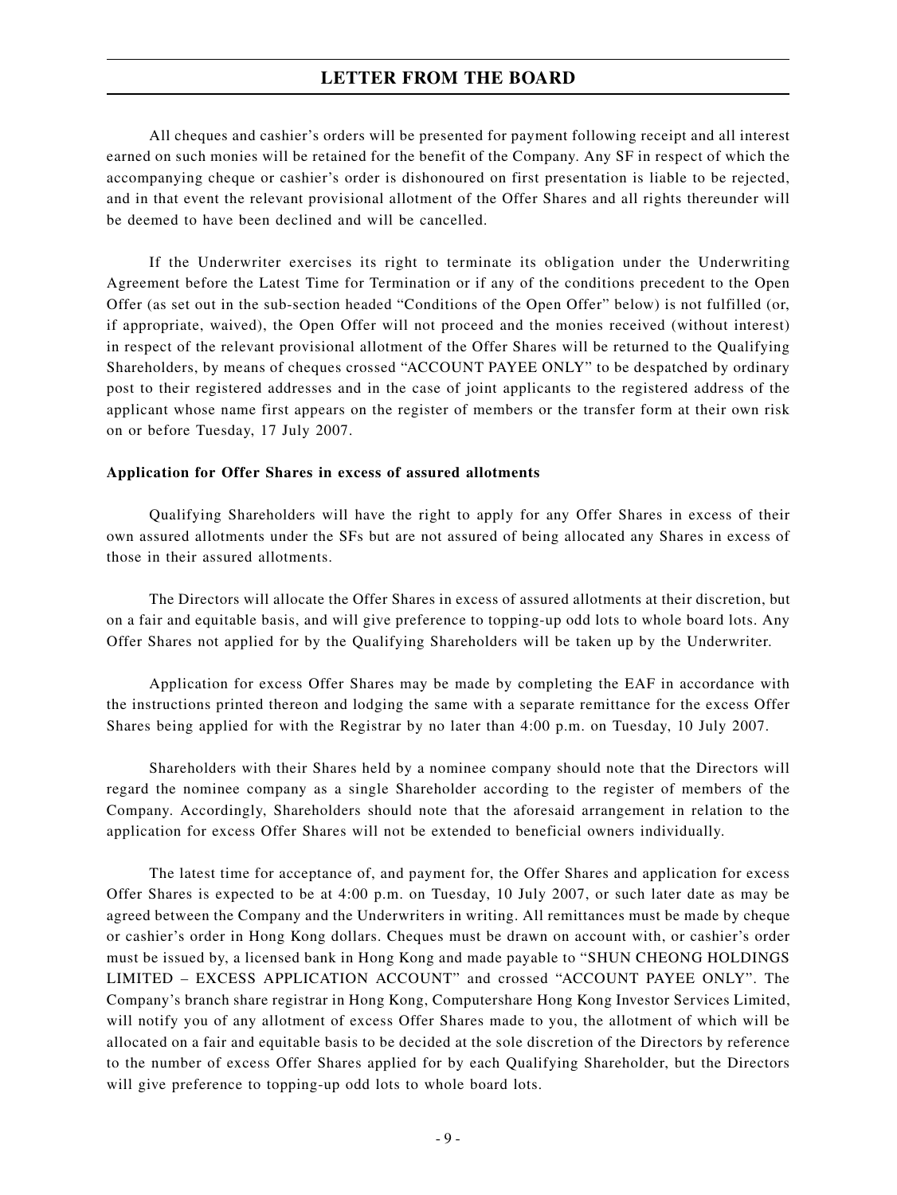All cheques and cashier's orders will be presented for payment following receipt and all interest earned on such monies will be retained for the benefit of the Company. Any SF in respect of which the accompanying cheque or cashier's order is dishonoured on first presentation is liable to be rejected, and in that event the relevant provisional allotment of the Offer Shares and all rights thereunder will be deemed to have been declined and will be cancelled.

If the Underwriter exercises its right to terminate its obligation under the Underwriting Agreement before the Latest Time for Termination or if any of the conditions precedent to the Open Offer (as set out in the sub-section headed "Conditions of the Open Offer" below) is not fulfilled (or, if appropriate, waived), the Open Offer will not proceed and the monies received (without interest) in respect of the relevant provisional allotment of the Offer Shares will be returned to the Qualifying Shareholders, by means of cheques crossed "ACCOUNT PAYEE ONLY" to be despatched by ordinary post to their registered addresses and in the case of joint applicants to the registered address of the applicant whose name first appears on the register of members or the transfer form at their own risk on or before Tuesday, 17 July 2007.

## **Application for Offer Shares in excess of assured allotments**

Qualifying Shareholders will have the right to apply for any Offer Shares in excess of their own assured allotments under the SFs but are not assured of being allocated any Shares in excess of those in their assured allotments.

The Directors will allocate the Offer Shares in excess of assured allotments at their discretion, but on a fair and equitable basis, and will give preference to topping-up odd lots to whole board lots. Any Offer Shares not applied for by the Qualifying Shareholders will be taken up by the Underwriter.

Application for excess Offer Shares may be made by completing the EAF in accordance with the instructions printed thereon and lodging the same with a separate remittance for the excess Offer Shares being applied for with the Registrar by no later than 4:00 p.m. on Tuesday, 10 July 2007.

Shareholders with their Shares held by a nominee company should note that the Directors will regard the nominee company as a single Shareholder according to the register of members of the Company. Accordingly, Shareholders should note that the aforesaid arrangement in relation to the application for excess Offer Shares will not be extended to beneficial owners individually.

The latest time for acceptance of, and payment for, the Offer Shares and application for excess Offer Shares is expected to be at 4:00 p.m. on Tuesday, 10 July 2007, or such later date as may be agreed between the Company and the Underwriters in writing. All remittances must be made by cheque or cashier's order in Hong Kong dollars. Cheques must be drawn on account with, or cashier's order must be issued by, a licensed bank in Hong Kong and made payable to "SHUN CHEONG HOLDINGS LIMITED – EXCESS APPLICATION ACCOUNT" and crossed "ACCOUNT PAYEE ONLY". The Company's branch share registrar in Hong Kong, Computershare Hong Kong Investor Services Limited, will notify you of any allotment of excess Offer Shares made to you, the allotment of which will be allocated on a fair and equitable basis to be decided at the sole discretion of the Directors by reference to the number of excess Offer Shares applied for by each Qualifying Shareholder, but the Directors will give preference to topping-up odd lots to whole board lots.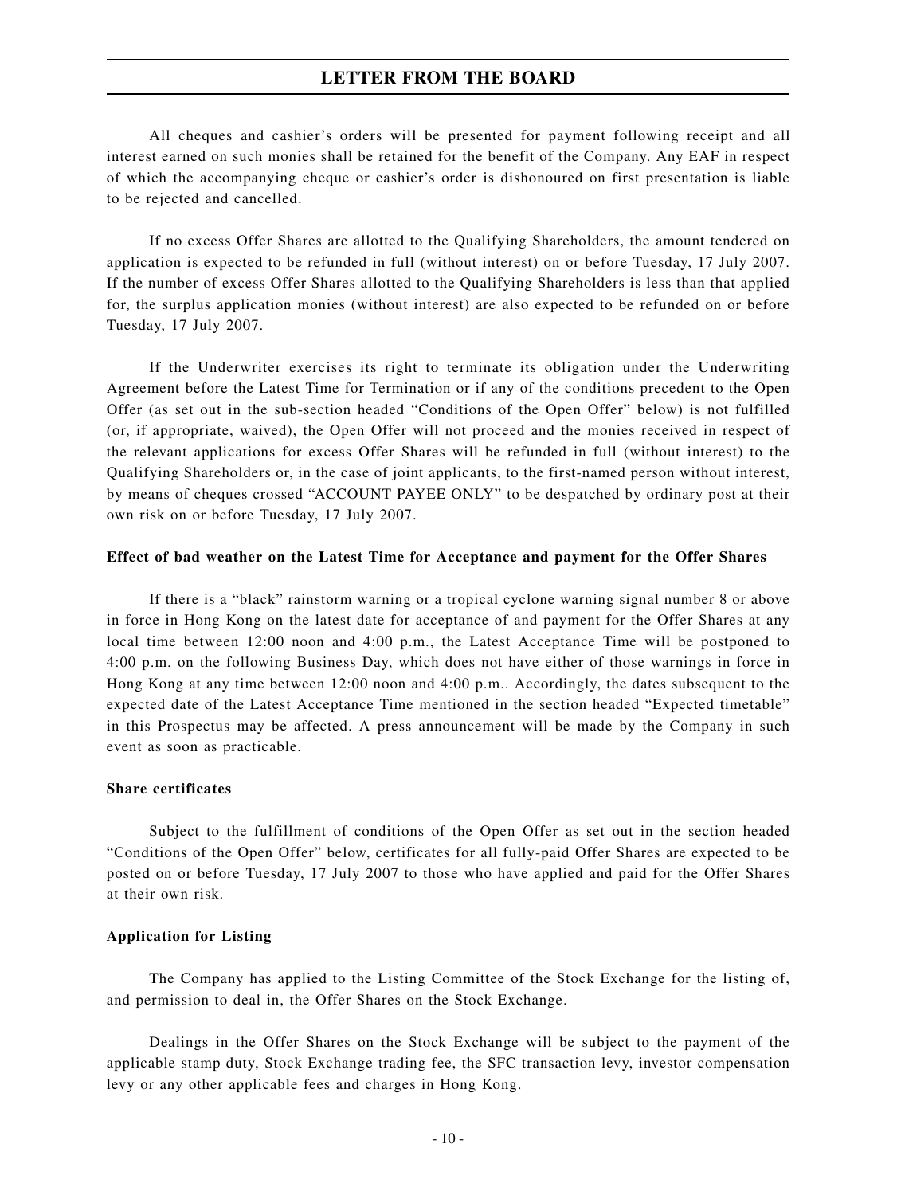All cheques and cashier's orders will be presented for payment following receipt and all interest earned on such monies shall be retained for the benefit of the Company. Any EAF in respect of which the accompanying cheque or cashier's order is dishonoured on first presentation is liable to be rejected and cancelled.

If no excess Offer Shares are allotted to the Qualifying Shareholders, the amount tendered on application is expected to be refunded in full (without interest) on or before Tuesday, 17 July 2007. If the number of excess Offer Shares allotted to the Qualifying Shareholders is less than that applied for, the surplus application monies (without interest) are also expected to be refunded on or before Tuesday, 17 July 2007.

If the Underwriter exercises its right to terminate its obligation under the Underwriting Agreement before the Latest Time for Termination or if any of the conditions precedent to the Open Offer (as set out in the sub-section headed "Conditions of the Open Offer" below) is not fulfilled (or, if appropriate, waived), the Open Offer will not proceed and the monies received in respect of the relevant applications for excess Offer Shares will be refunded in full (without interest) to the Qualifying Shareholders or, in the case of joint applicants, to the first-named person without interest, by means of cheques crossed "ACCOUNT PAYEE ONLY" to be despatched by ordinary post at their own risk on or before Tuesday, 17 July 2007.

### **Effect of bad weather on the Latest Time for Acceptance and payment for the Offer Shares**

If there is a "black" rainstorm warning or a tropical cyclone warning signal number 8 or above in force in Hong Kong on the latest date for acceptance of and payment for the Offer Shares at any local time between 12:00 noon and 4:00 p.m., the Latest Acceptance Time will be postponed to 4:00 p.m. on the following Business Day, which does not have either of those warnings in force in Hong Kong at any time between 12:00 noon and 4:00 p.m.. Accordingly, the dates subsequent to the expected date of the Latest Acceptance Time mentioned in the section headed "Expected timetable" in this Prospectus may be affected. A press announcement will be made by the Company in such event as soon as practicable.

### **Share certificates**

Subject to the fulfillment of conditions of the Open Offer as set out in the section headed "Conditions of the Open Offer" below, certificates for all fully-paid Offer Shares are expected to be posted on or before Tuesday, 17 July 2007 to those who have applied and paid for the Offer Shares at their own risk.

### **Application for Listing**

The Company has applied to the Listing Committee of the Stock Exchange for the listing of, and permission to deal in, the Offer Shares on the Stock Exchange.

Dealings in the Offer Shares on the Stock Exchange will be subject to the payment of the applicable stamp duty, Stock Exchange trading fee, the SFC transaction levy, investor compensation levy or any other applicable fees and charges in Hong Kong.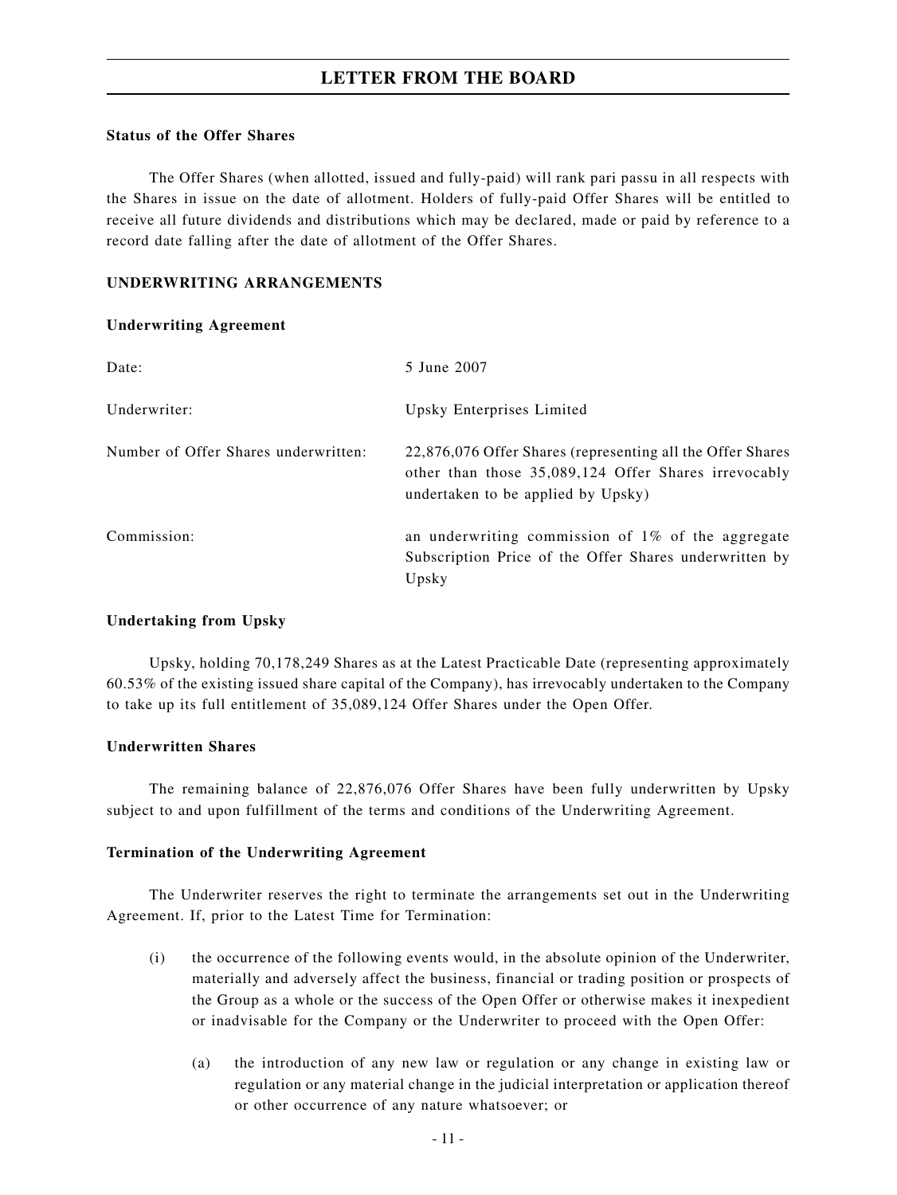## **Status of the Offer Shares**

The Offer Shares (when allotted, issued and fully-paid) will rank pari passu in all respects with the Shares in issue on the date of allotment. Holders of fully-paid Offer Shares will be entitled to receive all future dividends and distributions which may be declared, made or paid by reference to a record date falling after the date of allotment of the Offer Shares.

## **UNDERWRITING ARRANGEMENTS**

## **Underwriting Agreement**

| Date:                                | 5 June 2007                                                                                                                                              |
|--------------------------------------|----------------------------------------------------------------------------------------------------------------------------------------------------------|
| Underwriter:                         | Upsky Enterprises Limited                                                                                                                                |
| Number of Offer Shares underwritten: | 22,876,076 Offer Shares (representing all the Offer Shares<br>other than those 35,089,124 Offer Shares irrevocably<br>undertaken to be applied by Upsky) |
| Commission:                          | an underwriting commission of $1\%$ of the aggregate<br>Subscription Price of the Offer Shares underwritten by<br>Upsky                                  |

## **Undertaking from Upsky**

Upsky, holding 70,178,249 Shares as at the Latest Practicable Date (representing approximately 60.53% of the existing issued share capital of the Company), has irrevocably undertaken to the Company to take up its full entitlement of 35,089,124 Offer Shares under the Open Offer.

## **Underwritten Shares**

The remaining balance of 22,876,076 Offer Shares have been fully underwritten by Upsky subject to and upon fulfillment of the terms and conditions of the Underwriting Agreement.

## **Termination of the Underwriting Agreement**

The Underwriter reserves the right to terminate the arrangements set out in the Underwriting Agreement. If, prior to the Latest Time for Termination:

- (i) the occurrence of the following events would, in the absolute opinion of the Underwriter, materially and adversely affect the business, financial or trading position or prospects of the Group as a whole or the success of the Open Offer or otherwise makes it inexpedient or inadvisable for the Company or the Underwriter to proceed with the Open Offer:
	- (a) the introduction of any new law or regulation or any change in existing law or regulation or any material change in the judicial interpretation or application thereof or other occurrence of any nature whatsoever; or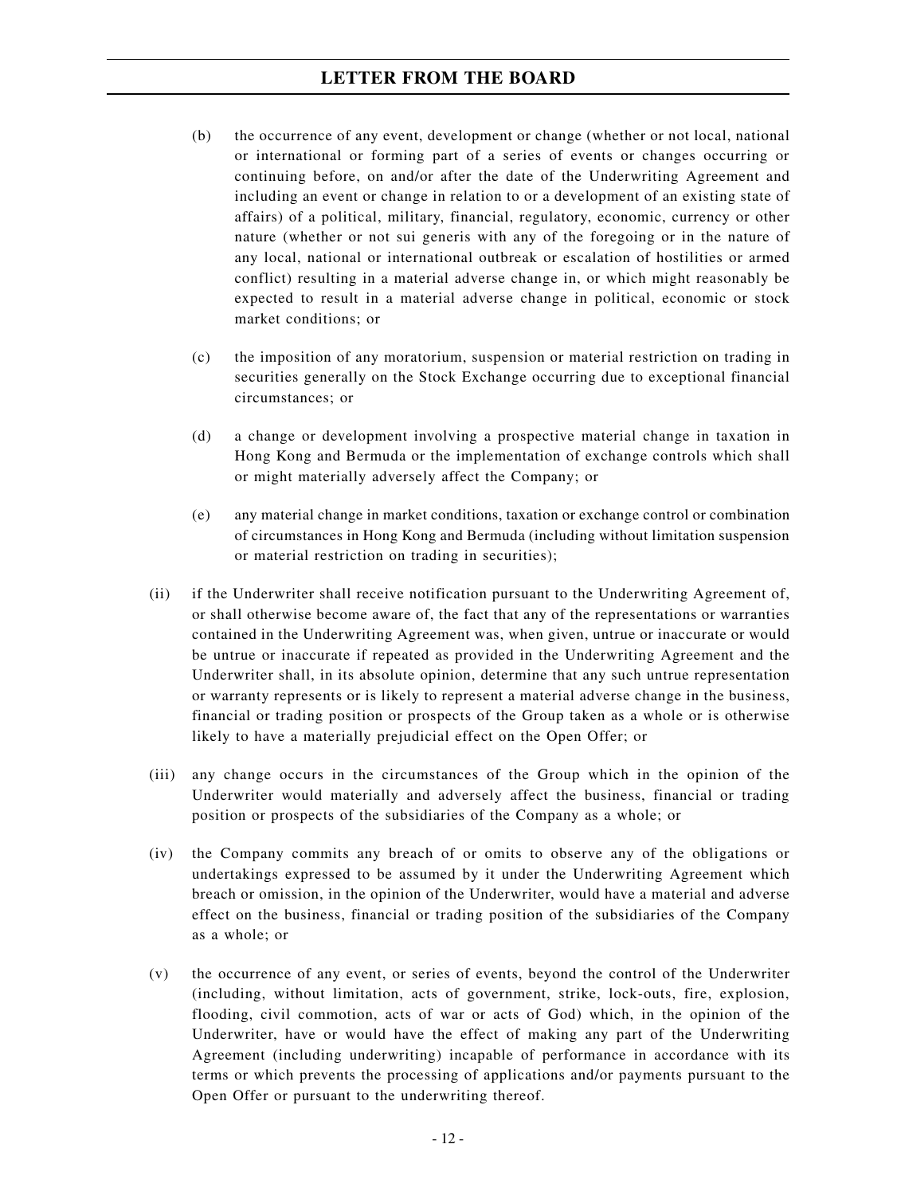- (b) the occurrence of any event, development or change (whether or not local, national or international or forming part of a series of events or changes occurring or continuing before, on and/or after the date of the Underwriting Agreement and including an event or change in relation to or a development of an existing state of affairs) of a political, military, financial, regulatory, economic, currency or other nature (whether or not sui generis with any of the foregoing or in the nature of any local, national or international outbreak or escalation of hostilities or armed conflict) resulting in a material adverse change in, or which might reasonably be expected to result in a material adverse change in political, economic or stock market conditions; or
- (c) the imposition of any moratorium, suspension or material restriction on trading in securities generally on the Stock Exchange occurring due to exceptional financial circumstances; or
- (d) a change or development involving a prospective material change in taxation in Hong Kong and Bermuda or the implementation of exchange controls which shall or might materially adversely affect the Company; or
- (e) any material change in market conditions, taxation or exchange control or combination of circumstances in Hong Kong and Bermuda (including without limitation suspension or material restriction on trading in securities);
- (ii) if the Underwriter shall receive notification pursuant to the Underwriting Agreement of, or shall otherwise become aware of, the fact that any of the representations or warranties contained in the Underwriting Agreement was, when given, untrue or inaccurate or would be untrue or inaccurate if repeated as provided in the Underwriting Agreement and the Underwriter shall, in its absolute opinion, determine that any such untrue representation or warranty represents or is likely to represent a material adverse change in the business, financial or trading position or prospects of the Group taken as a whole or is otherwise likely to have a materially prejudicial effect on the Open Offer; or
- (iii) any change occurs in the circumstances of the Group which in the opinion of the Underwriter would materially and adversely affect the business, financial or trading position or prospects of the subsidiaries of the Company as a whole; or
- (iv) the Company commits any breach of or omits to observe any of the obligations or undertakings expressed to be assumed by it under the Underwriting Agreement which breach or omission, in the opinion of the Underwriter, would have a material and adverse effect on the business, financial or trading position of the subsidiaries of the Company as a whole; or
- (v) the occurrence of any event, or series of events, beyond the control of the Underwriter (including, without limitation, acts of government, strike, lock-outs, fire, explosion, flooding, civil commotion, acts of war or acts of God) which, in the opinion of the Underwriter, have or would have the effect of making any part of the Underwriting Agreement (including underwriting) incapable of performance in accordance with its terms or which prevents the processing of applications and/or payments pursuant to the Open Offer or pursuant to the underwriting thereof.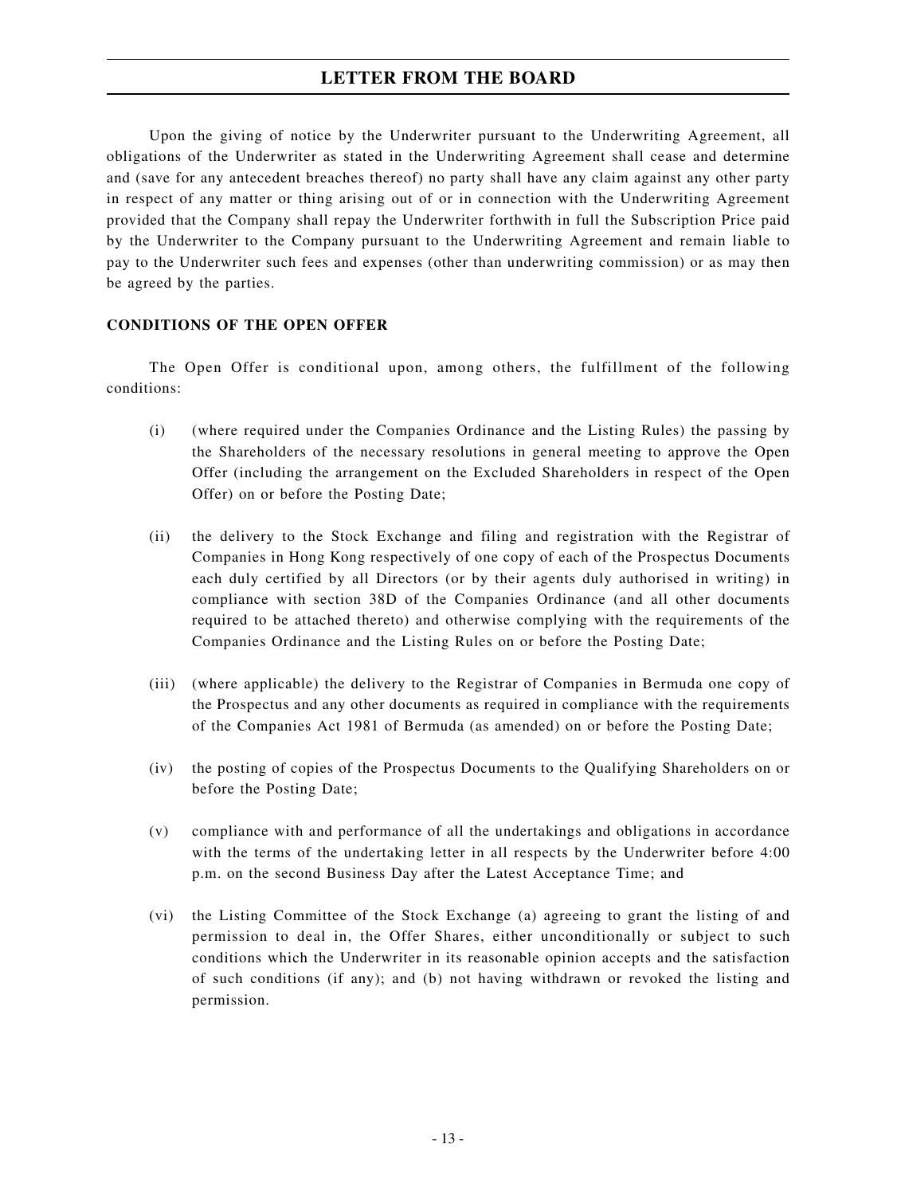Upon the giving of notice by the Underwriter pursuant to the Underwriting Agreement, all obligations of the Underwriter as stated in the Underwriting Agreement shall cease and determine and (save for any antecedent breaches thereof) no party shall have any claim against any other party in respect of any matter or thing arising out of or in connection with the Underwriting Agreement provided that the Company shall repay the Underwriter forthwith in full the Subscription Price paid by the Underwriter to the Company pursuant to the Underwriting Agreement and remain liable to pay to the Underwriter such fees and expenses (other than underwriting commission) or as may then be agreed by the parties.

## **CONDITIONS OF THE OPEN OFFER**

The Open Offer is conditional upon, among others, the fulfillment of the following conditions:

- (i) (where required under the Companies Ordinance and the Listing Rules) the passing by the Shareholders of the necessary resolutions in general meeting to approve the Open Offer (including the arrangement on the Excluded Shareholders in respect of the Open Offer) on or before the Posting Date;
- (ii) the delivery to the Stock Exchange and filing and registration with the Registrar of Companies in Hong Kong respectively of one copy of each of the Prospectus Documents each duly certified by all Directors (or by their agents duly authorised in writing) in compliance with section 38D of the Companies Ordinance (and all other documents required to be attached thereto) and otherwise complying with the requirements of the Companies Ordinance and the Listing Rules on or before the Posting Date;
- (iii) (where applicable) the delivery to the Registrar of Companies in Bermuda one copy of the Prospectus and any other documents as required in compliance with the requirements of the Companies Act 1981 of Bermuda (as amended) on or before the Posting Date;
- (iv) the posting of copies of the Prospectus Documents to the Qualifying Shareholders on or before the Posting Date;
- (v) compliance with and performance of all the undertakings and obligations in accordance with the terms of the undertaking letter in all respects by the Underwriter before 4:00 p.m. on the second Business Day after the Latest Acceptance Time; and
- (vi) the Listing Committee of the Stock Exchange (a) agreeing to grant the listing of and permission to deal in, the Offer Shares, either unconditionally or subject to such conditions which the Underwriter in its reasonable opinion accepts and the satisfaction of such conditions (if any); and (b) not having withdrawn or revoked the listing and permission.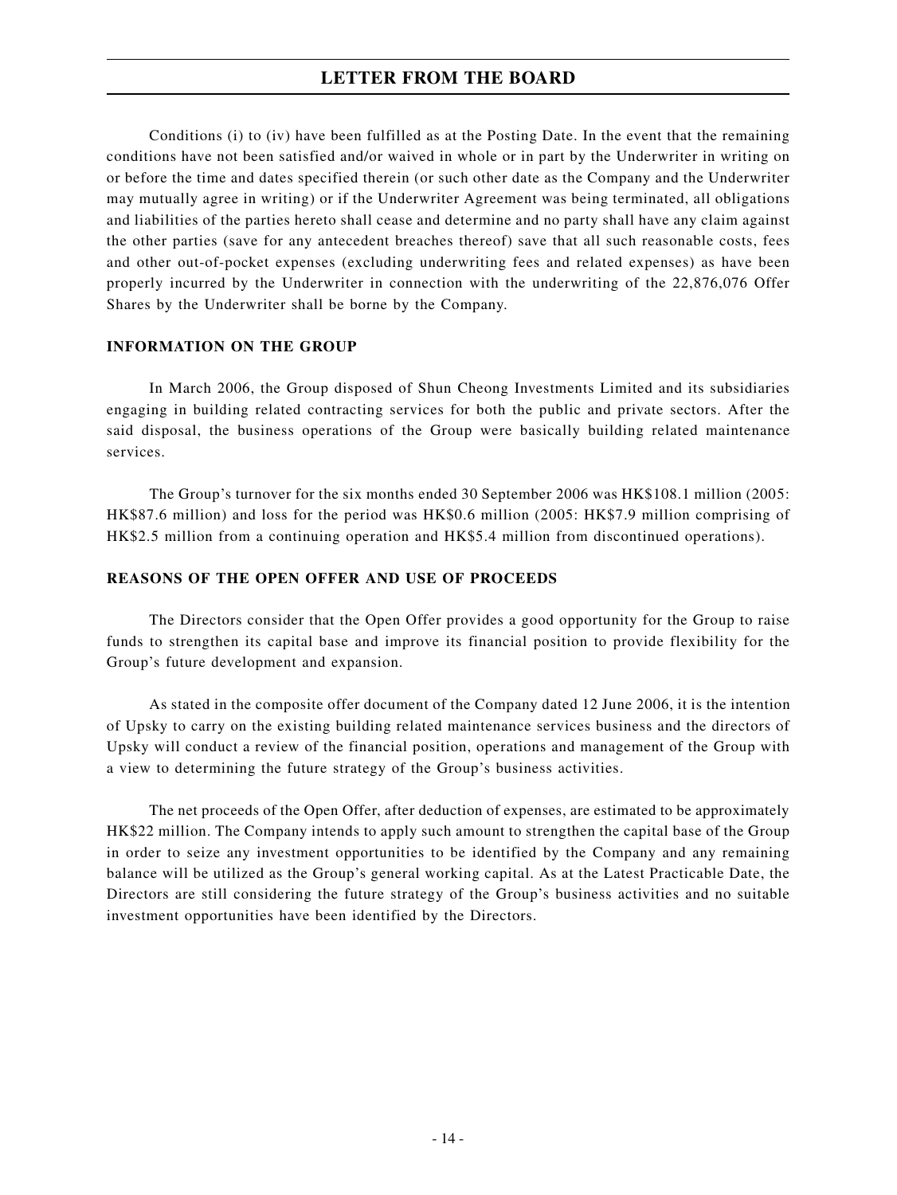Conditions (i) to (iv) have been fulfilled as at the Posting Date. In the event that the remaining conditions have not been satisfied and/or waived in whole or in part by the Underwriter in writing on or before the time and dates specified therein (or such other date as the Company and the Underwriter may mutually agree in writing) or if the Underwriter Agreement was being terminated, all obligations and liabilities of the parties hereto shall cease and determine and no party shall have any claim against the other parties (save for any antecedent breaches thereof) save that all such reasonable costs, fees and other out-of-pocket expenses (excluding underwriting fees and related expenses) as have been properly incurred by the Underwriter in connection with the underwriting of the 22,876,076 Offer Shares by the Underwriter shall be borne by the Company.

### **INFORMATION ON THE GROUP**

In March 2006, the Group disposed of Shun Cheong Investments Limited and its subsidiaries engaging in building related contracting services for both the public and private sectors. After the said disposal, the business operations of the Group were basically building related maintenance services.

The Group's turnover for the six months ended 30 September 2006 was HK\$108.1 million (2005: HK\$87.6 million) and loss for the period was HK\$0.6 million (2005: HK\$7.9 million comprising of HK\$2.5 million from a continuing operation and HK\$5.4 million from discontinued operations).

### **REASONS OF THE OPEN OFFER AND USE OF PROCEEDS**

The Directors consider that the Open Offer provides a good opportunity for the Group to raise funds to strengthen its capital base and improve its financial position to provide flexibility for the Group's future development and expansion.

As stated in the composite offer document of the Company dated 12 June 2006, it is the intention of Upsky to carry on the existing building related maintenance services business and the directors of Upsky will conduct a review of the financial position, operations and management of the Group with a view to determining the future strategy of the Group's business activities.

The net proceeds of the Open Offer, after deduction of expenses, are estimated to be approximately HK\$22 million. The Company intends to apply such amount to strengthen the capital base of the Group in order to seize any investment opportunities to be identified by the Company and any remaining balance will be utilized as the Group's general working capital. As at the Latest Practicable Date, the Directors are still considering the future strategy of the Group's business activities and no suitable investment opportunities have been identified by the Directors.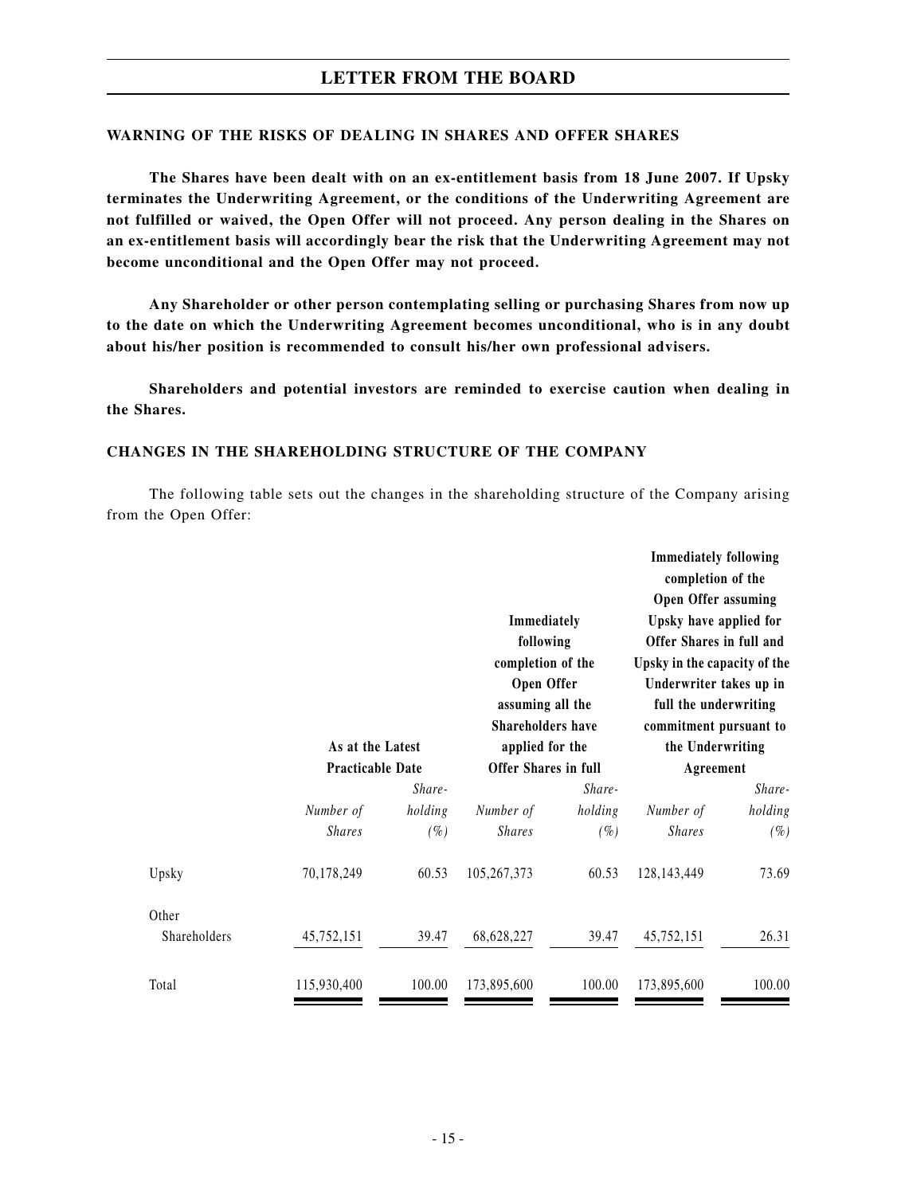## **WARNING OF THE RISKS OF DEALING IN SHARES AND OFFER SHARES**

**The Shares have been dealt with on an ex-entitlement basis from 18 June 2007. If Upsky terminates the Underwriting Agreement, or the conditions of the Underwriting Agreement are not fulfilled or waived, the Open Offer will not proceed. Any person dealing in the Shares on an ex-entitlement basis will accordingly bear the risk that the Underwriting Agreement may not become unconditional and the Open Offer may not proceed.**

**Any Shareholder or other person contemplating selling or purchasing Shares from now up to the date on which the Underwriting Agreement becomes unconditional, who is in any doubt about his/her position is recommended to consult his/her own professional advisers.**

**Shareholders and potential investors are reminded to exercise caution when dealing in the Shares.**

## **CHANGES IN THE SHAREHOLDING STRUCTURE OF THE COMPANY**

The following table sets out the changes in the shareholding structure of the Company arising from the Open Offer:

| As at the Latest<br><b>Practicable Date</b> |               | Immediately<br>following<br>completion of the<br>Open Offer<br>assuming all the<br><b>Shareholders have</b><br>applied for the<br><b>Offer Shares in full</b> |               | <b>Immediately following</b><br>completion of the<br>Open Offer assuming<br>Upsky have applied for<br>Offer Shares in full and<br>Upsky in the capacity of the<br>Underwriter takes up in<br>full the underwriting<br>commitment pursuant to<br>the Underwriting<br>Agreement |               |         |
|---------------------------------------------|---------------|---------------------------------------------------------------------------------------------------------------------------------------------------------------|---------------|-------------------------------------------------------------------------------------------------------------------------------------------------------------------------------------------------------------------------------------------------------------------------------|---------------|---------|
|                                             |               | Share-                                                                                                                                                        |               | Share-                                                                                                                                                                                                                                                                        |               | Share-  |
|                                             | Number of     | holding                                                                                                                                                       | Number of     | holding                                                                                                                                                                                                                                                                       | Number of     | holding |
|                                             | <b>Shares</b> | $(\%)$                                                                                                                                                        | <b>Shares</b> | $(\%)$                                                                                                                                                                                                                                                                        | <b>Shares</b> | $(\%)$  |
| Upsky                                       | 70,178,249    | 60.53                                                                                                                                                         | 105,267,373   | 60.53                                                                                                                                                                                                                                                                         | 128,143,449   | 73.69   |
| Other                                       |               |                                                                                                                                                               |               |                                                                                                                                                                                                                                                                               |               |         |
| Shareholders                                | 45,752,151    | 39.47                                                                                                                                                         | 68,628,227    | 39.47                                                                                                                                                                                                                                                                         | 45,752,151    | 26.31   |
| Total                                       | 115,930,400   | 100.00                                                                                                                                                        | 173,895,600   | 100.00                                                                                                                                                                                                                                                                        | 173,895,600   | 100.00  |
|                                             |               |                                                                                                                                                               |               |                                                                                                                                                                                                                                                                               |               |         |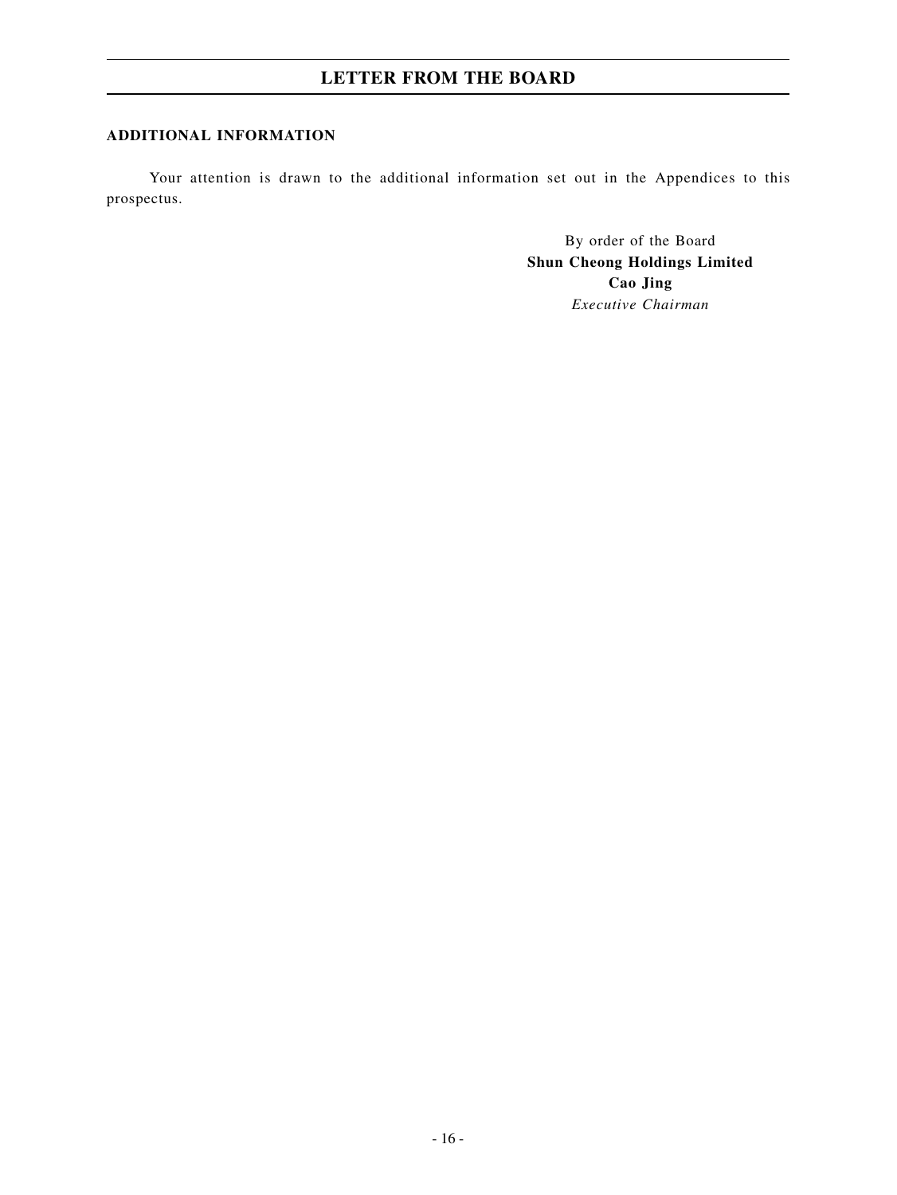## **ADDITIONAL INFORMATION**

Your attention is drawn to the additional information set out in the Appendices to this prospectus.

> By order of the Board **Shun Cheong Holdings Limited Cao Jing** *Executive Chairman*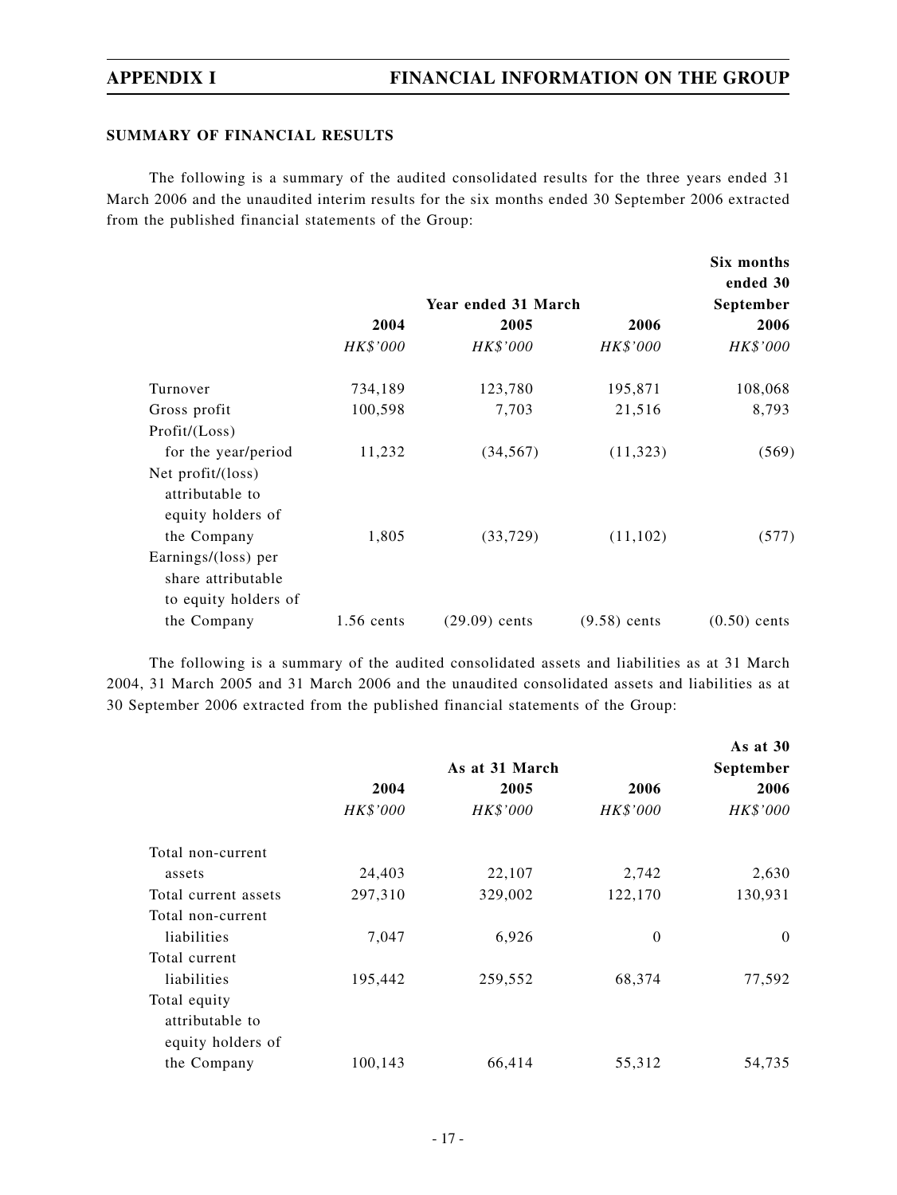## **SUMMARY OF FINANCIAL RESULTS**

The following is a summary of the audited consolidated results for the three years ended 31 March 2006 and the unaudited interim results for the six months ended 30 September 2006 extracted from the published financial statements of the Group:

|                      |              |                     |                | Six months<br>ended 30 |
|----------------------|--------------|---------------------|----------------|------------------------|
|                      |              | Year ended 31 March |                | September              |
|                      | 2004         | 2005                | 2006           | 2006                   |
|                      | HK\$'000     | HK\$'000            | HK\$'000       | HK\$'000               |
| Turnover             | 734,189      | 123,780             | 195,871        | 108,068                |
| Gross profit         | 100,598      | 7,703               | 21,516         | 8,793                  |
| Profit / (Loss)      |              |                     |                |                        |
| for the year/period  | 11,232       | (34, 567)           | (11, 323)      | (569)                  |
| Net profit/(loss)    |              |                     |                |                        |
| attributable to      |              |                     |                |                        |
| equity holders of    |              |                     |                |                        |
| the Company          | 1,805        | (33, 729)           | (11,102)       | (577)                  |
| Earnings/(loss) per  |              |                     |                |                        |
| share attributable   |              |                     |                |                        |
| to equity holders of |              |                     |                |                        |
| the Company          | $1.56$ cents | $(29.09)$ cents     | $(9.58)$ cents | $(0.50)$ cents         |

The following is a summary of the audited consolidated assets and liabilities as at 31 March 2004, 31 March 2005 and 31 March 2006 and the unaudited consolidated assets and liabilities as at 30 September 2006 extracted from the published financial statements of the Group:

|                      |          |                |          | As at $30$ |
|----------------------|----------|----------------|----------|------------|
|                      |          | As at 31 March |          | September  |
|                      | 2004     | 2005           | 2006     | 2006       |
|                      | HK\$'000 | HK\$'000       | HK\$'000 | HK\$'000   |
| Total non-current    |          |                |          |            |
| assets               | 24,403   | 22,107         | 2,742    | 2,630      |
| Total current assets | 297,310  | 329,002        | 122,170  | 130,931    |
| Total non-current    |          |                |          |            |
| liabilities          | 7,047    | 6,926          | 0        | $\Omega$   |
| Total current        |          |                |          |            |
| liabilities          | 195,442  | 259,552        | 68,374   | 77,592     |
| Total equity         |          |                |          |            |
| attributable to      |          |                |          |            |
| equity holders of    |          |                |          |            |
| the Company          | 100,143  | 66,414         | 55,312   | 54,735     |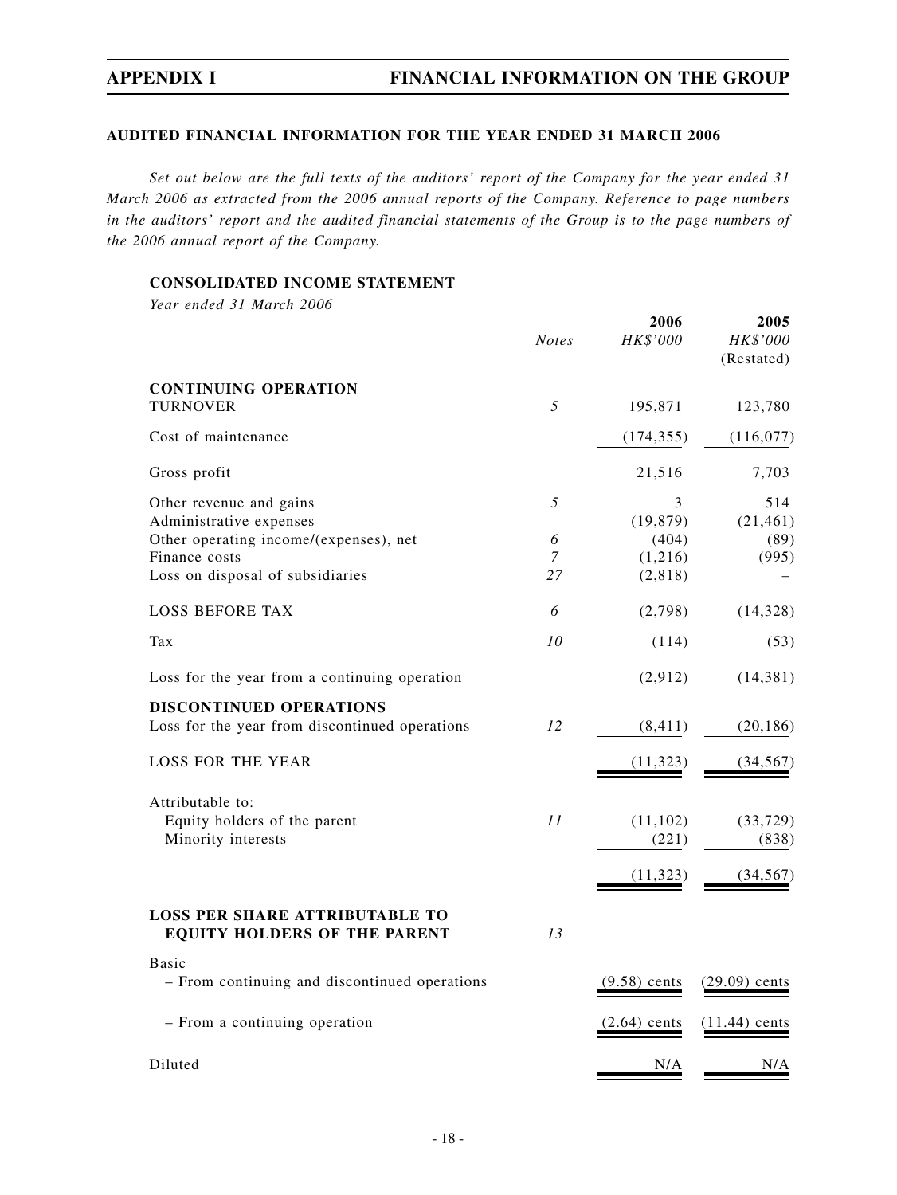## **Appendix I Financial information on the Group**

## **AUDITED FINANCIAL INFORMATION FOR THE YEAR ENDED 31 MARCH 2006**

Set out below are the full texts of the auditors' report of the Company for the year ended 31 *March 2006 as extracted from the 2006 annual reports of the Company. Reference to page numbers* in the auditors' report and the audited financial statements of the Group is to the page numbers of *the 2006 annual report of the Company.*

### **CONSOLIDATED INCOME STATEMENT**

*Year ended 31 March 2006* 

|                                                                                                                                                   | <b>Notes</b>      | 2006<br>HK\$'000                              | 2005<br>HK\$'000<br>(Restated)    |
|---------------------------------------------------------------------------------------------------------------------------------------------------|-------------------|-----------------------------------------------|-----------------------------------|
| <b>CONTINUING OPERATION</b><br>TURNOVER                                                                                                           | 5                 | 195,871                                       | 123,780                           |
| Cost of maintenance                                                                                                                               |                   | (174, 355)                                    | (116,077)                         |
| Gross profit                                                                                                                                      |                   | 21,516                                        | 7,703                             |
| Other revenue and gains<br>Administrative expenses<br>Other operating income/(expenses), net<br>Finance costs<br>Loss on disposal of subsidiaries | 5<br>6<br>7<br>27 | 3<br>(19, 879)<br>(404)<br>(1,216)<br>(2,818) | 514<br>(21, 461)<br>(89)<br>(995) |
| <b>LOSS BEFORE TAX</b>                                                                                                                            | 6                 | (2,798)                                       | (14, 328)                         |
| Tax                                                                                                                                               | 10                | (114)                                         | (53)                              |
| Loss for the year from a continuing operation                                                                                                     |                   | (2,912)                                       | (14, 381)                         |
| <b>DISCONTINUED OPERATIONS</b><br>Loss for the year from discontinued operations                                                                  | 12                | (8, 411)                                      | (20, 186)                         |
| <b>LOSS FOR THE YEAR</b>                                                                                                                          |                   | (11, 323)                                     | (34, 567)                         |
| Attributable to:<br>Equity holders of the parent<br>Minority interests                                                                            | 11                | (11, 102)<br>(221)<br>(11, 323)               | (33, 729)<br>(838)<br>(34, 567)   |
| <b>LOSS PER SHARE ATTRIBUTABLE TO</b><br><b>EQUITY HOLDERS OF THE PARENT</b>                                                                      | 13                |                                               |                                   |
| Basic<br>- From continuing and discontinued operations                                                                                            |                   | $(9.58)$ cents                                | $(29.09)$ cents                   |
| - From a continuing operation                                                                                                                     |                   | $(2.64)$ cents                                | $(11.44)$ cents                   |
| Diluted                                                                                                                                           |                   | N/A                                           | N/A                               |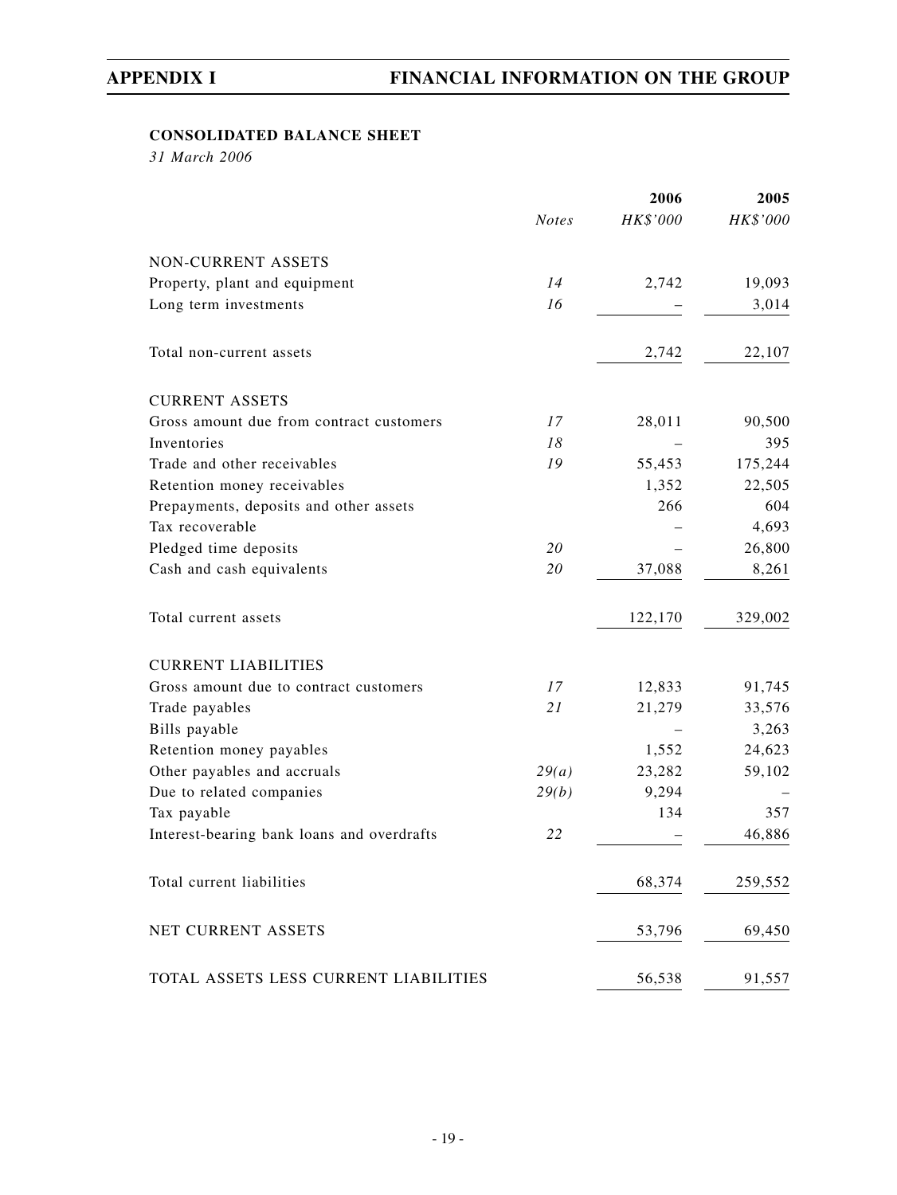## **CONSOLIDATED BALANCE SHEET**

*31 March 2006*

|                                            |              | 2006     | 2005     |
|--------------------------------------------|--------------|----------|----------|
|                                            | <b>Notes</b> | HK\$'000 | HK\$'000 |
| NON-CURRENT ASSETS                         |              |          |          |
| Property, plant and equipment              | 14           | 2,742    | 19,093   |
| Long term investments                      | 16           |          | 3,014    |
|                                            |              |          |          |
| Total non-current assets                   |              | 2,742    | 22,107   |
| <b>CURRENT ASSETS</b>                      |              |          |          |
| Gross amount due from contract customers   | 17           | 28,011   | 90,500   |
| Inventories                                | 18           |          | 395      |
| Trade and other receivables                | 19           | 55,453   | 175,244  |
| Retention money receivables                |              | 1,352    | 22,505   |
| Prepayments, deposits and other assets     |              | 266      | 604      |
| Tax recoverable                            |              |          | 4,693    |
| Pledged time deposits                      | 20           |          | 26,800   |
| Cash and cash equivalents                  | 20           | 37,088   | 8,261    |
| Total current assets                       |              | 122,170  | 329,002  |
| <b>CURRENT LIABILITIES</b>                 |              |          |          |
| Gross amount due to contract customers     | 17           | 12,833   | 91,745   |
| Trade payables                             | 21           | 21,279   | 33,576   |
| Bills payable                              |              |          | 3,263    |
| Retention money payables                   |              | 1,552    | 24,623   |
| Other payables and accruals                | 29(a)        | 23,282   | 59,102   |
| Due to related companies                   | 29(b)        | 9,294    |          |
| Tax payable                                |              | 134      | 357      |
| Interest-bearing bank loans and overdrafts | 22           |          | 46,886   |
| Total current liabilities                  |              | 68,374   | 259,552  |
| NET CURRENT ASSETS                         |              | 53,796   | 69,450   |
| TOTAL ASSETS LESS CURRENT LIABILITIES      |              | 56,538   | 91,557   |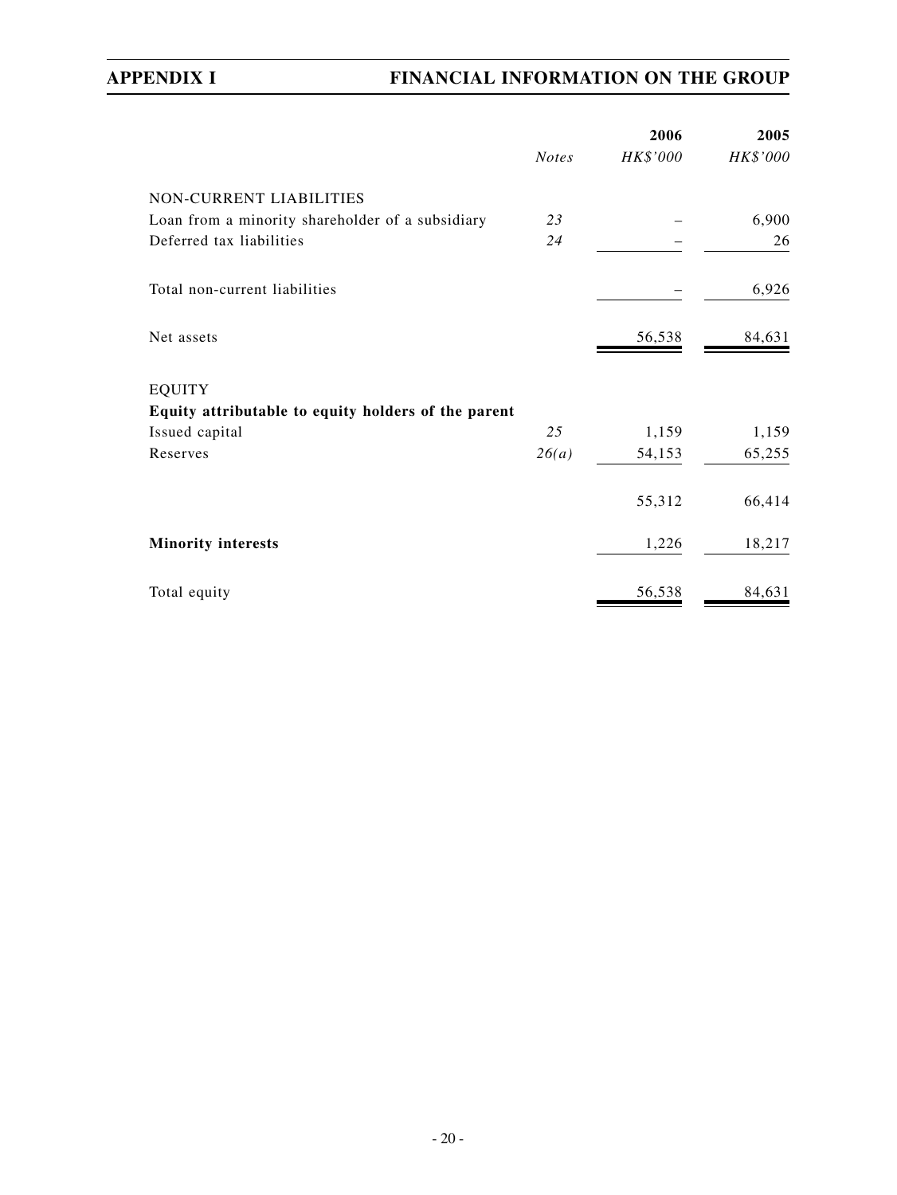# **Appendix I Financial information on the Group**

|                                                     |              | 2006     | 2005     |
|-----------------------------------------------------|--------------|----------|----------|
|                                                     | <b>Notes</b> | HK\$'000 | HK\$'000 |
| NON-CURRENT LIABILITIES                             |              |          |          |
| Loan from a minority shareholder of a subsidiary    | 23           |          | 6,900    |
| Deferred tax liabilities                            | 24           |          | 26       |
| Total non-current liabilities                       |              |          | 6,926    |
| Net assets                                          |              | 56,538   | 84,631   |
| <b>EQUITY</b>                                       |              |          |          |
| Equity attributable to equity holders of the parent |              |          |          |
| Issued capital                                      | 25           | 1,159    | 1,159    |
| Reserves                                            | 26(a)        | 54,153   | 65,255   |
|                                                     |              | 55,312   | 66,414   |
| <b>Minority interests</b>                           |              | 1,226    | 18,217   |
| Total equity                                        |              | 56,538   | 84,631   |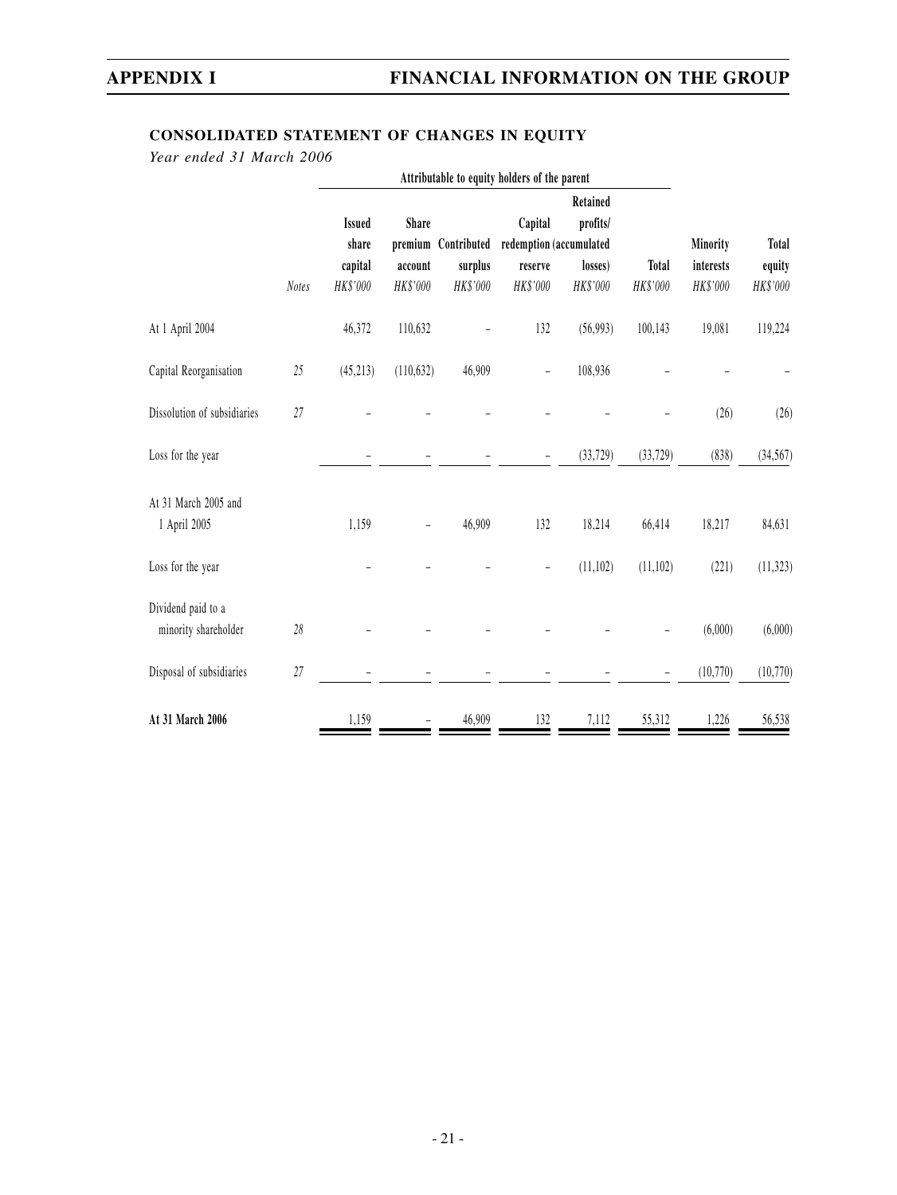## **CONSOLIDATED STATEMENT OF CHANGES IN EQUITY**

*Year ended 31 March 2006*

|                                            |              |                                               |                              |                                            | Attributable to equity holders of the parent              |                                             |                   |                                   |                                    |
|--------------------------------------------|--------------|-----------------------------------------------|------------------------------|--------------------------------------------|-----------------------------------------------------------|---------------------------------------------|-------------------|-----------------------------------|------------------------------------|
|                                            | <b>Notes</b> | <b>Issued</b><br>share<br>capital<br>HK\$'000 | Share<br>account<br>HK\$'000 | premium Contributed<br>surplus<br>HK\$'000 | Capital<br>redemption (accumulated<br>reserve<br>HK\$'000 | Retained<br>profits/<br>losses)<br>HK\$'000 | Total<br>HK\$'000 | Minority<br>interests<br>HK\$'000 | <b>Total</b><br>equity<br>HK\$'000 |
| At 1 April 2004                            |              | 46,372                                        | 110,632                      |                                            | 132                                                       | (56, 993)                                   | 100,143           | 19,081                            | 119,224                            |
| Capital Reorganisation                     | $25\,$       | (45,213)                                      | (110, 632)                   | 46,909                                     | $\overline{a}$                                            | 108,936                                     |                   |                                   |                                    |
| Dissolution of subsidiaries                | 27           |                                               |                              |                                            |                                                           |                                             |                   | (26)                              | (26)                               |
| Loss for the year                          |              |                                               |                              |                                            |                                                           | (33, 729)                                   | (33, 729)         | (838)                             | (34, 567)                          |
| At 31 March 2005 and<br>1 April 2005       |              | 1,159                                         |                              | 46,909                                     | 132                                                       | 18,214                                      | 66,414            | 18,217                            | 84,631                             |
| Loss for the year                          |              |                                               |                              |                                            | $\overline{a}$                                            | (11, 102)                                   | (11, 102)         | (221)                             | (11, 323)                          |
| Dividend paid to a<br>minority shareholder | $28$         |                                               |                              |                                            |                                                           |                                             |                   | (6,000)                           | (6,000)                            |
| Disposal of subsidiaries                   | $27\,$       |                                               |                              |                                            |                                                           |                                             |                   | (10,770)                          | (10, 770)                          |
| At 31 March 2006                           |              | 1,159                                         |                              | 46,909                                     | 132                                                       | 7,112                                       | 55,312            | 1,226                             | 56,538                             |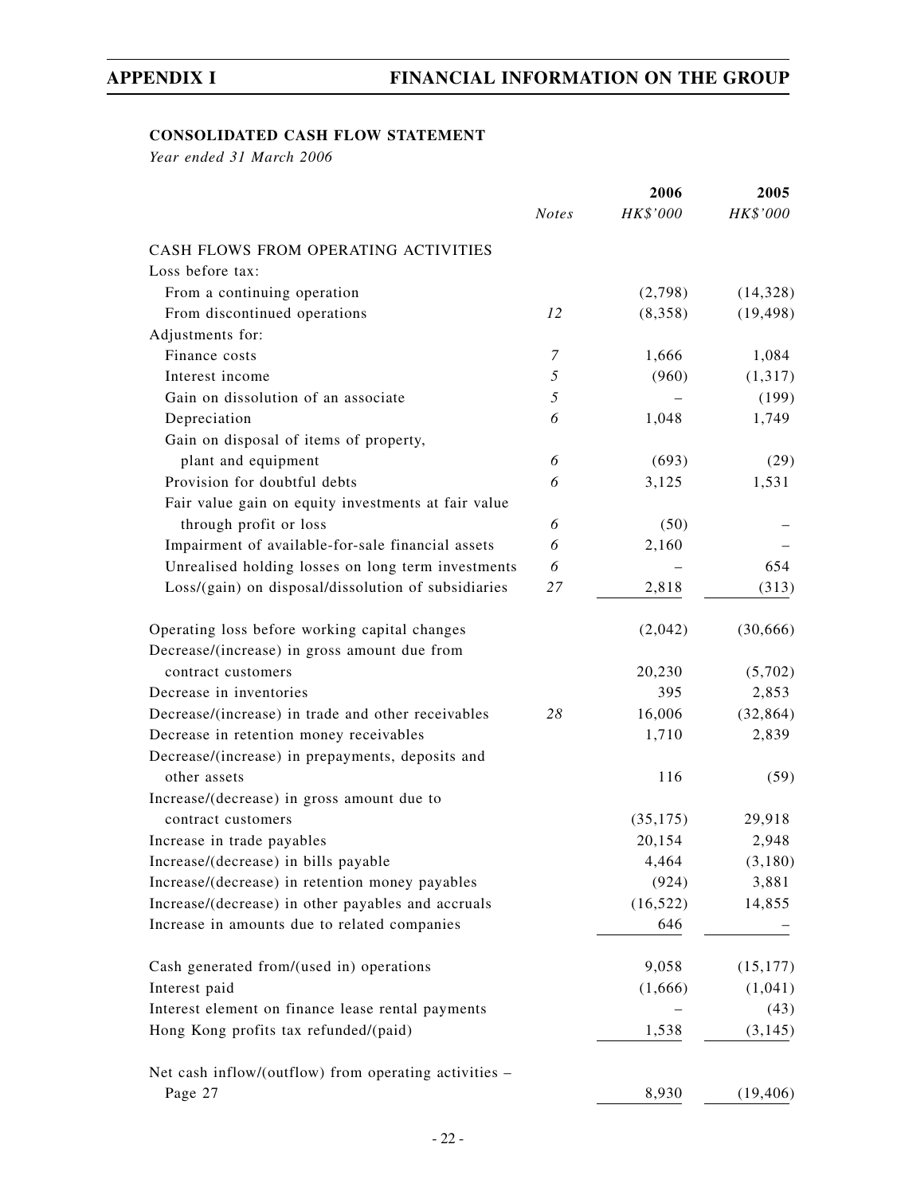## **CONSOLIDATED CASH FLOW STATEMENT**

*Year ended 31 March 2006*

|                                                       |              | 2006      | 2005      |
|-------------------------------------------------------|--------------|-----------|-----------|
|                                                       | <b>Notes</b> | HK\$'000  | HK\$'000  |
| CASH FLOWS FROM OPERATING ACTIVITIES                  |              |           |           |
| Loss before tax:                                      |              |           |           |
| From a continuing operation                           |              | (2,798)   | (14,328)  |
| From discontinued operations                          | 12           | (8,358)   | (19, 498) |
| Adjustments for:                                      |              |           |           |
| Finance costs                                         | 7            | 1,666     | 1,084     |
| Interest income                                       | 5            | (960)     | (1,317)   |
| Gain on dissolution of an associate                   | 5            |           | (199)     |
| Depreciation                                          | 6            | 1,048     | 1,749     |
| Gain on disposal of items of property,                |              |           |           |
| plant and equipment                                   | 6            | (693)     | (29)      |
| Provision for doubtful debts                          | 6            | 3,125     | 1,531     |
| Fair value gain on equity investments at fair value   |              |           |           |
| through profit or loss                                | 6            | (50)      |           |
| Impairment of available-for-sale financial assets     | 6            | 2,160     |           |
| Unrealised holding losses on long term investments    | 6            |           | 654       |
| Loss/(gain) on disposal/dissolution of subsidiaries   | 27           | 2,818     | (313)     |
|                                                       |              |           |           |
| Operating loss before working capital changes         |              | (2,042)   | (30,666)  |
| Decrease/(increase) in gross amount due from          |              |           |           |
| contract customers                                    |              | 20,230    | (5,702)   |
| Decrease in inventories                               |              | 395       | 2,853     |
| Decrease/(increase) in trade and other receivables    | 28           | 16,006    | (32, 864) |
| Decrease in retention money receivables               |              | 1,710     | 2,839     |
| Decrease/(increase) in prepayments, deposits and      |              |           |           |
| other assets                                          |              | 116       | (59)      |
| Increase/(decrease) in gross amount due to            |              |           |           |
| contract customers                                    |              | (35, 175) | 29,918    |
| Increase in trade payables                            |              | 20,154    | 2,948     |
| Increase/(decrease) in bills payable                  |              | 4,464     | (3,180)   |
| Increase/(decrease) in retention money payables       |              | (924)     | 3,881     |
| Increase/(decrease) in other payables and accruals    |              | (16, 522) | 14,855    |
| Increase in amounts due to related companies          |              | 646       |           |
| Cash generated from/(used in) operations              |              | 9,058     | (15, 177) |
| Interest paid                                         |              | (1,666)   | (1,041)   |
| Interest element on finance lease rental payments     |              |           | (43)      |
| Hong Kong profits tax refunded/(paid)                 |              | 1,538     | (3, 145)  |
| Net cash inflow/(outflow) from operating activities – |              |           |           |
| Page 27                                               |              | 8,930     | (19, 406) |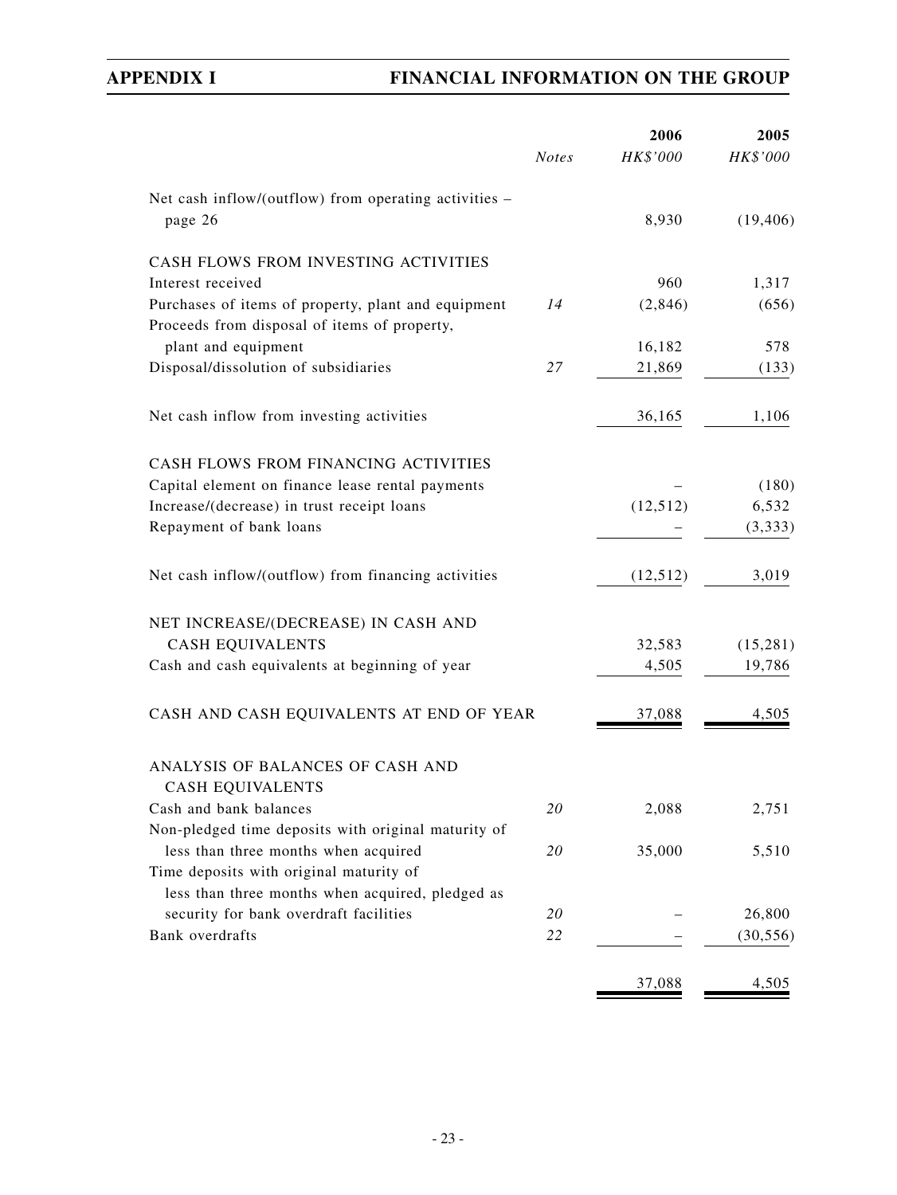# **Appendix I Financial information on the Group**

|                                                                                                     | <b>Notes</b> | 2006<br>HK\$'000 | 2005<br>HK\$'000 |
|-----------------------------------------------------------------------------------------------------|--------------|------------------|------------------|
|                                                                                                     |              |                  |                  |
| Net cash inflow/(outflow) from operating activities -<br>page 26                                    |              | 8,930            | (19, 406)        |
| CASH FLOWS FROM INVESTING ACTIVITIES                                                                |              |                  |                  |
| Interest received                                                                                   |              | 960              | 1,317            |
| Purchases of items of property, plant and equipment<br>Proceeds from disposal of items of property, | 14           | (2,846)          | (656)            |
| plant and equipment                                                                                 |              | 16,182           | 578              |
| Disposal/dissolution of subsidiaries                                                                | 27           | 21,869           | (133)            |
|                                                                                                     |              |                  |                  |
| Net cash inflow from investing activities                                                           |              | 36,165           | 1,106            |
| CASH FLOWS FROM FINANCING ACTIVITIES                                                                |              |                  |                  |
| Capital element on finance lease rental payments                                                    |              |                  | (180)            |
| Increase/(decrease) in trust receipt loans                                                          |              | (12, 512)        | 6,532            |
| Repayment of bank loans                                                                             |              |                  | (3,333)          |
| Net cash inflow/(outflow) from financing activities                                                 |              | (12, 512)        | 3,019            |
| NET INCREASE/(DECREASE) IN CASH AND                                                                 |              |                  |                  |
| <b>CASH EQUIVALENTS</b>                                                                             |              | 32,583           | (15, 281)        |
| Cash and cash equivalents at beginning of year                                                      |              | 4,505            | 19,786           |
| CASH AND CASH EQUIVALENTS AT END OF YEAR                                                            |              | 37,088           | 4,505            |
| ANALYSIS OF BALANCES OF CASH AND                                                                    |              |                  |                  |
| <b>CASH EQUIVALENTS</b>                                                                             |              |                  |                  |
| Cash and bank balances                                                                              | $20\,$       | 2,088            | 2,751            |
| Non-pledged time deposits with original maturity of                                                 |              |                  |                  |
| less than three months when acquired                                                                | 20           | 35,000           | 5,510            |
| Time deposits with original maturity of                                                             |              |                  |                  |
| less than three months when acquired, pledged as                                                    |              |                  |                  |
| security for bank overdraft facilities                                                              | 20           |                  | 26,800           |
| Bank overdrafts                                                                                     | 22           |                  | (30, 556)        |
|                                                                                                     |              | 37,088           | 4,505            |
|                                                                                                     |              |                  |                  |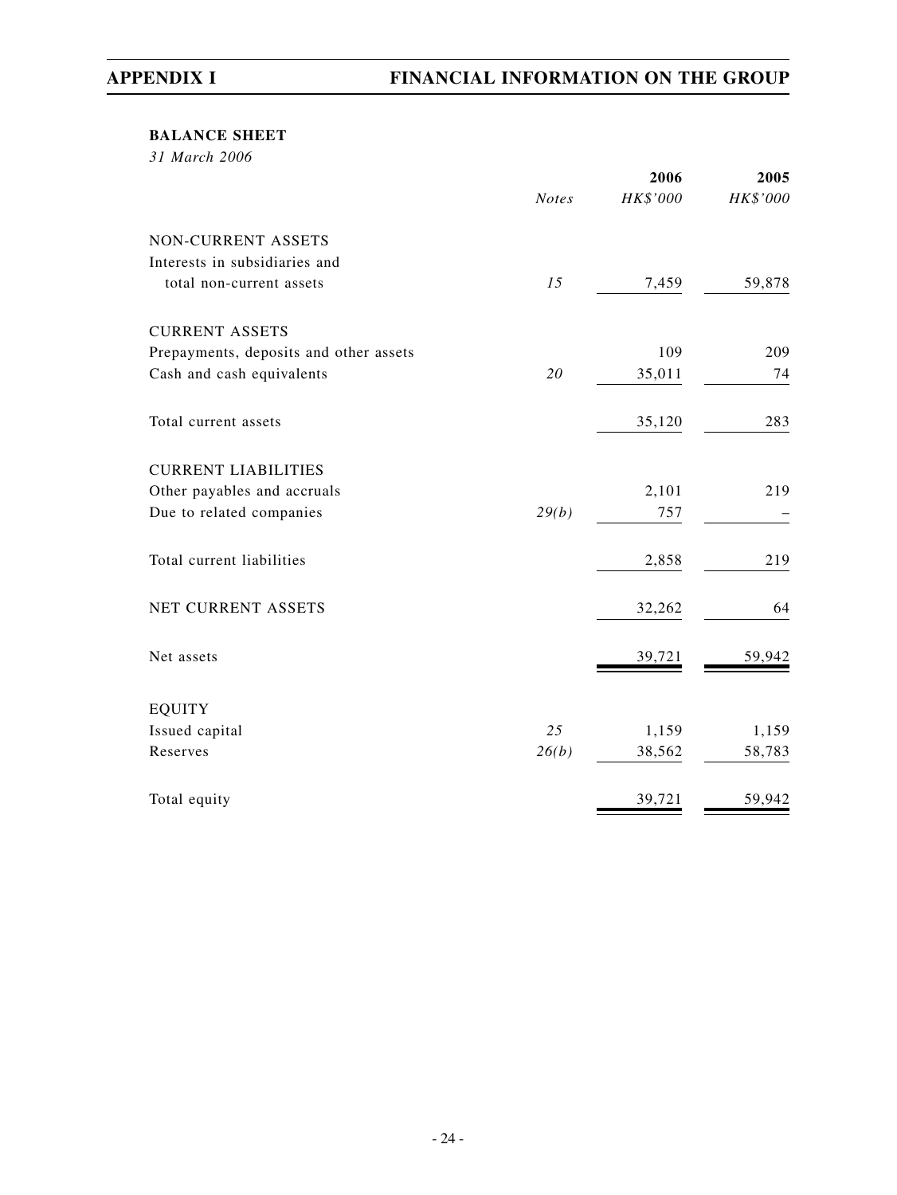## **BALANCE SHEET**

*31 March 2006*

|                                        |              | 2006     | 2005     |
|----------------------------------------|--------------|----------|----------|
|                                        | <b>Notes</b> | HK\$'000 | HK\$'000 |
| <b>NON-CURRENT ASSETS</b>              |              |          |          |
| Interests in subsidiaries and          |              |          |          |
| total non-current assets               | 15           | 7,459    | 59,878   |
| <b>CURRENT ASSETS</b>                  |              |          |          |
| Prepayments, deposits and other assets |              | 109      | 209      |
| Cash and cash equivalents              | 20           | 35,011   | 74       |
| Total current assets                   |              | 35,120   | 283      |
| <b>CURRENT LIABILITIES</b>             |              |          |          |
| Other payables and accruals            |              | 2,101    | 219      |
| Due to related companies               | 29(b)        | 757      |          |
| Total current liabilities              |              | 2,858    | 219      |
| NET CURRENT ASSETS                     |              | 32,262   | 64       |
| Net assets                             |              | 39,721   | 59,942   |
| <b>EQUITY</b>                          |              |          |          |
| Issued capital                         | 25           | 1,159    | 1,159    |
| Reserves                               | 26(b)        | 38,562   | 58,783   |
| Total equity                           |              | 39,721   | 59,942   |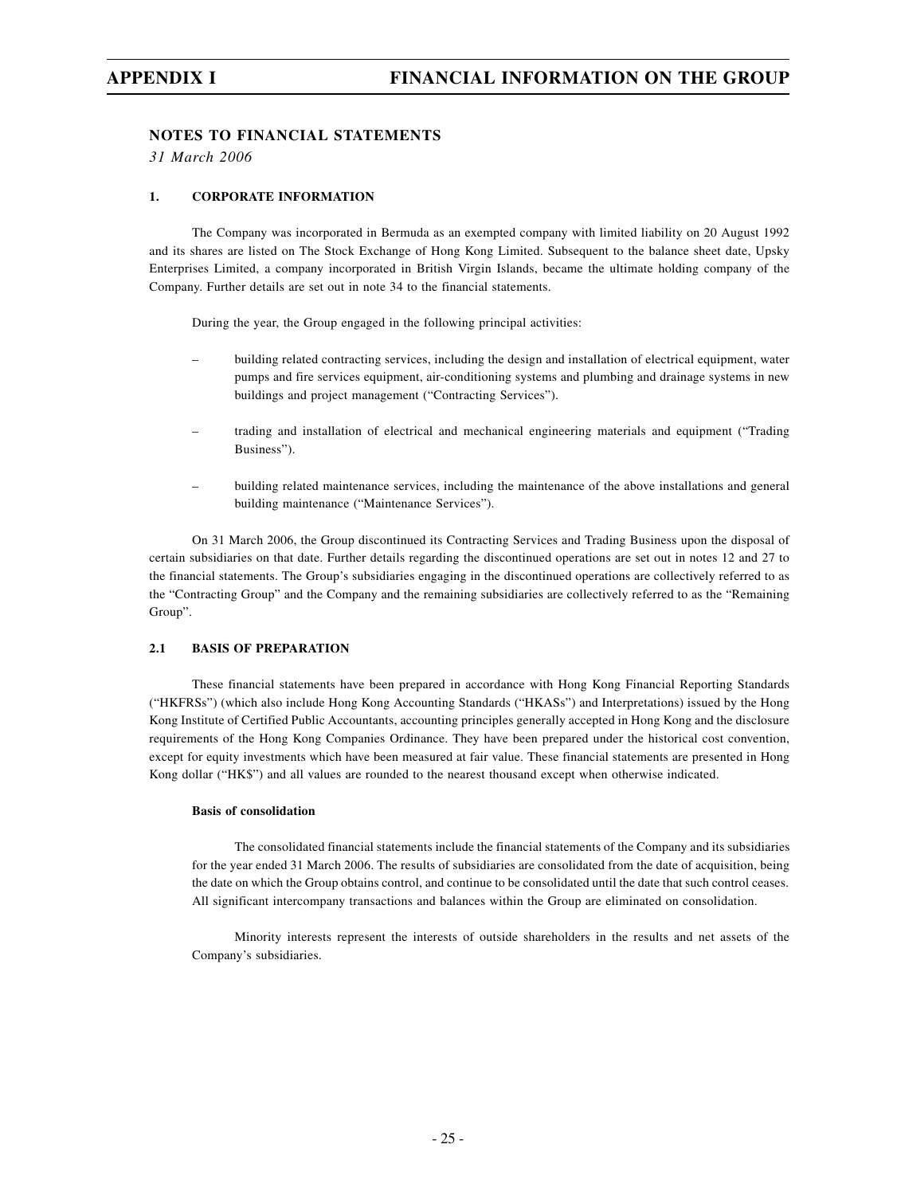## **NOTES TO FINANCIAL STATEMENTS**

*31 March 2006*

### **1. CORPORATE INFORMATION**

The Company was incorporated in Bermuda as an exempted company with limited liability on 20 August 1992 and its shares are listed on The Stock Exchange of Hong Kong Limited. Subsequent to the balance sheet date, Upsky Enterprises Limited, a company incorporated in British Virgin Islands, became the ultimate holding company of the Company. Further details are set out in note 34 to the financial statements.

During the year, the Group engaged in the following principal activities:

- building related contracting services, including the design and installation of electrical equipment, water pumps and fire services equipment, air-conditioning systems and plumbing and drainage systems in new buildings and project management ("Contracting Services").
- trading and installation of electrical and mechanical engineering materials and equipment ("Trading Business").
- building related maintenance services, including the maintenance of the above installations and general building maintenance ("Maintenance Services").

On 31 March 2006, the Group discontinued its Contracting Services and Trading Business upon the disposal of certain subsidiaries on that date. Further details regarding the discontinued operations are set out in notes 12 and 27 to the financial statements. The Group's subsidiaries engaging in the discontinued operations are collectively referred to as the "Contracting Group" and the Company and the remaining subsidiaries are collectively referred to as the "Remaining Group".

### **2.1 BASIS OF PREPARATION**

These financial statements have been prepared in accordance with Hong Kong Financial Reporting Standards ("HKFRSs") (which also include Hong Kong Accounting Standards ("HKASs") and Interpretations) issued by the Hong Kong Institute of Certified Public Accountants, accounting principles generally accepted in Hong Kong and the disclosure requirements of the Hong Kong Companies Ordinance. They have been prepared under the historical cost convention, except for equity investments which have been measured at fair value. These financial statements are presented in Hong Kong dollar ("HK\$") and all values are rounded to the nearest thousand except when otherwise indicated.

### **Basis of consolidation**

The consolidated financial statements include the financial statements of the Company and its subsidiaries for the year ended 31 March 2006. The results of subsidiaries are consolidated from the date of acquisition, being the date on which the Group obtains control, and continue to be consolidated until the date that such control ceases. All significant intercompany transactions and balances within the Group are eliminated on consolidation.

Minority interests represent the interests of outside shareholders in the results and net assets of the Company's subsidiaries.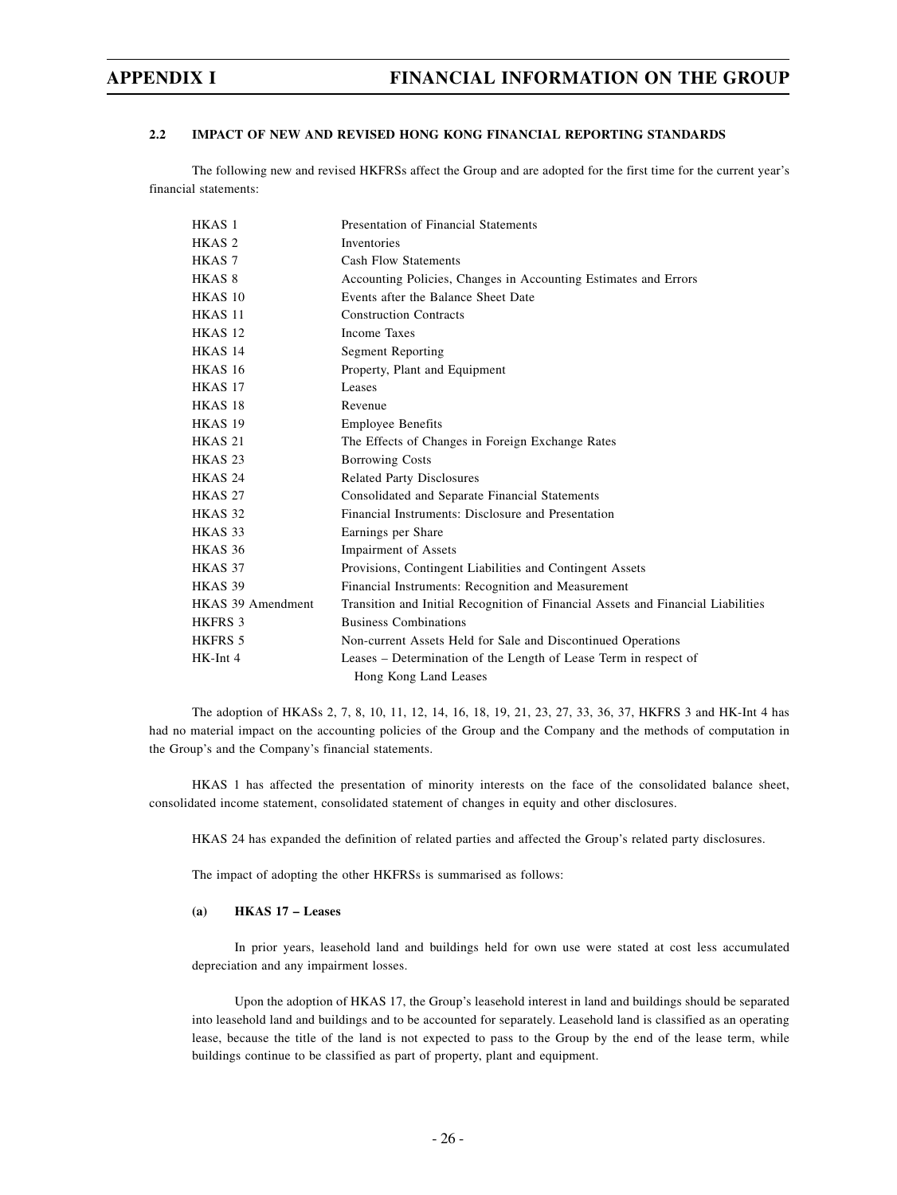### **2.2 IMPACT OF NEW AND REVISED HONG KONG FINANCIAL REPORTING STANDARDS**

The following new and revised HKFRSs affect the Group and are adopted for the first time for the current year's financial statements:

| HKAS <sub>1</sub>  | Presentation of Financial Statements                                             |
|--------------------|----------------------------------------------------------------------------------|
| HKAS <sub>2</sub>  | Inventories                                                                      |
| HKAS <sub>7</sub>  | Cash Flow Statements                                                             |
| HKAS <sup>8</sup>  | Accounting Policies, Changes in Accounting Estimates and Errors                  |
| HKAS 10            | Events after the Balance Sheet Date                                              |
| HKAS 11            | <b>Construction Contracts</b>                                                    |
| <b>HKAS 12</b>     | <b>Income Taxes</b>                                                              |
| HKAS 14            | Segment Reporting                                                                |
| HKAS 16            | Property, Plant and Equipment                                                    |
| HKAS <sub>17</sub> | Leases                                                                           |
| HKAS <sub>18</sub> | Revenue                                                                          |
| <b>HKAS 19</b>     | <b>Employee Benefits</b>                                                         |
| HKAS <sub>21</sub> | The Effects of Changes in Foreign Exchange Rates                                 |
| HKAS <sub>23</sub> | <b>Borrowing Costs</b>                                                           |
| HKAS <sub>24</sub> | <b>Related Party Disclosures</b>                                                 |
| <b>HKAS 27</b>     | Consolidated and Separate Financial Statements                                   |
| HKAS 32            | Financial Instruments: Disclosure and Presentation                               |
| HKAS 33            | Earnings per Share                                                               |
| HKAS 36            | <b>Impairment of Assets</b>                                                      |
| HKAS 37            | Provisions, Contingent Liabilities and Contingent Assets                         |
| HKAS 39            | Financial Instruments: Recognition and Measurement                               |
| HKAS 39 Amendment  | Transition and Initial Recognition of Financial Assets and Financial Liabilities |
| <b>HKFRS 3</b>     | <b>Business Combinations</b>                                                     |
| HKFRS 5            | Non-current Assets Held for Sale and Discontinued Operations                     |
| $HK-Int 4$         | Leases - Determination of the Length of Lease Term in respect of                 |
|                    | Hong Kong Land Leases                                                            |

The adoption of HKASs 2, 7, 8, 10, 11, 12, 14, 16, 18, 19, 21, 23, 27, 33, 36, 37, HKFRS 3 and HK-Int 4 has had no material impact on the accounting policies of the Group and the Company and the methods of computation in the Group's and the Company's financial statements.

HKAS 1 has affected the presentation of minority interests on the face of the consolidated balance sheet, consolidated income statement, consolidated statement of changes in equity and other disclosures.

HKAS 24 has expanded the definition of related parties and affected the Group's related party disclosures.

The impact of adopting the other HKFRSs is summarised as follows:

### **(a) HKAS 17 – Leases**

In prior years, leasehold land and buildings held for own use were stated at cost less accumulated depreciation and any impairment losses.

Upon the adoption of HKAS 17, the Group's leasehold interest in land and buildings should be separated into leasehold land and buildings and to be accounted for separately. Leasehold land is classified as an operating lease, because the title of the land is not expected to pass to the Group by the end of the lease term, while buildings continue to be classified as part of property, plant and equipment.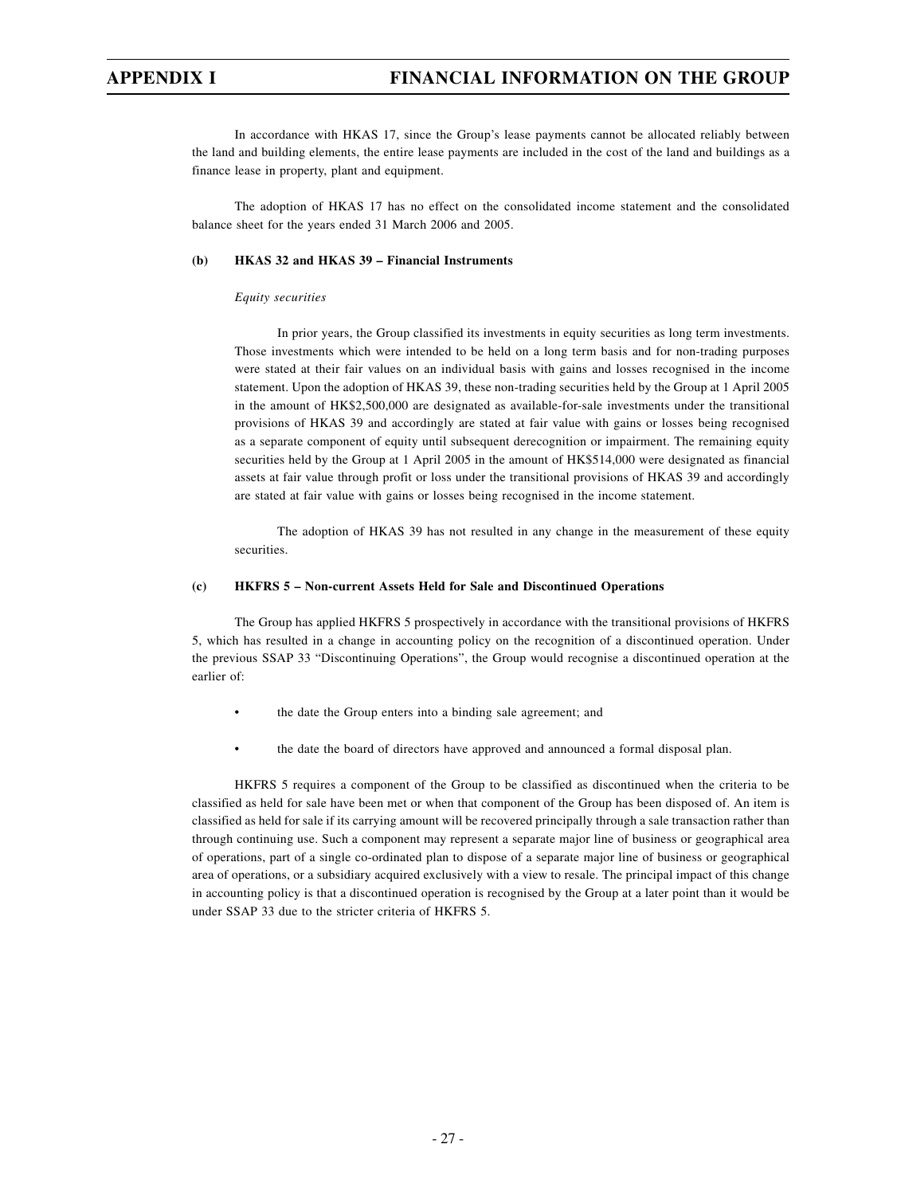In accordance with HKAS 17, since the Group's lease payments cannot be allocated reliably between the land and building elements, the entire lease payments are included in the cost of the land and buildings as a finance lease in property, plant and equipment.

The adoption of HKAS 17 has no effect on the consolidated income statement and the consolidated balance sheet for the years ended 31 March 2006 and 2005.

### **(b) HKAS 32 and HKAS 39 – Financial Instruments**

### *Equity securities*

In prior years, the Group classified its investments in equity securities as long term investments. Those investments which were intended to be held on a long term basis and for non-trading purposes were stated at their fair values on an individual basis with gains and losses recognised in the income statement. Upon the adoption of HKAS 39, these non-trading securities held by the Group at 1 April 2005 in the amount of HK\$2,500,000 are designated as available-for-sale investments under the transitional provisions of HKAS 39 and accordingly are stated at fair value with gains or losses being recognised as a separate component of equity until subsequent derecognition or impairment. The remaining equity securities held by the Group at 1 April 2005 in the amount of HK\$514,000 were designated as financial assets at fair value through profit or loss under the transitional provisions of HKAS 39 and accordingly are stated at fair value with gains or losses being recognised in the income statement.

The adoption of HKAS 39 has not resulted in any change in the measurement of these equity securities.

### **(c) HKFRS 5 – Non-current Assets Held for Sale and Discontinued Operations**

The Group has applied HKFRS 5 prospectively in accordance with the transitional provisions of HKFRS 5, which has resulted in a change in accounting policy on the recognition of a discontinued operation. Under the previous SSAP 33 "Discontinuing Operations", the Group would recognise a discontinued operation at the earlier of:

- the date the Group enters into a binding sale agreement; and
- the date the board of directors have approved and announced a formal disposal plan.

HKFRS 5 requires a component of the Group to be classified as discontinued when the criteria to be classified as held for sale have been met or when that component of the Group has been disposed of. An item is classified as held for sale if its carrying amount will be recovered principally through a sale transaction rather than through continuing use. Such a component may represent a separate major line of business or geographical area of operations, part of a single co-ordinated plan to dispose of a separate major line of business or geographical area of operations, or a subsidiary acquired exclusively with a view to resale. The principal impact of this change in accounting policy is that a discontinued operation is recognised by the Group at a later point than it would be under SSAP 33 due to the stricter criteria of HKFRS 5.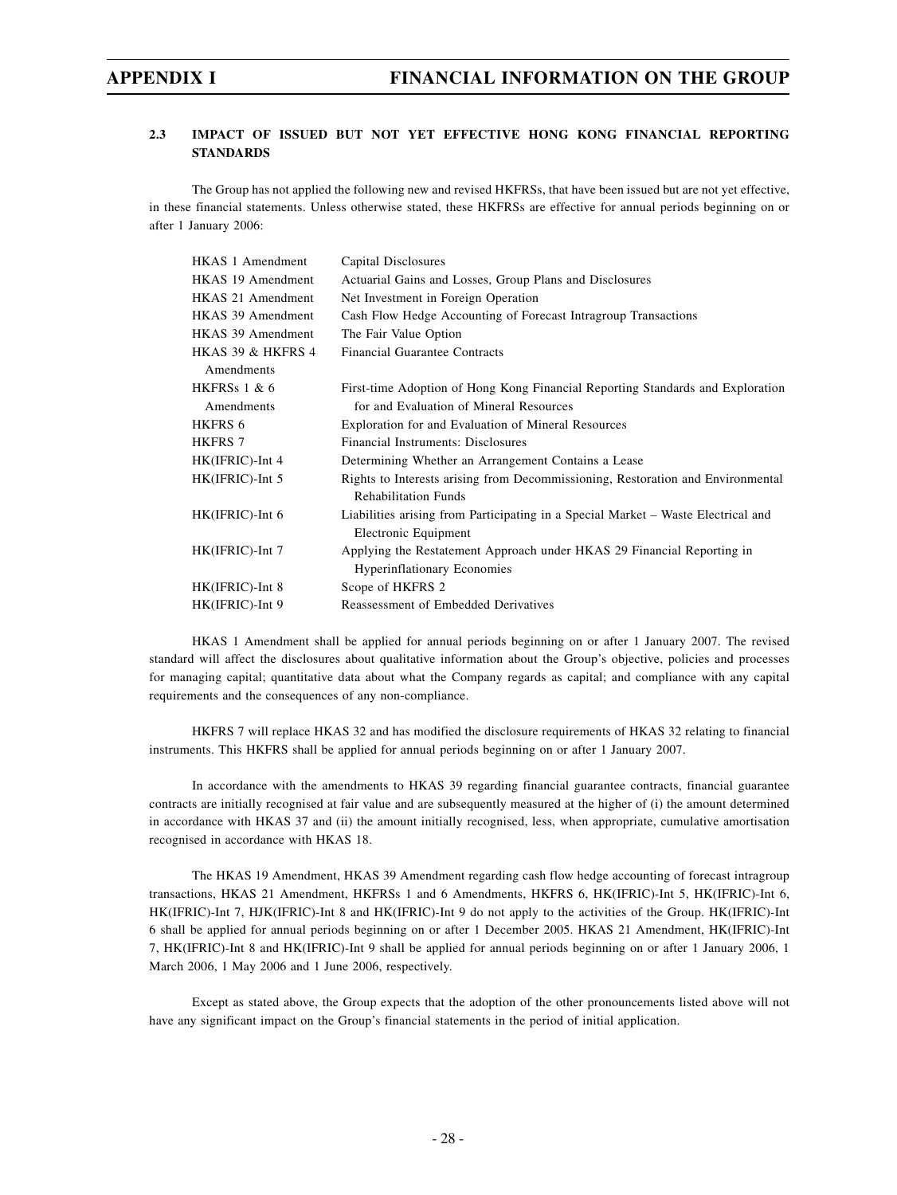### **2.3 IMPACT OF ISSUED BUT NOT YET EFFECTIVE HONG KONG FINANCIAL REPORTING STANDARDS**

The Group has not applied the following new and revised HKFRSs, that have been issued but are not yet effective, in these financial statements. Unless otherwise stated, these HKFRSs are effective for annual periods beginning on or after 1 January 2006:

| HKAS 1 Amendment   | Capital Disclosures                                                                                            |
|--------------------|----------------------------------------------------------------------------------------------------------------|
| HKAS 19 Amendment  | Actuarial Gains and Losses, Group Plans and Disclosures                                                        |
| HKAS 21 Amendment  | Net Investment in Foreign Operation                                                                            |
| HKAS 39 Amendment  | Cash Flow Hedge Accounting of Forecast Intragroup Transactions                                                 |
| HKAS 39 Amendment  | The Fair Value Option                                                                                          |
| HKAS 39 & HKFRS 4  | <b>Financial Guarantee Contracts</b>                                                                           |
| Amendments         |                                                                                                                |
| HKFRSs $1 & 6$     | First-time Adoption of Hong Kong Financial Reporting Standards and Exploration                                 |
| Amendments         | for and Evaluation of Mineral Resources                                                                        |
| HKFRS 6            | Exploration for and Evaluation of Mineral Resources                                                            |
| <b>HKFRS 7</b>     | Financial Instruments: Disclosures                                                                             |
| HK(IFRIC)-Int 4    | Determining Whether an Arrangement Contains a Lease                                                            |
| HK(IFRIC)-Int 5    | Rights to Interests arising from Decommissioning, Restoration and Environmental<br><b>Rehabilitation Funds</b> |
| $HK(IFRIC)$ -Int 6 | Liabilities arising from Participating in a Special Market – Waste Electrical and                              |
|                    | Electronic Equipment                                                                                           |
| HK(IFRIC)-Int 7    | Applying the Restatement Approach under HKAS 29 Financial Reporting in                                         |
|                    | <b>Hyperinflationary Economies</b>                                                                             |
| HK(IFRIC)-Int 8    | Scope of HKFRS 2                                                                                               |
| HK(IFRIC)-Int 9    | Reassessment of Embedded Derivatives                                                                           |
|                    |                                                                                                                |

HKAS 1 Amendment shall be applied for annual periods beginning on or after 1 January 2007. The revised standard will affect the disclosures about qualitative information about the Group's objective, policies and processes for managing capital; quantitative data about what the Company regards as capital; and compliance with any capital requirements and the consequences of any non-compliance.

HKFRS 7 will replace HKAS 32 and has modified the disclosure requirements of HKAS 32 relating to financial instruments. This HKFRS shall be applied for annual periods beginning on or after 1 January 2007.

In accordance with the amendments to HKAS 39 regarding financial guarantee contracts, financial guarantee contracts are initially recognised at fair value and are subsequently measured at the higher of (i) the amount determined in accordance with HKAS 37 and (ii) the amount initially recognised, less, when appropriate, cumulative amortisation recognised in accordance with HKAS 18.

The HKAS 19 Amendment, HKAS 39 Amendment regarding cash flow hedge accounting of forecast intragroup transactions, HKAS 21 Amendment, HKFRSs 1 and 6 Amendments, HKFRS 6, HK(IFRIC)-Int 5, HK(IFRIC)-Int 6, HK(IFRIC)-Int 7, HJK(IFRIC)-Int 8 and HK(IFRIC)-Int 9 do not apply to the activities of the Group. HK(IFRIC)-Int 6 shall be applied for annual periods beginning on or after 1 December 2005. HKAS 21 Amendment, HK(IFRIC)-Int 7, HK(IFRIC)-Int 8 and HK(IFRIC)-Int 9 shall be applied for annual periods beginning on or after 1 January 2006, 1 March 2006, 1 May 2006 and 1 June 2006, respectively.

Except as stated above, the Group expects that the adoption of the other pronouncements listed above will not have any significant impact on the Group's financial statements in the period of initial application.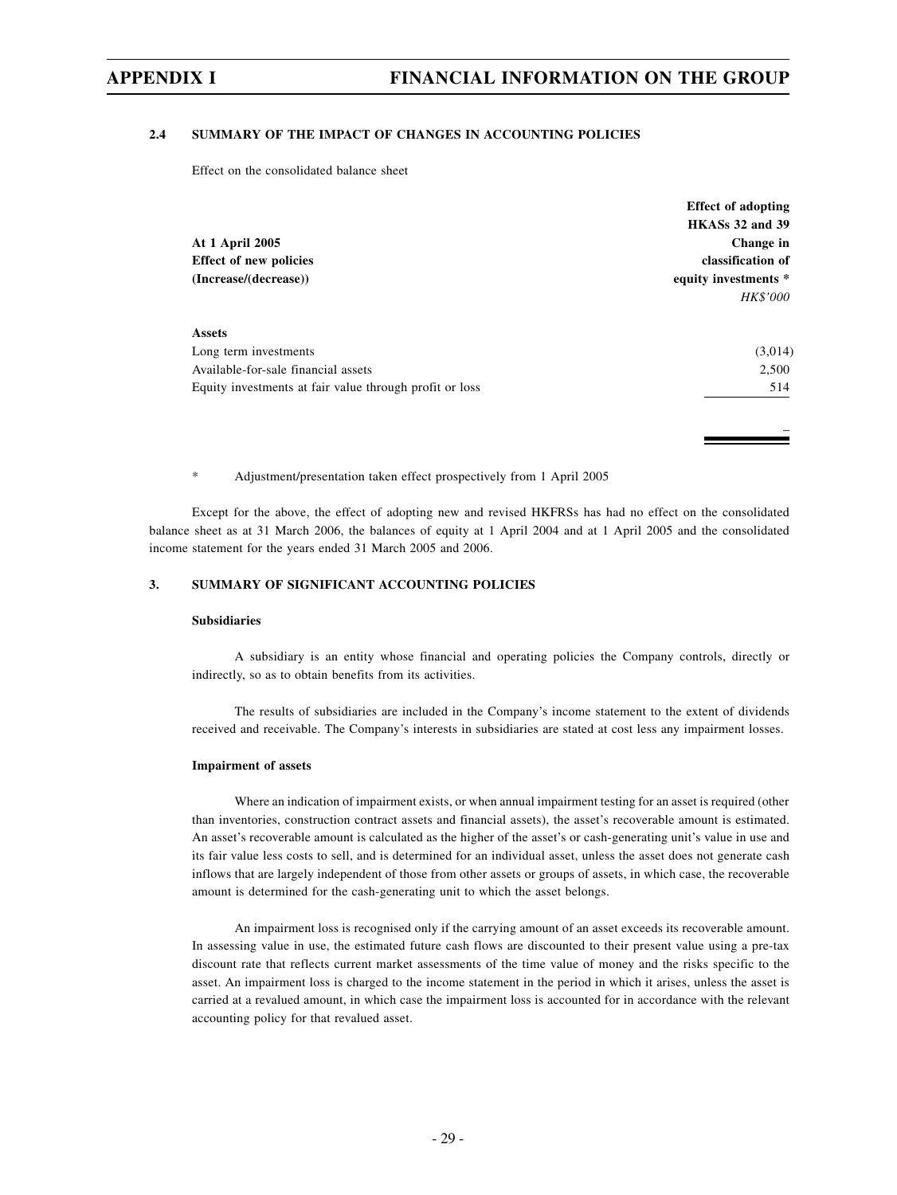–

### **2.4 SUMMARY OF THE IMPACT OF CHANGES IN ACCOUNTING POLICIES**

Effect on the consolidated balance sheet

|                                                         | <b>Effect of adopting</b> |
|---------------------------------------------------------|---------------------------|
|                                                         | HKASs 32 and 39           |
| At 1 April 2005                                         | Change in                 |
| <b>Effect of new policies</b>                           | classification of         |
| (Increase/(decrease))                                   | equity investments *      |
|                                                         | <b>HK\$'000</b>           |
| <b>Assets</b>                                           |                           |
| Long term investments                                   | (3,014)                   |
| Available-for-sale financial assets                     | 2,500                     |
| Equity investments at fair value through profit or loss | 514                       |

Adjustment/presentation taken effect prospectively from 1 April 2005

Except for the above, the effect of adopting new and revised HKFRSs has had no effect on the consolidated balance sheet as at 31 March 2006, the balances of equity at 1 April 2004 and at 1 April 2005 and the consolidated income statement for the years ended 31 March 2005 and 2006.

### **3. SUMMARY OF SIGNIFICANT ACCOUNTING POLICIES**

### **Subsidiaries**

A subsidiary is an entity whose financial and operating policies the Company controls, directly or indirectly, so as to obtain benefits from its activities.

The results of subsidiaries are included in the Company's income statement to the extent of dividends received and receivable. The Company's interests in subsidiaries are stated at cost less any impairment losses.

### **Impairment of assets**

Where an indication of impairment exists, or when annual impairment testing for an asset is required (other than inventories, construction contract assets and financial assets), the asset's recoverable amount is estimated. An asset's recoverable amount is calculated as the higher of the asset's or cash-generating unit's value in use and its fair value less costs to sell, and is determined for an individual asset, unless the asset does not generate cash inflows that are largely independent of those from other assets or groups of assets, in which case, the recoverable amount is determined for the cash-generating unit to which the asset belongs.

An impairment loss is recognised only if the carrying amount of an asset exceeds its recoverable amount. In assessing value in use, the estimated future cash flows are discounted to their present value using a pre-tax discount rate that reflects current market assessments of the time value of money and the risks specific to the asset. An impairment loss is charged to the income statement in the period in which it arises, unless the asset is carried at a revalued amount, in which case the impairment loss is accounted for in accordance with the relevant accounting policy for that revalued asset.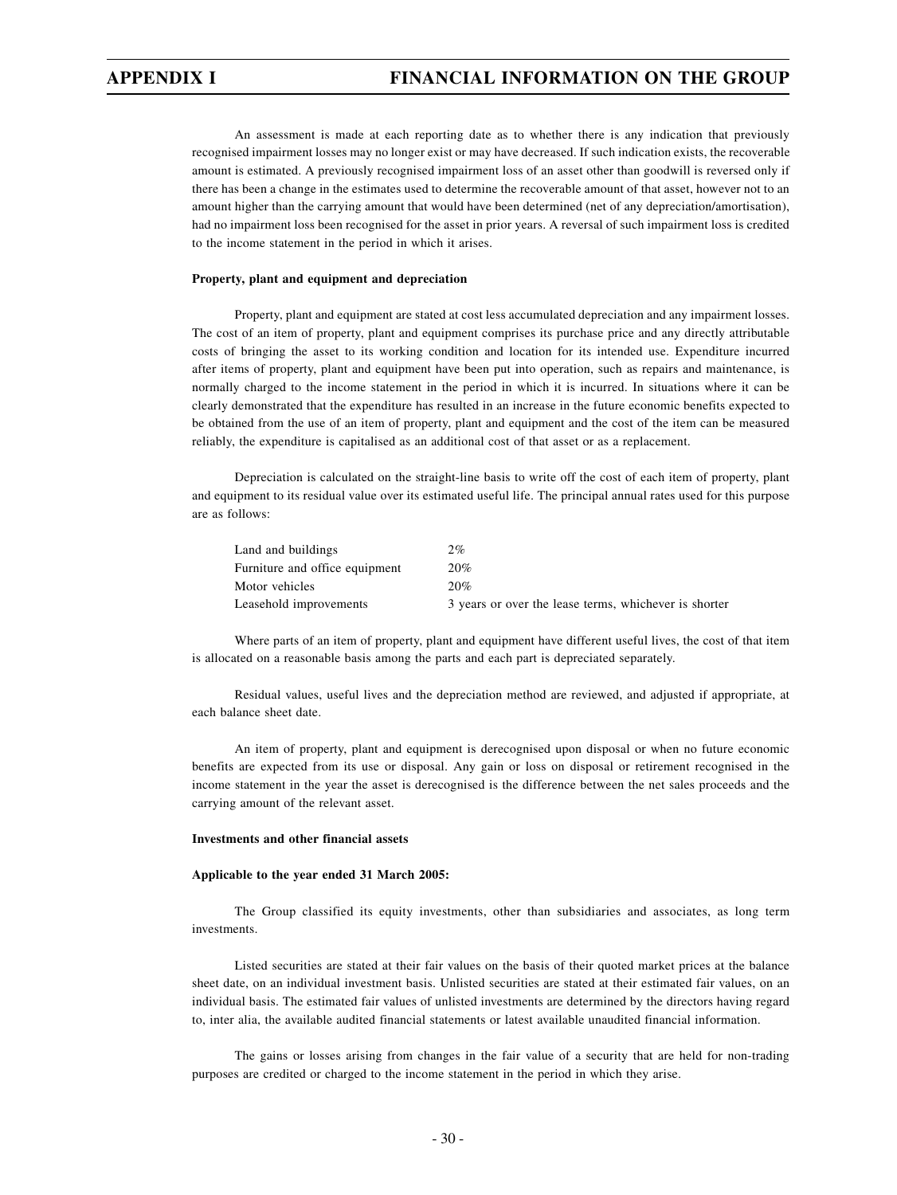An assessment is made at each reporting date as to whether there is any indication that previously recognised impairment losses may no longer exist or may have decreased. If such indication exists, the recoverable amount is estimated. A previously recognised impairment loss of an asset other than goodwill is reversed only if there has been a change in the estimates used to determine the recoverable amount of that asset, however not to an amount higher than the carrying amount that would have been determined (net of any depreciation/amortisation), had no impairment loss been recognised for the asset in prior years. A reversal of such impairment loss is credited to the income statement in the period in which it arises.

### **Property, plant and equipment and depreciation**

Property, plant and equipment are stated at cost less accumulated depreciation and any impairment losses. The cost of an item of property, plant and equipment comprises its purchase price and any directly attributable costs of bringing the asset to its working condition and location for its intended use. Expenditure incurred after items of property, plant and equipment have been put into operation, such as repairs and maintenance, is normally charged to the income statement in the period in which it is incurred. In situations where it can be clearly demonstrated that the expenditure has resulted in an increase in the future economic benefits expected to be obtained from the use of an item of property, plant and equipment and the cost of the item can be measured reliably, the expenditure is capitalised as an additional cost of that asset or as a replacement.

Depreciation is calculated on the straight-line basis to write off the cost of each item of property, plant and equipment to its residual value over its estimated useful life. The principal annual rates used for this purpose are as follows:

| Land and buildings             | $2\%$                                                 |
|--------------------------------|-------------------------------------------------------|
| Furniture and office equipment | 20%                                                   |
| Motor vehicles                 | 20%                                                   |
| Leasehold improvements         | 3 years or over the lease terms, whichever is shorter |

Where parts of an item of property, plant and equipment have different useful lives, the cost of that item is allocated on a reasonable basis among the parts and each part is depreciated separately.

Residual values, useful lives and the depreciation method are reviewed, and adjusted if appropriate, at each balance sheet date.

An item of property, plant and equipment is derecognised upon disposal or when no future economic benefits are expected from its use or disposal. Any gain or loss on disposal or retirement recognised in the income statement in the year the asset is derecognised is the difference between the net sales proceeds and the carrying amount of the relevant asset.

### **Investments and other financial assets**

### **Applicable to the year ended 31 March 2005:**

The Group classified its equity investments, other than subsidiaries and associates, as long term investments.

Listed securities are stated at their fair values on the basis of their quoted market prices at the balance sheet date, on an individual investment basis. Unlisted securities are stated at their estimated fair values, on an individual basis. The estimated fair values of unlisted investments are determined by the directors having regard to, inter alia, the available audited financial statements or latest available unaudited financial information.

The gains or losses arising from changes in the fair value of a security that are held for non-trading purposes are credited or charged to the income statement in the period in which they arise.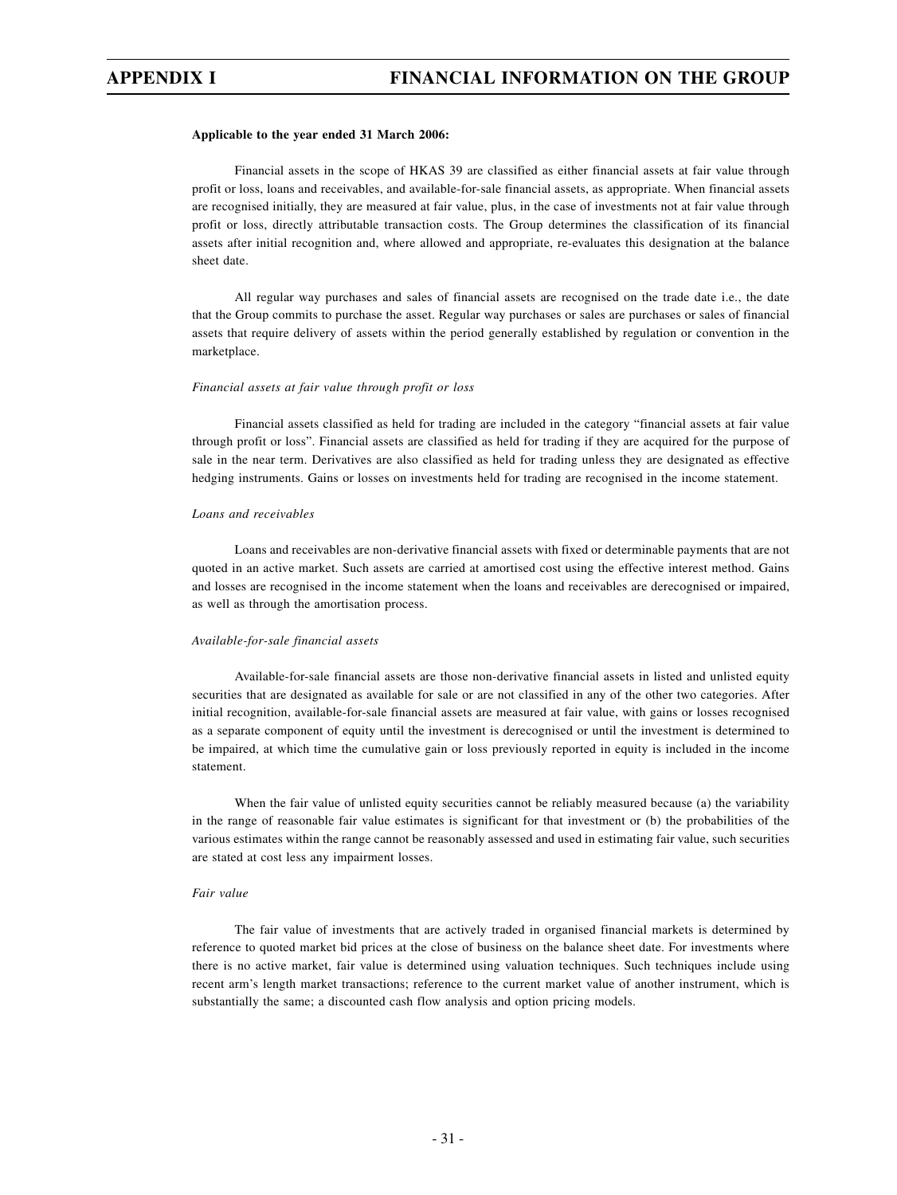### **Applicable to the year ended 31 March 2006:**

Financial assets in the scope of HKAS 39 are classified as either financial assets at fair value through profit or loss, loans and receivables, and available-for-sale financial assets, as appropriate. When financial assets are recognised initially, they are measured at fair value, plus, in the case of investments not at fair value through profit or loss, directly attributable transaction costs. The Group determines the classification of its financial assets after initial recognition and, where allowed and appropriate, re-evaluates this designation at the balance sheet date.

All regular way purchases and sales of financial assets are recognised on the trade date i.e., the date that the Group commits to purchase the asset. Regular way purchases or sales are purchases or sales of financial assets that require delivery of assets within the period generally established by regulation or convention in the marketplace.

### *Financial assets at fair value through profit or loss*

Financial assets classified as held for trading are included in the category "financial assets at fair value through profit or loss". Financial assets are classified as held for trading if they are acquired for the purpose of sale in the near term. Derivatives are also classified as held for trading unless they are designated as effective hedging instruments. Gains or losses on investments held for trading are recognised in the income statement.

### *Loans and receivables*

Loans and receivables are non-derivative financial assets with fixed or determinable payments that are not quoted in an active market. Such assets are carried at amortised cost using the effective interest method. Gains and losses are recognised in the income statement when the loans and receivables are derecognised or impaired, as well as through the amortisation process.

### *Available-for-sale financial assets*

Available-for-sale financial assets are those non-derivative financial assets in listed and unlisted equity securities that are designated as available for sale or are not classified in any of the other two categories. After initial recognition, available-for-sale financial assets are measured at fair value, with gains or losses recognised as a separate component of equity until the investment is derecognised or until the investment is determined to be impaired, at which time the cumulative gain or loss previously reported in equity is included in the income statement.

When the fair value of unlisted equity securities cannot be reliably measured because (a) the variability in the range of reasonable fair value estimates is significant for that investment or (b) the probabilities of the various estimates within the range cannot be reasonably assessed and used in estimating fair value, such securities are stated at cost less any impairment losses.

### *Fair value*

The fair value of investments that are actively traded in organised financial markets is determined by reference to quoted market bid prices at the close of business on the balance sheet date. For investments where there is no active market, fair value is determined using valuation techniques. Such techniques include using recent arm's length market transactions; reference to the current market value of another instrument, which is substantially the same; a discounted cash flow analysis and option pricing models.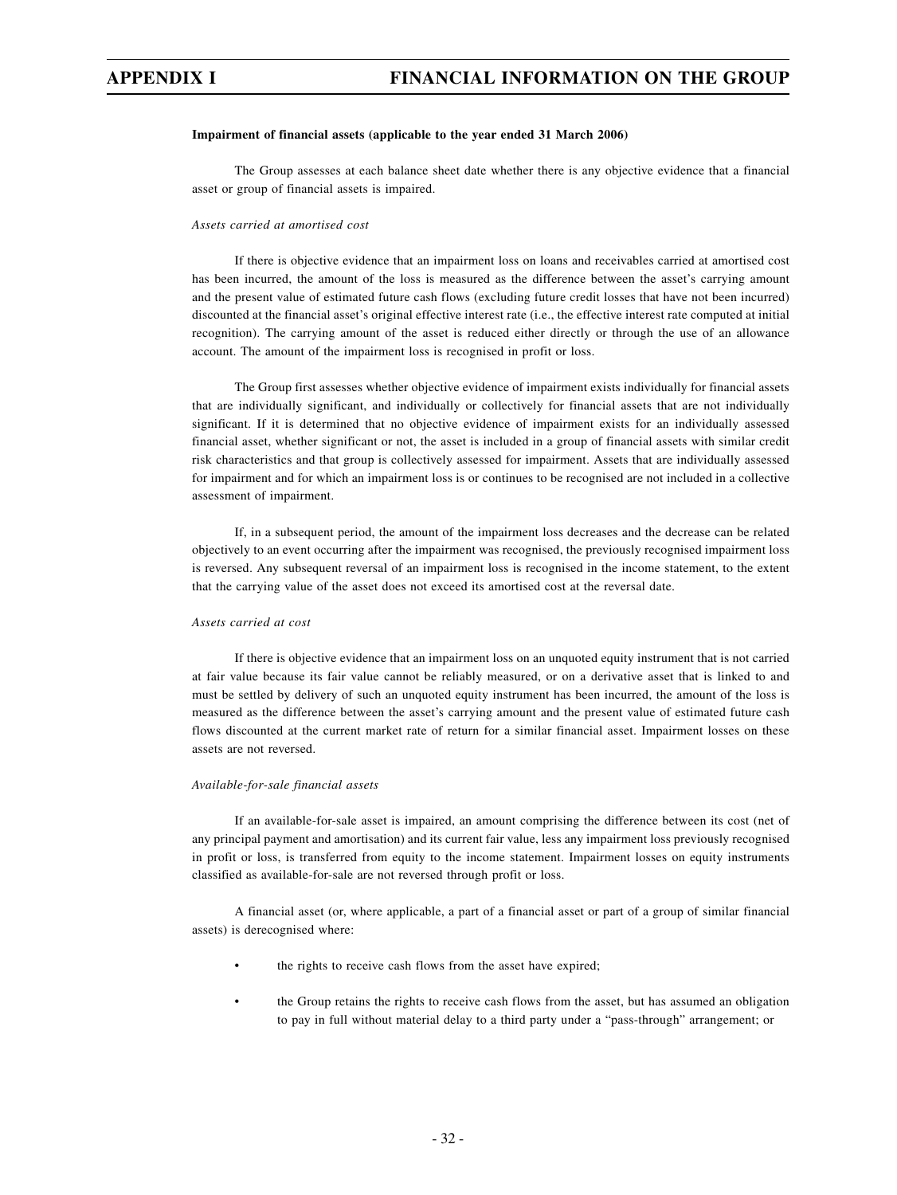### **Impairment of financial assets (applicable to the year ended 31 March 2006)**

The Group assesses at each balance sheet date whether there is any objective evidence that a financial asset or group of financial assets is impaired.

### *Assets carried at amortised cost*

If there is objective evidence that an impairment loss on loans and receivables carried at amortised cost has been incurred, the amount of the loss is measured as the difference between the asset's carrying amount and the present value of estimated future cash flows (excluding future credit losses that have not been incurred) discounted at the financial asset's original effective interest rate (i.e., the effective interest rate computed at initial recognition). The carrying amount of the asset is reduced either directly or through the use of an allowance account. The amount of the impairment loss is recognised in profit or loss.

The Group first assesses whether objective evidence of impairment exists individually for financial assets that are individually significant, and individually or collectively for financial assets that are not individually significant. If it is determined that no objective evidence of impairment exists for an individually assessed financial asset, whether significant or not, the asset is included in a group of financial assets with similar credit risk characteristics and that group is collectively assessed for impairment. Assets that are individually assessed for impairment and for which an impairment loss is or continues to be recognised are not included in a collective assessment of impairment.

If, in a subsequent period, the amount of the impairment loss decreases and the decrease can be related objectively to an event occurring after the impairment was recognised, the previously recognised impairment loss is reversed. Any subsequent reversal of an impairment loss is recognised in the income statement, to the extent that the carrying value of the asset does not exceed its amortised cost at the reversal date.

### *Assets carried at cost*

If there is objective evidence that an impairment loss on an unquoted equity instrument that is not carried at fair value because its fair value cannot be reliably measured, or on a derivative asset that is linked to and must be settled by delivery of such an unquoted equity instrument has been incurred, the amount of the loss is measured as the difference between the asset's carrying amount and the present value of estimated future cash flows discounted at the current market rate of return for a similar financial asset. Impairment losses on these assets are not reversed.

### *Available-for-sale financial assets*

If an available-for-sale asset is impaired, an amount comprising the difference between its cost (net of any principal payment and amortisation) and its current fair value, less any impairment loss previously recognised in profit or loss, is transferred from equity to the income statement. Impairment losses on equity instruments classified as available-for-sale are not reversed through profit or loss.

A financial asset (or, where applicable, a part of a financial asset or part of a group of similar financial assets) is derecognised where:

- the rights to receive cash flows from the asset have expired;
- the Group retains the rights to receive cash flows from the asset, but has assumed an obligation to pay in full without material delay to a third party under a "pass-through" arrangement; or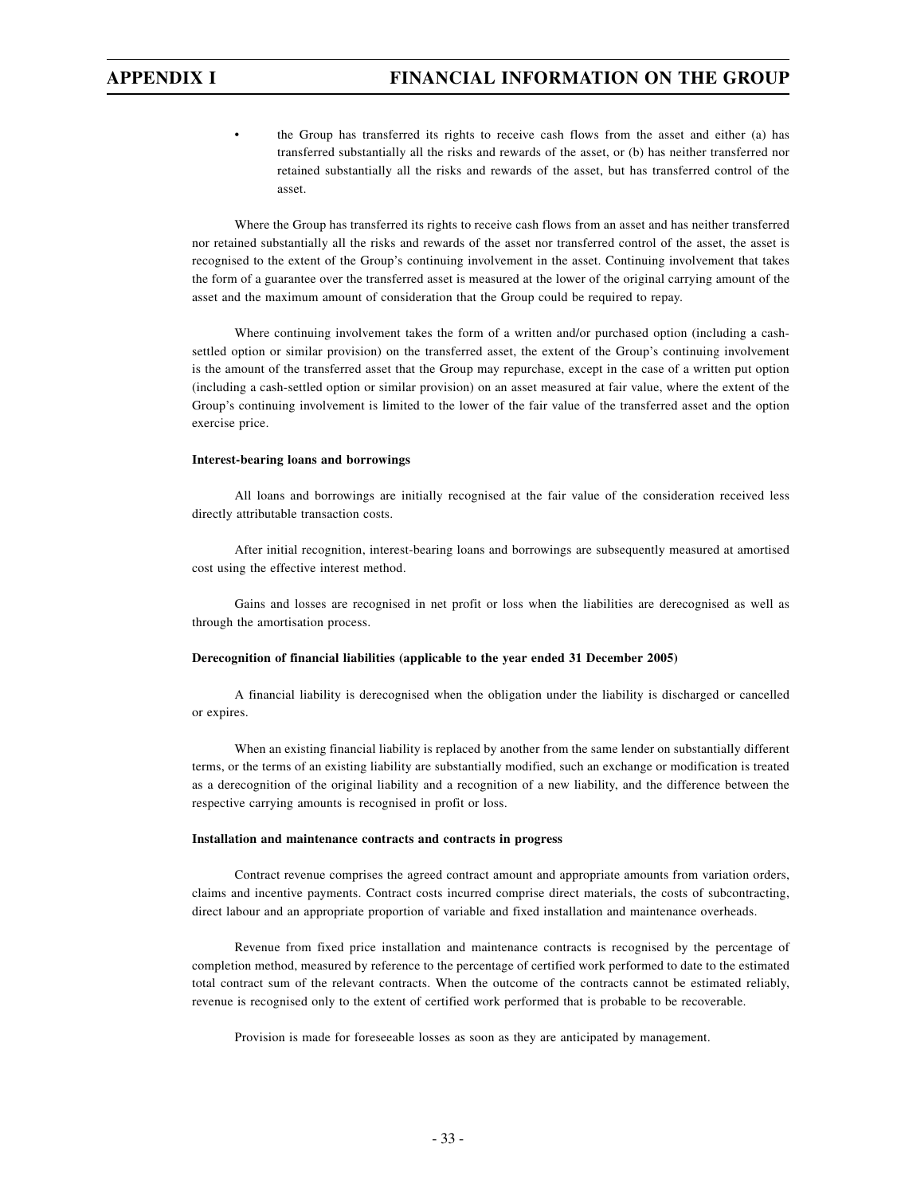• the Group has transferred its rights to receive cash flows from the asset and either (a) has transferred substantially all the risks and rewards of the asset, or (b) has neither transferred nor retained substantially all the risks and rewards of the asset, but has transferred control of the asset.

Where the Group has transferred its rights to receive cash flows from an asset and has neither transferred nor retained substantially all the risks and rewards of the asset nor transferred control of the asset, the asset is recognised to the extent of the Group's continuing involvement in the asset. Continuing involvement that takes the form of a guarantee over the transferred asset is measured at the lower of the original carrying amount of the asset and the maximum amount of consideration that the Group could be required to repay.

Where continuing involvement takes the form of a written and/or purchased option (including a cashsettled option or similar provision) on the transferred asset, the extent of the Group's continuing involvement is the amount of the transferred asset that the Group may repurchase, except in the case of a written put option (including a cash-settled option or similar provision) on an asset measured at fair value, where the extent of the Group's continuing involvement is limited to the lower of the fair value of the transferred asset and the option exercise price.

### **Interest-bearing loans and borrowings**

All loans and borrowings are initially recognised at the fair value of the consideration received less directly attributable transaction costs.

After initial recognition, interest-bearing loans and borrowings are subsequently measured at amortised cost using the effective interest method.

Gains and losses are recognised in net profit or loss when the liabilities are derecognised as well as through the amortisation process.

### **Derecognition of financial liabilities (applicable to the year ended 31 December 2005)**

A financial liability is derecognised when the obligation under the liability is discharged or cancelled or expires.

When an existing financial liability is replaced by another from the same lender on substantially different terms, or the terms of an existing liability are substantially modified, such an exchange or modification is treated as a derecognition of the original liability and a recognition of a new liability, and the difference between the respective carrying amounts is recognised in profit or loss.

### **Installation and maintenance contracts and contracts in progress**

Contract revenue comprises the agreed contract amount and appropriate amounts from variation orders, claims and incentive payments. Contract costs incurred comprise direct materials, the costs of subcontracting, direct labour and an appropriate proportion of variable and fixed installation and maintenance overheads.

Revenue from fixed price installation and maintenance contracts is recognised by the percentage of completion method, measured by reference to the percentage of certified work performed to date to the estimated total contract sum of the relevant contracts. When the outcome of the contracts cannot be estimated reliably, revenue is recognised only to the extent of certified work performed that is probable to be recoverable.

Provision is made for foreseeable losses as soon as they are anticipated by management.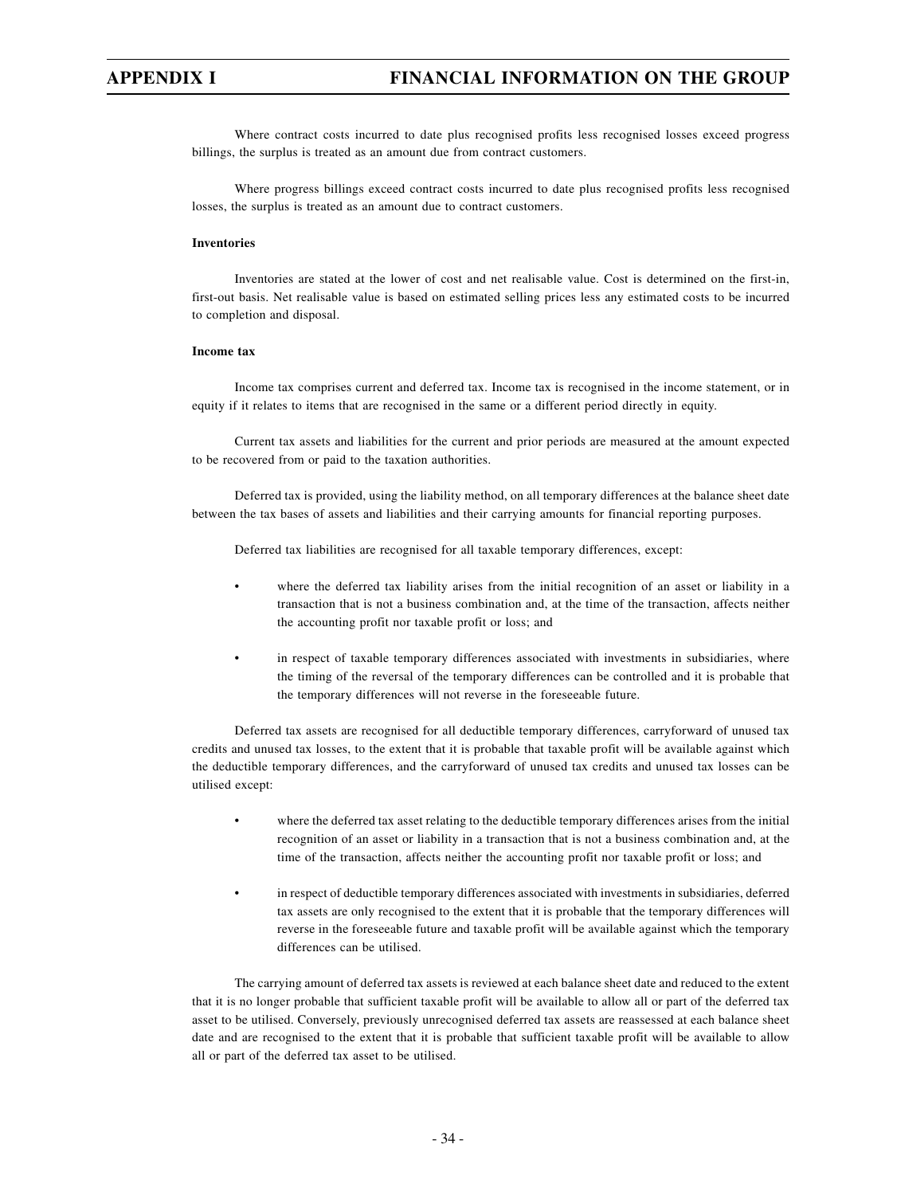Where contract costs incurred to date plus recognised profits less recognised losses exceed progress billings, the surplus is treated as an amount due from contract customers.

Where progress billings exceed contract costs incurred to date plus recognised profits less recognised losses, the surplus is treated as an amount due to contract customers.

### **Inventories**

Inventories are stated at the lower of cost and net realisable value. Cost is determined on the first-in, first-out basis. Net realisable value is based on estimated selling prices less any estimated costs to be incurred to completion and disposal.

### **Income tax**

Income tax comprises current and deferred tax. Income tax is recognised in the income statement, or in equity if it relates to items that are recognised in the same or a different period directly in equity.

Current tax assets and liabilities for the current and prior periods are measured at the amount expected to be recovered from or paid to the taxation authorities.

Deferred tax is provided, using the liability method, on all temporary differences at the balance sheet date between the tax bases of assets and liabilities and their carrying amounts for financial reporting purposes.

Deferred tax liabilities are recognised for all taxable temporary differences, except:

- where the deferred tax liability arises from the initial recognition of an asset or liability in a transaction that is not a business combination and, at the time of the transaction, affects neither the accounting profit nor taxable profit or loss; and
- in respect of taxable temporary differences associated with investments in subsidiaries, where the timing of the reversal of the temporary differences can be controlled and it is probable that the temporary differences will not reverse in the foreseeable future.

Deferred tax assets are recognised for all deductible temporary differences, carryforward of unused tax credits and unused tax losses, to the extent that it is probable that taxable profit will be available against which the deductible temporary differences, and the carryforward of unused tax credits and unused tax losses can be utilised except:

- where the deferred tax asset relating to the deductible temporary differences arises from the initial recognition of an asset or liability in a transaction that is not a business combination and, at the time of the transaction, affects neither the accounting profit nor taxable profit or loss; and
- in respect of deductible temporary differences associated with investments in subsidiaries, deferred tax assets are only recognised to the extent that it is probable that the temporary differences will reverse in the foreseeable future and taxable profit will be available against which the temporary differences can be utilised.

The carrying amount of deferred tax assets is reviewed at each balance sheet date and reduced to the extent that it is no longer probable that sufficient taxable profit will be available to allow all or part of the deferred tax asset to be utilised. Conversely, previously unrecognised deferred tax assets are reassessed at each balance sheet date and are recognised to the extent that it is probable that sufficient taxable profit will be available to allow all or part of the deferred tax asset to be utilised.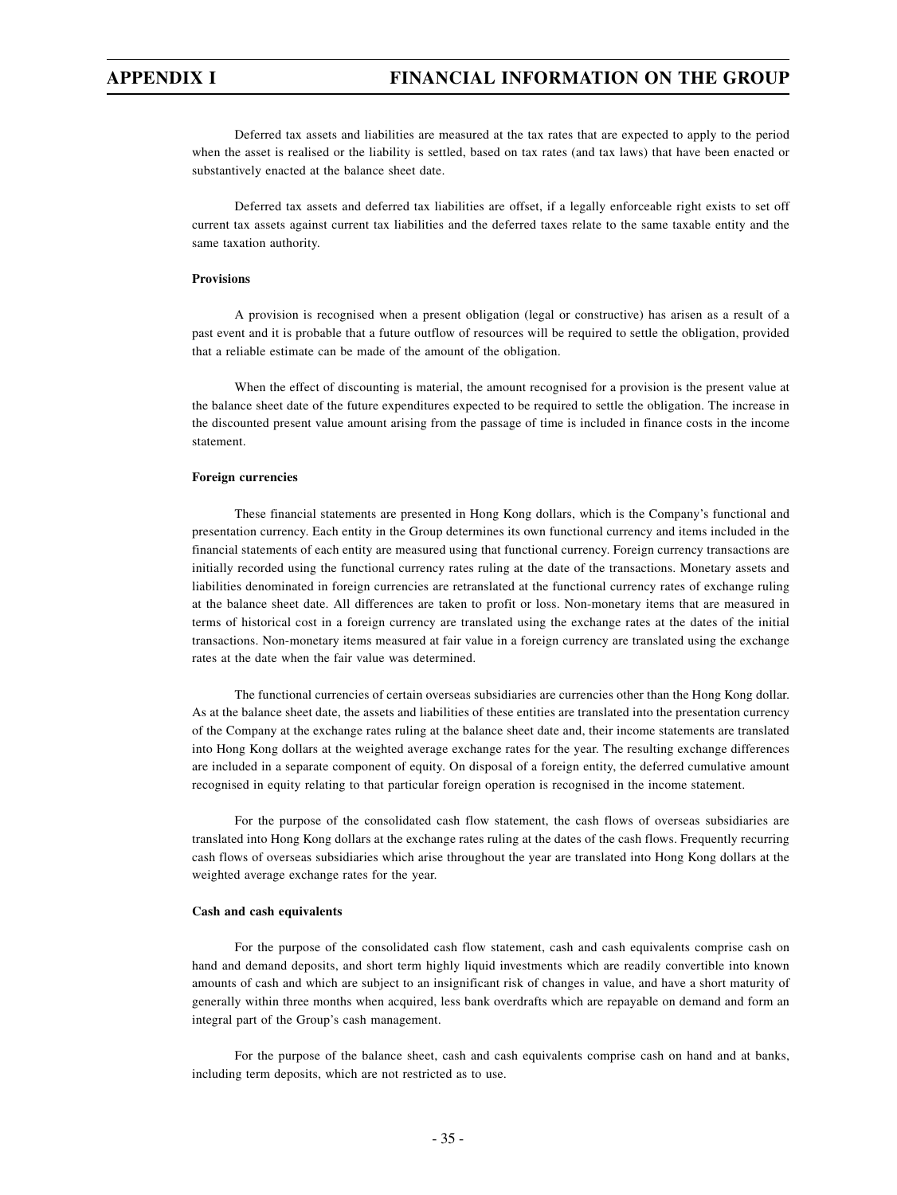Deferred tax assets and liabilities are measured at the tax rates that are expected to apply to the period when the asset is realised or the liability is settled, based on tax rates (and tax laws) that have been enacted or substantively enacted at the balance sheet date.

Deferred tax assets and deferred tax liabilities are offset, if a legally enforceable right exists to set off current tax assets against current tax liabilities and the deferred taxes relate to the same taxable entity and the same taxation authority.

### **Provisions**

A provision is recognised when a present obligation (legal or constructive) has arisen as a result of a past event and it is probable that a future outflow of resources will be required to settle the obligation, provided that a reliable estimate can be made of the amount of the obligation.

When the effect of discounting is material, the amount recognised for a provision is the present value at the balance sheet date of the future expenditures expected to be required to settle the obligation. The increase in the discounted present value amount arising from the passage of time is included in finance costs in the income statement.

### **Foreign currencies**

These financial statements are presented in Hong Kong dollars, which is the Company's functional and presentation currency. Each entity in the Group determines its own functional currency and items included in the financial statements of each entity are measured using that functional currency. Foreign currency transactions are initially recorded using the functional currency rates ruling at the date of the transactions. Monetary assets and liabilities denominated in foreign currencies are retranslated at the functional currency rates of exchange ruling at the balance sheet date. All differences are taken to profit or loss. Non-monetary items that are measured in terms of historical cost in a foreign currency are translated using the exchange rates at the dates of the initial transactions. Non-monetary items measured at fair value in a foreign currency are translated using the exchange rates at the date when the fair value was determined.

The functional currencies of certain overseas subsidiaries are currencies other than the Hong Kong dollar. As at the balance sheet date, the assets and liabilities of these entities are translated into the presentation currency of the Company at the exchange rates ruling at the balance sheet date and, their income statements are translated into Hong Kong dollars at the weighted average exchange rates for the year. The resulting exchange differences are included in a separate component of equity. On disposal of a foreign entity, the deferred cumulative amount recognised in equity relating to that particular foreign operation is recognised in the income statement.

For the purpose of the consolidated cash flow statement, the cash flows of overseas subsidiaries are translated into Hong Kong dollars at the exchange rates ruling at the dates of the cash flows. Frequently recurring cash flows of overseas subsidiaries which arise throughout the year are translated into Hong Kong dollars at the weighted average exchange rates for the year.

### **Cash and cash equivalents**

For the purpose of the consolidated cash flow statement, cash and cash equivalents comprise cash on hand and demand deposits, and short term highly liquid investments which are readily convertible into known amounts of cash and which are subject to an insignificant risk of changes in value, and have a short maturity of generally within three months when acquired, less bank overdrafts which are repayable on demand and form an integral part of the Group's cash management.

For the purpose of the balance sheet, cash and cash equivalents comprise cash on hand and at banks, including term deposits, which are not restricted as to use.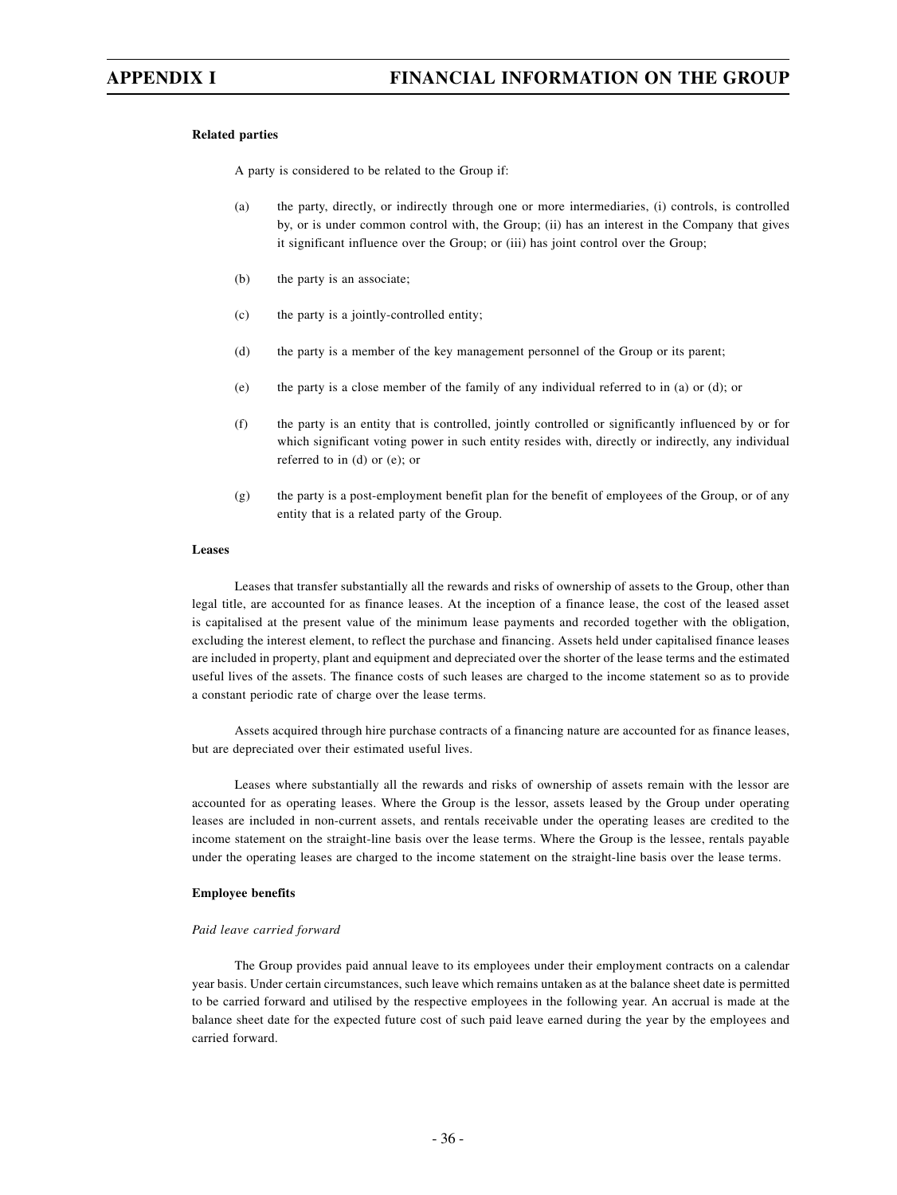### **Related parties**

A party is considered to be related to the Group if:

- (a) the party, directly, or indirectly through one or more intermediaries, (i) controls, is controlled by, or is under common control with, the Group; (ii) has an interest in the Company that gives it significant influence over the Group; or (iii) has joint control over the Group;
- (b) the party is an associate;
- (c) the party is a jointly-controlled entity;
- (d) the party is a member of the key management personnel of the Group or its parent;
- (e) the party is a close member of the family of any individual referred to in (a) or (d); or
- (f) the party is an entity that is controlled, jointly controlled or significantly influenced by or for which significant voting power in such entity resides with, directly or indirectly, any individual referred to in (d) or (e); or
- (g) the party is a post-employment benefit plan for the benefit of employees of the Group, or of any entity that is a related party of the Group.

### **Leases**

Leases that transfer substantially all the rewards and risks of ownership of assets to the Group, other than legal title, are accounted for as finance leases. At the inception of a finance lease, the cost of the leased asset is capitalised at the present value of the minimum lease payments and recorded together with the obligation, excluding the interest element, to reflect the purchase and financing. Assets held under capitalised finance leases are included in property, plant and equipment and depreciated over the shorter of the lease terms and the estimated useful lives of the assets. The finance costs of such leases are charged to the income statement so as to provide a constant periodic rate of charge over the lease terms.

Assets acquired through hire purchase contracts of a financing nature are accounted for as finance leases, but are depreciated over their estimated useful lives.

Leases where substantially all the rewards and risks of ownership of assets remain with the lessor are accounted for as operating leases. Where the Group is the lessor, assets leased by the Group under operating leases are included in non-current assets, and rentals receivable under the operating leases are credited to the income statement on the straight-line basis over the lease terms. Where the Group is the lessee, rentals payable under the operating leases are charged to the income statement on the straight-line basis over the lease terms.

### **Employee benefits**

### *Paid leave carried forward*

The Group provides paid annual leave to its employees under their employment contracts on a calendar year basis. Under certain circumstances, such leave which remains untaken as at the balance sheet date is permitted to be carried forward and utilised by the respective employees in the following year. An accrual is made at the balance sheet date for the expected future cost of such paid leave earned during the year by the employees and carried forward.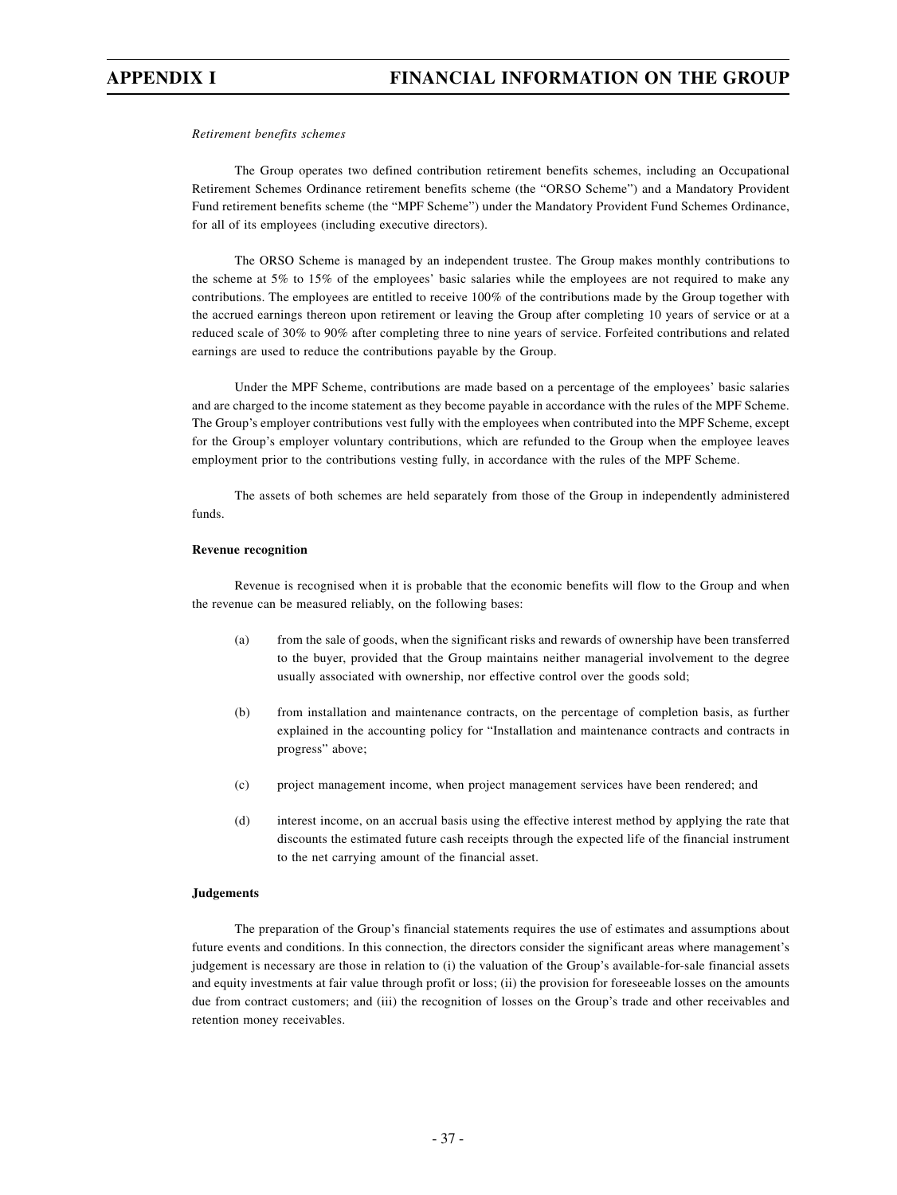### *Retirement benefits schemes*

The Group operates two defined contribution retirement benefits schemes, including an Occupational Retirement Schemes Ordinance retirement benefits scheme (the "ORSO Scheme") and a Mandatory Provident Fund retirement benefits scheme (the "MPF Scheme") under the Mandatory Provident Fund Schemes Ordinance, for all of its employees (including executive directors).

The ORSO Scheme is managed by an independent trustee. The Group makes monthly contributions to the scheme at 5% to 15% of the employees' basic salaries while the employees are not required to make any contributions. The employees are entitled to receive 100% of the contributions made by the Group together with the accrued earnings thereon upon retirement or leaving the Group after completing 10 years of service or at a reduced scale of 30% to 90% after completing three to nine years of service. Forfeited contributions and related earnings are used to reduce the contributions payable by the Group.

Under the MPF Scheme, contributions are made based on a percentage of the employees' basic salaries and are charged to the income statement as they become payable in accordance with the rules of the MPF Scheme. The Group's employer contributions vest fully with the employees when contributed into the MPF Scheme, except for the Group's employer voluntary contributions, which are refunded to the Group when the employee leaves employment prior to the contributions vesting fully, in accordance with the rules of the MPF Scheme.

The assets of both schemes are held separately from those of the Group in independently administered funds.

### **Revenue recognition**

Revenue is recognised when it is probable that the economic benefits will flow to the Group and when the revenue can be measured reliably, on the following bases:

- (a) from the sale of goods, when the significant risks and rewards of ownership have been transferred to the buyer, provided that the Group maintains neither managerial involvement to the degree usually associated with ownership, nor effective control over the goods sold;
- (b) from installation and maintenance contracts, on the percentage of completion basis, as further explained in the accounting policy for "Installation and maintenance contracts and contracts in progress" above;
- (c) project management income, when project management services have been rendered; and
- (d) interest income, on an accrual basis using the effective interest method by applying the rate that discounts the estimated future cash receipts through the expected life of the financial instrument to the net carrying amount of the financial asset.

### **Judgements**

The preparation of the Group's financial statements requires the use of estimates and assumptions about future events and conditions. In this connection, the directors consider the significant areas where management's judgement is necessary are those in relation to (i) the valuation of the Group's available-for-sale financial assets and equity investments at fair value through profit or loss; (ii) the provision for foreseeable losses on the amounts due from contract customers; and (iii) the recognition of losses on the Group's trade and other receivables and retention money receivables.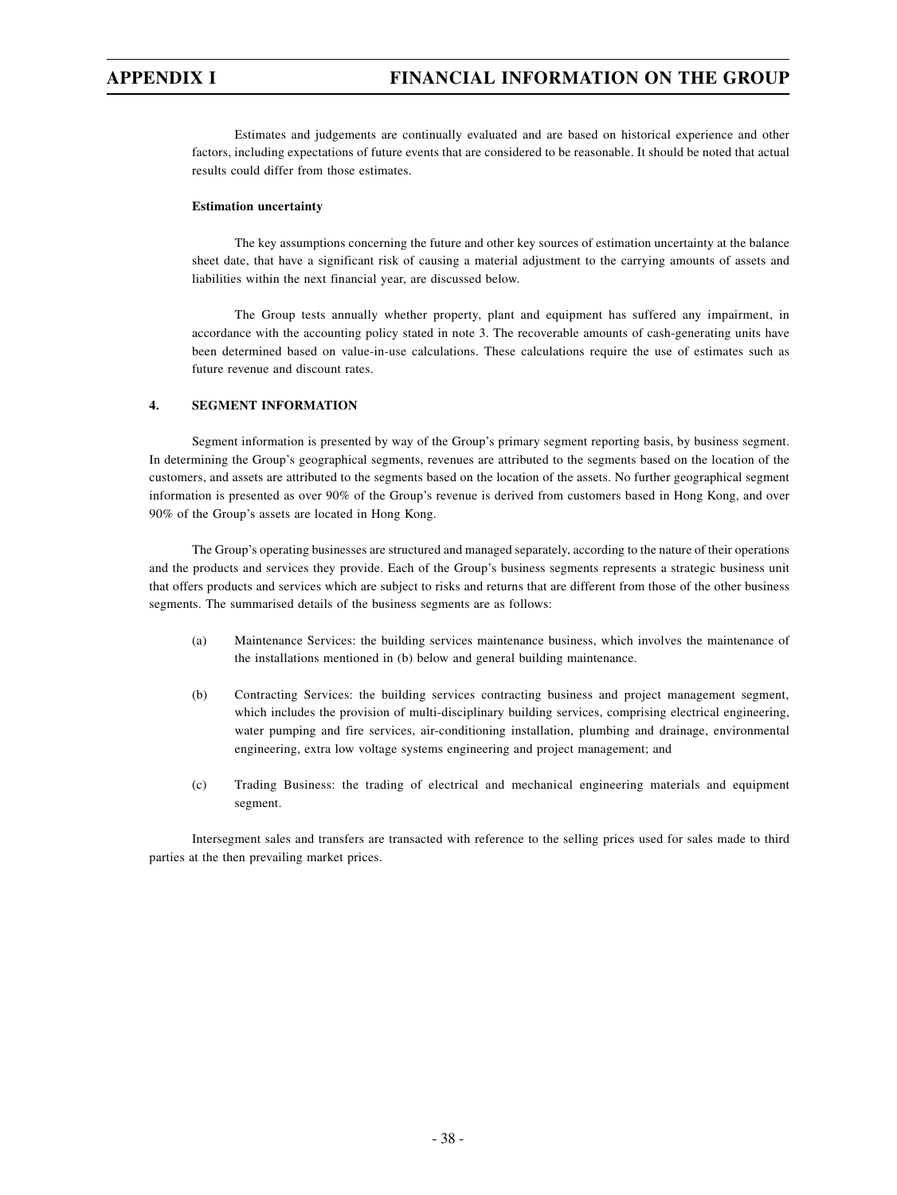Estimates and judgements are continually evaluated and are based on historical experience and other factors, including expectations of future events that are considered to be reasonable. It should be noted that actual results could differ from those estimates.

### **Estimation uncertainty**

The key assumptions concerning the future and other key sources of estimation uncertainty at the balance sheet date, that have a significant risk of causing a material adjustment to the carrying amounts of assets and liabilities within the next financial year, are discussed below.

The Group tests annually whether property, plant and equipment has suffered any impairment, in accordance with the accounting policy stated in note 3. The recoverable amounts of cash-generating units have been determined based on value-in-use calculations. These calculations require the use of estimates such as future revenue and discount rates.

### **4. SEGMENT INFORMATION**

Segment information is presented by way of the Group's primary segment reporting basis, by business segment. In determining the Group's geographical segments, revenues are attributed to the segments based on the location of the customers, and assets are attributed to the segments based on the location of the assets. No further geographical segment information is presented as over 90% of the Group's revenue is derived from customers based in Hong Kong, and over 90% of the Group's assets are located in Hong Kong.

The Group's operating businesses are structured and managed separately, according to the nature of their operations and the products and services they provide. Each of the Group's business segments represents a strategic business unit that offers products and services which are subject to risks and returns that are different from those of the other business segments. The summarised details of the business segments are as follows:

- (a) Maintenance Services: the building services maintenance business, which involves the maintenance of the installations mentioned in (b) below and general building maintenance.
- (b) Contracting Services: the building services contracting business and project management segment, which includes the provision of multi-disciplinary building services, comprising electrical engineering, water pumping and fire services, air-conditioning installation, plumbing and drainage, environmental engineering, extra low voltage systems engineering and project management; and
- (c) Trading Business: the trading of electrical and mechanical engineering materials and equipment segment.

Intersegment sales and transfers are transacted with reference to the selling prices used for sales made to third parties at the then prevailing market prices.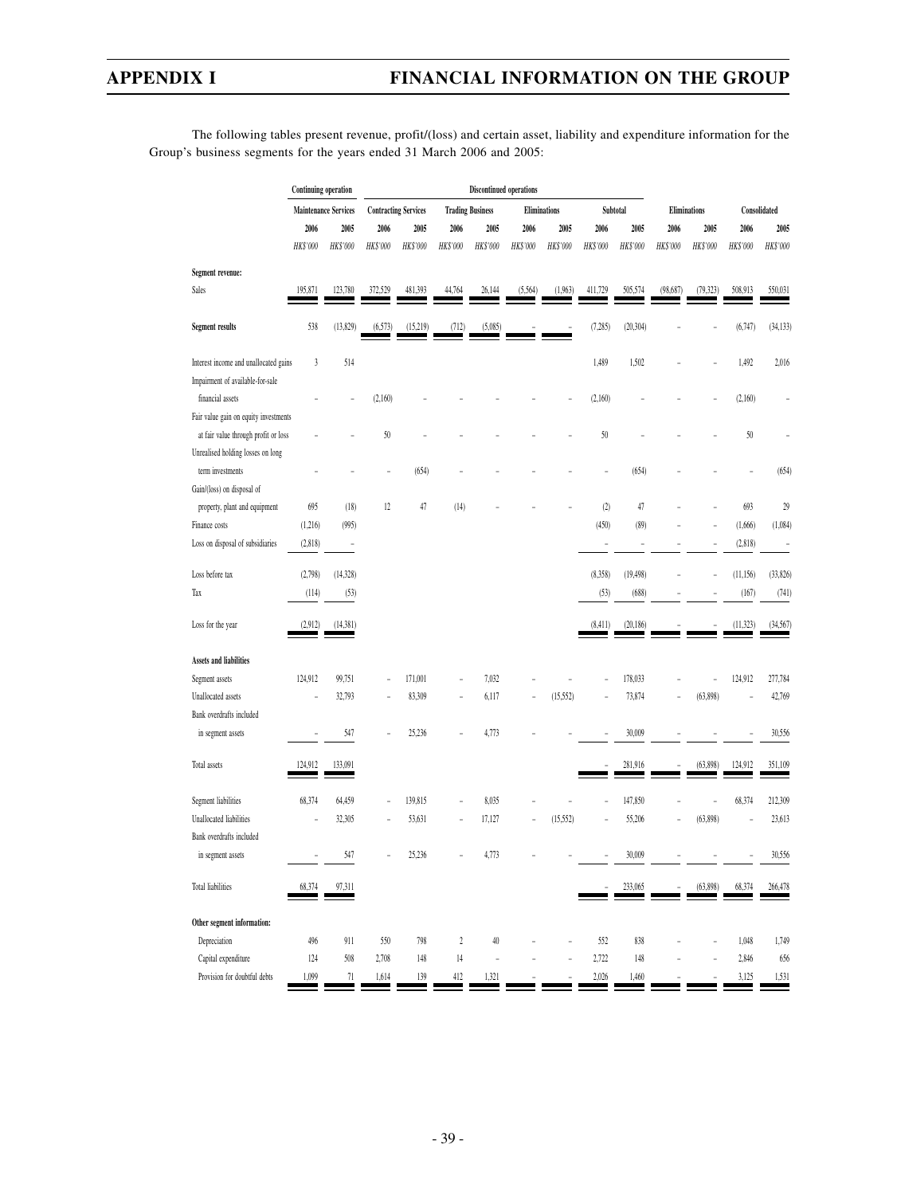The following tables present revenue, profit/(loss) and certain asset, liability and expenditure information for the Group's business segments for the years ended 31 March 2006 and 2005:

|                                       | <b>Continuing operation</b> |                             |               |                             |                  | <b>Discontinued operations</b> |          |              |          |           |              |           |           |              |
|---------------------------------------|-----------------------------|-----------------------------|---------------|-----------------------------|------------------|--------------------------------|----------|--------------|----------|-----------|--------------|-----------|-----------|--------------|
|                                       |                             | <b>Maintenance Services</b> |               | <b>Contracting Services</b> |                  | <b>Trading Business</b>        |          | Eliminations | Subtotal |           | Eliminations |           |           | Consolidated |
|                                       | 2006                        | 2005                        | 2006          | 2005                        | 2006             | 2005                           | 2006     | 2005         | 2006     | 2005      | 2006         | 2005      | 2006      | 2005         |
|                                       | HK\$'000                    | HK\$'000                    | HK\$'000      | HK\$'000                    | HK\$'000         | HK\$'000                       | HK\$'000 | HK\$'000     | HK\$'000 | HK\$'000  | HK\$'000     | HK\$'000  | HK\$'000  | HK\$'000     |
| Segment revenue:                      |                             |                             |               |                             |                  |                                |          |              |          |           |              |           |           |              |
| Sales                                 | 195,871                     | 123,780                     | 372,529<br>۰  | 481,393                     | 44,764           | 26,144                         | (5, 564) | (1,963)      | 411,729  | 505,574   | (98,687)     | (79, 323) | 508,913   | 550,031      |
| <b>Segment results</b>                | 538                         | (13,829)                    | (6, 573)<br>▬ | (15,219)                    | (712)            | (5,085)                        |          |              | (7, 285) | (20, 304) |              |           | (6,747)   | (34, 133)    |
| Interest income and unallocated gains | 3                           | 514                         |               |                             |                  |                                |          |              | 1,489    | 1,502     |              |           | 1,492     | 2,016        |
| Impairment of available-for-sale      |                             |                             |               |                             |                  |                                |          |              |          |           |              |           |           |              |
| financial assets                      |                             |                             | (2,160)       |                             |                  |                                |          |              | (2,160)  |           |              |           | (2,160)   |              |
| Fair value gain on equity investments |                             |                             |               |                             |                  |                                |          |              |          |           |              |           |           |              |
| at fair value through profit or loss  |                             |                             | 50            |                             |                  |                                |          |              | 50       |           |              |           | 50        |              |
| Unrealised holding losses on long     |                             |                             |               |                             |                  |                                |          |              |          |           |              |           |           |              |
| term investments                      |                             |                             |               | (654)                       |                  |                                |          |              |          | (654)     |              |           |           | (654)        |
| Gain/(loss) on disposal of            |                             |                             |               |                             |                  |                                |          |              |          |           |              |           |           |              |
| property, plant and equipment         | 695                         | (18)                        | 12            | 47                          | (14)             |                                |          |              | (2)      | 47        |              |           | 693       | 29           |
| Finance costs                         | (1,216)                     | (995)                       |               |                             |                  |                                |          |              | (450)    | (89)      |              |           | (1,666)   | (1,084)      |
| Loss on disposal of subsidiaries      | (2,818)                     |                             |               |                             |                  |                                |          |              |          |           |              |           | (2,818)   |              |
| Loss before tax                       | (2,798)                     | (14, 328)                   |               |                             |                  |                                |          |              | (8,358)  | (19, 498) |              |           | (11, 156) | (33, 826)    |
| Tax                                   | (114)                       | (53)                        |               |                             |                  |                                |          |              | (53)     | (688)     |              |           | (167)     | (741)        |
| Loss for the year                     | (2,912)                     | (14,381)                    |               |                             |                  |                                |          |              | (8, 411) | (20, 186) |              |           | (11, 323) | (34, 567)    |
| <b>Assets and liabilities</b>         |                             |                             |               |                             |                  |                                |          |              |          |           |              |           |           |              |
| Segment assets                        | 124,912                     | 99,751                      |               | 171,001                     |                  | 7,032                          |          |              |          | 178,033   |              |           | 124,912   | 277,784      |
| Unallocated assets                    |                             | 32,793                      |               | 83,309                      |                  | 6,117                          |          | (15, 552)    |          | 73,874    |              | (63,898)  |           | 42,769       |
| Bank overdrafts included              |                             |                             |               |                             |                  |                                |          |              |          |           |              |           |           |              |
| in segment assets                     |                             | 547                         |               | 25,236                      |                  | 4,773                          |          |              |          | 30,009    |              |           |           | 30,556       |
| Total assets                          | 124,912                     | 133,091                     |               |                             |                  |                                |          |              |          | 281,916   |              | (63,898)  | 124,912   | 351,109      |
| Segment liabilities                   | 68,374                      | 64,459                      |               | 139,815                     |                  | 8,035                          |          |              |          | 147,850   |              |           | 68,374    | 212,309      |
| Unallocated liabilities               |                             | 32,305                      |               | 53,631                      |                  | 17,127                         |          | (15, 552)    |          | 55,206    |              | (63,898)  |           | 23,613       |
| Bank overdrafts included              |                             |                             |               |                             |                  |                                |          |              |          |           |              |           |           |              |
| in segment assets                     |                             | 547                         |               | 25,236                      |                  | 4,773                          |          |              |          | 30,009    |              |           |           | 30,556       |
| <b>Total liabilities</b>              | 68,374                      | 97,311                      |               |                             |                  |                                |          |              |          | 233,065   |              | (63,898)  | 68,374    | 266,478      |
| Other segment information:            |                             |                             |               |                             |                  |                                |          |              |          |           |              |           |           |              |
| Depreciation                          | 496                         | 911                         | 550           | 798                         | $\boldsymbol{2}$ | 40                             |          |              | 552      | 838       |              |           | 1,048     | 1,749        |
| Capital expenditure                   | 124                         | 508                         | 2,708         | 148                         | 14               | ä,                             |          |              | 2,722    | 148       |              |           | 2,846     | 656          |
| Provision for doubtful debts          | 1,099                       | $71\,$                      | 1,614         | 139                         | 412              | 1,321                          |          |              | 2,026    | 1,460     |              |           | 3,125     | 1,531        |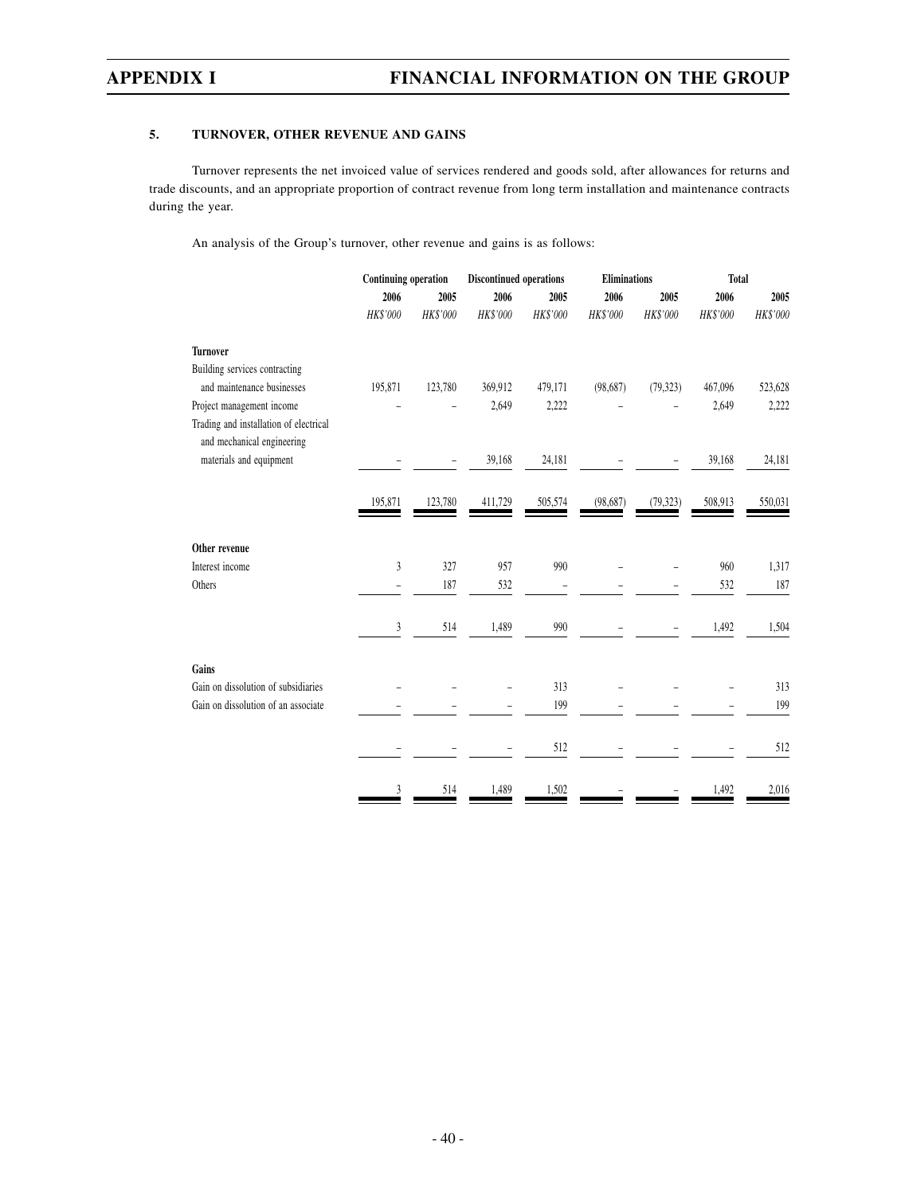## **5. TURNOVER, OTHER REVENUE AND GAINS**

Turnover represents the net invoiced value of services rendered and goods sold, after allowances for returns and trade discounts, and an appropriate proportion of contract revenue from long term installation and maintenance contracts during the year.

An analysis of the Group's turnover, other revenue and gains is as follows:

|                                        | <b>Continuing operation</b> |          | <b>Discontinued operations</b> |          | <b>Eliminations</b> |           | <b>Total</b> |          |
|----------------------------------------|-----------------------------|----------|--------------------------------|----------|---------------------|-----------|--------------|----------|
|                                        | 2006                        | 2005     | 2006                           | 2005     | 2006                | 2005      | 2006         | 2005     |
|                                        | HK\$'000                    | HK\$'000 | HK\$'000                       | HK\$'000 | HK\$'000            | HK\$'000  | HK\$'000     | HK\$'000 |
| <b>Turnover</b>                        |                             |          |                                |          |                     |           |              |          |
| Building services contracting          |                             |          |                                |          |                     |           |              |          |
| and maintenance businesses             | 195,871                     | 123,780  | 369,912                        | 479,171  | (98, 687)           | (79, 323) | 467,096      | 523,628  |
| Project management income              |                             |          | 2,649                          | 2,222    |                     |           | 2,649        | 2,222    |
| Trading and installation of electrical |                             |          |                                |          |                     |           |              |          |
| and mechanical engineering             |                             |          |                                |          |                     |           |              |          |
| materials and equipment                |                             |          | 39,168                         | 24,181   |                     |           | 39,168       | 24,181   |
|                                        |                             |          |                                |          |                     |           |              |          |
|                                        | 195,871                     | 123,780  | 411,729                        | 505,574  | (98, 687)           | (79, 323) | 508,913      | 550,031  |
|                                        |                             |          |                                |          |                     |           |              |          |
| Other revenue                          |                             |          |                                |          |                     |           |              |          |
| Interest income                        | 3                           | 327      | 957                            | 990      |                     |           | 960          | 1,317    |
| Others                                 |                             | 187      | 532                            | -        |                     |           | 532          | 187      |
|                                        |                             |          |                                |          |                     |           |              |          |
|                                        | 3                           | 514      | 1,489                          | 990      |                     |           | 1,492        | 1,504    |
|                                        |                             |          |                                |          |                     |           |              |          |
| Gains                                  |                             |          |                                |          |                     |           |              |          |
| Gain on dissolution of subsidiaries    |                             |          |                                | 313      |                     |           |              | 313      |
| Gain on dissolution of an associate    |                             |          |                                | 199      |                     |           |              | 199      |
|                                        |                             |          |                                |          |                     |           |              |          |
|                                        |                             |          |                                | 512      |                     |           |              | 512      |
|                                        |                             |          |                                |          |                     |           |              |          |
|                                        | 3                           | 514      | 1,489                          | 1,502    |                     |           | 1,492        | 2,016    |
|                                        |                             |          |                                |          |                     |           |              |          |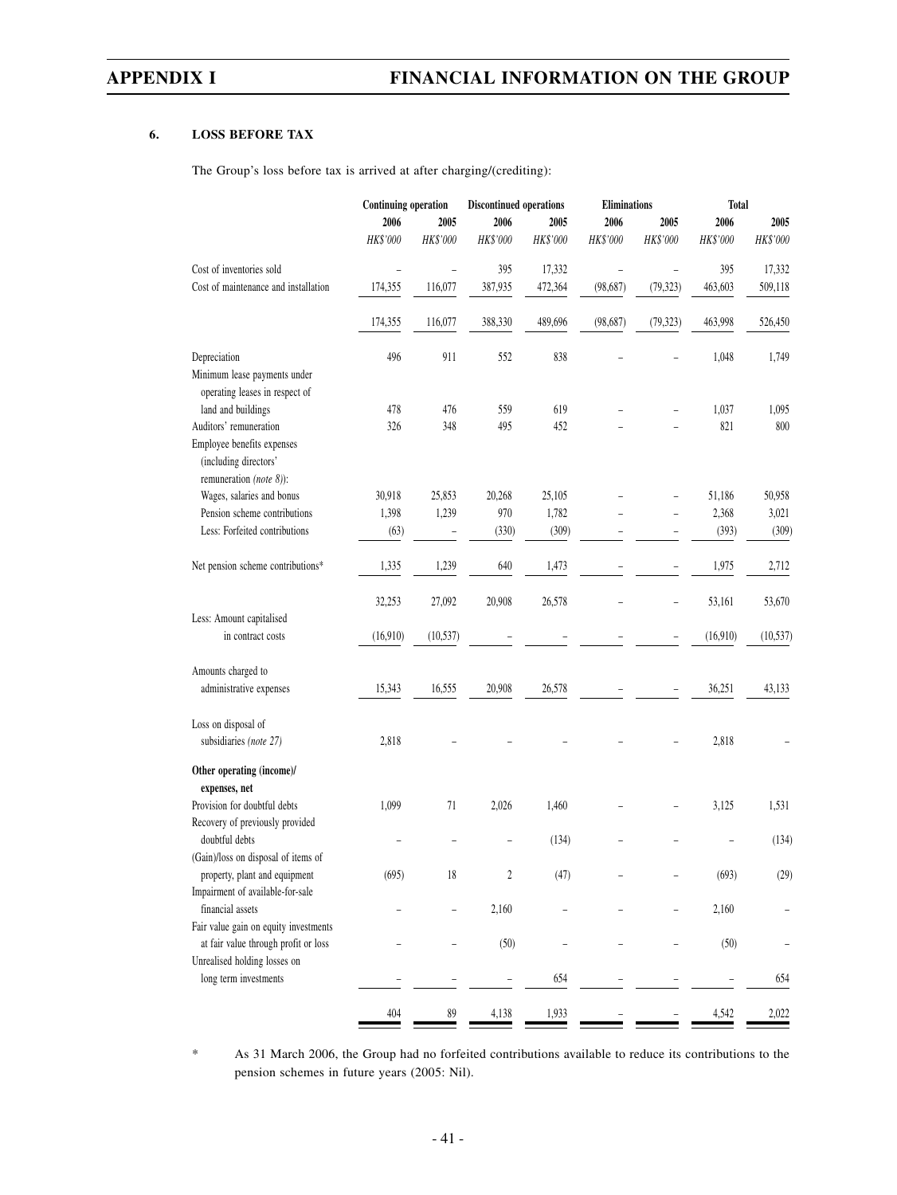## **6. LOSS BEFORE TAX**

The Group's loss before tax is arrived at after charging/(crediting):

|                                                                               | <b>Continuing operation</b> |           | <b>Discontinued operations</b> |          | <b>Eliminations</b> |                          | <b>Total</b> |           |
|-------------------------------------------------------------------------------|-----------------------------|-----------|--------------------------------|----------|---------------------|--------------------------|--------------|-----------|
|                                                                               | 2006                        | 2005      | 2006                           | 2005     | 2006                | 2005                     | 2006         | 2005      |
|                                                                               | HK\$'000                    | HK\$'000  | HK\$'000                       | HK\$'000 | HK\$'000            | HK\$'000                 | HK\$'000     | HK\$'000  |
| Cost of inventories sold                                                      |                             |           | 395                            | 17,332   |                     | $\overline{a}$           | 395          | 17,332    |
| Cost of maintenance and installation                                          | 174,355                     | 116,077   | 387,935                        | 472,364  | (98, 687)           | (79, 323)                | 463,603      | 509,118   |
|                                                                               | 174,355                     | 116,077   | 388,330                        | 489,696  | (98, 687)           | (79, 323)                | 463,998      | 526,450   |
| Depreciation                                                                  | 496                         | 911       | 552                            | 838      |                     |                          | 1,048        | 1,749     |
| Minimum lease payments under<br>operating leases in respect of                |                             |           |                                |          |                     |                          |              |           |
| land and buildings                                                            | 478                         | 476       | 559                            | 619      |                     |                          | 1,037        | 1,095     |
| Auditors' remuneration                                                        | 326                         | 348       | 495                            | 452      |                     |                          | 821          | 800       |
| Employee benefits expenses<br>(including directors'                           |                             |           |                                |          |                     |                          |              |           |
| remuneration (note 8)):                                                       |                             |           |                                |          |                     |                          |              |           |
| Wages, salaries and bonus                                                     | 30,918                      | 25,853    | 20,268                         | 25,105   |                     |                          | 51,186       | 50,958    |
| Pension scheme contributions                                                  | 1,398                       | 1,239     | 970                            | 1,782    |                     | $\overline{\phantom{0}}$ | 2,368        | 3,021     |
| Less: Forfeited contributions                                                 | (63)                        |           | (330)                          | (309)    |                     | -                        | (393)        | (309)     |
| Net pension scheme contributions*                                             | 1,335                       | 1,239     | 640                            | 1,473    |                     | -                        | 1,975        | 2,712     |
|                                                                               | 32,253                      | 27,092    | 20,908                         | 26,578   |                     | $\overline{\phantom{m}}$ | 53,161       | 53,670    |
| Less: Amount capitalised<br>in contract costs                                 | (16,910)                    | (10, 537) |                                |          |                     |                          | (16,910)     | (10, 537) |
|                                                                               |                             |           |                                |          |                     |                          |              |           |
| Amounts charged to                                                            |                             |           |                                |          |                     |                          |              |           |
| administrative expenses                                                       | 15,343                      | 16,555    | 20,908                         | 26,578   |                     |                          | 36,251       | 43,133    |
| Loss on disposal of                                                           |                             |           |                                |          |                     |                          |              |           |
| subsidiaries (note 27)                                                        | 2,818                       |           |                                |          |                     |                          | 2,818        |           |
| Other operating (income)/<br>expenses, net                                    |                             |           |                                |          |                     |                          |              |           |
| Provision for doubtful debts<br>Recovery of previously provided               | 1,099                       | 71        | 2,026                          | 1,460    |                     |                          | 3,125        | 1,531     |
| doubtful debts                                                                |                             |           |                                | (134)    |                     |                          |              | (134)     |
| (Gain)/loss on disposal of items of<br>property, plant and equipment          | (695)                       | 18        | $\boldsymbol{2}$               | (47)     |                     |                          | (693)        | (29)      |
| Impairment of available-for-sale<br>financial assets                          |                             |           | 2,160                          |          |                     |                          | 2,160        |           |
| Fair value gain on equity investments<br>at fair value through profit or loss |                             |           | (50)                           |          |                     |                          | (50)         |           |
| Unrealised holding losses on                                                  |                             |           |                                |          |                     |                          |              |           |
| long term investments                                                         |                             |           |                                | 654      |                     |                          |              | 654       |
|                                                                               | 404                         | 89        | 4,138                          | 1,933    |                     |                          | 4,542        | 2,022     |

\* As 31 March 2006, the Group had no forfeited contributions available to reduce its contributions to the pension schemes in future years (2005: Nil).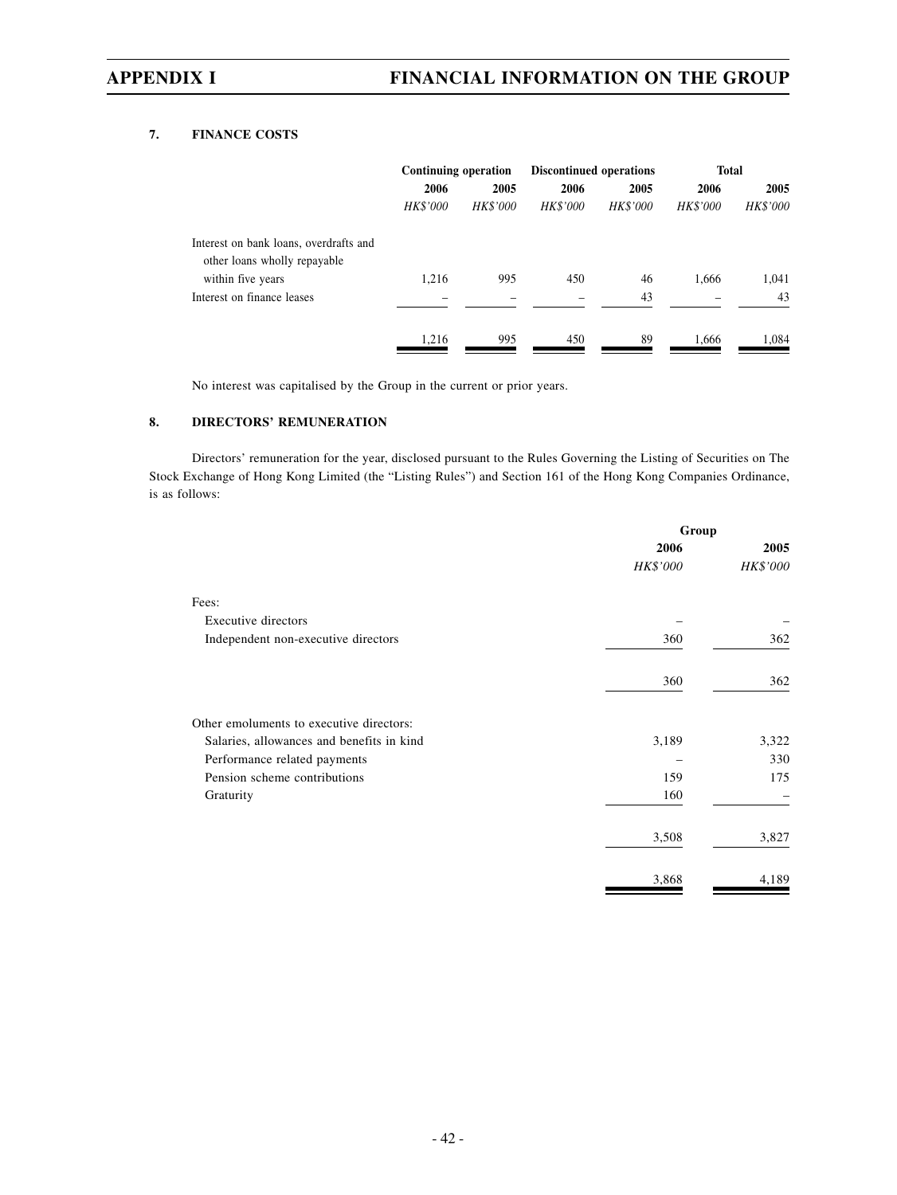## **7. FINANCE COSTS**

|                                                                        | Continuing operation |                 | <b>Discontinued operations</b> |                 | <b>Total</b>    |                 |
|------------------------------------------------------------------------|----------------------|-----------------|--------------------------------|-----------------|-----------------|-----------------|
|                                                                        | 2006                 | 2005            | 2006                           | 2005            | 2006            | 2005            |
|                                                                        | <b>HK\$'000</b>      | <b>HK\$'000</b> | <b>HK\$'000</b>                | <b>HK\$'000</b> | <b>HK\$'000</b> | <b>HK\$'000</b> |
| Interest on bank loans, overdrafts and<br>other loans wholly repayable |                      |                 |                                |                 |                 |                 |
| within five years                                                      | 1,216                | 995             | 450                            | 46              | 1,666           | 1,041           |
| Interest on finance leases                                             |                      |                 |                                | 43              |                 | 43              |
|                                                                        | 1,216                | 995             | 450                            | 89              | 1,666           | 1,084           |

No interest was capitalised by the Group in the current or prior years.

## **8. DIRECTORS' REMUNERATION**

Directors' remuneration for the year, disclosed pursuant to the Rules Governing the Listing of Securities on The Stock Exchange of Hong Kong Limited (the "Listing Rules") and Section 161 of the Hong Kong Companies Ordinance, is as follows:

|                                           | Group           |                 |
|-------------------------------------------|-----------------|-----------------|
|                                           | 2006            | 2005            |
|                                           | <b>HK\$'000</b> | <b>HK\$'000</b> |
| Fees:                                     |                 |                 |
| Executive directors                       |                 |                 |
| Independent non-executive directors       | 360             | 362             |
|                                           | 360             | 362             |
| Other emoluments to executive directors:  |                 |                 |
| Salaries, allowances and benefits in kind | 3,189           | 3,322           |
| Performance related payments              |                 | 330             |
| Pension scheme contributions              | 159             | 175             |
| Graturity                                 | 160             |                 |
|                                           | 3,508           | 3,827           |
|                                           | 3,868           | 4,189           |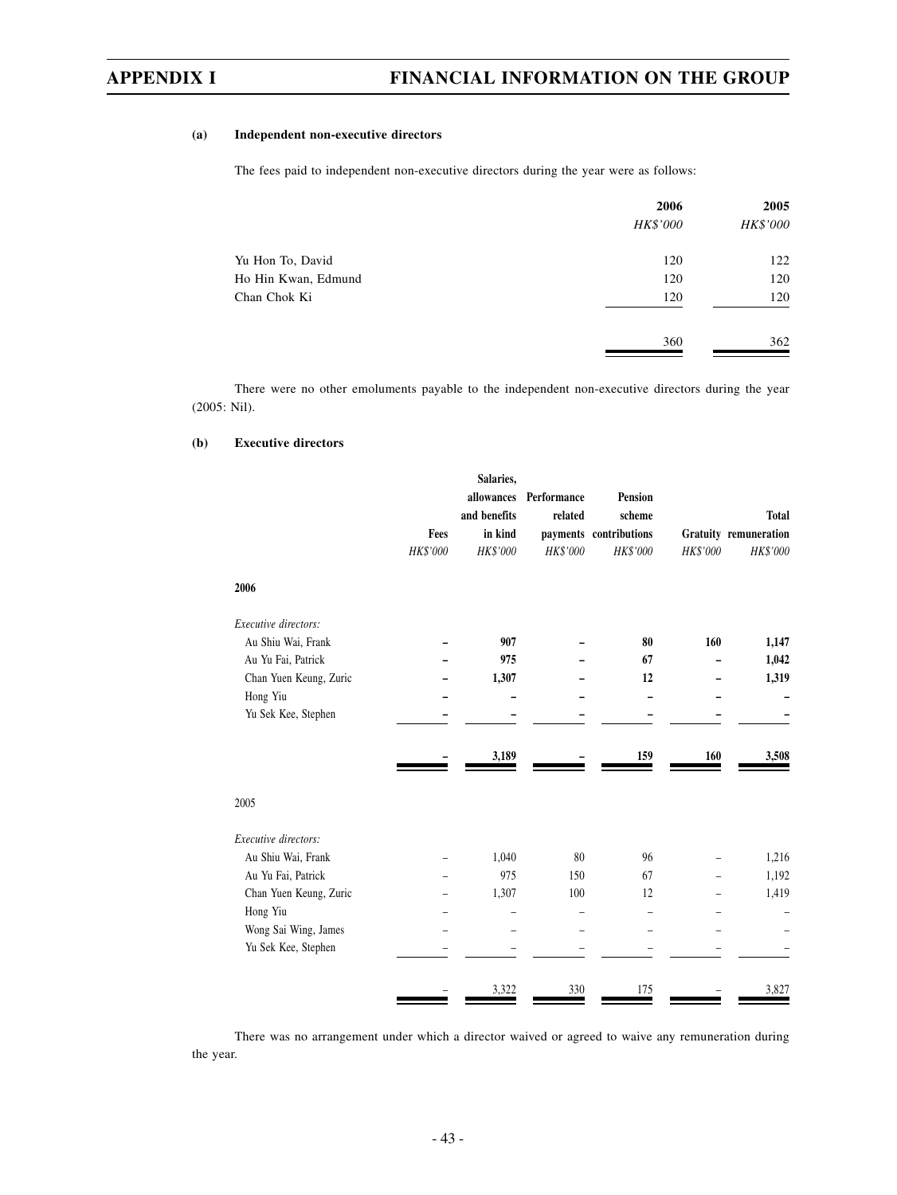## **(a) Independent non-executive directors**

The fees paid to independent non-executive directors during the year were as follows:

|                     | 2006<br><b>HK\$'000</b> | 2005<br><b>HK\$'000</b> |
|---------------------|-------------------------|-------------------------|
| Yu Hon To, David    | 120                     | 122                     |
| Ho Hin Kwan, Edmund | 120                     | 120                     |
| Chan Chok Ki        | 120                     | 120                     |
|                     | 360                     | 362                     |

There were no other emoluments payable to the independent non-executive directors during the year (2005: Nil).

## **(b) Executive directors**

|                        | Fees<br>HK\$'000 | Salaries,<br>allowances<br>and benefits<br>in kind<br>HK\$'000 | Performance<br>related<br>HK\$'000 | Pension<br>scheme<br>payments contributions<br>HK\$'000 | HK\$'000 | <b>Total</b><br>Gratuity remuneration<br>HK\$'000 |
|------------------------|------------------|----------------------------------------------------------------|------------------------------------|---------------------------------------------------------|----------|---------------------------------------------------|
| 2006                   |                  |                                                                |                                    |                                                         |          |                                                   |
| Executive directors:   |                  |                                                                |                                    |                                                         |          |                                                   |
| Au Shiu Wai, Frank     |                  | 907                                                            |                                    | 80                                                      | 160      | 1,147                                             |
| Au Yu Fai, Patrick     |                  | 975                                                            |                                    | 67                                                      |          | 1,042                                             |
| Chan Yuen Keung, Zuric |                  | 1,307                                                          |                                    | 12                                                      |          | 1,319                                             |
| Hong Yiu               |                  |                                                                |                                    |                                                         |          |                                                   |
| Yu Sek Kee, Stephen    |                  |                                                                |                                    |                                                         |          |                                                   |
|                        |                  | 3,189                                                          |                                    | 159                                                     | 160      | 3,508                                             |
| 2005                   |                  |                                                                |                                    |                                                         |          |                                                   |
| Executive directors:   |                  |                                                                |                                    |                                                         |          |                                                   |
| Au Shiu Wai, Frank     |                  | 1,040                                                          | 80                                 | 96                                                      |          | 1,216                                             |
| Au Yu Fai, Patrick     |                  | 975                                                            | 150                                | 67                                                      |          | 1,192                                             |
| Chan Yuen Keung, Zuric |                  | 1,307                                                          | 100                                | 12                                                      |          | 1,419                                             |
| Hong Yiu               |                  |                                                                |                                    |                                                         |          |                                                   |
| Wong Sai Wing, James   |                  |                                                                |                                    |                                                         |          |                                                   |
| Yu Sek Kee, Stephen    |                  |                                                                |                                    |                                                         |          |                                                   |
|                        |                  | 3,322                                                          | 330                                | 175                                                     |          | 3.827                                             |

There was no arrangement under which a director waived or agreed to waive any remuneration during the year.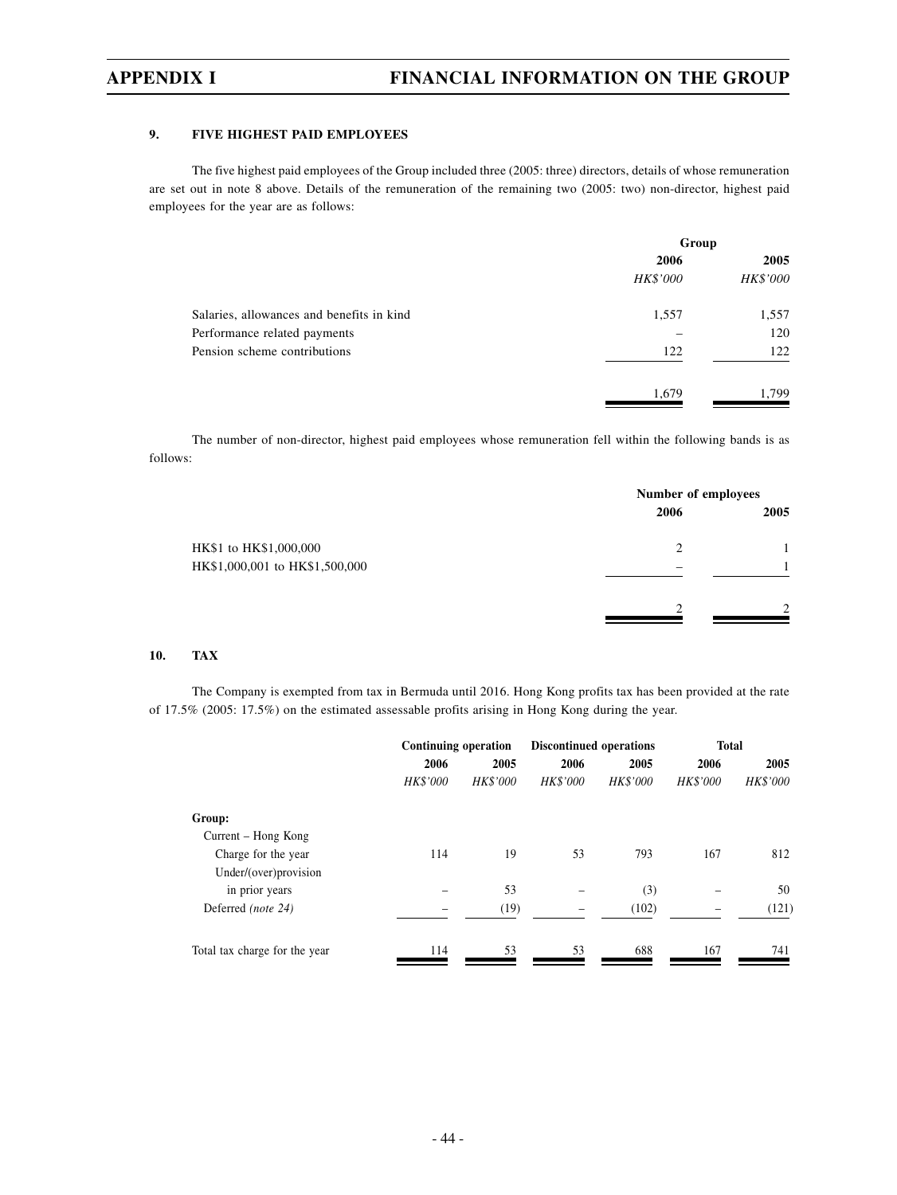## **9. FIVE HIGHEST PAID EMPLOYEES**

The five highest paid employees of the Group included three (2005: three) directors, details of whose remuneration are set out in note 8 above. Details of the remuneration of the remaining two (2005: two) non-director, highest paid employees for the year are as follows:

|                                           | Group           |                 |
|-------------------------------------------|-----------------|-----------------|
|                                           | 2006            | 2005            |
|                                           | <b>HK\$'000</b> | <b>HK\$'000</b> |
| Salaries, allowances and benefits in kind | 1,557           | 1,557           |
| Performance related payments              |                 | 120             |
| Pension scheme contributions              | 122             | 122             |
|                                           | 1,679           | 1,799           |

The number of non-director, highest paid employees whose remuneration fell within the following bands is as follows:

|                                |      | Number of employees |  |  |
|--------------------------------|------|---------------------|--|--|
|                                | 2006 | 2005                |  |  |
| HK\$1 to HK\$1,000,000         | 2    |                     |  |  |
| HK\$1,000,001 to HK\$1,500,000 |      |                     |  |  |
|                                | C    | ◠                   |  |  |

## **10. TAX**

The Company is exempted from tax in Bermuda until 2016. Hong Kong profits tax has been provided at the rate of 17.5% (2005: 17.5%) on the estimated assessable profits arising in Hong Kong during the year.

| <b>Continuing operation</b> |                 | <b>Discontinued operations</b> |                 | <b>Total</b>    |                 |
|-----------------------------|-----------------|--------------------------------|-----------------|-----------------|-----------------|
| 2006                        | 2005            | 2006                           | 2005            | 2006            | 2005            |
| <b>HK\$'000</b>             | <b>HK\$'000</b> | <b>HK\$'000</b>                | <b>HK\$'000</b> | <b>HK\$'000</b> | <b>HK\$'000</b> |
|                             |                 |                                |                 |                 |                 |
|                             |                 |                                |                 |                 |                 |
| 114                         | 19              | 53                             | 793             | 167             | 812             |
|                             |                 |                                |                 |                 |                 |
|                             | 53              |                                | (3)             |                 | 50              |
|                             | (19)            |                                | (102)           |                 | (121)           |
| 114                         | 53              | 53                             | 688             | 167             | 741             |
|                             |                 |                                |                 |                 |                 |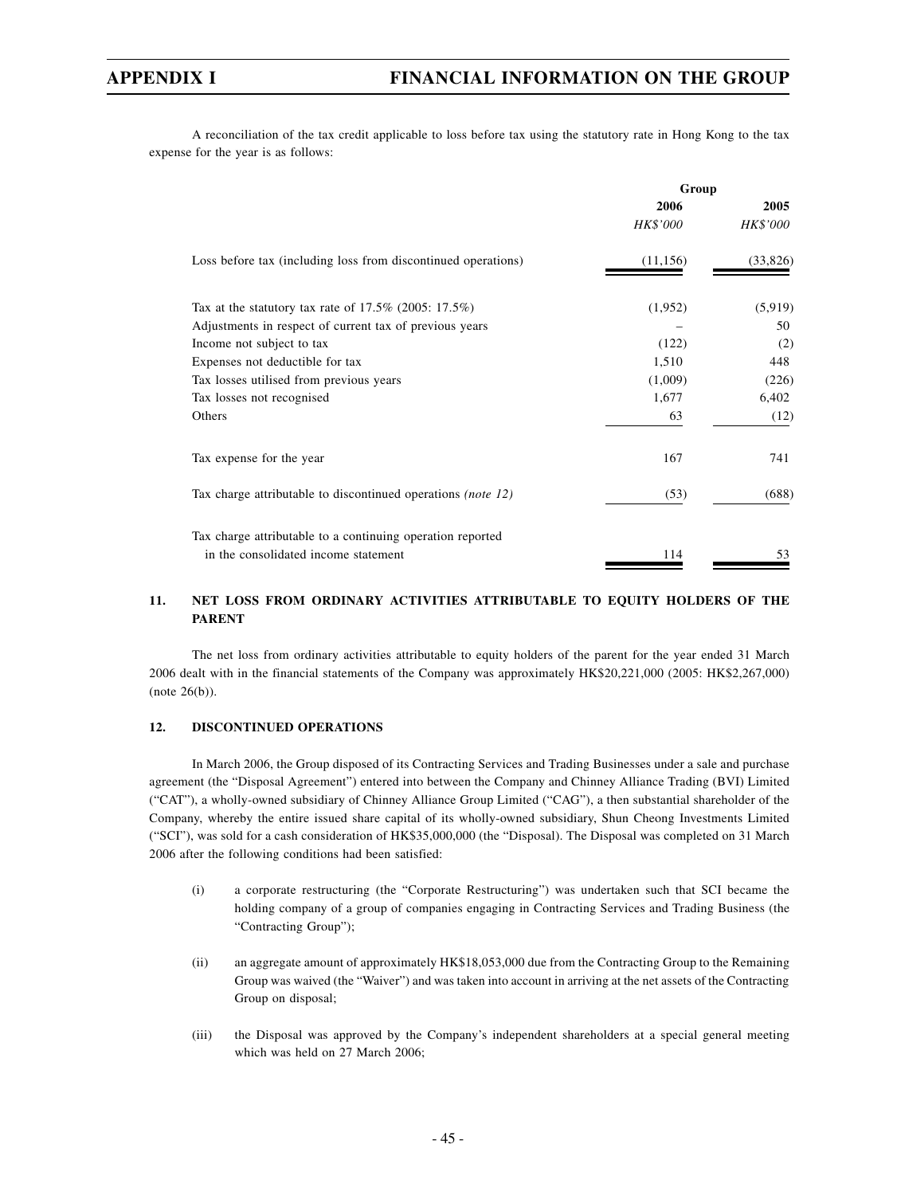A reconciliation of the tax credit applicable to loss before tax using the statutory rate in Hong Kong to the tax expense for the year is as follows:

|                                                               | Group           |                 |
|---------------------------------------------------------------|-----------------|-----------------|
|                                                               | 2006            | 2005            |
|                                                               | <b>HK\$'000</b> | <b>HK\$'000</b> |
| Loss before tax (including loss from discontinued operations) | (11, 156)       | (33,826)        |
| Tax at the statutory tax rate of $17.5\%$ (2005: 17.5%)       | (1,952)         | (5,919)         |
| Adjustments in respect of current tax of previous years       |                 | 50              |
| Income not subject to tax                                     | (122)           | (2)             |
| Expenses not deductible for tax                               | 1,510           | 448             |
| Tax losses utilised from previous years                       | (1,009)         | (226)           |
| Tax losses not recognised                                     | 1,677           | 6,402           |
| Others                                                        | 63              | (12)            |
| Tax expense for the year                                      | 167             | 741             |
| Tax charge attributable to discontinued operations (note 12)  | (53)            | (688)           |
| Tax charge attributable to a continuing operation reported    |                 |                 |
| in the consolidated income statement                          | 114             | 53              |

## **11. NET LOSS FROM ORDINARY ACTIVITIES ATTRIBUTABLE TO EQUITY HOLDERS OF THE PARENT**

The net loss from ordinary activities attributable to equity holders of the parent for the year ended 31 March 2006 dealt with in the financial statements of the Company was approximately HK\$20,221,000 (2005: HK\$2,267,000) (note 26(b)).

## **12. DISCONTINUED OPERATIONS**

In March 2006, the Group disposed of its Contracting Services and Trading Businesses under a sale and purchase agreement (the "Disposal Agreement") entered into between the Company and Chinney Alliance Trading (BVI) Limited ("CAT"), a wholly-owned subsidiary of Chinney Alliance Group Limited ("CAG"), a then substantial shareholder of the Company, whereby the entire issued share capital of its wholly-owned subsidiary, Shun Cheong Investments Limited ("SCI"), was sold for a cash consideration of HK\$35,000,000 (the "Disposal). The Disposal was completed on 31 March 2006 after the following conditions had been satisfied:

- (i) a corporate restructuring (the "Corporate Restructuring") was undertaken such that SCI became the holding company of a group of companies engaging in Contracting Services and Trading Business (the "Contracting Group");
- (ii) an aggregate amount of approximately HK\$18,053,000 due from the Contracting Group to the Remaining Group was waived (the "Waiver") and was taken into account in arriving at the net assets of the Contracting Group on disposal;
- (iii) the Disposal was approved by the Company's independent shareholders at a special general meeting which was held on 27 March 2006;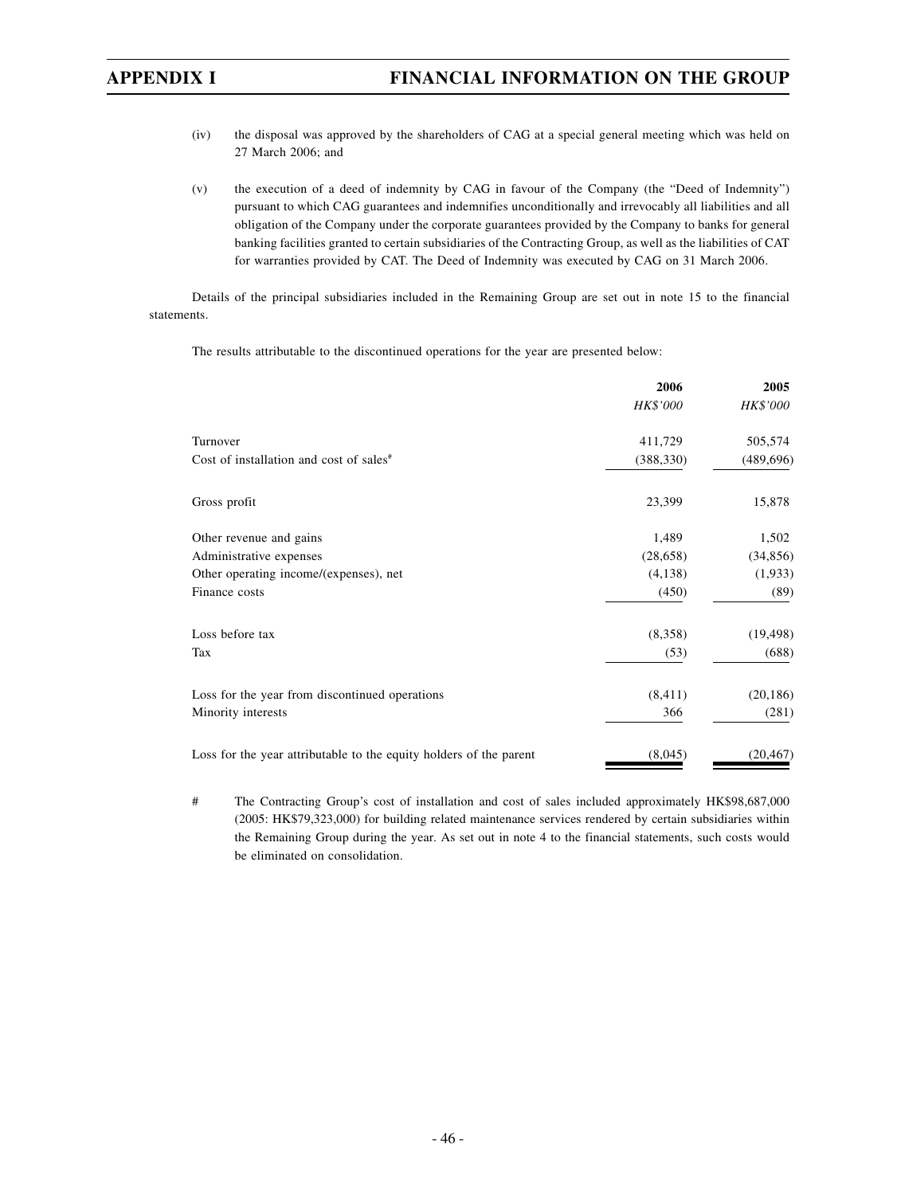- (iv) the disposal was approved by the shareholders of CAG at a special general meeting which was held on 27 March 2006; and
- (v) the execution of a deed of indemnity by CAG in favour of the Company (the "Deed of Indemnity") pursuant to which CAG guarantees and indemnifies unconditionally and irrevocably all liabilities and all obligation of the Company under the corporate guarantees provided by the Company to banks for general banking facilities granted to certain subsidiaries of the Contracting Group, as well as the liabilities of CAT for warranties provided by CAT. The Deed of Indemnity was executed by CAG on 31 March 2006.

Details of the principal subsidiaries included in the Remaining Group are set out in note 15 to the financial statements.

The results attributable to the discontinued operations for the year are presented below:

|                                                                    | 2006            | 2005            |
|--------------------------------------------------------------------|-----------------|-----------------|
|                                                                    | <b>HK\$'000</b> | <b>HK\$'000</b> |
| Turnover                                                           | 411,729         | 505,574         |
| Cost of installation and cost of sales <sup>#</sup>                | (388, 330)      | (489, 696)      |
| Gross profit                                                       | 23,399          | 15,878          |
| Other revenue and gains                                            | 1,489           | 1,502           |
| Administrative expenses                                            | (28, 658)       | (34, 856)       |
| Other operating income/(expenses), net                             | (4,138)         | (1,933)         |
| Finance costs                                                      | (450)           | (89)            |
| Loss before tax                                                    | (8,358)         | (19, 498)       |
| Tax                                                                | (53)            | (688)           |
| Loss for the year from discontinued operations                     | (8, 411)        | (20, 186)       |
| Minority interests                                                 | 366             | (281)           |
| Loss for the year attributable to the equity holders of the parent | (8,045)         | (20, 467)       |

# The Contracting Group's cost of installation and cost of sales included approximately HK\$98,687,000 (2005: HK\$79,323,000) for building related maintenance services rendered by certain subsidiaries within the Remaining Group during the year. As set out in note 4 to the financial statements, such costs would be eliminated on consolidation.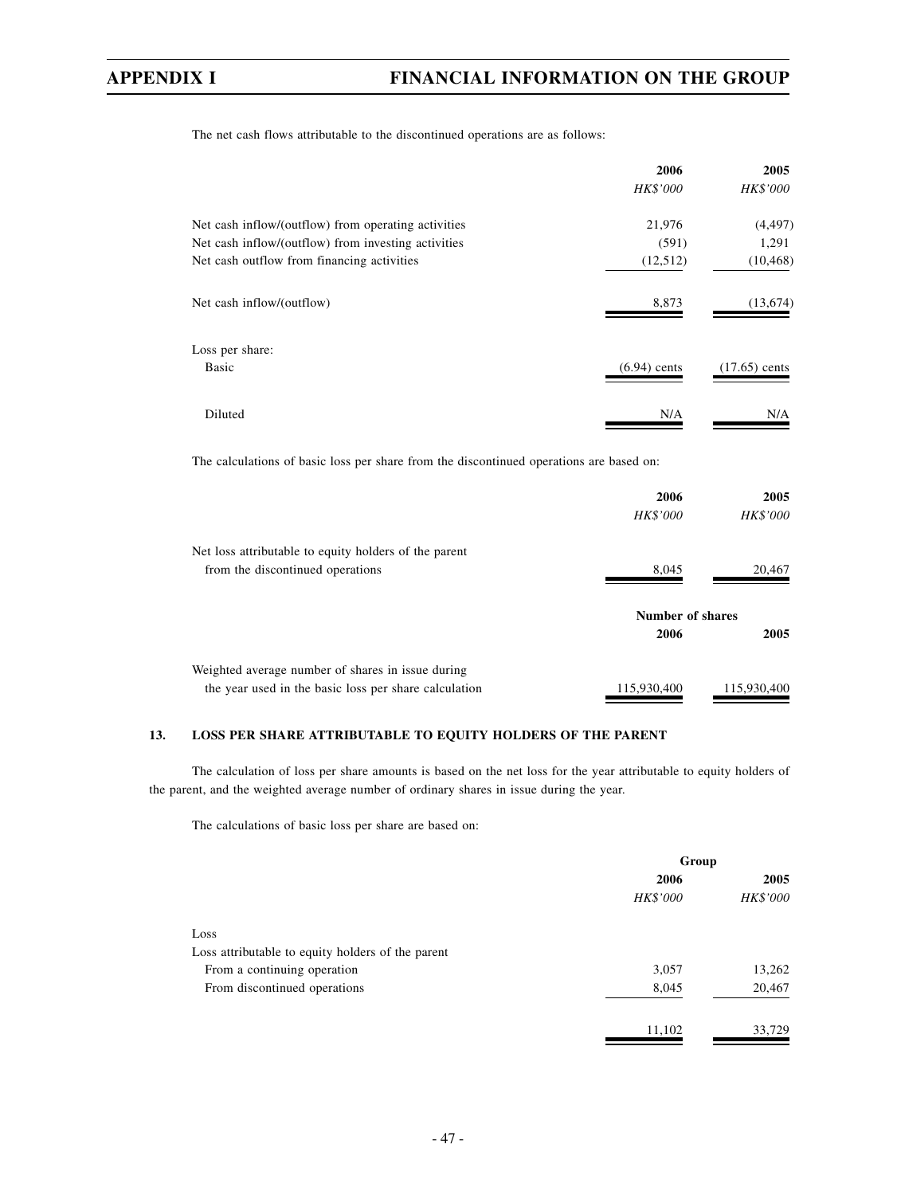The net cash flows attributable to the discontinued operations are as follows:

| 2006            | 2005            |
|-----------------|-----------------|
| <b>HK\$'000</b> | <b>HK\$'000</b> |
| 21,976          | (4, 497)        |
| (591)           | 1,291           |
| (12,512)        | (10, 468)       |
| 8,873           | (13, 674)       |
|                 |                 |
| $(6.94)$ cents  | $(17.65)$ cents |
| N/A             | N/A             |
|                 |                 |

The calculations of basic loss per share from the discontinued operations are based on:

|                                                       | 2006             | 2005            |
|-------------------------------------------------------|------------------|-----------------|
|                                                       | <b>HK\$'000</b>  | <b>HK\$'000</b> |
| Net loss attributable to equity holders of the parent |                  |                 |
| from the discontinued operations                      | 8,045            | 20,467          |
|                                                       | Number of shares |                 |
|                                                       | 2006             | 2005            |
| Weighted average number of shares in issue during     |                  |                 |
| the year used in the basic loss per share calculation | 115,930,400      | 115,930,400     |

## **13. LOSS PER SHARE ATTRIBUTABLE TO EQUITY HOLDERS OF THE PARENT**

The calculation of loss per share amounts is based on the net loss for the year attributable to equity holders of the parent, and the weighted average number of ordinary shares in issue during the year.

The calculations of basic loss per share are based on:

|                                                   | Group           |          |
|---------------------------------------------------|-----------------|----------|
|                                                   | 2006            | 2005     |
|                                                   | <b>HK\$'000</b> | HK\$'000 |
| Loss                                              |                 |          |
| Loss attributable to equity holders of the parent |                 |          |
| From a continuing operation                       | 3,057           | 13,262   |
| From discontinued operations                      | 8,045           | 20,467   |
|                                                   | 11,102          | 33,729   |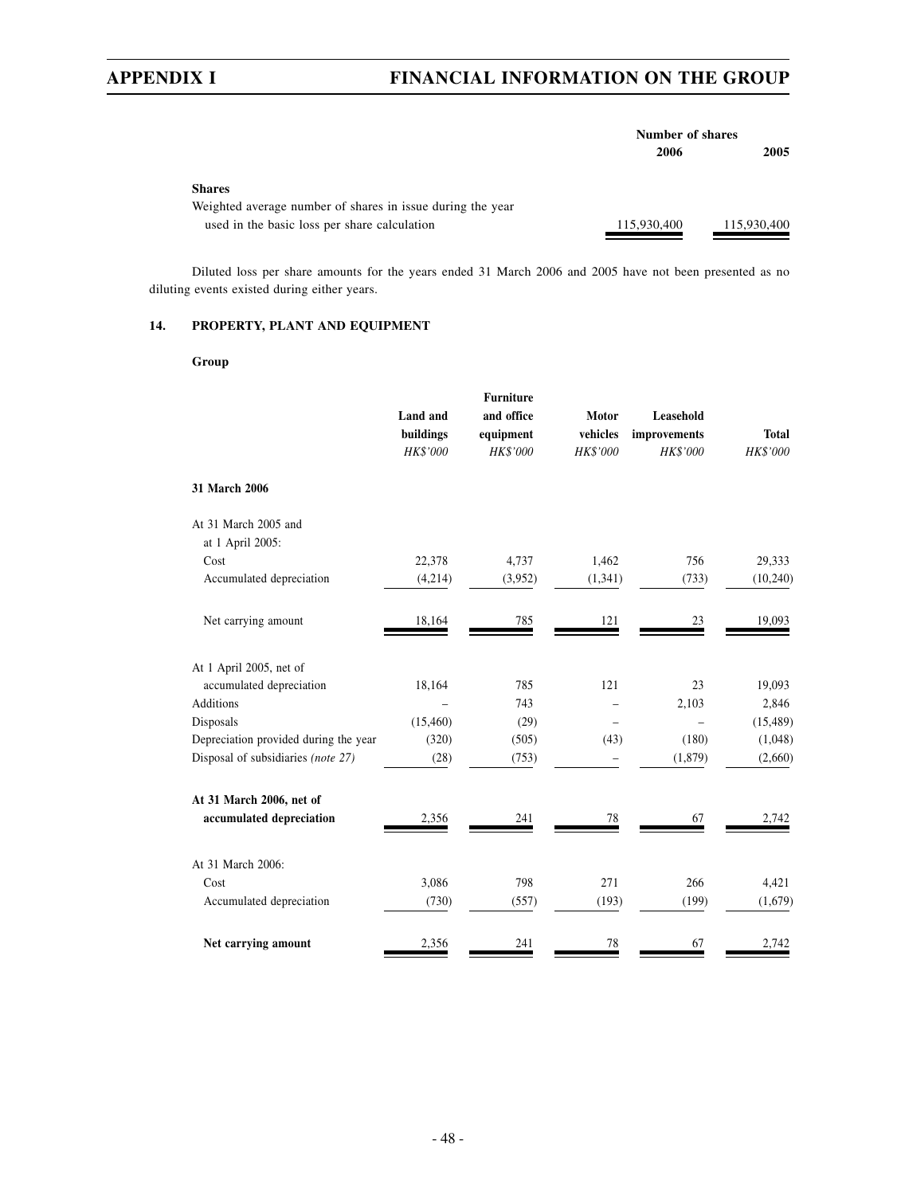|                                                            | Number of shares |             |
|------------------------------------------------------------|------------------|-------------|
|                                                            | 2006             | 2005        |
| <b>Shares</b>                                              |                  |             |
| Weighted average number of shares in issue during the year |                  |             |
| used in the basic loss per share calculation               | 115,930,400      | 115,930,400 |

Diluted loss per share amounts for the years ended 31 March 2006 and 2005 have not been presented as no diluting events existed during either years.

# **14. PROPERTY, PLANT AND EQUIPMENT**

## **Group**

|           | Furniture  |          |              |              |
|-----------|------------|----------|--------------|--------------|
| Land and  | and office | Motor    | Leasehold    |              |
| buildings | equipment  | vehicles | improvements | <b>Total</b> |
| HK\$'000  | HK\$'000   | HK\$'000 | HK\$'000     | HK\$'000     |
|           |            |          |              |              |
|           |            |          |              |              |
|           |            |          |              |              |
| 22,378    | 4,737      | 1,462    | 756          | 29,333       |
| (4,214)   | (3,952)    | (1, 341) | (733)        | (10, 240)    |
| 18,164    | 785        | 121      | 23           | 19,093       |
|           |            |          |              |              |
| 18,164    | 785        | 121      | 23           | 19,093       |
|           | 743        |          | 2,103        | 2,846        |
| (15, 460) | (29)       |          |              | (15, 489)    |
| (320)     | (505)      | (43)     | (180)        | (1,048)      |
| (28)      | (753)      |          | (1, 879)     | (2,660)      |
|           |            |          |              |              |
| 2,356     | 241        | 78       | 67           | 2,742        |
|           |            |          |              |              |
| 3,086     | 798        | 271      | 266          | 4,421        |
| (730)     | (557)      | (193)    | (199)        | (1,679)      |
| 2,356     | 241        | 78       | 67           | 2,742        |
|           |            |          |              |              |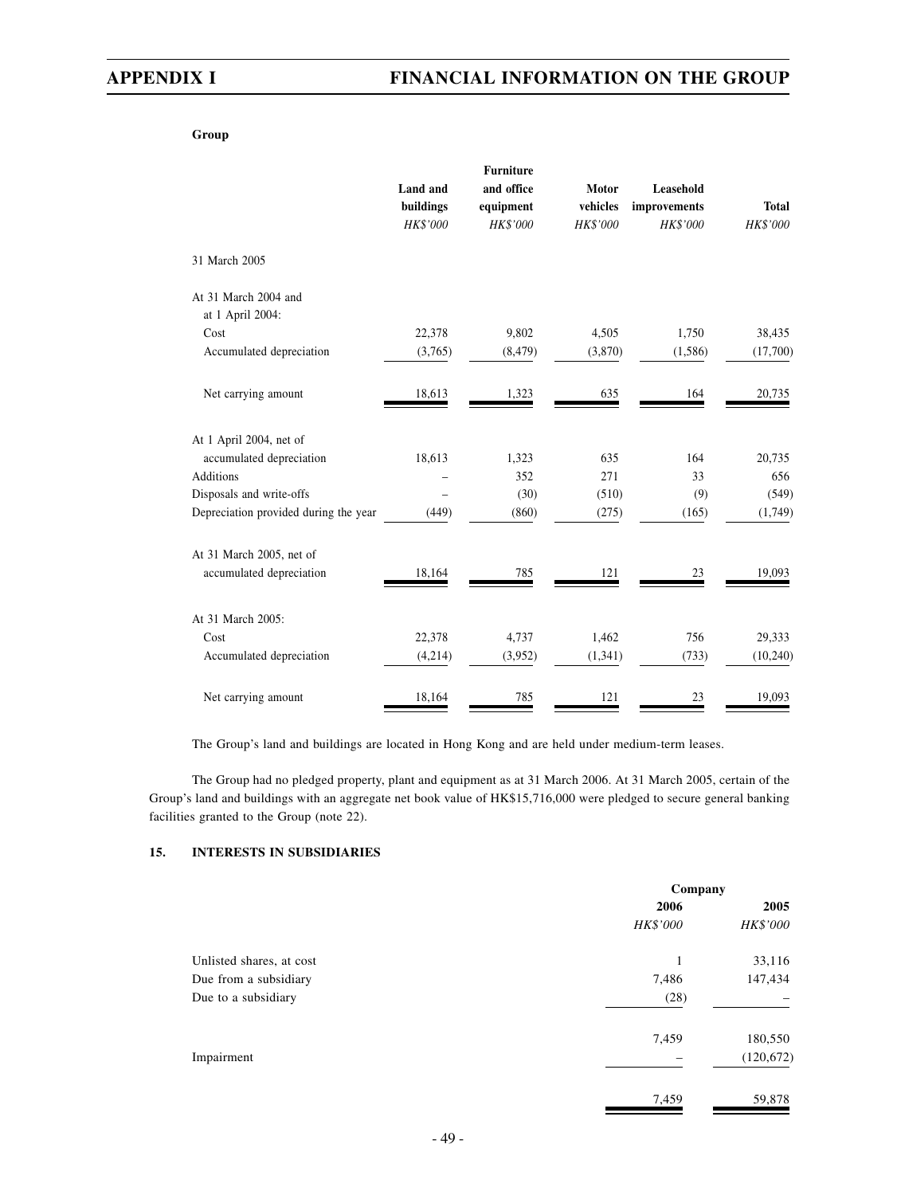### **Group**

| Land and  | and office | Motor            | Leasehold    |              |
|-----------|------------|------------------|--------------|--------------|
| buildings | equipment  | vehicles         | improvements | <b>Total</b> |
| HK\$'000  | HK\$'000   | HK\$'000         | HK\$'000     | HK\$'000     |
|           |            |                  |              |              |
|           |            |                  |              |              |
|           |            |                  |              |              |
| 22,378    | 9,802      | 4,505            | 1,750        | 38,435       |
| (3,765)   | (8, 479)   | (3,870)          | (1, 586)     | (17,700)     |
| 18,613    | 1,323      | 635              | 164          | 20,735       |
|           |            |                  |              |              |
| 18,613    | 1,323      | 635              | 164          | 20,735       |
|           | 352        | 271              | 33           | 656          |
|           | (30)       | (510)            | (9)          | (549)        |
| (449)     | (860)      | (275)            | (165)        | (1,749)      |
|           |            |                  |              |              |
| 18,164    | 785        | 121              | 23           | 19,093       |
|           |            |                  |              |              |
| 22,378    | 4,737      | 1,462            | 756          | 29,333       |
| (4,214)   | (3,952)    | (1, 341)         | (733)        | (10, 240)    |
| 18,164    | 785        | 121              | 23           | 19,093       |
|           |            | <b>Furniture</b> |              |              |

The Group's land and buildings are located in Hong Kong and are held under medium-term leases.

The Group had no pledged property, plant and equipment as at 31 March 2006. At 31 March 2005, certain of the Group's land and buildings with an aggregate net book value of HK\$15,716,000 were pledged to secure general banking facilities granted to the Group (note 22).

# **15. INTERESTS IN SUBSIDIARIES**

| 2006     |                 |
|----------|-----------------|
| HK\$'000 | <b>HK\$'000</b> |
| 1        | 33,116          |
| 7,486    | 147,434         |
| (28)     |                 |
| 7,459    | 180,550         |
|          | (120, 672)      |
| 7,459    | 59,878          |
|          |                 |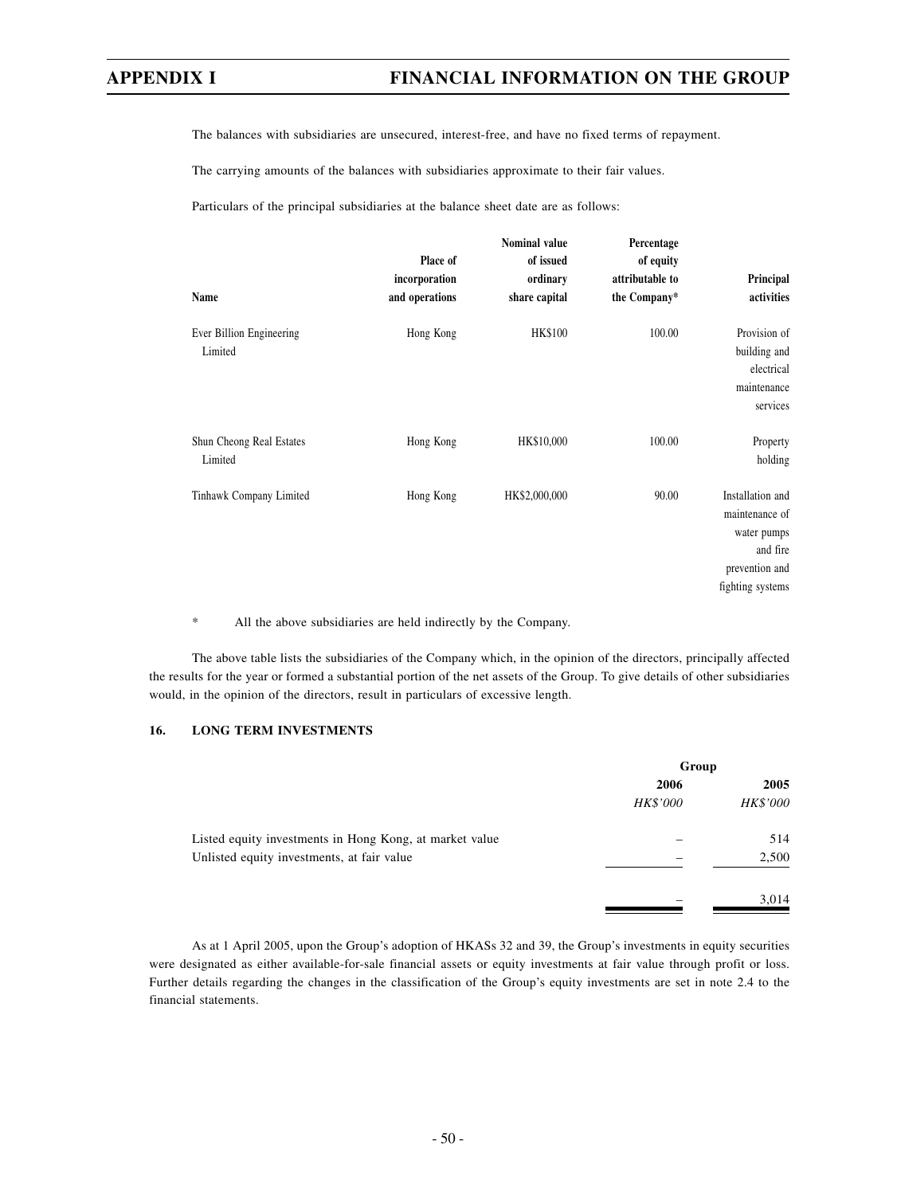The balances with subsidiaries are unsecured, interest-free, and have no fixed terms of repayment.

The carrying amounts of the balances with subsidiaries approximate to their fair values.

Particulars of the principal subsidiaries at the balance sheet date are as follows:

| <b>Name</b>                         | Place of<br>incorporation<br>and operations | <b>Nominal value</b><br>of issued<br>ordinary<br>share capital | Percentage<br>of equity<br>attributable to<br>the Company* | Principal<br>activities                                                                             |
|-------------------------------------|---------------------------------------------|----------------------------------------------------------------|------------------------------------------------------------|-----------------------------------------------------------------------------------------------------|
| Ever Billion Engineering<br>Limited | Hong Kong                                   | <b>HK\$100</b>                                                 | 100.00                                                     | Provision of<br>building and<br>electrical<br>maintenance<br>services                               |
| Shun Cheong Real Estates<br>Limited | Hong Kong                                   | HK\$10,000                                                     | 100.00                                                     | Property<br>holding                                                                                 |
| Tinhawk Company Limited             | Hong Kong                                   | HK\$2,000,000                                                  | 90.00                                                      | Installation and<br>maintenance of<br>water pumps<br>and fire<br>prevention and<br>fighting systems |

\* All the above subsidiaries are held indirectly by the Company.

The above table lists the subsidiaries of the Company which, in the opinion of the directors, principally affected the results for the year or formed a substantial portion of the net assets of the Group. To give details of other subsidiaries would, in the opinion of the directors, result in particulars of excessive length.

## **16. LONG TERM INVESTMENTS**

|                                                         | Group           |                 |
|---------------------------------------------------------|-----------------|-----------------|
|                                                         | 2006            | 2005            |
|                                                         | <b>HK\$'000</b> | <b>HK\$'000</b> |
| Listed equity investments in Hong Kong, at market value |                 | 514             |
| Unlisted equity investments, at fair value              |                 | 2,500           |
|                                                         |                 | 3,014           |

As at 1 April 2005, upon the Group's adoption of HKASs 32 and 39, the Group's investments in equity securities were designated as either available-for-sale financial assets or equity investments at fair value through profit or loss. Further details regarding the changes in the classification of the Group's equity investments are set in note 2.4 to the financial statements.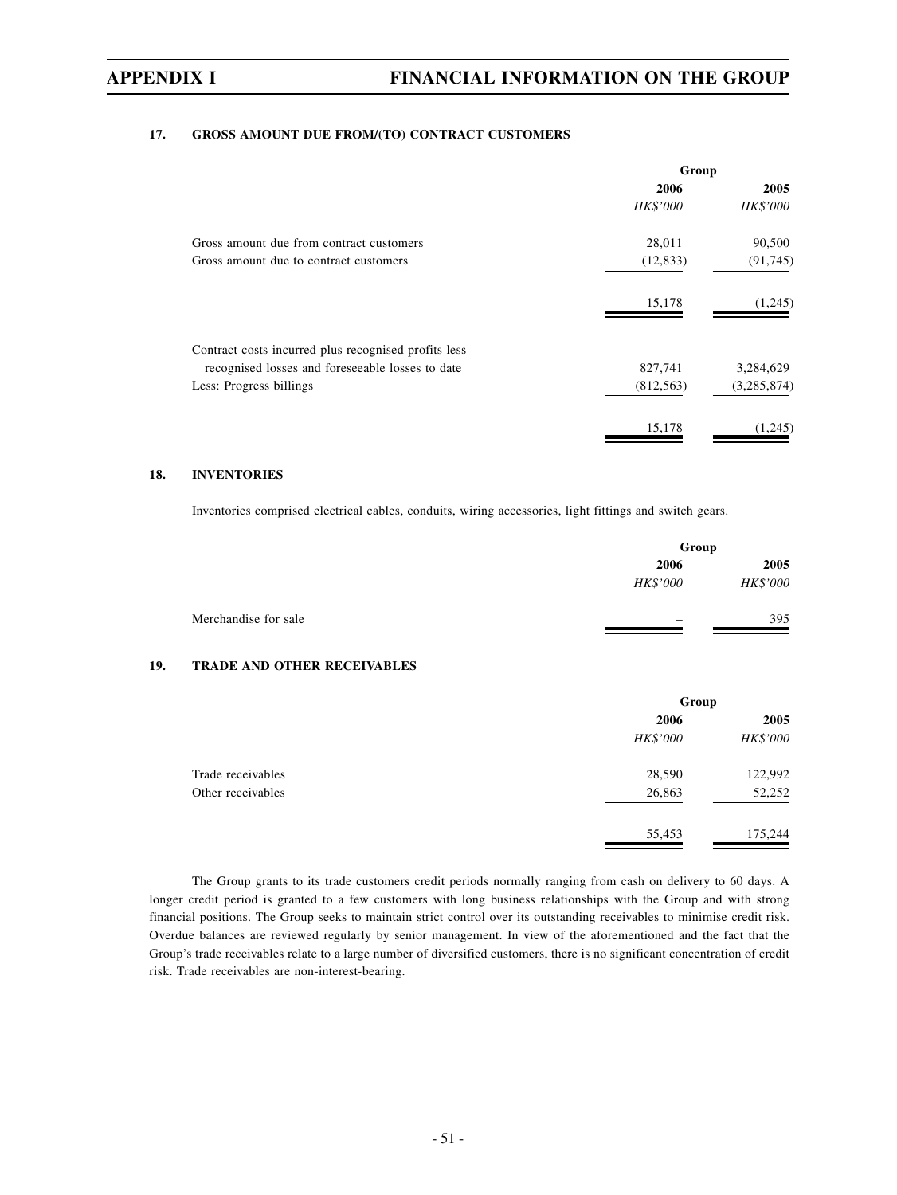## **17. GROSS AMOUNT DUE FROM/(TO) CONTRACT CUSTOMERS**

|                                                      | Group           |                 |
|------------------------------------------------------|-----------------|-----------------|
|                                                      | 2006            | 2005            |
|                                                      | <b>HK\$'000</b> | <b>HK\$'000</b> |
| Gross amount due from contract customers             | 28,011          | 90,500          |
| Gross amount due to contract customers               | (12, 833)       | (91, 745)       |
|                                                      | 15,178          | (1,245)         |
| Contract costs incurred plus recognised profits less |                 |                 |
| recognised losses and foreseeable losses to date     | 827,741         | 3,284,629       |
| Less: Progress billings                              | (812, 563)      | (3,285,874)     |
|                                                      | 15,178          | (1,245)         |

## **18. INVENTORIES**

Inventories comprised electrical cables, conduits, wiring accessories, light fittings and switch gears.

|                      | Group           |                 |
|----------------------|-----------------|-----------------|
|                      | 2006            | 2005            |
|                      | <b>HK\$'000</b> | <b>HK\$'000</b> |
| Merchandise for sale |                 | 395             |

### **19. TRADE AND OTHER RECEIVABLES**

|                   | Group           |                 |  |
|-------------------|-----------------|-----------------|--|
|                   | 2006            | 2005            |  |
|                   | <b>HK\$'000</b> | <b>HK\$'000</b> |  |
| Trade receivables | 28,590          | 122,992         |  |
| Other receivables | 26,863          | 52,252          |  |
|                   | 55,453          | 175,244         |  |

The Group grants to its trade customers credit periods normally ranging from cash on delivery to 60 days. A longer credit period is granted to a few customers with long business relationships with the Group and with strong financial positions. The Group seeks to maintain strict control over its outstanding receivables to minimise credit risk. Overdue balances are reviewed regularly by senior management. In view of the aforementioned and the fact that the Group's trade receivables relate to a large number of diversified customers, there is no significant concentration of credit risk. Trade receivables are non-interest-bearing.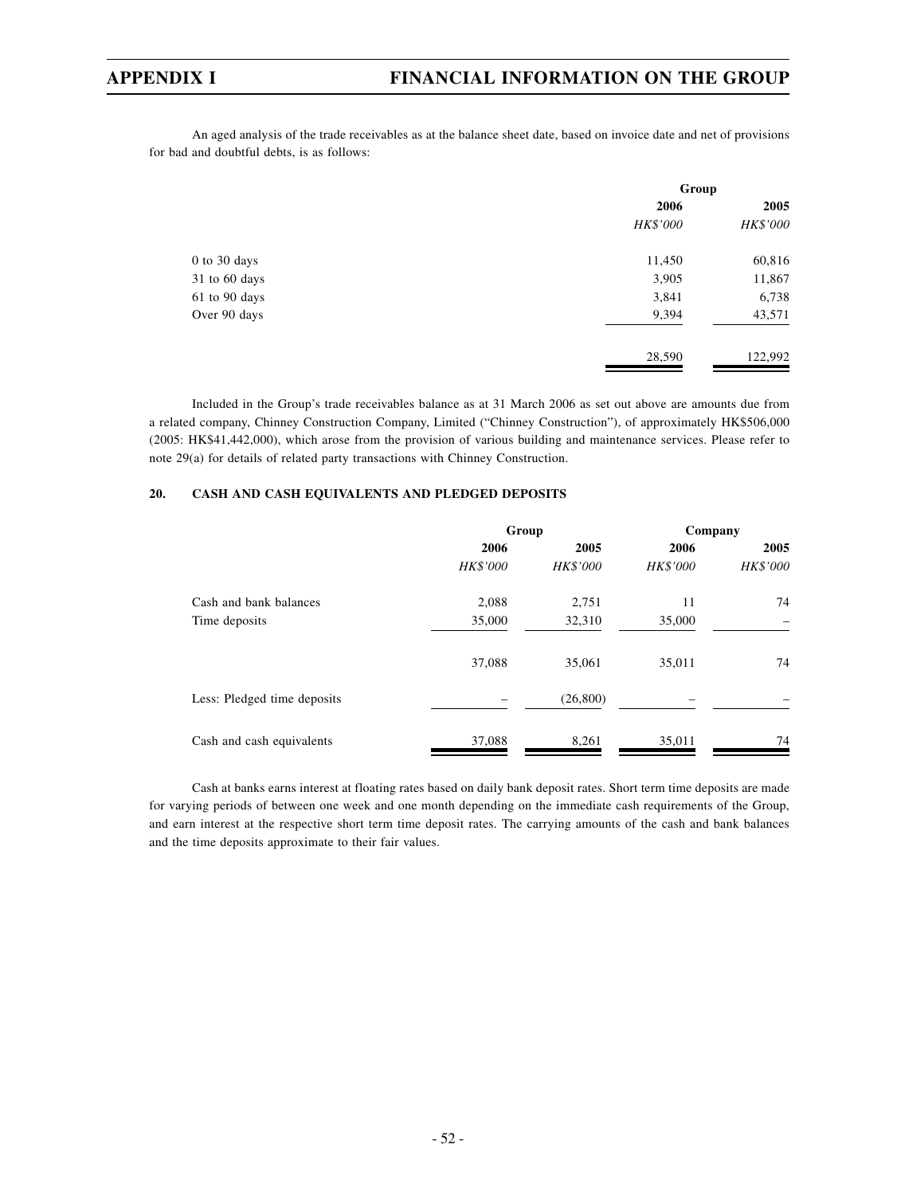An aged analysis of the trade receivables as at the balance sheet date, based on invoice date and net of provisions for bad and doubtful debts, is as follows:

|                  | Group    |                 |
|------------------|----------|-----------------|
|                  | 2006     | 2005            |
|                  | HK\$'000 | <b>HK\$'000</b> |
| $0$ to $30$ days | 11,450   | 60,816          |
| $31$ to 60 days  | 3,905    | 11,867          |
| 61 to 90 days    | 3,841    | 6,738           |
| Over 90 days     | 9,394    | 43,571          |
|                  | 28,590   | 122,992         |

Included in the Group's trade receivables balance as at 31 March 2006 as set out above are amounts due from a related company, Chinney Construction Company, Limited ("Chinney Construction"), of approximately HK\$506,000 (2005: HK\$41,442,000), which arose from the provision of various building and maintenance services. Please refer to note 29(a) for details of related party transactions with Chinney Construction.

### **20. CASH AND CASH EQUIVALENTS AND PLEDGED DEPOSITS**

|                             | Group           |                 | Company         |                 |
|-----------------------------|-----------------|-----------------|-----------------|-----------------|
|                             | 2006            | 2005            | 2006            | 2005            |
|                             | <b>HK\$'000</b> | <b>HK\$'000</b> | <b>HK\$'000</b> | <b>HK\$'000</b> |
| Cash and bank balances      | 2,088           | 2,751           | 11              | 74              |
| Time deposits               | 35,000          | 32,310          | 35,000          |                 |
|                             | 37,088          | 35,061          | 35,011          | 74              |
| Less: Pledged time deposits |                 | (26, 800)       |                 |                 |
| Cash and cash equivalents   | 37,088          | 8,261           | 35,011          | 74              |

Cash at banks earns interest at floating rates based on daily bank deposit rates. Short term time deposits are made for varying periods of between one week and one month depending on the immediate cash requirements of the Group, and earn interest at the respective short term time deposit rates. The carrying amounts of the cash and bank balances and the time deposits approximate to their fair values.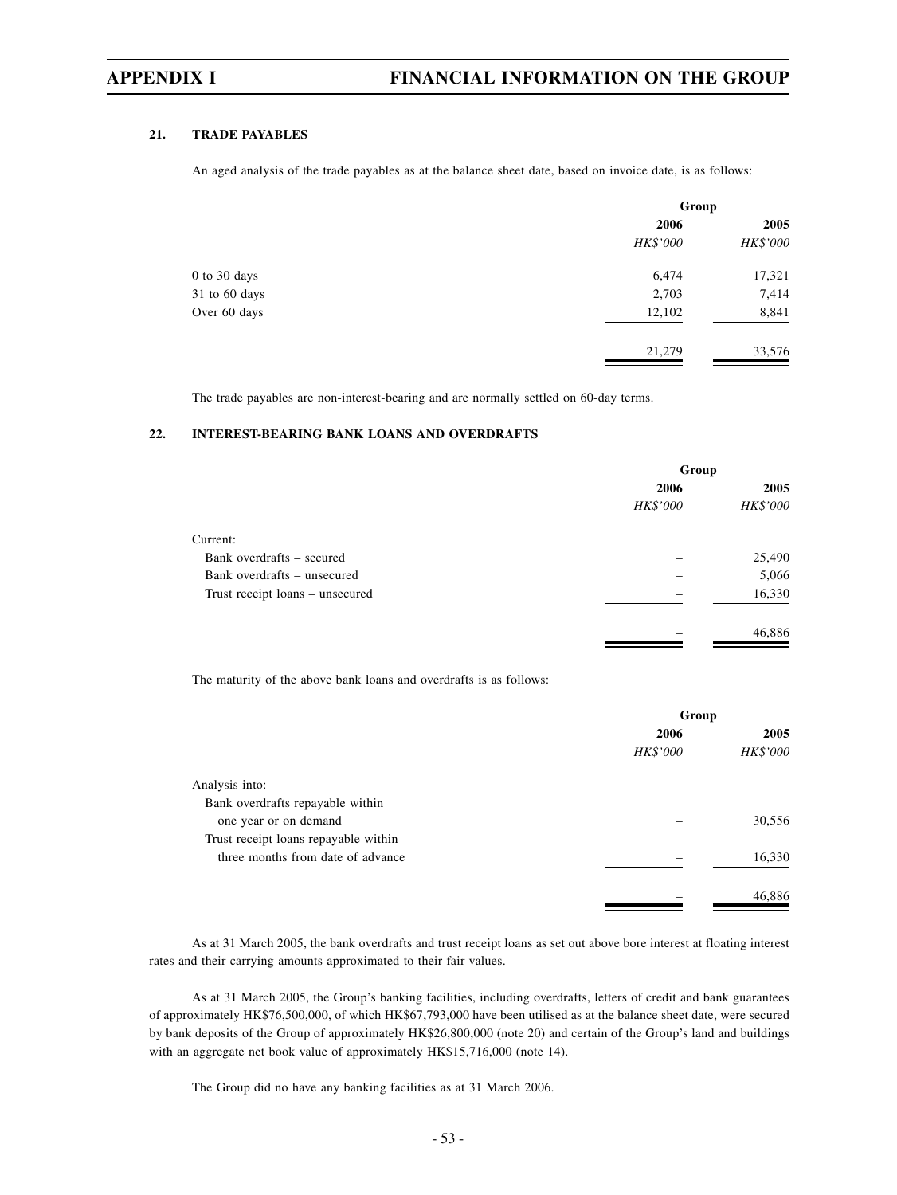## **21. TRADE PAYABLES**

An aged analysis of the trade payables as at the balance sheet date, based on invoice date, is as follows:

|                  | Group    |          |
|------------------|----------|----------|
|                  | 2006     | 2005     |
|                  | HK\$'000 | HK\$'000 |
| $0$ to $30$ days | 6,474    | 17,321   |
| 31 to 60 days    | 2,703    | 7,414    |
| Over 60 days     | 12,102   | 8,841    |
|                  | 21,279   | 33,576   |

The trade payables are non-interest-bearing and are normally settled on 60-day terms.

### **22. INTEREST-BEARING BANK LOANS AND OVERDRAFTS**

|                                 | Group           |                 |
|---------------------------------|-----------------|-----------------|
|                                 | 2006            | 2005            |
|                                 | <b>HK\$'000</b> | <b>HK\$'000</b> |
| Current:                        |                 |                 |
| Bank overdrafts – secured       |                 | 25,490          |
| Bank overdrafts – unsecured     |                 | 5,066           |
| Trust receipt loans – unsecured |                 | 16,330          |
|                                 |                 | 46,886          |

The maturity of the above bank loans and overdrafts is as follows:

|                                      | Group           |                 |
|--------------------------------------|-----------------|-----------------|
|                                      | 2006            | 2005            |
|                                      | <b>HK\$'000</b> | <b>HK\$'000</b> |
| Analysis into:                       |                 |                 |
| Bank overdrafts repayable within     |                 |                 |
| one year or on demand                |                 | 30,556          |
| Trust receipt loans repayable within |                 |                 |
| three months from date of advance    |                 | 16,330          |
|                                      |                 | 46,886          |
|                                      |                 |                 |

As at 31 March 2005, the bank overdrafts and trust receipt loans as set out above bore interest at floating interest rates and their carrying amounts approximated to their fair values.

As at 31 March 2005, the Group's banking facilities, including overdrafts, letters of credit and bank guarantees of approximately HK\$76,500,000, of which HK\$67,793,000 have been utilised as at the balance sheet date, were secured by bank deposits of the Group of approximately HK\$26,800,000 (note 20) and certain of the Group's land and buildings with an aggregate net book value of approximately HK\$15,716,000 (note 14).

The Group did no have any banking facilities as at 31 March 2006.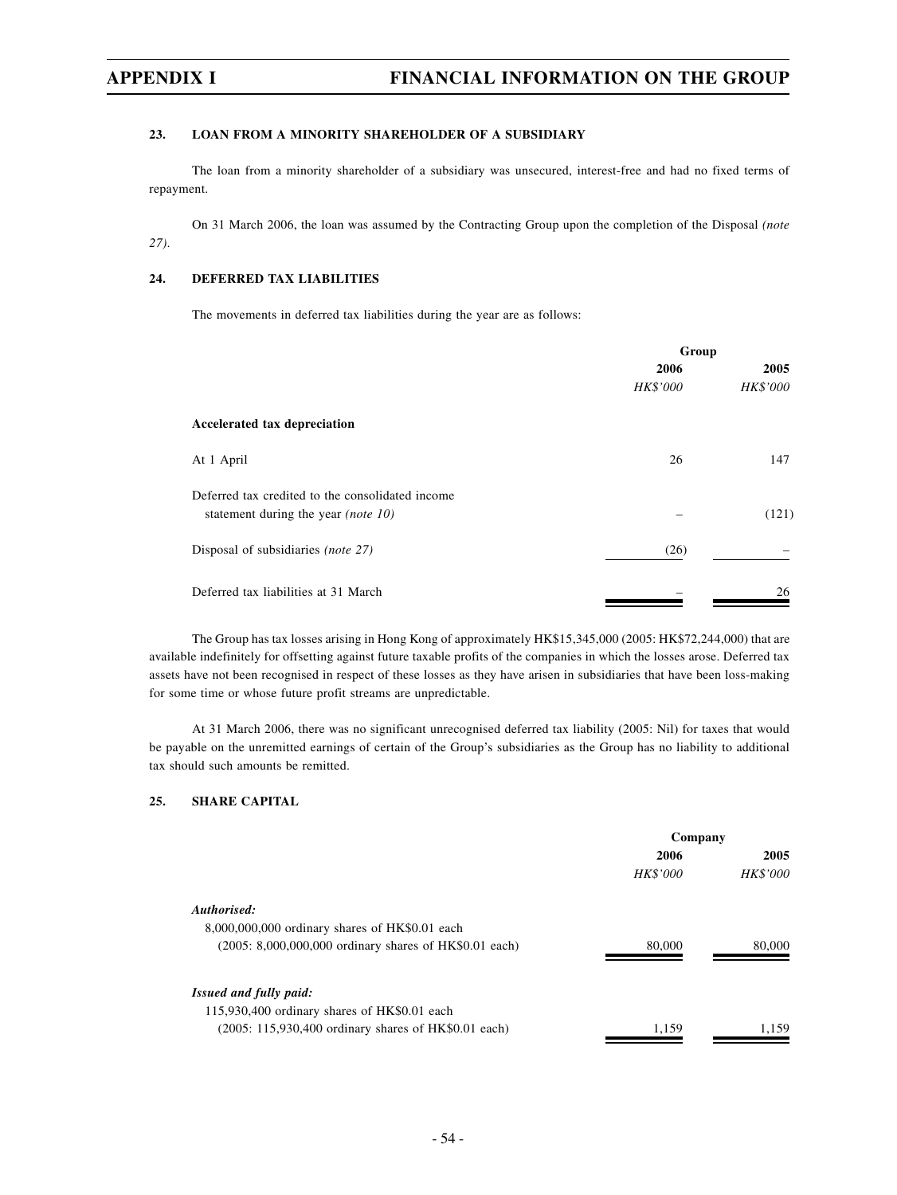## **23. LOAN FROM A MINORITY SHAREHOLDER OF A SUBSIDIARY**

The loan from a minority shareholder of a subsidiary was unsecured, interest-free and had no fixed terms of repayment.

On 31 March 2006, the loan was assumed by the Contracting Group upon the completion of the Disposal *(note 27)*.

## **24. DEFERRED TAX LIABILITIES**

The movements in deferred tax liabilities during the year are as follows:

|                                                  | Group           |                 |
|--------------------------------------------------|-----------------|-----------------|
|                                                  | 2006            |                 |
|                                                  | <b>HK\$'000</b> | <b>HK\$'000</b> |
| Accelerated tax depreciation                     |                 |                 |
| At 1 April                                       | 26              | 147             |
| Deferred tax credited to the consolidated income |                 |                 |
| statement during the year (note 10)              |                 | (121)           |
| Disposal of subsidiaries (note 27)               | (26)            |                 |
| Deferred tax liabilities at 31 March             |                 | 26              |

The Group has tax losses arising in Hong Kong of approximately HK\$15,345,000 (2005: HK\$72,244,000) that are available indefinitely for offsetting against future taxable profits of the companies in which the losses arose. Deferred tax assets have not been recognised in respect of these losses as they have arisen in subsidiaries that have been loss-making for some time or whose future profit streams are unpredictable.

At 31 March 2006, there was no significant unrecognised deferred tax liability (2005: Nil) for taxes that would be payable on the unremitted earnings of certain of the Group's subsidiaries as the Group has no liability to additional tax should such amounts be remitted.

### **25. SHARE CAPITAL**

|                                                        | Company         |                 |  |
|--------------------------------------------------------|-----------------|-----------------|--|
|                                                        | 2006            | 2005            |  |
|                                                        | <b>HK\$'000</b> | <b>HK\$'000</b> |  |
| Authorised:                                            |                 |                 |  |
| 8,000,000,000 ordinary shares of HK\$0.01 each         |                 |                 |  |
| (2005: 8,000,000,000 ordinary shares of HK\$0.01 each) | 80,000          | 80,000          |  |
| Issued and fully paid:                                 |                 |                 |  |
| 115,930,400 ordinary shares of HK\$0.01 each           |                 |                 |  |
| (2005: 115,930,400 ordinary shares of HK\$0.01 each)   | 1,159           | 1.159           |  |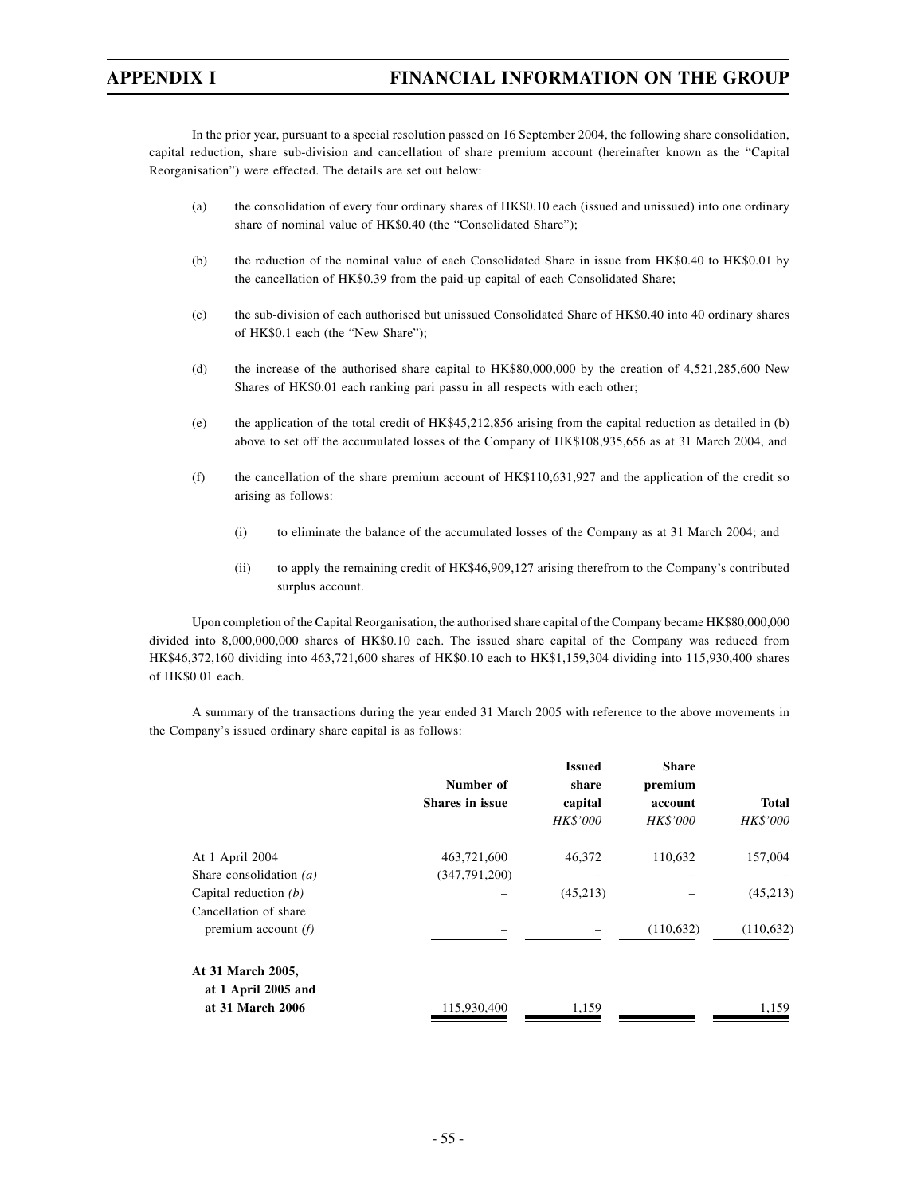In the prior year, pursuant to a special resolution passed on 16 September 2004, the following share consolidation, capital reduction, share sub-division and cancellation of share premium account (hereinafter known as the "Capital Reorganisation") were effected. The details are set out below:

- (a) the consolidation of every four ordinary shares of HK\$0.10 each (issued and unissued) into one ordinary share of nominal value of HK\$0.40 (the "Consolidated Share");
- (b) the reduction of the nominal value of each Consolidated Share in issue from HK\$0.40 to HK\$0.01 by the cancellation of HK\$0.39 from the paid-up capital of each Consolidated Share;
- (c) the sub-division of each authorised but unissued Consolidated Share of HK\$0.40 into 40 ordinary shares of HK\$0.1 each (the "New Share");
- (d) the increase of the authorised share capital to HK\$80,000,000 by the creation of 4,521,285,600 New Shares of HK\$0.01 each ranking pari passu in all respects with each other;
- (e) the application of the total credit of HK\$45,212,856 arising from the capital reduction as detailed in (b) above to set off the accumulated losses of the Company of HK\$108,935,656 as at 31 March 2004, and
- (f) the cancellation of the share premium account of HK\$110,631,927 and the application of the credit so arising as follows:
	- (i) to eliminate the balance of the accumulated losses of the Company as at 31 March 2004; and
	- (ii) to apply the remaining credit of HK\$46,909,127 arising therefrom to the Company's contributed surplus account.

Upon completion of the Capital Reorganisation, the authorised share capital of the Company became HK\$80,000,000 divided into 8,000,000,000 shares of HK\$0.10 each. The issued share capital of the Company was reduced from HK\$46,372,160 dividing into 463,721,600 shares of HK\$0.10 each to HK\$1,159,304 dividing into 115,930,400 shares of HK\$0.01 each.

A summary of the transactions during the year ended 31 March 2005 with reference to the above movements in the Company's issued ordinary share capital is as follows:

|                                                | Number of<br><b>Shares in issue</b> | <b>Issued</b><br>share<br>capital<br><b>HK\$'000</b> | <b>Share</b><br>premium<br>account<br><b>HK\$'000</b> | <b>Total</b><br><b>HK\$'000</b> |
|------------------------------------------------|-------------------------------------|------------------------------------------------------|-------------------------------------------------------|---------------------------------|
|                                                |                                     |                                                      |                                                       |                                 |
| At 1 April 2004                                | 463,721,600                         | 46,372                                               | 110,632                                               | 157,004                         |
| Share consolidation $(a)$                      | (347,791,200)                       |                                                      |                                                       |                                 |
| Capital reduction $(b)$                        |                                     | (45,213)                                             |                                                       | (45,213)                        |
| Cancellation of share<br>premium account $(f)$ |                                     |                                                      | (110, 632)                                            | (110, 632)                      |
| At 31 March 2005,<br>at 1 April 2005 and       |                                     |                                                      |                                                       |                                 |
| at 31 March 2006                               | 115,930,400                         | 1,159                                                |                                                       | 1,159                           |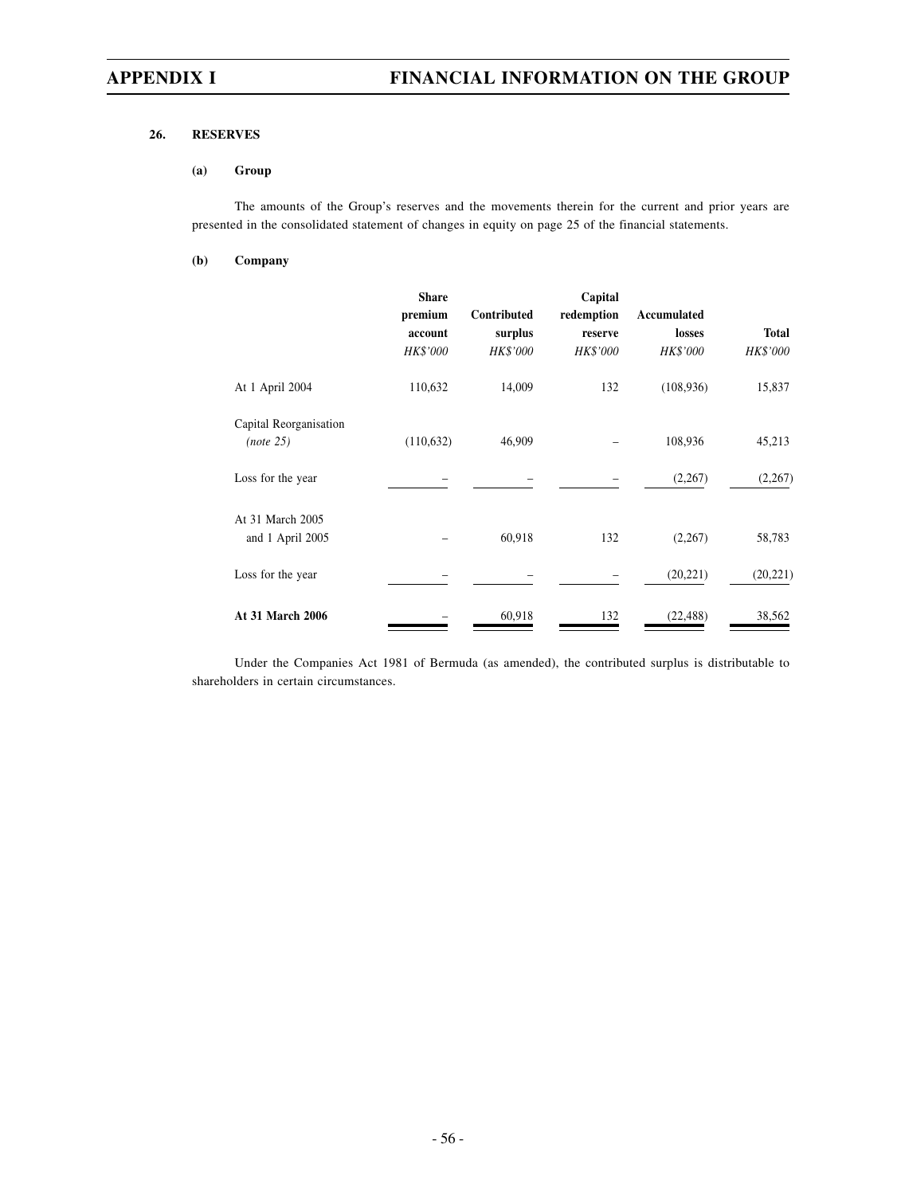### **26. RESERVES**

### **(a) Group**

The amounts of the Group's reserves and the movements therein for the current and prior years are presented in the consolidated statement of changes in equity on page 25 of the financial statements.

### **(b) Company**

|                                      | <b>Share</b><br>premium<br>account<br><b>HK\$'000</b> | Contributed<br>surplus<br><b>HK\$'000</b> | Capital<br>redemption<br>reserve<br>HK\$'000 | Accumulated<br>losses<br><b>HK\$'000</b> | <b>Total</b><br><b>HK\$'000</b> |
|--------------------------------------|-------------------------------------------------------|-------------------------------------------|----------------------------------------------|------------------------------------------|---------------------------------|
| At 1 April 2004                      | 110,632                                               | 14,009                                    | 132                                          | (108, 936)                               | 15,837                          |
| Capital Reorganisation<br>(note 25)  | (110,632)                                             | 46,909                                    |                                              | 108,936                                  | 45,213                          |
| Loss for the year                    |                                                       |                                           |                                              | (2,267)                                  | (2,267)                         |
| At 31 March 2005<br>and 1 April 2005 |                                                       | 60,918                                    | 132                                          | (2,267)                                  | 58,783                          |
| Loss for the year                    |                                                       |                                           |                                              | (20, 221)                                | (20, 221)                       |
| At 31 March 2006                     |                                                       | 60,918                                    | 132                                          | (22, 488)                                | 38,562                          |

Under the Companies Act 1981 of Bermuda (as amended), the contributed surplus is distributable to shareholders in certain circumstances.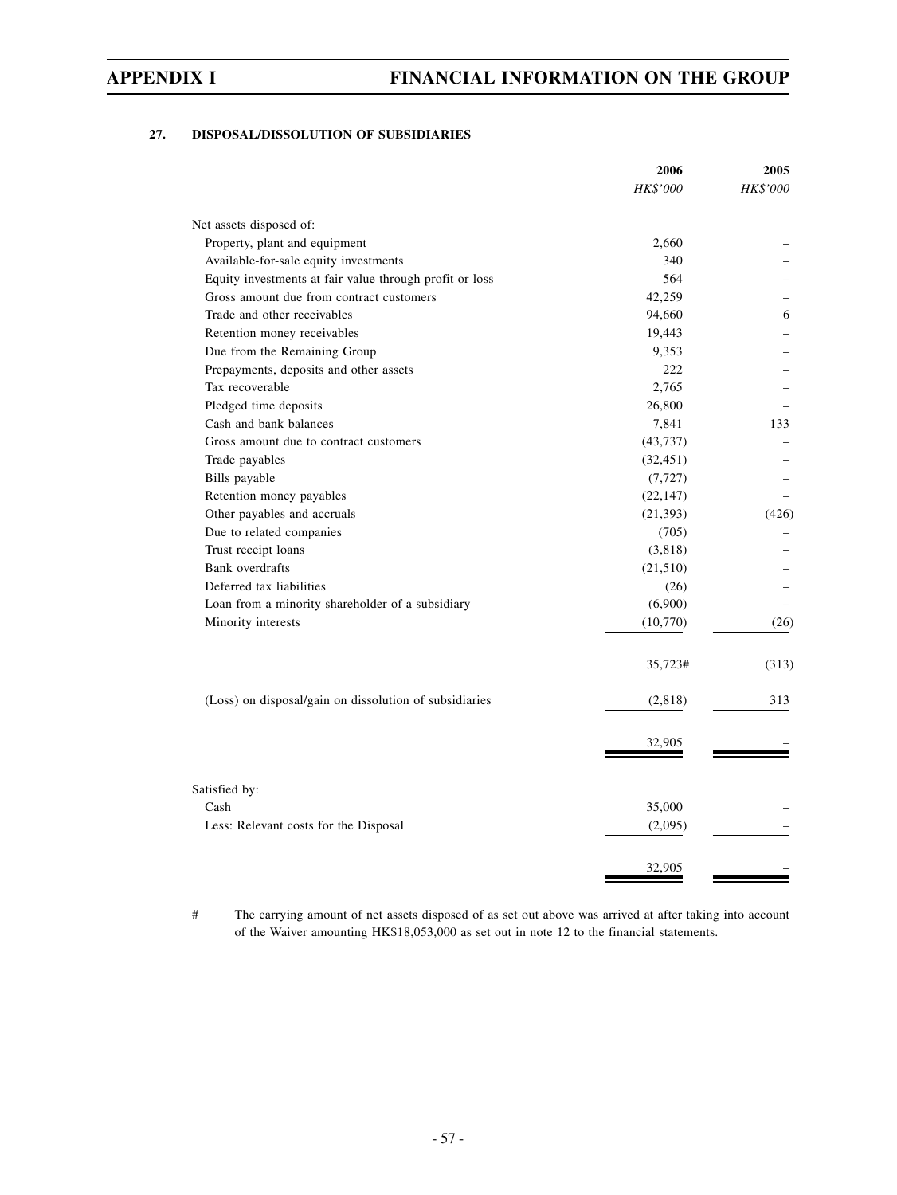## **27. DISPOSAL/DISSOLUTION OF SUBSIDIARIES**

|                                                         | 2006            | 2005            |
|---------------------------------------------------------|-----------------|-----------------|
|                                                         | <b>HK\$'000</b> | <b>HK\$'000</b> |
| Net assets disposed of:                                 |                 |                 |
| Property, plant and equipment                           | 2,660           |                 |
| Available-for-sale equity investments                   | 340             |                 |
| Equity investments at fair value through profit or loss | 564             |                 |
| Gross amount due from contract customers                | 42,259          |                 |
| Trade and other receivables                             | 94,660          | 6               |
| Retention money receivables                             | 19,443          |                 |
| Due from the Remaining Group                            | 9,353           |                 |
| Prepayments, deposits and other assets                  | 222             |                 |
| Tax recoverable                                         | 2,765           |                 |
| Pledged time deposits                                   | 26,800          |                 |
| Cash and bank balances                                  | 7,841           | 133             |
| Gross amount due to contract customers                  | (43, 737)       |                 |
| Trade payables                                          | (32, 451)       |                 |
| Bills payable                                           | (7, 727)        |                 |
| Retention money payables                                | (22, 147)       |                 |
| Other payables and accruals                             | (21, 393)       | (426)           |
| Due to related companies                                | (705)           |                 |
| Trust receipt loans                                     | (3,818)         |                 |
| <b>Bank</b> overdrafts                                  | (21,510)        |                 |
| Deferred tax liabilities                                | (26)            |                 |
| Loan from a minority shareholder of a subsidiary        | (6,900)         |                 |
| Minority interests                                      | (10,770)        | (26)            |
|                                                         | 35,723#         | (313)           |
| (Loss) on disposal/gain on dissolution of subsidiaries  | (2,818)         | 313             |
|                                                         | 32,905          |                 |
| Satisfied by:                                           |                 |                 |
| Cash                                                    | 35,000          |                 |
| Less: Relevant costs for the Disposal                   | (2,095)         |                 |
|                                                         | 32,905          |                 |
|                                                         |                 |                 |

# The carrying amount of net assets disposed of as set out above was arrived at after taking into account of the Waiver amounting HK\$18,053,000 as set out in note 12 to the financial statements.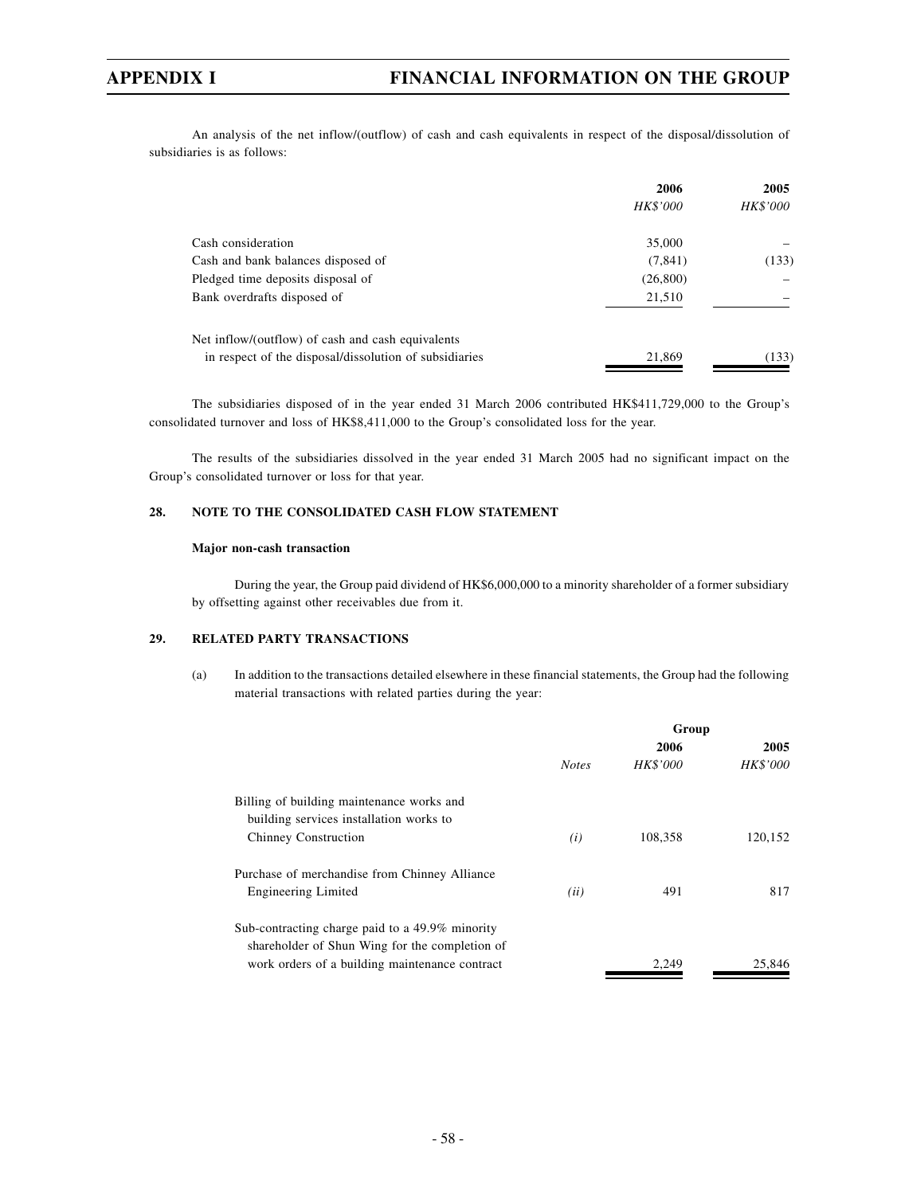An analysis of the net inflow/(outflow) of cash and cash equivalents in respect of the disposal/dissolution of subsidiaries is as follows:

|                                                        | 2006            | 2005            |
|--------------------------------------------------------|-----------------|-----------------|
|                                                        | <b>HK\$'000</b> | <b>HK\$'000</b> |
| Cash consideration                                     | 35,000          |                 |
| Cash and bank balances disposed of                     | (7, 841)        | (133)           |
| Pledged time deposits disposal of                      | (26, 800)       |                 |
| Bank overdrafts disposed of                            | 21,510          |                 |
| Net inflow/(outflow) of cash and cash equivalents      |                 |                 |
| in respect of the disposal/dissolution of subsidiaries | 21,869          | (133)           |

The subsidiaries disposed of in the year ended 31 March 2006 contributed HK\$411,729,000 to the Group's consolidated turnover and loss of HK\$8,411,000 to the Group's consolidated loss for the year.

The results of the subsidiaries dissolved in the year ended 31 March 2005 had no significant impact on the Group's consolidated turnover or loss for that year.

## **28. NOTE TO THE CONSOLIDATED CASH FLOW STATEMENT**

### **Major non-cash transaction**

During the year, the Group paid dividend of HK\$6,000,000 to a minority shareholder of a former subsidiary by offsetting against other receivables due from it.

## **29. RELATED PARTY TRANSACTIONS**

(a) In addition to the transactions detailed elsewhere in these financial statements, the Group had the following material transactions with related parties during the year:

|                                                                                      | Group        |                 |                 |
|--------------------------------------------------------------------------------------|--------------|-----------------|-----------------|
|                                                                                      |              | 2006            | 2005            |
|                                                                                      | <b>Notes</b> | <i>HK\$'000</i> | <b>HK\$'000</b> |
| Billing of building maintenance works and<br>building services installation works to |              |                 |                 |
| <b>Chinney Construction</b>                                                          | (i)          | 108.358         | 120,152         |
| Purchase of merchandise from Chinney Alliance                                        |              |                 |                 |
| Engineering Limited                                                                  | (ii)         | 491             | 817             |
| Sub-contracting charge paid to a 49.9% minority                                      |              |                 |                 |
| shareholder of Shun Wing for the completion of                                       |              |                 |                 |
| work orders of a building maintenance contract                                       |              | 2.249           | 25,846          |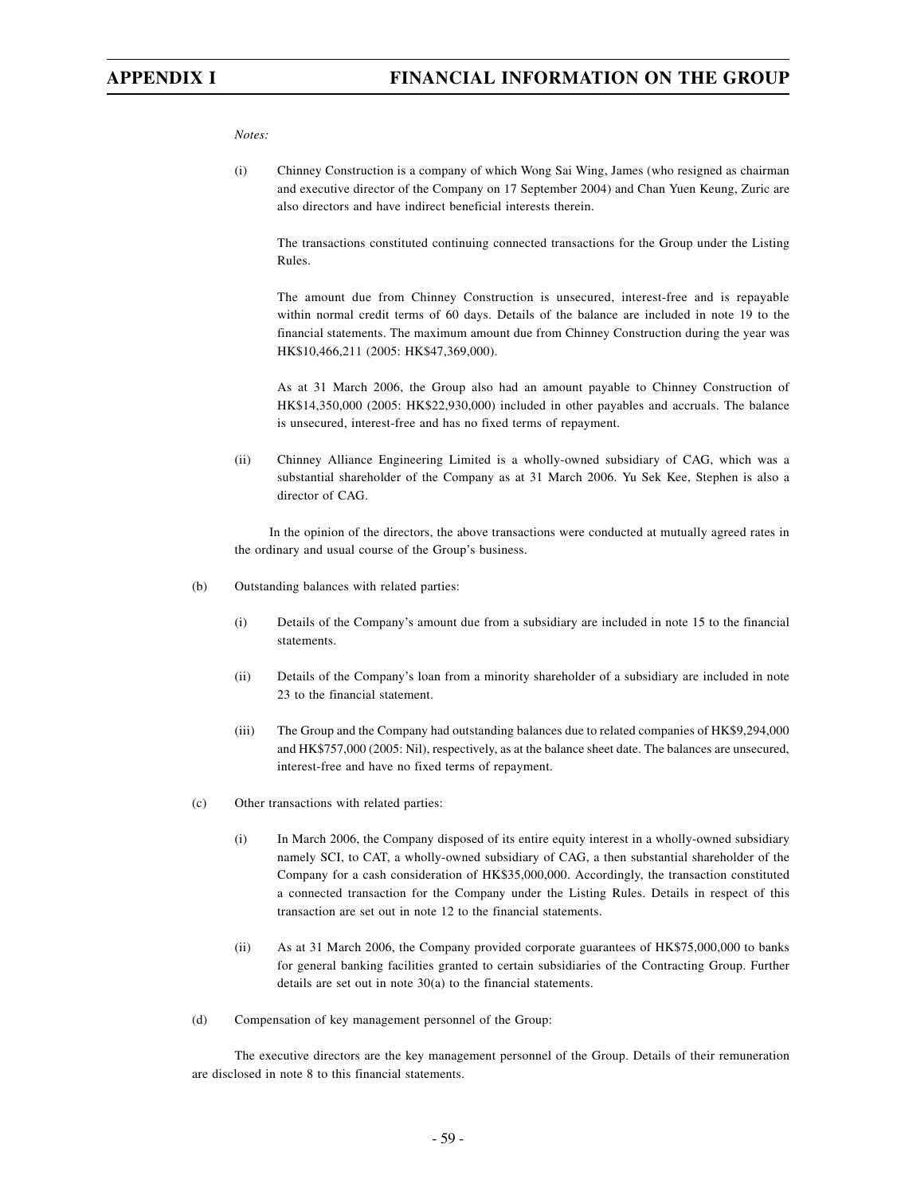### *Notes:*

(i) Chinney Construction is a company of which Wong Sai Wing, James (who resigned as chairman and executive director of the Company on 17 September 2004) and Chan Yuen Keung, Zuric are also directors and have indirect beneficial interests therein.

The transactions constituted continuing connected transactions for the Group under the Listing Rules.

The amount due from Chinney Construction is unsecured, interest-free and is repayable within normal credit terms of 60 days. Details of the balance are included in note 19 to the financial statements. The maximum amount due from Chinney Construction during the year was HK\$10,466,211 (2005: HK\$47,369,000).

As at 31 March 2006, the Group also had an amount payable to Chinney Construction of HK\$14,350,000 (2005: HK\$22,930,000) included in other payables and accruals. The balance is unsecured, interest-free and has no fixed terms of repayment.

(ii) Chinney Alliance Engineering Limited is a wholly-owned subsidiary of CAG, which was a substantial shareholder of the Company as at 31 March 2006. Yu Sek Kee, Stephen is also a director of CAG.

In the opinion of the directors, the above transactions were conducted at mutually agreed rates in the ordinary and usual course of the Group's business.

- (b) Outstanding balances with related parties:
	- (i) Details of the Company's amount due from a subsidiary are included in note 15 to the financial statements.
	- (ii) Details of the Company's loan from a minority shareholder of a subsidiary are included in note 23 to the financial statement.
	- (iii) The Group and the Company had outstanding balances due to related companies of HK\$9,294,000 and HK\$757,000 (2005: Nil), respectively, as at the balance sheet date. The balances are unsecured, interest-free and have no fixed terms of repayment.
- (c) Other transactions with related parties:
	- (i) In March 2006, the Company disposed of its entire equity interest in a wholly-owned subsidiary namely SCI, to CAT, a wholly-owned subsidiary of CAG, a then substantial shareholder of the Company for a cash consideration of HK\$35,000,000. Accordingly, the transaction constituted a connected transaction for the Company under the Listing Rules. Details in respect of this transaction are set out in note 12 to the financial statements.
	- (ii) As at 31 March 2006, the Company provided corporate guarantees of HK\$75,000,000 to banks for general banking facilities granted to certain subsidiaries of the Contracting Group. Further details are set out in note 30(a) to the financial statements.
- (d) Compensation of key management personnel of the Group:

The executive directors are the key management personnel of the Group. Details of their remuneration are disclosed in note 8 to this financial statements.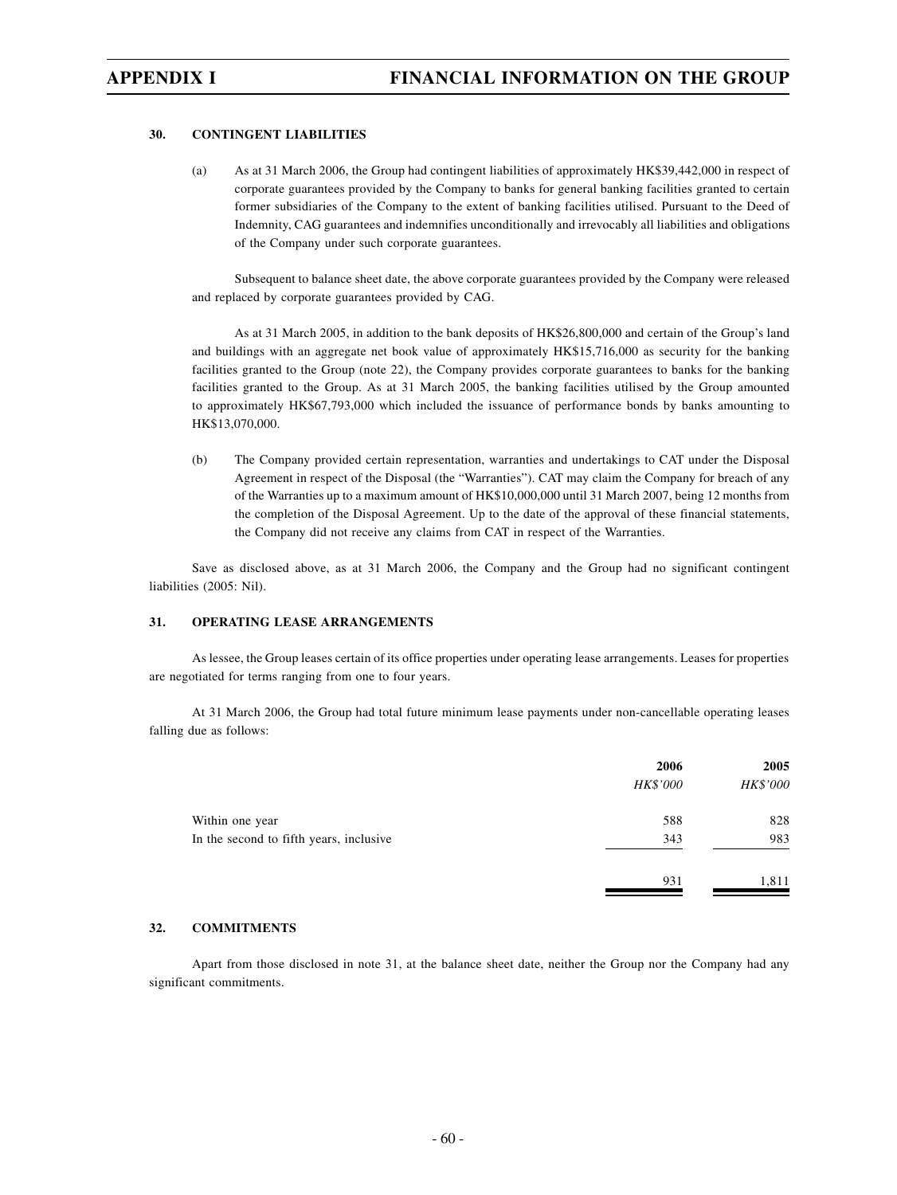### **30. CONTINGENT LIABILITIES**

(a) As at 31 March 2006, the Group had contingent liabilities of approximately HK\$39,442,000 in respect of corporate guarantees provided by the Company to banks for general banking facilities granted to certain former subsidiaries of the Company to the extent of banking facilities utilised. Pursuant to the Deed of Indemnity, CAG guarantees and indemnifies unconditionally and irrevocably all liabilities and obligations of the Company under such corporate guarantees.

Subsequent to balance sheet date, the above corporate guarantees provided by the Company were released and replaced by corporate guarantees provided by CAG.

As at 31 March 2005, in addition to the bank deposits of HK\$26,800,000 and certain of the Group's land and buildings with an aggregate net book value of approximately HK\$15,716,000 as security for the banking facilities granted to the Group (note 22), the Company provides corporate guarantees to banks for the banking facilities granted to the Group. As at 31 March 2005, the banking facilities utilised by the Group amounted to approximately HK\$67,793,000 which included the issuance of performance bonds by banks amounting to HK\$13,070,000.

(b) The Company provided certain representation, warranties and undertakings to CAT under the Disposal Agreement in respect of the Disposal (the "Warranties"). CAT may claim the Company for breach of any of the Warranties up to a maximum amount of HK\$10,000,000 until 31 March 2007, being 12 months from the completion of the Disposal Agreement. Up to the date of the approval of these financial statements, the Company did not receive any claims from CAT in respect of the Warranties.

Save as disclosed above, as at 31 March 2006, the Company and the Group had no significant contingent liabilities (2005: Nil).

## **31. OPERATING LEASE ARRANGEMENTS**

As lessee, the Group leases certain of its office properties under operating lease arrangements. Leases for properties are negotiated for terms ranging from one to four years.

At 31 March 2006, the Group had total future minimum lease payments under non-cancellable operating leases falling due as follows:

|                                         | 2006<br>HK\$'000 | 2005<br><b>HK\$'000</b> |
|-----------------------------------------|------------------|-------------------------|
| Within one year                         | 588              | 828                     |
| In the second to fifth years, inclusive | 343              | 983                     |
|                                         | 931              | 1,811                   |

### **32. COMMITMENTS**

Apart from those disclosed in note 31, at the balance sheet date, neither the Group nor the Company had any significant commitments.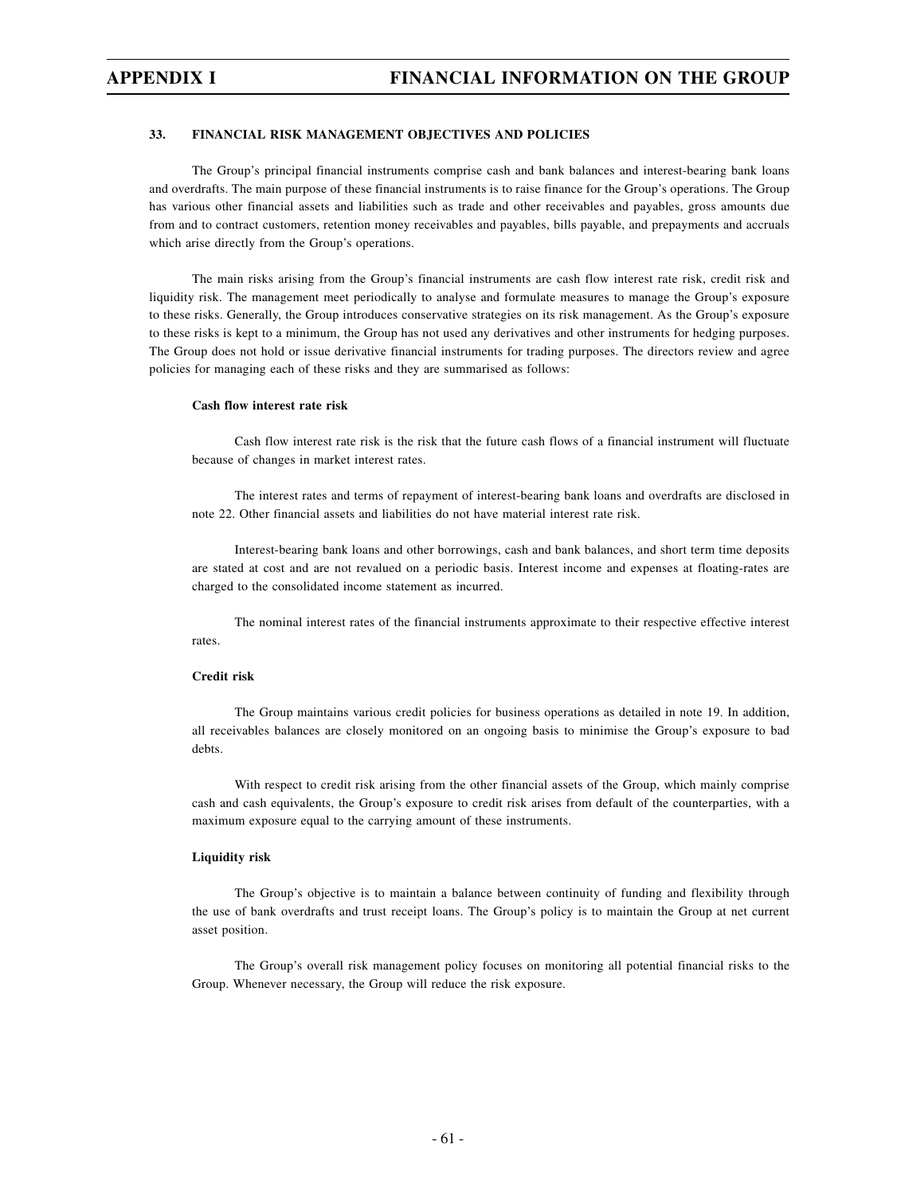## **33. FINANCIAL RISK MANAGEMENT OBJECTIVES AND POLICIES**

The Group's principal financial instruments comprise cash and bank balances and interest-bearing bank loans and overdrafts. The main purpose of these financial instruments is to raise finance for the Group's operations. The Group has various other financial assets and liabilities such as trade and other receivables and payables, gross amounts due from and to contract customers, retention money receivables and payables, bills payable, and prepayments and accruals which arise directly from the Group's operations.

The main risks arising from the Group's financial instruments are cash flow interest rate risk, credit risk and liquidity risk. The management meet periodically to analyse and formulate measures to manage the Group's exposure to these risks. Generally, the Group introduces conservative strategies on its risk management. As the Group's exposure to these risks is kept to a minimum, the Group has not used any derivatives and other instruments for hedging purposes. The Group does not hold or issue derivative financial instruments for trading purposes. The directors review and agree policies for managing each of these risks and they are summarised as follows:

### **Cash flow interest rate risk**

Cash flow interest rate risk is the risk that the future cash flows of a financial instrument will fluctuate because of changes in market interest rates.

The interest rates and terms of repayment of interest-bearing bank loans and overdrafts are disclosed in note 22. Other financial assets and liabilities do not have material interest rate risk.

Interest-bearing bank loans and other borrowings, cash and bank balances, and short term time deposits are stated at cost and are not revalued on a periodic basis. Interest income and expenses at floating-rates are charged to the consolidated income statement as incurred.

The nominal interest rates of the financial instruments approximate to their respective effective interest rates.

### **Credit risk**

The Group maintains various credit policies for business operations as detailed in note 19. In addition, all receivables balances are closely monitored on an ongoing basis to minimise the Group's exposure to bad debts.

With respect to credit risk arising from the other financial assets of the Group, which mainly comprise cash and cash equivalents, the Group's exposure to credit risk arises from default of the counterparties, with a maximum exposure equal to the carrying amount of these instruments.

### **Liquidity risk**

The Group's objective is to maintain a balance between continuity of funding and flexibility through the use of bank overdrafts and trust receipt loans. The Group's policy is to maintain the Group at net current asset position.

The Group's overall risk management policy focuses on monitoring all potential financial risks to the Group. Whenever necessary, the Group will reduce the risk exposure.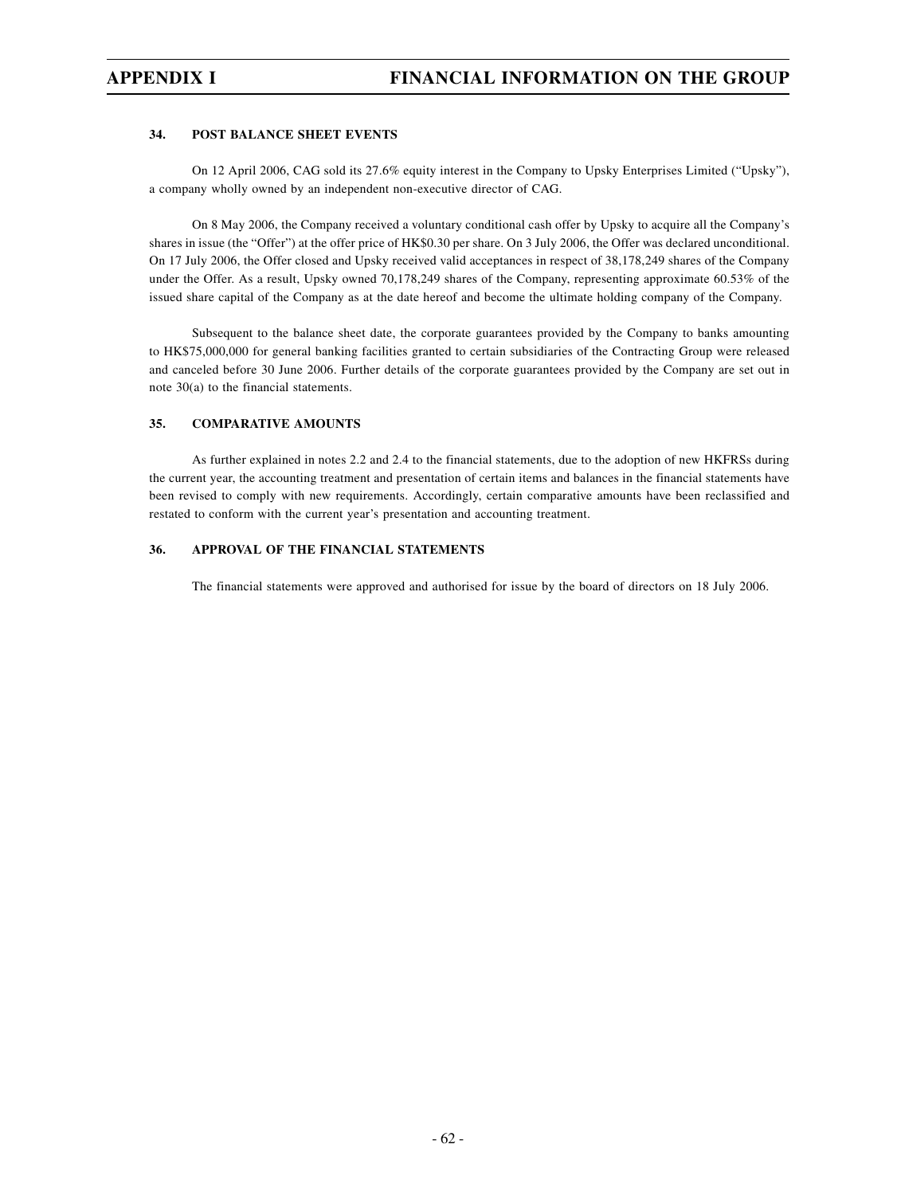## **34. POST BALANCE SHEET EVENTS**

On 12 April 2006, CAG sold its 27.6% equity interest in the Company to Upsky Enterprises Limited ("Upsky"), a company wholly owned by an independent non-executive director of CAG.

On 8 May 2006, the Company received a voluntary conditional cash offer by Upsky to acquire all the Company's shares in issue (the "Offer") at the offer price of HK\$0.30 per share. On 3 July 2006, the Offer was declared unconditional. On 17 July 2006, the Offer closed and Upsky received valid acceptances in respect of 38,178,249 shares of the Company under the Offer. As a result, Upsky owned 70,178,249 shares of the Company, representing approximate 60.53% of the issued share capital of the Company as at the date hereof and become the ultimate holding company of the Company.

Subsequent to the balance sheet date, the corporate guarantees provided by the Company to banks amounting to HK\$75,000,000 for general banking facilities granted to certain subsidiaries of the Contracting Group were released and canceled before 30 June 2006. Further details of the corporate guarantees provided by the Company are set out in note 30(a) to the financial statements.

### **35. COMPARATIVE AMOUNTS**

As further explained in notes 2.2 and 2.4 to the financial statements, due to the adoption of new HKFRSs during the current year, the accounting treatment and presentation of certain items and balances in the financial statements have been revised to comply with new requirements. Accordingly, certain comparative amounts have been reclassified and restated to conform with the current year's presentation and accounting treatment.

### **36. APPROVAL OF THE FINANCIAL STATEMENTS**

The financial statements were approved and authorised for issue by the board of directors on 18 July 2006.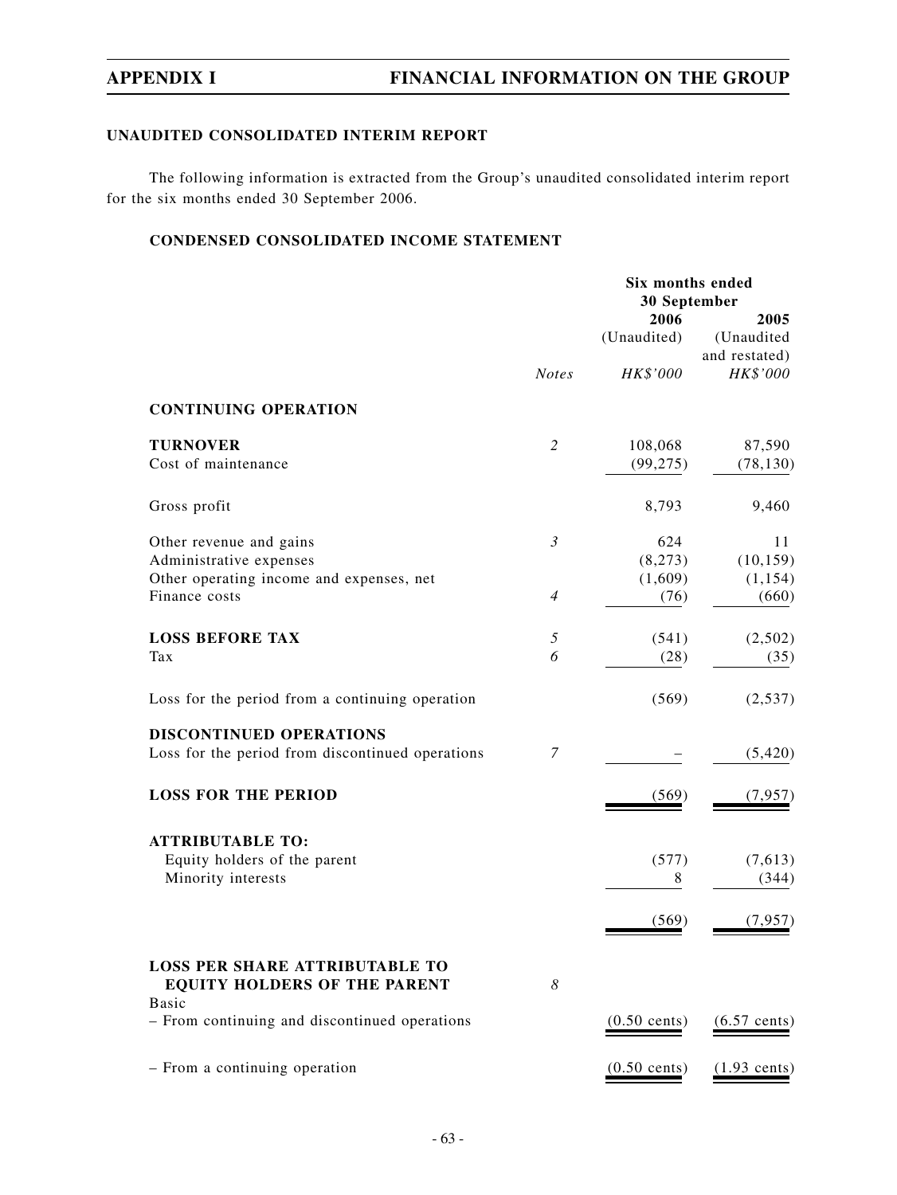# **UNAUDITED CONSOLIDATED INTERIM REPORT**

The following information is extracted from the Group's unaudited consolidated interim report for the six months ended 30 September 2006.

# **CONDENSED CONSOLIDATED INCOME STATEMENT**

|                                                                              |                | Six months ended<br>30 September |                                     |
|------------------------------------------------------------------------------|----------------|----------------------------------|-------------------------------------|
|                                                                              |                | 2006<br>(Unaudited)              | 2005<br>(Unaudited<br>and restated) |
|                                                                              | <b>Notes</b>   | HK\$'000                         | HK\$'000                            |
| <b>CONTINUING OPERATION</b>                                                  |                |                                  |                                     |
| <b>TURNOVER</b>                                                              | 2              | 108,068                          | 87,590                              |
| Cost of maintenance                                                          |                | (99, 275)                        | (78, 130)                           |
| Gross profit                                                                 |                | 8,793                            | 9,460                               |
| Other revenue and gains                                                      | $\mathfrak{Z}$ | 624                              | 11                                  |
| Administrative expenses                                                      |                | (8,273)                          | (10, 159)                           |
| Other operating income and expenses, net                                     |                | (1,609)                          | (1, 154)                            |
| Finance costs                                                                | $\overline{4}$ | (76)                             | (660)                               |
| <b>LOSS BEFORE TAX</b>                                                       | 5              | (541)                            | (2,502)                             |
| Tax                                                                          | 6              | (28)                             | (35)                                |
| Loss for the period from a continuing operation                              |                | (569)                            | (2,537)                             |
| <b>DISCONTINUED OPERATIONS</b>                                               |                |                                  |                                     |
| Loss for the period from discontinued operations                             | 7              |                                  | (5,420)                             |
| <b>LOSS FOR THE PERIOD</b>                                                   |                | (569)                            | (7, 957)                            |
| <b>ATTRIBUTABLE TO:</b>                                                      |                |                                  |                                     |
| Equity holders of the parent                                                 |                | (577)                            | (7,613)                             |
| Minority interests                                                           |                | 8                                | (344)                               |
|                                                                              |                |                                  |                                     |
|                                                                              |                | (569)                            | (7, 957)                            |
| <b>LOSS PER SHARE ATTRIBUTABLE TO</b><br><b>EQUITY HOLDERS OF THE PARENT</b> | 8              |                                  |                                     |
| Basic<br>- From continuing and discontinued operations                       |                | $(0.50$ cents)                   | $(6.57$ cents)                      |
| - From a continuing operation                                                |                | $(0.50$ cents)                   | $(1.93$ cents)                      |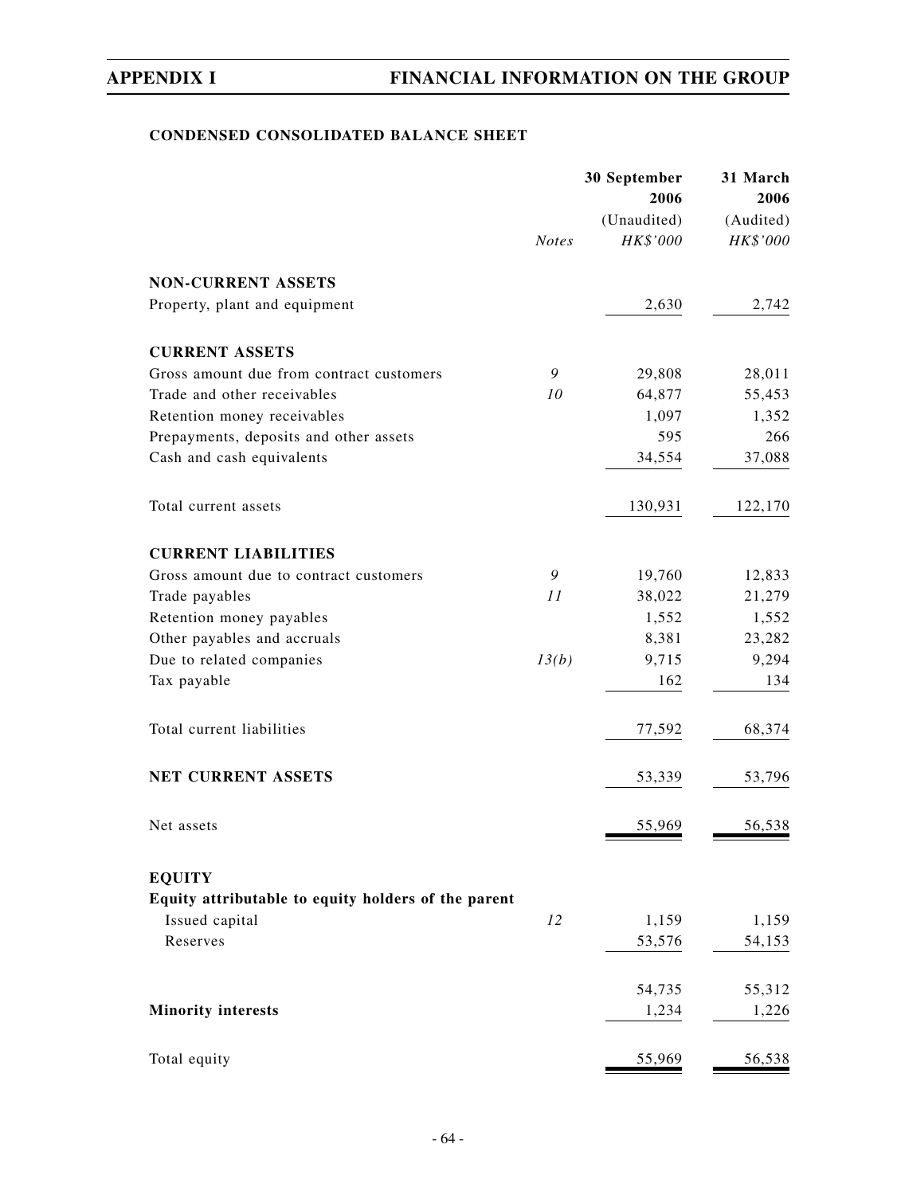# **CONDENSED CONSOLIDATED BALANCE SHEET**

|                                                     |              | 30 September<br>2006 | 31 March<br>2006 |
|-----------------------------------------------------|--------------|----------------------|------------------|
|                                                     |              | (Unaudited)          | (Audited)        |
|                                                     | <b>Notes</b> | HK\$'000             | HK\$'000         |
| <b>NON-CURRENT ASSETS</b>                           |              |                      |                  |
| Property, plant and equipment                       |              | 2,630                | 2,742            |
| <b>CURRENT ASSETS</b>                               |              |                      |                  |
| Gross amount due from contract customers            | 9            | 29,808               | 28,011           |
| Trade and other receivables                         | 10           | 64,877               | 55,453           |
| Retention money receivables                         |              | 1,097                | 1,352            |
| Prepayments, deposits and other assets              |              | 595                  | 266              |
| Cash and cash equivalents                           |              | 34,554               | 37,088           |
| Total current assets                                |              | 130,931              | 122,170          |
| <b>CURRENT LIABILITIES</b>                          |              |                      |                  |
| Gross amount due to contract customers              | 9            | 19,760               | 12,833           |
| Trade payables                                      | 11           | 38,022               | 21,279           |
| Retention money payables                            |              | 1,552                | 1,552            |
| Other payables and accruals                         |              | 8,381                | 23,282           |
| Due to related companies                            | 13(b)        | 9,715                | 9,294            |
| Tax payable                                         |              | 162                  | 134              |
| Total current liabilities                           |              | 77,592               | 68,374           |
| NET CURRENT ASSETS                                  |              | 53,339               | 53,796           |
| Net assets                                          |              | 55,969               | 56,538           |
| <b>EQUITY</b>                                       |              |                      |                  |
| Equity attributable to equity holders of the parent |              |                      |                  |
| Issued capital                                      | 12           | 1,159                | 1,159            |
| Reserves                                            |              | 53,576               | 54,153           |
|                                                     |              | 54,735               | 55,312           |
| <b>Minority interests</b>                           |              | 1,234                | 1,226            |
| Total equity                                        |              | 55,969               | 56,538           |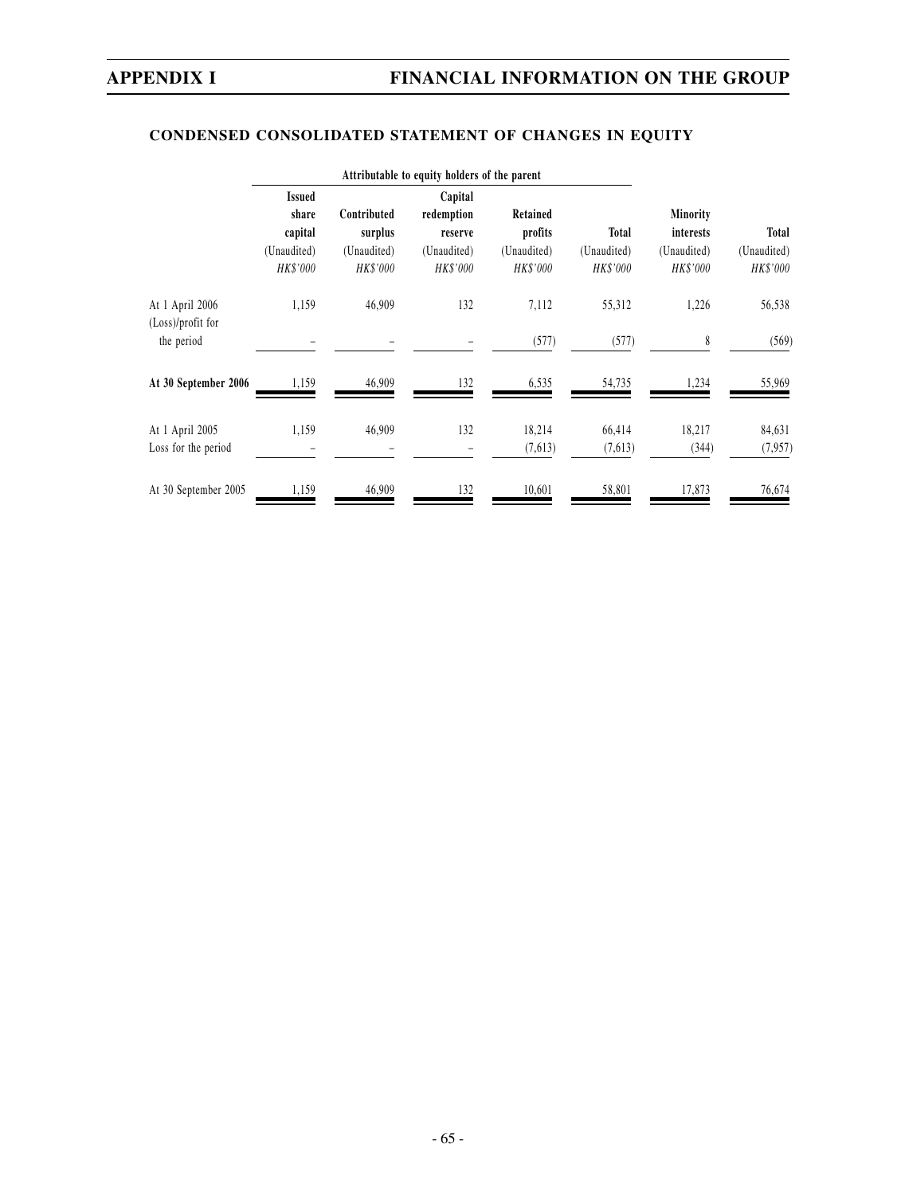# **CONDENSED CONSOLIDATED STATEMENT OF CHANGES IN EQUITY**

|                                        |               |             | Attributable to equity holders of the parent |             |              |             |             |
|----------------------------------------|---------------|-------------|----------------------------------------------|-------------|--------------|-------------|-------------|
|                                        | <b>Issued</b> |             | Capital                                      |             |              |             |             |
|                                        | share         | Contributed | redemption                                   | Retained    |              | Minority    |             |
|                                        | capital       | surplus     | reserve                                      | profits     | <b>Total</b> | interests   | Total       |
|                                        | (Unaudited)   | (Unaudited) | (Unaudited)                                  | (Unaudited) | (Unaudited)  | (Unaudited) | (Unaudited) |
|                                        | HK\$'000      | HK\$'000    | HK\$'000                                     | HK\$'000    | HK\$'000     | HK\$'000    | HK\$'000    |
| At 1 April 2006<br>$(Loss)/profit$ for | 1,159         | 46,909      | 132                                          | 7,112       | 55,312       | 1,226       | 56,538      |
| the period                             |               |             |                                              | (577)       | (577)        | 8           | (569)       |
| At 30 September 2006                   | 1,159         | 46,909      | 132                                          | 6,535       | 54,735       | 1,234       | 55,969      |
| At 1 April 2005                        | 1,159         | 46,909      | 132                                          | 18,214      | 66,414       | 18,217      | 84,631      |
| Loss for the period                    |               |             |                                              | (7,613)     | (7,613)      | (344)       | (7, 957)    |
| At 30 September 2005                   | 1,159         | 46,909      | 132                                          | 10,601      | 58,801       | 17,873      | 76,674      |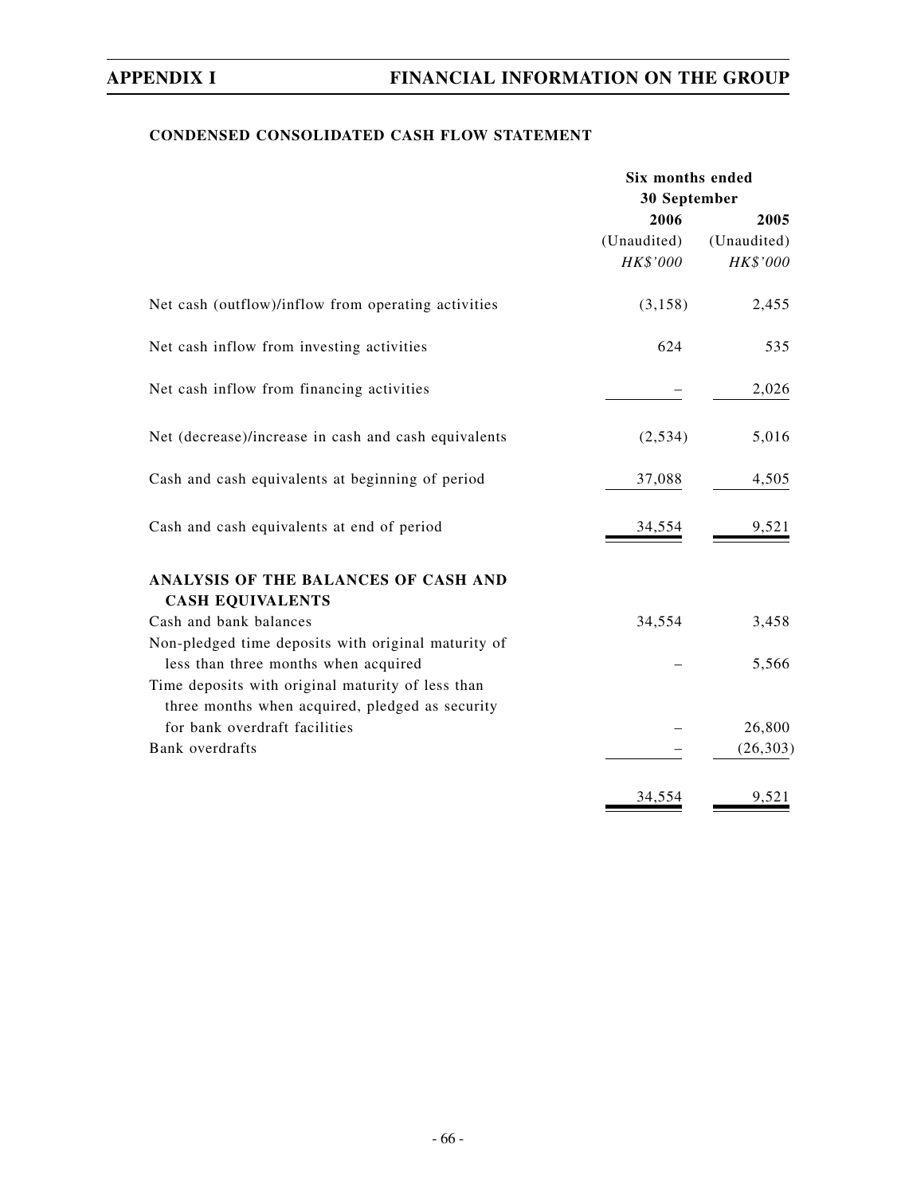# **CONDENSED CONSOLIDATED CASH FLOW STATEMENT**

|                                                                 | Six months ended |             |
|-----------------------------------------------------------------|------------------|-------------|
|                                                                 | 30 September     |             |
|                                                                 | 2006             | 2005        |
|                                                                 | (Unaudited)      | (Unaudited) |
|                                                                 | HK\$'000         | HK\$'000    |
| Net cash (outflow)/inflow from operating activities             | (3,158)          | 2,455       |
| Net cash inflow from investing activities                       | 624              | 535         |
| Net cash inflow from financing activities                       |                  | 2,026       |
| Net (decrease)/increase in cash and cash equivalents            | (2,534)          | 5,016       |
| Cash and cash equivalents at beginning of period                | 37,088           | 4,505       |
| Cash and cash equivalents at end of period                      | 34,554           | 9,521       |
| ANALYSIS OF THE BALANCES OF CASH AND<br><b>CASH EQUIVALENTS</b> |                  |             |
| Cash and bank balances                                          | 34,554           | 3,458       |
| Non-pledged time deposits with original maturity of             |                  |             |
| less than three months when acquired                            |                  | 5,566       |
| Time deposits with original maturity of less than               |                  |             |
| three months when acquired, pledged as security                 |                  |             |
| for bank overdraft facilities                                   |                  | 26,800      |
| Bank overdrafts                                                 |                  | (26, 303)   |
|                                                                 | 34.554           | 9,521       |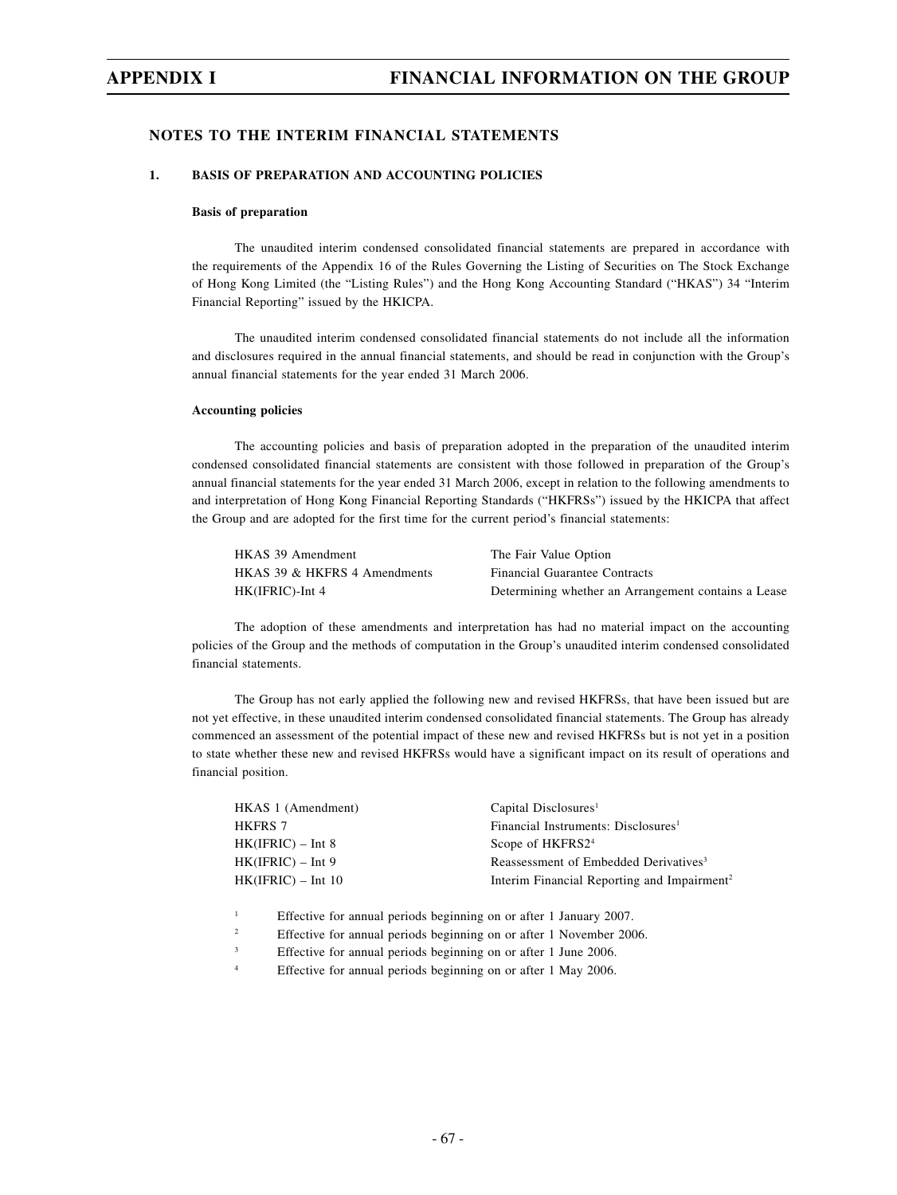# **NOTES TO THE INTERIM FINANCIAL STATEMENTS**

### **1. BASIS OF PREPARATION AND ACCOUNTING POLICIES**

### **Basis of preparation**

The unaudited interim condensed consolidated financial statements are prepared in accordance with the requirements of the Appendix 16 of the Rules Governing the Listing of Securities on The Stock Exchange of Hong Kong Limited (the "Listing Rules") and the Hong Kong Accounting Standard ("HKAS") 34 "Interim Financial Reporting" issued by the HKICPA.

The unaudited interim condensed consolidated financial statements do not include all the information and disclosures required in the annual financial statements, and should be read in conjunction with the Group's annual financial statements for the year ended 31 March 2006.

### **Accounting policies**

The accounting policies and basis of preparation adopted in the preparation of the unaudited interim condensed consolidated financial statements are consistent with those followed in preparation of the Group's annual financial statements for the year ended 31 March 2006, except in relation to the following amendments to and interpretation of Hong Kong Financial Reporting Standards ("HKFRSs") issued by the HKICPA that affect the Group and are adopted for the first time for the current period's financial statements:

| HKAS 39 Amendment            | The Fair Value Option                               |
|------------------------------|-----------------------------------------------------|
| HKAS 39 & HKFRS 4 Amendments | <b>Financial Guarantee Contracts</b>                |
| HK(IFRIC)-Int 4              | Determining whether an Arrangement contains a Lease |

The adoption of these amendments and interpretation has had no material impact on the accounting policies of the Group and the methods of computation in the Group's unaudited interim condensed consolidated financial statements.

The Group has not early applied the following new and revised HKFRSs, that have been issued but are not yet effective, in these unaudited interim condensed consolidated financial statements. The Group has already commenced an assessment of the potential impact of these new and revised HKFRSs but is not yet in a position to state whether these new and revised HKFRSs would have a significant impact on its result of operations and financial position.

| HKAS 1 (Amendment)   | Capital Disclosures <sup>1</sup>                        |
|----------------------|---------------------------------------------------------|
| <b>HKFRS 7</b>       | Financial Instruments: Disclosures <sup>1</sup>         |
| $HK(IFRIC) - Int 8$  | Scope of HKFRS2 <sup>4</sup>                            |
| $HK(IFRIC) - Int 9$  | Reassessment of Embedded Derivatives <sup>3</sup>       |
| $HK(IFRIC) - Int 10$ | Interim Financial Reporting and Impairment <sup>2</sup> |
|                      |                                                         |

- <sup>1</sup> Effective for annual periods beginning on or after 1 January 2007.
- <sup>2</sup> Effective for annual periods beginning on or after 1 November 2006.
- <sup>3</sup> Effective for annual periods beginning on or after 1 June 2006.
- <sup>4</sup> Effective for annual periods beginning on or after 1 May 2006.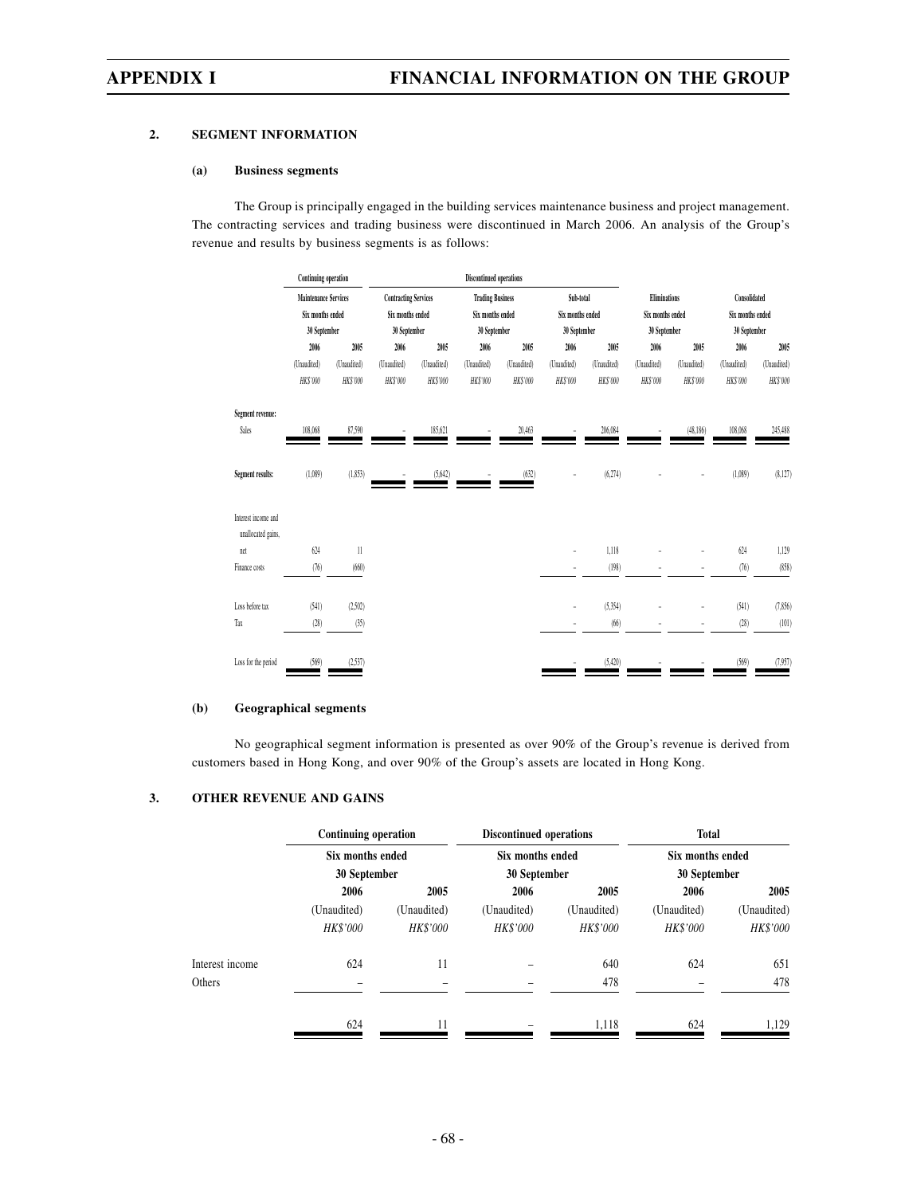## **2. SEGMENT INFORMATION**

### **(a) Business segments**

The Group is principally engaged in the building services maintenance business and project management. The contracting services and trading business were discontinued in March 2006. An analysis of the Group's revenue and results by business segments is as follows:

|                                           | Continuing operation        |             |                             |             | Discontinued operations |             |                  |             |                     |             |                  |             |
|-------------------------------------------|-----------------------------|-------------|-----------------------------|-------------|-------------------------|-------------|------------------|-------------|---------------------|-------------|------------------|-------------|
|                                           | <b>Maintenance Services</b> |             | <b>Contracting Services</b> |             | <b>Trading Business</b> |             | Sub-total        |             | <b>Eliminations</b> |             | Consolidated     |             |
|                                           | Six months ended            |             | Six months ended            |             | Six months ended        |             | Six months ended |             | Six months ended    |             | Six months ended |             |
|                                           | 30 September                |             | 30 September                |             | 30 September            |             | 30 September     |             | 30 September        |             | 30 September     |             |
|                                           | 2006                        | 2005        | 2006                        | 2005        | 2006                    | 2005        | 2006             | 2005        | 2006                | 2005        | 2006             | 2005        |
|                                           | (Unaudited)                 | (Unaudited) | (Unaudited)                 | (Unaudited) | (Unaudited)             | (Unaudited) | (Unaudited)      | (Unaudited) | (Unaudited)         | (Unaudited) | (Unaudited)      | (Unaudited) |
|                                           | HK\$'000                    | HK\$'000    | HK\$'000                    | HK\$'000    | HK\$'000                | HK\$'000    | <b>HK\$'000</b>  | HK\$'000    | HK\$'000            | HK\$'000    | HK\$'000         | HK\$'000    |
| Segment revenue:                          |                             |             |                             |             |                         |             |                  |             |                     |             |                  |             |
| Sales                                     | 108,068                     | 87,590      |                             | 185,621     |                         | 20,463      |                  | 206,084     |                     | (48, 186)   | 108,068          | 245,488     |
| Segment results:                          | (1,089)                     | (1,853)     |                             | (5,642)     |                         | (632)       |                  | (6,274)     |                     |             | (1,089)          | (8,127)     |
| Interest income and<br>unallocated gains, |                             |             |                             |             |                         |             |                  |             |                     |             |                  |             |
| net                                       | 624                         | $11\,$      |                             |             |                         |             |                  | 1,118       |                     |             | 624              | 1,129       |
| Finance costs                             | (76)                        | (660)       |                             |             |                         |             |                  | (198)       |                     |             | (76)             | (858)       |
| Loss before tax                           | (541)                       | (2,502)     |                             |             |                         |             |                  | (5.354)     |                     |             | (541)            | (7,856)     |
| Tax                                       | (28)                        | (35)        |                             |             |                         |             |                  | (66)        |                     |             | (28)             | (101)       |
| Loss for the period                       | (569)                       | (2,537)     |                             |             |                         |             |                  | (5,420)     |                     |             | (569)            | (7,957)     |

## **(b) Geographical segments**

No geographical segment information is presented as over 90% of the Group's revenue is derived from customers based in Hong Kong, and over 90% of the Group's assets are located in Hong Kong.

## **3. OTHER REVENUE AND GAINS**

|                 | <b>Continuing operation</b>      |                 | <b>Discontinued operations</b>   |                 | <b>Total</b>                     |                 |  |
|-----------------|----------------------------------|-----------------|----------------------------------|-----------------|----------------------------------|-----------------|--|
|                 | Six months ended<br>30 September |                 | Six months ended<br>30 September |                 | Six months ended<br>30 September |                 |  |
|                 | 2006                             | 2005            | 2006                             | 2005            | 2006                             | 2005            |  |
|                 | (Unaudited)                      | (Unaudited)     | (Unaudited)                      | (Unaudited)     | (Unaudited)                      | (Unaudited)     |  |
|                 | <b>HK\$'000</b>                  | <b>HK\$'000</b> | <b>HK\$'000</b>                  | <b>HK\$'000</b> | <b>HK\$'000</b>                  | <b>HK\$'000</b> |  |
| Interest income | 624                              | 11              |                                  | 640             | 624                              | 651             |  |
| Others          |                                  |                 |                                  | 478             |                                  | 478             |  |
|                 | 624                              | 11              |                                  | 1,118           | 624                              | 1,129           |  |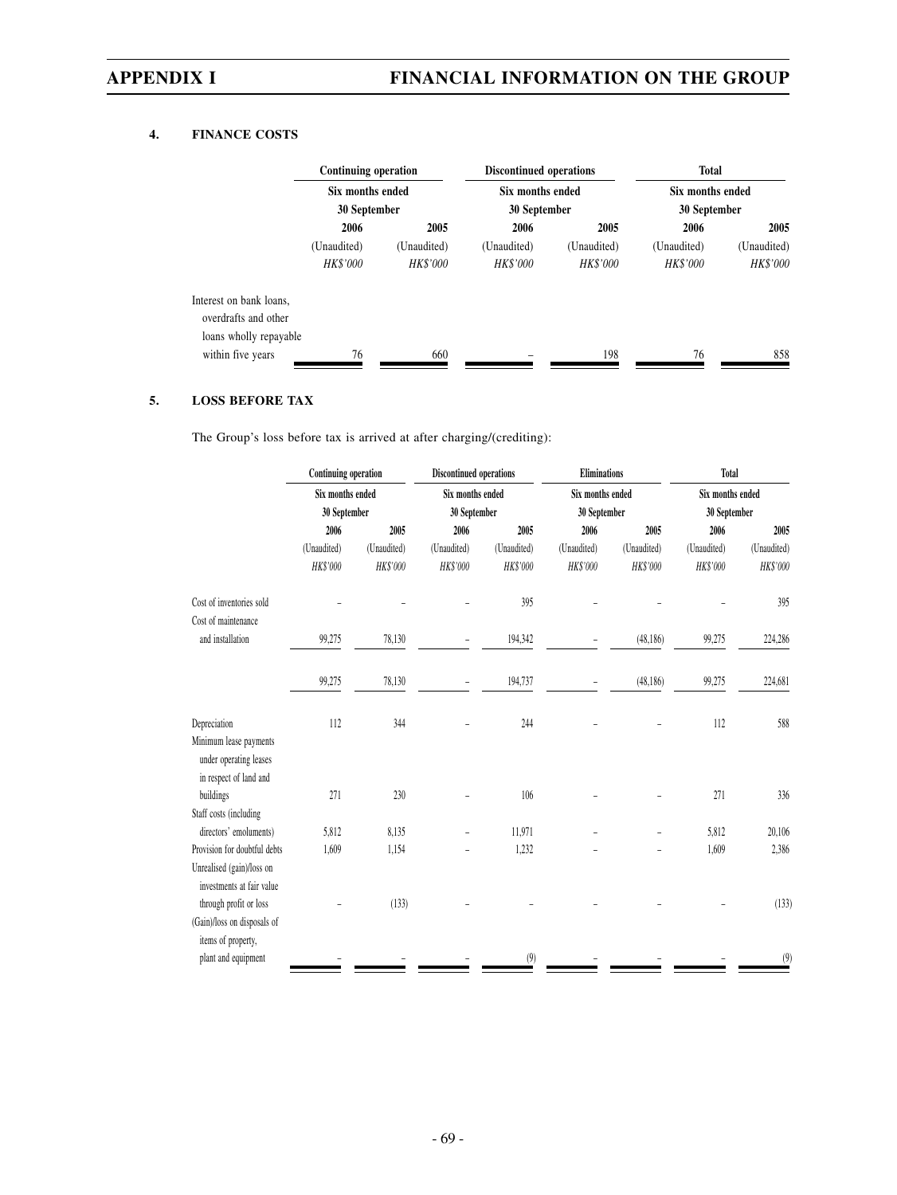## **4. FINANCE COSTS**

|                                                                           | <b>Continuing operation</b> |                 | <b>Discontinued operations</b> |                 | <b>Total</b><br>Six months ended |                 |  |
|---------------------------------------------------------------------------|-----------------------------|-----------------|--------------------------------|-----------------|----------------------------------|-----------------|--|
|                                                                           | Six months ended            |                 | Six months ended               |                 |                                  |                 |  |
|                                                                           | 30 September                |                 | 30 September                   |                 | 30 September                     |                 |  |
|                                                                           | 2006                        | 2005            | 2006                           | 2005            | 2006                             | 2005            |  |
|                                                                           | (Unaudited)                 | (Unaudited)     | (Unaudited)                    | (Unaudited)     | (Unaudited)                      | (Unaudited)     |  |
|                                                                           | <b>HK\$'000</b>             | <b>HK\$'000</b> | <b>HK\$'000</b>                | <b>HK\$'000</b> | <b>HK\$'000</b>                  | <b>HK\$'000</b> |  |
| Interest on bank loans,<br>overdrafts and other<br>loans wholly repayable |                             |                 |                                |                 |                                  |                 |  |
| within five years                                                         | 76                          | 660             |                                | 198             | 76                               | 858             |  |

# **5. LOSS BEFORE TAX**

The Group's loss before tax is arrived at after charging/(crediting):

| <b>Continuing operation</b> |             |                                           |             |                                  |             | <b>Total</b>                     |             |
|-----------------------------|-------------|-------------------------------------------|-------------|----------------------------------|-------------|----------------------------------|-------------|
|                             |             | Six months ended<br>30 September          |             | Six months ended<br>30 September |             | Six months ended<br>30 September |             |
| 2006                        | 2005        | 2006                                      | 2005        | 2006                             | 2005        | 2006                             | 2005        |
| (Unaudited)                 | (Unaudited) | (Unaudited)                               | (Unaudited) | (Unaudited)                      | (Unaudited) | (Unaudited)                      | (Unaudited) |
| HK\$'000                    | HK\$'000    | HK\$'000                                  | HK\$'000    | HK\$'000                         | HK\$'000    | HK\$'000                         | HK\$'000    |
|                             |             |                                           | 395         |                                  |             |                                  | 395         |
|                             |             |                                           |             |                                  |             |                                  |             |
| 99,275                      | 78,130      |                                           | 194,342     |                                  | (48, 186)   | 99,275                           | 224,286     |
| 99,275                      | 78,130      |                                           | 194,737     |                                  | (48, 186)   | 99,275                           | 224,681     |
| 112                         | 344         |                                           | 244         |                                  |             | 112                              | 588         |
|                             |             |                                           |             |                                  |             |                                  |             |
| 271                         | 230         |                                           | 106         |                                  |             | 271                              | 336         |
|                             |             |                                           |             |                                  |             |                                  |             |
| 5.812                       | 8,135       |                                           | 11,971      |                                  |             | 5,812                            | 20,106      |
| 1,609                       | 1,154       |                                           | 1,232       |                                  |             | 1,609                            | 2,386       |
|                             |             |                                           |             |                                  |             |                                  |             |
|                             |             |                                           |             |                                  |             |                                  | (133)       |
|                             |             |                                           |             |                                  |             |                                  |             |
|                             |             |                                           |             |                                  |             |                                  |             |
|                             |             |                                           | (9)         |                                  |             |                                  | (9)         |
|                             |             | Six months ended<br>30 September<br>(133) |             | Discontinued operations          |             | <b>Eliminations</b>              |             |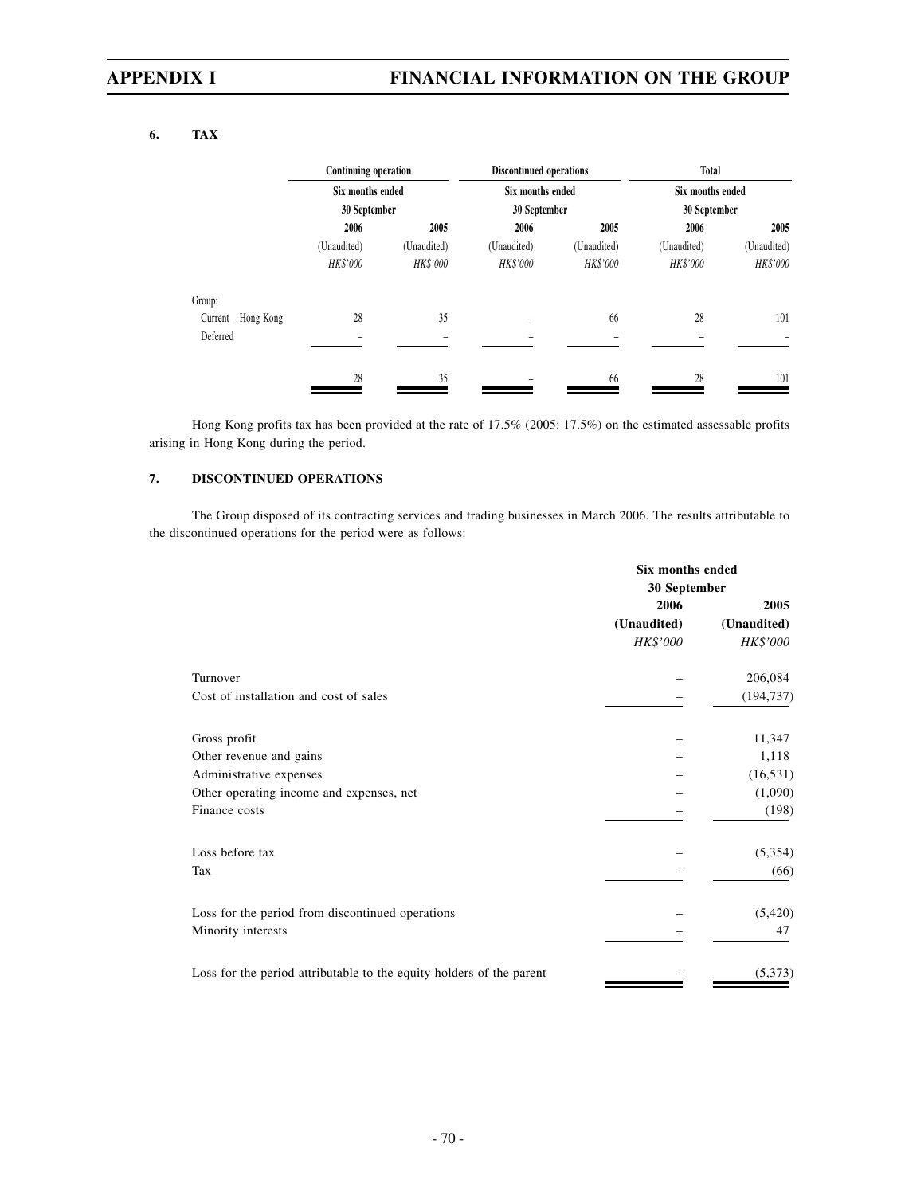## **6. TAX**

|                     | Continuing operation |                 | <b>Discontinued operations</b> |                 | Total<br>Six months ended |              |  |
|---------------------|----------------------|-----------------|--------------------------------|-----------------|---------------------------|--------------|--|
|                     | Six months ended     |                 | Six months ended               |                 |                           |              |  |
|                     | 30 September         |                 | 30 September                   |                 |                           | 30 September |  |
|                     | 2006                 | 2005            | 2006                           | 2005            | 2006                      | 2005         |  |
|                     | (Unaudited)          | (Unaudited)     | (Unaudited)                    | (Unaudited)     | (Unaudited)               | (Unaudited)  |  |
|                     | <b>HK\$'000</b>      | <b>HK\$'000</b> | <b>HK\$'000</b>                | <b>HK\$'000</b> | <b>HK\$'000</b>           | HK\$'000     |  |
| Group:              |                      |                 |                                |                 |                           |              |  |
| Current – Hong Kong | 28                   | 35              |                                | 66              | 28                        | 101          |  |
| Deferred            |                      |                 |                                |                 |                           |              |  |
|                     | 28                   | 35              |                                | 66              | 28                        | 101          |  |

Hong Kong profits tax has been provided at the rate of 17.5% (2005: 17.5%) on the estimated assessable profits arising in Hong Kong during the period.

## **7. DISCONTINUED OPERATIONS**

The Group disposed of its contracting services and trading businesses in March 2006. The results attributable to the discontinued operations for the period were as follows:

|                                                                      | Six months ended<br>30 September |                 |
|----------------------------------------------------------------------|----------------------------------|-----------------|
|                                                                      | 2006                             | 2005            |
|                                                                      | (Unaudited)                      | (Unaudited)     |
|                                                                      | <b>HK\$'000</b>                  | <b>HK\$'000</b> |
| Turnover                                                             |                                  | 206,084         |
| Cost of installation and cost of sales                               |                                  | (194, 737)      |
| Gross profit                                                         |                                  | 11,347          |
| Other revenue and gains                                              |                                  | 1,118           |
| Administrative expenses                                              |                                  | (16, 531)       |
| Other operating income and expenses, net                             |                                  | (1,090)         |
| Finance costs                                                        |                                  | (198)           |
| Loss before tax                                                      |                                  | (5,354)         |
| Tax                                                                  |                                  | (66)            |
| Loss for the period from discontinued operations                     |                                  | (5,420)         |
| Minority interests                                                   |                                  | 47              |
| Loss for the period attributable to the equity holders of the parent |                                  | (5,373)         |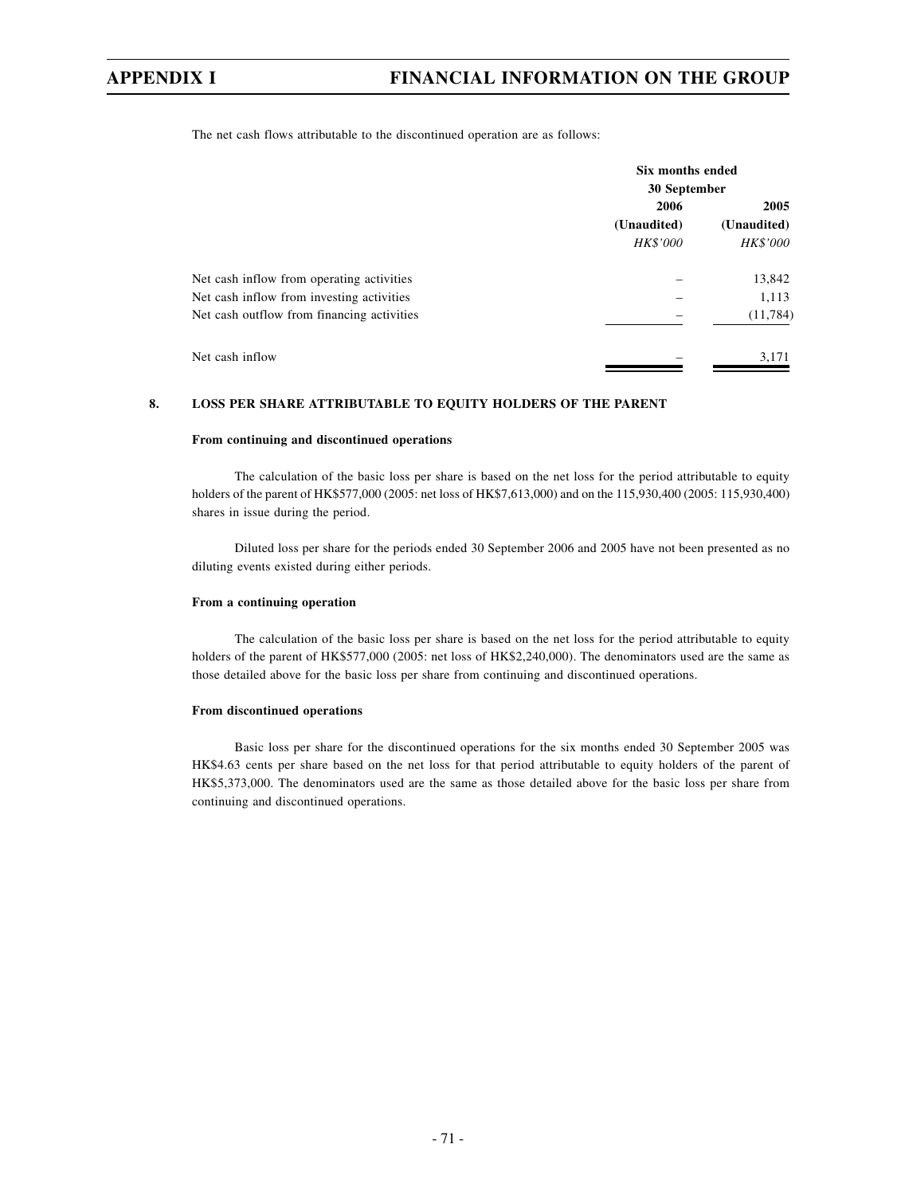# **Appendix I Financial information on the Group**

The net cash flows attributable to the discontinued operation are as follows:

|                                            | Six months ended |                 |  |
|--------------------------------------------|------------------|-----------------|--|
|                                            |                  | 30 September    |  |
|                                            | 2006             | 2005            |  |
|                                            | (Unaudited)      | (Unaudited)     |  |
|                                            | <b>HK\$'000</b>  | <b>HK\$'000</b> |  |
| Net cash inflow from operating activities  |                  | 13,842          |  |
| Net cash inflow from investing activities  |                  | 1,113           |  |
| Net cash outflow from financing activities |                  | (11, 784)       |  |
| Net cash inflow                            |                  | 3,171           |  |

### **8. LOSS PER SHARE ATTRIBUTABLE TO EQUITY HOLDERS OF THE PARENT**

### **From continuing and discontinued operations**

The calculation of the basic loss per share is based on the net loss for the period attributable to equity holders of the parent of HK\$577,000 (2005: net loss of HK\$7,613,000) and on the 115,930,400 (2005: 115,930,400) shares in issue during the period.

Diluted loss per share for the periods ended 30 September 2006 and 2005 have not been presented as no diluting events existed during either periods.

### **From a continuing operation**

The calculation of the basic loss per share is based on the net loss for the period attributable to equity holders of the parent of HK\$577,000 (2005: net loss of HK\$2,240,000). The denominators used are the same as those detailed above for the basic loss per share from continuing and discontinued operations.

### **From discontinued operations**

Basic loss per share for the discontinued operations for the six months ended 30 September 2005 was HK\$4.63 cents per share based on the net loss for that period attributable to equity holders of the parent of HK\$5,373,000. The denominators used are the same as those detailed above for the basic loss per share from continuing and discontinued operations.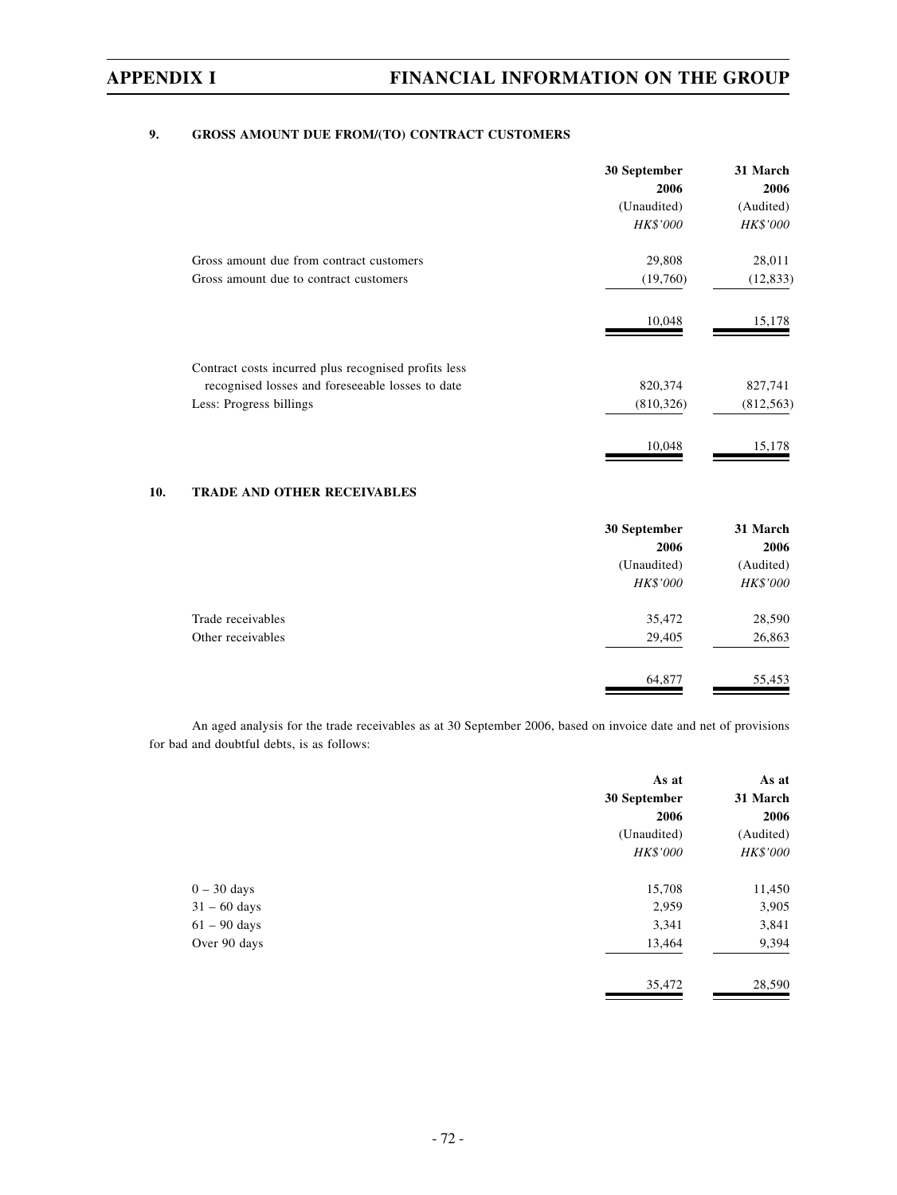# **Appendix I Financial information on the Group**

### **9. GROSS AMOUNT DUE FROM/(TO) CONTRACT CUSTOMERS**

|                                                      | 30 September    | 31 March        |
|------------------------------------------------------|-----------------|-----------------|
|                                                      | 2006            | 2006            |
|                                                      | (Unaudited)     | (Audited)       |
|                                                      | <b>HK\$'000</b> | <b>HK\$'000</b> |
| Gross amount due from contract customers             | 29,808          | 28,011          |
| Gross amount due to contract customers               | (19,760)        | (12, 833)       |
|                                                      | 10,048          | 15,178          |
| Contract costs incurred plus recognised profits less |                 |                 |
| recognised losses and foreseeable losses to date     | 820,374         | 827,741         |
| Less: Progress billings                              | (810, 326)      | (812, 563)      |
|                                                      | 10,048          | 15,178          |
|                                                      |                 |                 |

### **10. TRADE AND OTHER RECEIVABLES**

|                                        | 30 September<br>2006<br>(Unaudited)<br><b>HK\$'000</b> | 31 March<br>2006<br>(Audited)<br><b>HK\$'000</b> |
|----------------------------------------|--------------------------------------------------------|--------------------------------------------------|
| Trade receivables<br>Other receivables | 35,472<br>29,405                                       | 28,590<br>26,863                                 |
|                                        | 64,877                                                 | 55,453                                           |

An aged analysis for the trade receivables as at 30 September 2006, based on invoice date and net of provisions for bad and doubtful debts, is as follows:

|                | As at        | As at           |
|----------------|--------------|-----------------|
|                | 30 September | 31 March        |
|                | 2006         | 2006            |
|                | (Unaudited)  | (Audited)       |
|                | HK\$'000     | <b>HK\$'000</b> |
| $0 - 30$ days  | 15,708       | 11,450          |
| $31 - 60$ days | 2,959        | 3,905           |
| $61 - 90$ days | 3,341        | 3,841           |
| Over 90 days   | 13,464       | 9,394           |
|                | 35,472       | 28,590          |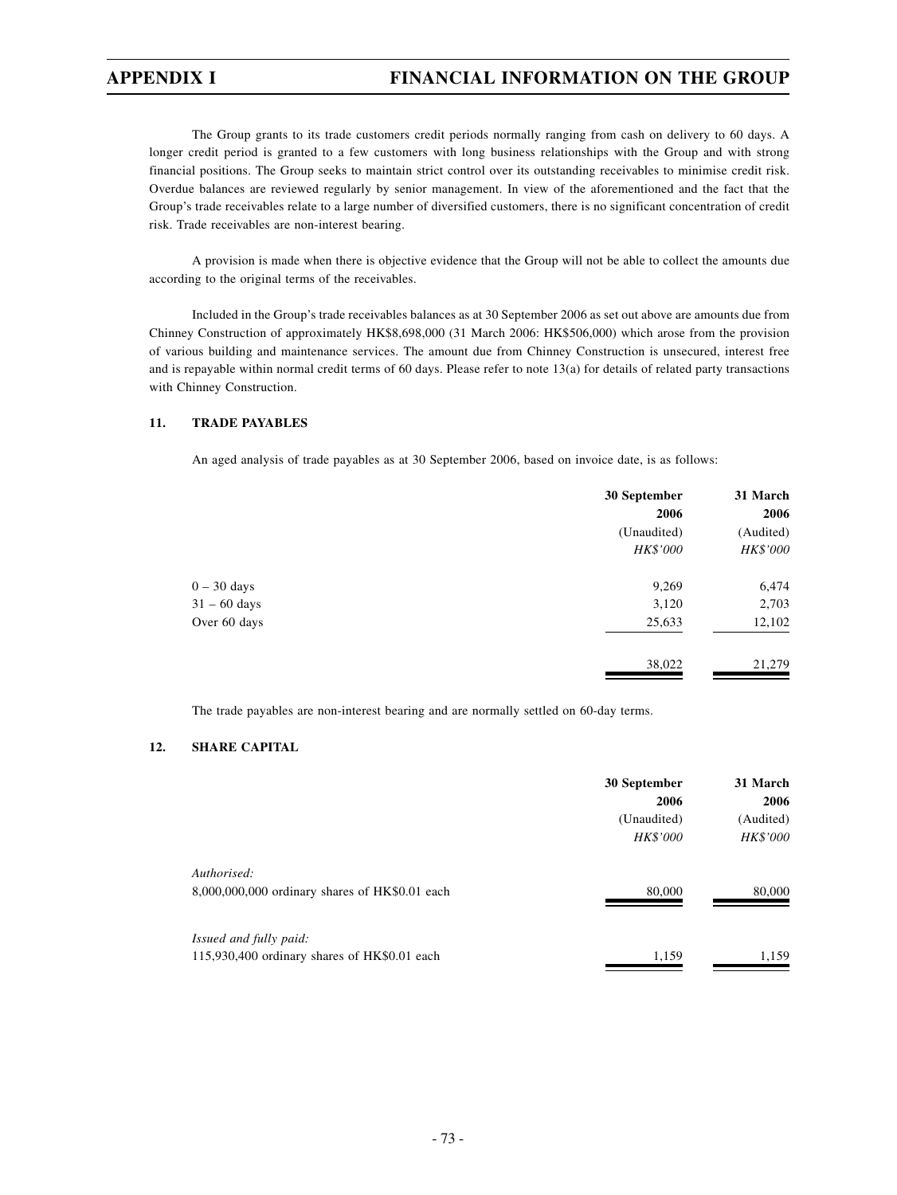# **Appendix I Financial information on the Group**

The Group grants to its trade customers credit periods normally ranging from cash on delivery to 60 days. A longer credit period is granted to a few customers with long business relationships with the Group and with strong financial positions. The Group seeks to maintain strict control over its outstanding receivables to minimise credit risk. Overdue balances are reviewed regularly by senior management. In view of the aforementioned and the fact that the Group's trade receivables relate to a large number of diversified customers, there is no significant concentration of credit risk. Trade receivables are non-interest bearing.

A provision is made when there is objective evidence that the Group will not be able to collect the amounts due according to the original terms of the receivables.

Included in the Group's trade receivables balances as at 30 September 2006 as set out above are amounts due from Chinney Construction of approximately HK\$8,698,000 (31 March 2006: HK\$506,000) which arose from the provision of various building and maintenance services. The amount due from Chinney Construction is unsecured, interest free and is repayable within normal credit terms of 60 days. Please refer to note 13(a) for details of related party transactions with Chinney Construction.

### **11. TRADE PAYABLES**

An aged analysis of trade payables as at 30 September 2006, based on invoice date, is as follows:

|                | 30 September | 31 March        |
|----------------|--------------|-----------------|
|                | 2006         | 2006            |
|                | (Unaudited)  | (Audited)       |
|                | HK\$'000     | <b>HK\$'000</b> |
| $0 - 30$ days  | 9,269        | 6,474           |
| $31 - 60$ days | 3,120        | 2,703           |
| Over 60 days   | 25,633       | 12,102          |
|                | 38,022       | 21,279          |

The trade payables are non-interest bearing and are normally settled on 60-day terms.

### **12. SHARE CAPITAL**

|                                                                        | 30 September<br>2006           | 31 March<br>2006             |
|------------------------------------------------------------------------|--------------------------------|------------------------------|
|                                                                        | (Unaudited)<br><b>HK\$'000</b> | (Audited)<br><b>HK\$'000</b> |
| Authorised:<br>8,000,000,000 ordinary shares of HK\$0.01 each          | 80,000                         | 80,000                       |
| Issued and fully paid:<br>115,930,400 ordinary shares of HK\$0.01 each | 1,159                          | 1,159                        |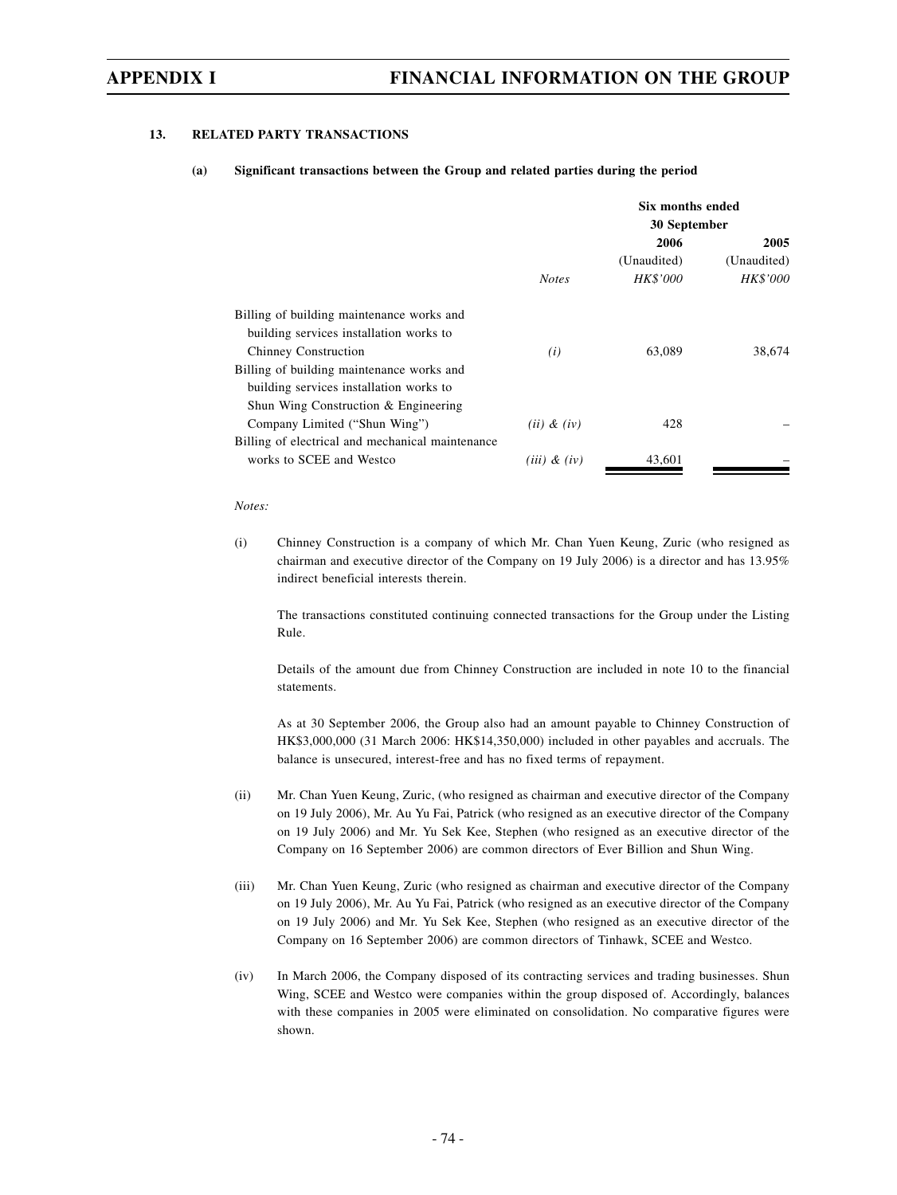### **13. RELATED PARTY TRANSACTIONS**

### **(a) Significant transactions between the Group and related parties during the period**

|                                                  | Six months ended<br>30 September |                 |                 |
|--------------------------------------------------|----------------------------------|-----------------|-----------------|
|                                                  |                                  | 2006            | 2005            |
|                                                  |                                  | (Unaudited)     | (Unaudited)     |
|                                                  | <b>Notes</b>                     | <i>HK\$'000</i> | <i>HK\$'000</i> |
| Billing of building maintenance works and        |                                  |                 |                 |
| building services installation works to          |                                  |                 |                 |
| Chinney Construction                             | (i)                              | 63,089          | 38,674          |
| Billing of building maintenance works and        |                                  |                 |                 |
| building services installation works to          |                                  |                 |                 |
| Shun Wing Construction & Engineering             |                                  |                 |                 |
| Company Limited ("Shun Wing")                    | $(ii)$ & $(iv)$                  | 428             |                 |
| Billing of electrical and mechanical maintenance |                                  |                 |                 |
| works to SCEE and Westco                         | (iii) $\&$ (iv)                  | 43,601          |                 |

### *Notes:*

(i) Chinney Construction is a company of which Mr. Chan Yuen Keung, Zuric (who resigned as chairman and executive director of the Company on 19 July 2006) is a director and has 13.95% indirect beneficial interests therein.

The transactions constituted continuing connected transactions for the Group under the Listing Rule.

Details of the amount due from Chinney Construction are included in note 10 to the financial statements.

As at 30 September 2006, the Group also had an amount payable to Chinney Construction of HK\$3,000,000 (31 March 2006: HK\$14,350,000) included in other payables and accruals. The balance is unsecured, interest-free and has no fixed terms of repayment.

- (ii) Mr. Chan Yuen Keung, Zuric, (who resigned as chairman and executive director of the Company on 19 July 2006), Mr. Au Yu Fai, Patrick (who resigned as an executive director of the Company on 19 July 2006) and Mr. Yu Sek Kee, Stephen (who resigned as an executive director of the Company on 16 September 2006) are common directors of Ever Billion and Shun Wing.
- (iii) Mr. Chan Yuen Keung, Zuric (who resigned as chairman and executive director of the Company on 19 July 2006), Mr. Au Yu Fai, Patrick (who resigned as an executive director of the Company on 19 July 2006) and Mr. Yu Sek Kee, Stephen (who resigned as an executive director of the Company on 16 September 2006) are common directors of Tinhawk, SCEE and Westco.
- (iv) In March 2006, the Company disposed of its contracting services and trading businesses. Shun Wing, SCEE and Westco were companies within the group disposed of. Accordingly, balances with these companies in 2005 were eliminated on consolidation. No comparative figures were shown.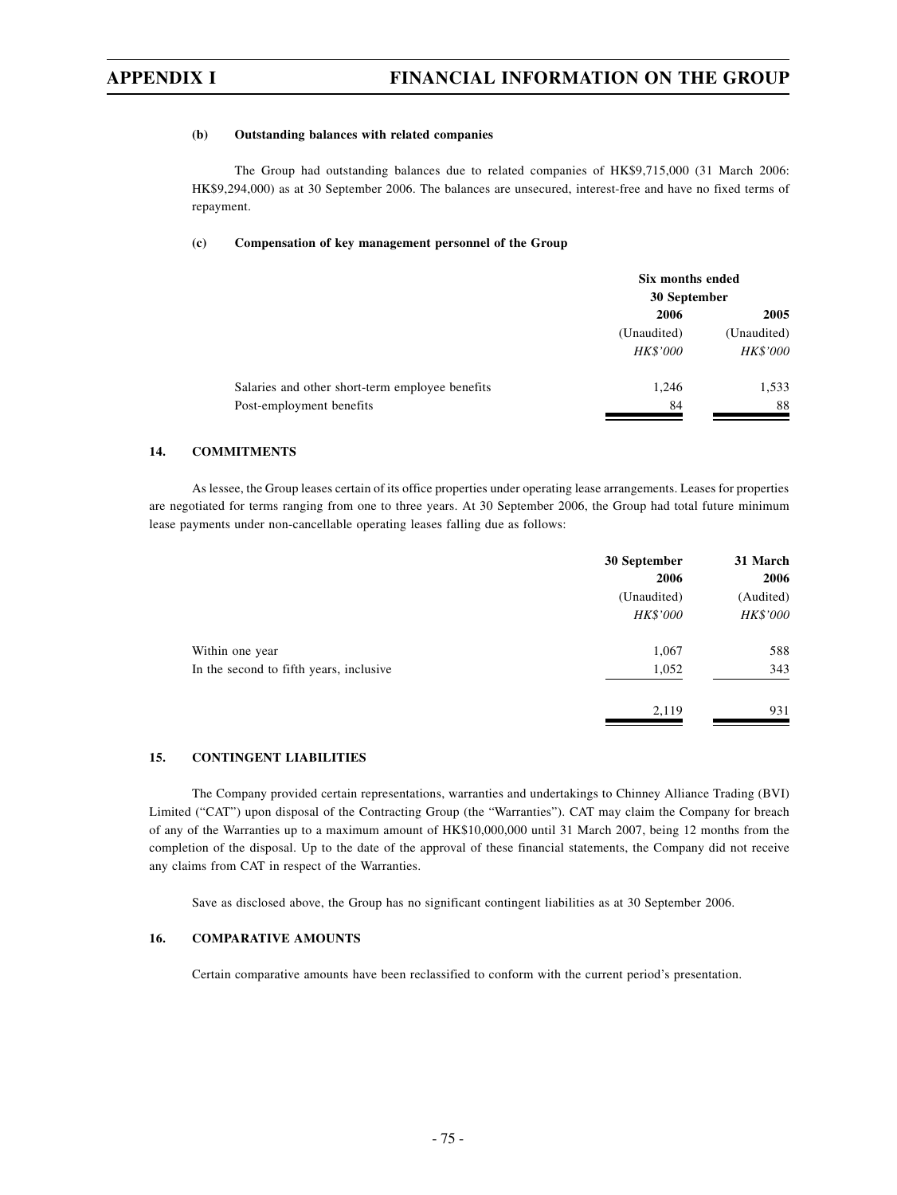### **(b) Outstanding balances with related companies**

The Group had outstanding balances due to related companies of HK\$9,715,000 (31 March 2006: HK\$9,294,000) as at 30 September 2006. The balances are unsecured, interest-free and have no fixed terms of repayment.

### **(c) Compensation of key management personnel of the Group**

|                                                 | Six months ended<br>30 September |                 |
|-------------------------------------------------|----------------------------------|-----------------|
|                                                 | 2006                             | 2005            |
|                                                 | (Unaudited)                      | (Unaudited)     |
|                                                 | <b>HK\$'000</b>                  | <b>HK\$'000</b> |
| Salaries and other short-term employee benefits | 1,246                            | 1,533           |
| Post-employment benefits                        | 84                               | 88              |

### **14. COMMITMENTS**

As lessee, the Group leases certain of its office properties under operating lease arrangements. Leases for properties are negotiated for terms ranging from one to three years. At 30 September 2006, the Group had total future minimum lease payments under non-cancellable operating leases falling due as follows:

|                                         | 30 September<br>2006 | 31 March<br>2006 |
|-----------------------------------------|----------------------|------------------|
|                                         | (Unaudited)          | (Audited)        |
|                                         | <b>HK\$'000</b>      | <b>HK\$'000</b>  |
| Within one year                         | 1,067                | 588              |
| In the second to fifth years, inclusive | 1,052                | 343              |
|                                         | 2,119                | 931              |

### **15. CONTINGENT LIABILITIES**

The Company provided certain representations, warranties and undertakings to Chinney Alliance Trading (BVI) Limited ("CAT") upon disposal of the Contracting Group (the "Warranties"). CAT may claim the Company for breach of any of the Warranties up to a maximum amount of HK\$10,000,000 until 31 March 2007, being 12 months from the completion of the disposal. Up to the date of the approval of these financial statements, the Company did not receive any claims from CAT in respect of the Warranties.

Save as disclosed above, the Group has no significant contingent liabilities as at 30 September 2006.

### **16. COMPARATIVE AMOUNTS**

Certain comparative amounts have been reclassified to conform with the current period's presentation.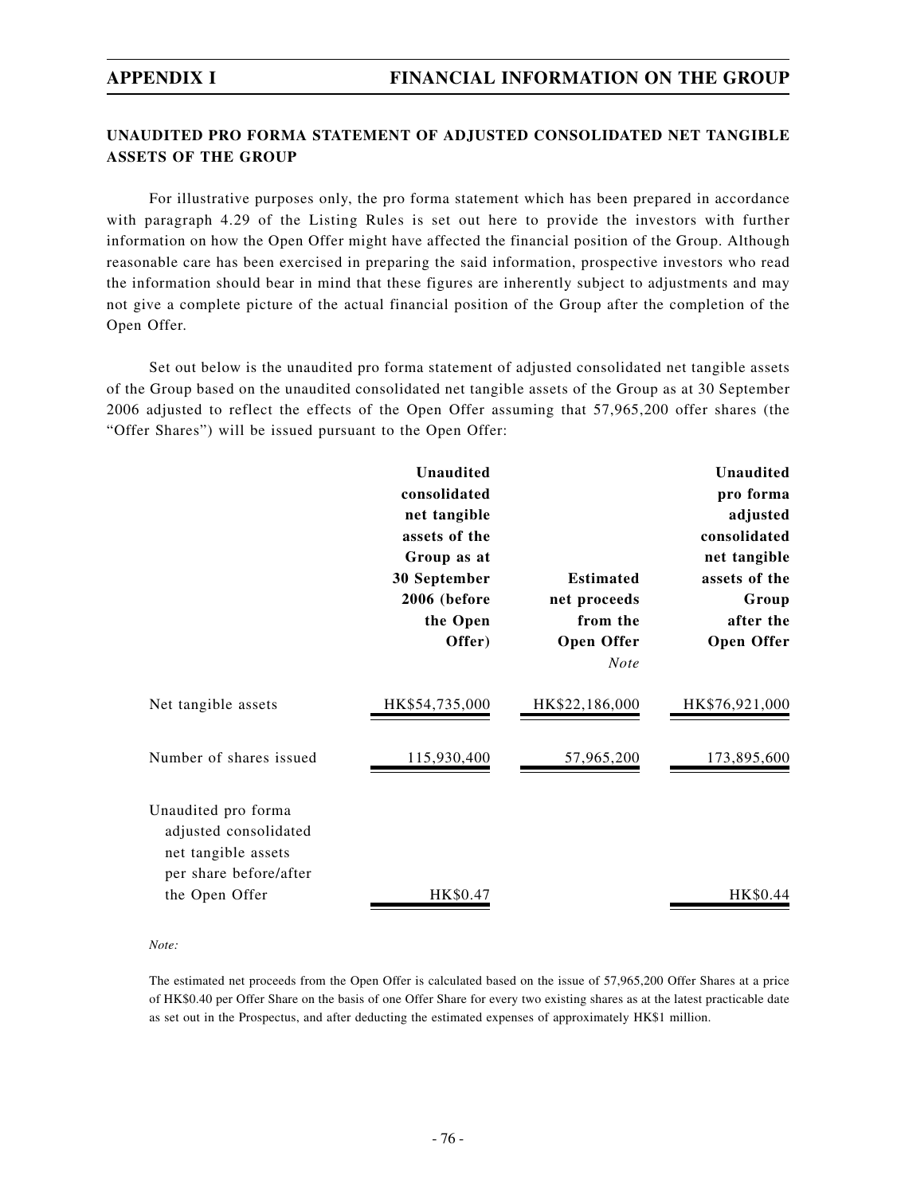# **UNAUDITED PRO FORMA STATEMENT OF ADJUSTED CONSOLIDATED NET TANGIBLE ASSETS OF THE GROUP**

For illustrative purposes only, the pro forma statement which has been prepared in accordance with paragraph 4.29 of the Listing Rules is set out here to provide the investors with further information on how the Open Offer might have affected the financial position of the Group. Although reasonable care has been exercised in preparing the said information, prospective investors who read the information should bear in mind that these figures are inherently subject to adjustments and may not give a complete picture of the actual financial position of the Group after the completion of the Open Offer.

Set out below is the unaudited pro forma statement of adjusted consolidated net tangible assets of the Group based on the unaudited consolidated net tangible assets of the Group as at 30 September 2006 adjusted to reflect the effects of the Open Offer assuming that 57,965,200 offer shares (the "Offer Shares") will be issued pursuant to the Open Offer:

|                                                                     | Unaudited      |                   | Unaudited      |
|---------------------------------------------------------------------|----------------|-------------------|----------------|
|                                                                     | consolidated   |                   | pro forma      |
|                                                                     | net tangible   |                   | adjusted       |
|                                                                     | assets of the  |                   | consolidated   |
|                                                                     | Group as at    |                   | net tangible   |
|                                                                     | 30 September   | <b>Estimated</b>  | assets of the  |
|                                                                     | 2006 (before   | net proceeds      | Group          |
|                                                                     | the Open       | from the          | after the      |
|                                                                     | Offer)         | <b>Open Offer</b> | Open Offer     |
|                                                                     |                | <b>Note</b>       |                |
| Net tangible assets                                                 | HK\$54,735,000 | HK\$22,186,000    | HK\$76,921,000 |
| Number of shares issued                                             | 115,930,400    | 57,965,200        | 173,895,600    |
| Unaudited pro forma<br>adjusted consolidated<br>net tangible assets |                |                   |                |
| per share before/after                                              |                |                   |                |
| the Open Offer                                                      | HK\$0.47       |                   | HK\$0.44       |
|                                                                     |                |                   |                |

### *Note:*

The estimated net proceeds from the Open Offer is calculated based on the issue of 57,965,200 Offer Shares at a price of HK\$0.40 per Offer Share on the basis of one Offer Share for every two existing shares as at the latest practicable date as set out in the Prospectus, and after deducting the estimated expenses of approximately HK\$1 million.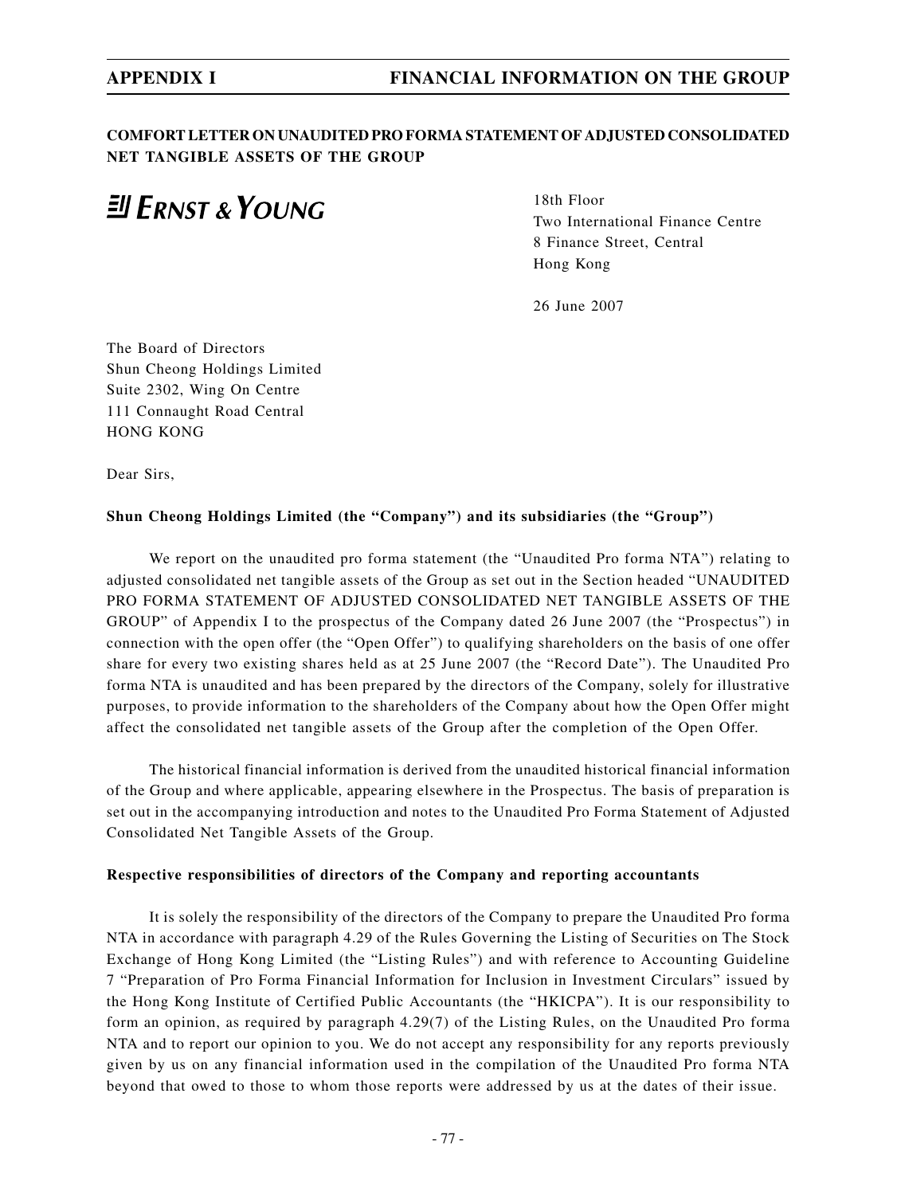# **COMFORTLETTER ON UNAUDITED PRO FORMA STATEMENT OF ADJUSTED CONSOLIDATED NET TANGIBLE ASSETS OF THE GROUP**

 $\equiv$  FRNST & YOUNG

18th Floor Two International Finance Centre 8 Finance Street, Central Hong Kong

26 June 2007

The Board of Directors Shun Cheong Holdings Limited Suite 2302, Wing On Centre 111 Connaught Road Central HONG KONG

Dear Sirs,

### **Shun Cheong Holdings Limited (the "Company") and its subsidiaries (the "Group")**

We report on the unaudited pro forma statement (the "Unaudited Pro forma NTA") relating to adjusted consolidated net tangible assets of the Group as set out in the Section headed "UNAUDITED PRO FORMA STATEMENT OF ADJUSTED CONSOLIDATED NET TANGIBLE ASSETS OF THE GROUP" of Appendix I to the prospectus of the Company dated 26 June 2007 (the "Prospectus") in connection with the open offer (the "Open Offer") to qualifying shareholders on the basis of one offer share for every two existing shares held as at 25 June 2007 (the "Record Date"). The Unaudited Pro forma NTA is unaudited and has been prepared by the directors of the Company, solely for illustrative purposes, to provide information to the shareholders of the Company about how the Open Offer might affect the consolidated net tangible assets of the Group after the completion of the Open Offer.

The historical financial information is derived from the unaudited historical financial information of the Group and where applicable, appearing elsewhere in the Prospectus. The basis of preparation is set out in the accompanying introduction and notes to the Unaudited Pro Forma Statement of Adjusted Consolidated Net Tangible Assets of the Group.

### **Respective responsibilities of directors of the Company and reporting accountants**

It is solely the responsibility of the directors of the Company to prepare the Unaudited Pro forma NTA in accordance with paragraph 4.29 of the Rules Governing the Listing of Securities on The Stock Exchange of Hong Kong Limited (the "Listing Rules") and with reference to Accounting Guideline 7 "Preparation of Pro Forma Financial Information for Inclusion in Investment Circulars" issued by the Hong Kong Institute of Certified Public Accountants (the "HKICPA"). It is our responsibility to form an opinion, as required by paragraph 4.29(7) of the Listing Rules, on the Unaudited Pro forma NTA and to report our opinion to you. We do not accept any responsibility for any reports previously given by us on any financial information used in the compilation of the Unaudited Pro forma NTA beyond that owed to those to whom those reports were addressed by us at the dates of their issue.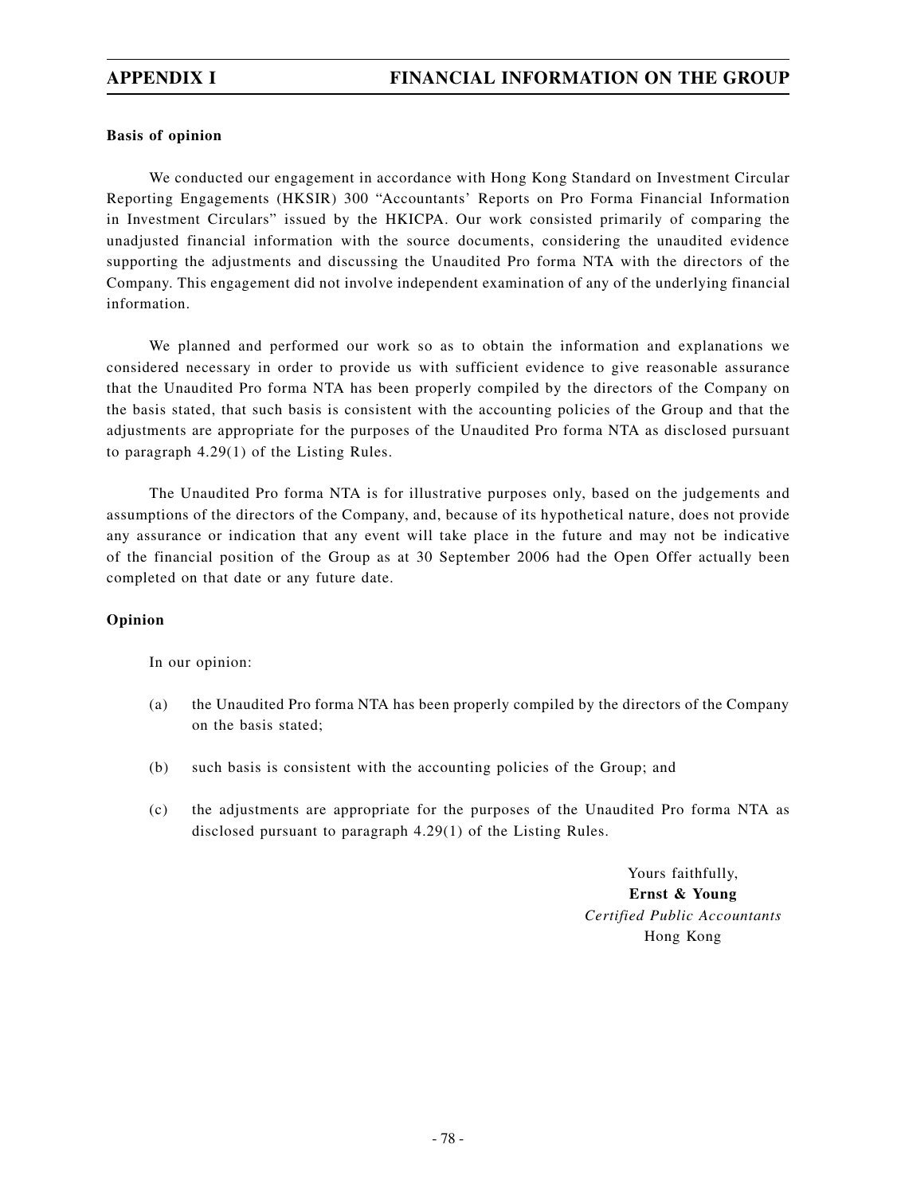### **Basis of opinion**

We conducted our engagement in accordance with Hong Kong Standard on Investment Circular Reporting Engagements (HKSIR) 300 "Accountants' Reports on Pro Forma Financial Information in Investment Circulars" issued by the HKICPA. Our work consisted primarily of comparing the unadjusted financial information with the source documents, considering the unaudited evidence supporting the adjustments and discussing the Unaudited Pro forma NTA with the directors of the Company. This engagement did not involve independent examination of any of the underlying financial information.

We planned and performed our work so as to obtain the information and explanations we considered necessary in order to provide us with sufficient evidence to give reasonable assurance that the Unaudited Pro forma NTA has been properly compiled by the directors of the Company on the basis stated, that such basis is consistent with the accounting policies of the Group and that the adjustments are appropriate for the purposes of the Unaudited Pro forma NTA as disclosed pursuant to paragraph 4.29(1) of the Listing Rules.

The Unaudited Pro forma NTA is for illustrative purposes only, based on the judgements and assumptions of the directors of the Company, and, because of its hypothetical nature, does not provide any assurance or indication that any event will take place in the future and may not be indicative of the financial position of the Group as at 30 September 2006 had the Open Offer actually been completed on that date or any future date.

### **Opinion**

In our opinion:

- (a) the Unaudited Pro forma NTA has been properly compiled by the directors of the Company on the basis stated;
- (b) such basis is consistent with the accounting policies of the Group; and
- (c) the adjustments are appropriate for the purposes of the Unaudited Pro forma NTA as disclosed pursuant to paragraph 4.29(1) of the Listing Rules.

Yours faithfully, **Ernst & Young** *Certified Public Accountants* Hong Kong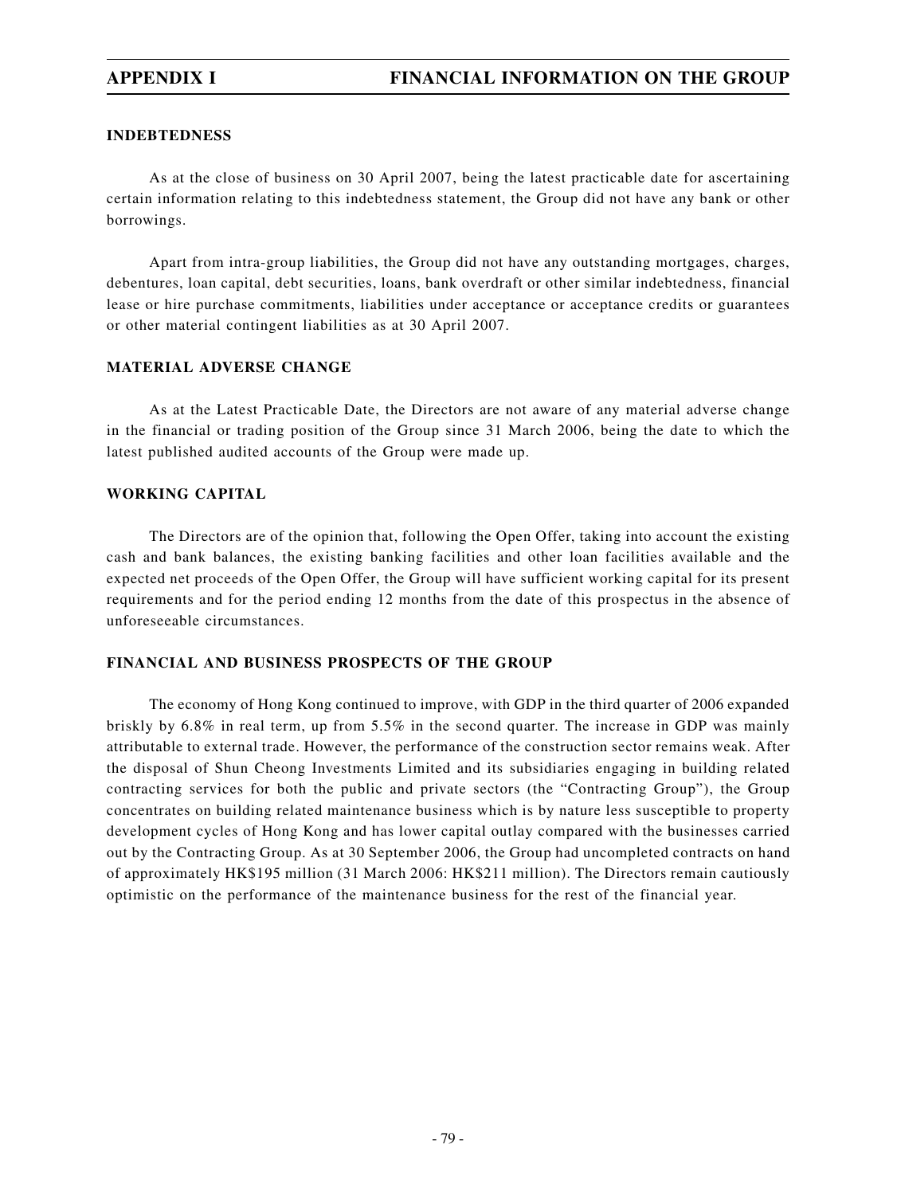# **INDEBTEDNESS**

As at the close of business on 30 April 2007, being the latest practicable date for ascertaining certain information relating to this indebtedness statement, the Group did not have any bank or other borrowings.

Apart from intra-group liabilities, the Group did not have any outstanding mortgages, charges, debentures, loan capital, debt securities, loans, bank overdraft or other similar indebtedness, financial lease or hire purchase commitments, liabilities under acceptance or acceptance credits or guarantees or other material contingent liabilities as at 30 April 2007.

### **MATERIAL ADVERSE CHANGE**

As at the Latest Practicable Date, the Directors are not aware of any material adverse change in the financial or trading position of the Group since 31 March 2006, being the date to which the latest published audited accounts of the Group were made up.

### **WORKING CAPITAL**

The Directors are of the opinion that, following the Open Offer, taking into account the existing cash and bank balances, the existing banking facilities and other loan facilities available and the expected net proceeds of the Open Offer, the Group will have sufficient working capital for its present requirements and for the period ending 12 months from the date of this prospectus in the absence of unforeseeable circumstances.

# **FINANCIAL AND BUSINESS PROSPECTS OF THE GROUP**

The economy of Hong Kong continued to improve, with GDP in the third quarter of 2006 expanded briskly by 6.8% in real term, up from 5.5% in the second quarter. The increase in GDP was mainly attributable to external trade. However, the performance of the construction sector remains weak. After the disposal of Shun Cheong Investments Limited and its subsidiaries engaging in building related contracting services for both the public and private sectors (the "Contracting Group"), the Group concentrates on building related maintenance business which is by nature less susceptible to property development cycles of Hong Kong and has lower capital outlay compared with the businesses carried out by the Contracting Group. As at 30 September 2006, the Group had uncompleted contracts on hand of approximately HK\$195 million (31 March 2006: HK\$211 million). The Directors remain cautiously optimistic on the performance of the maintenance business for the rest of the financial year.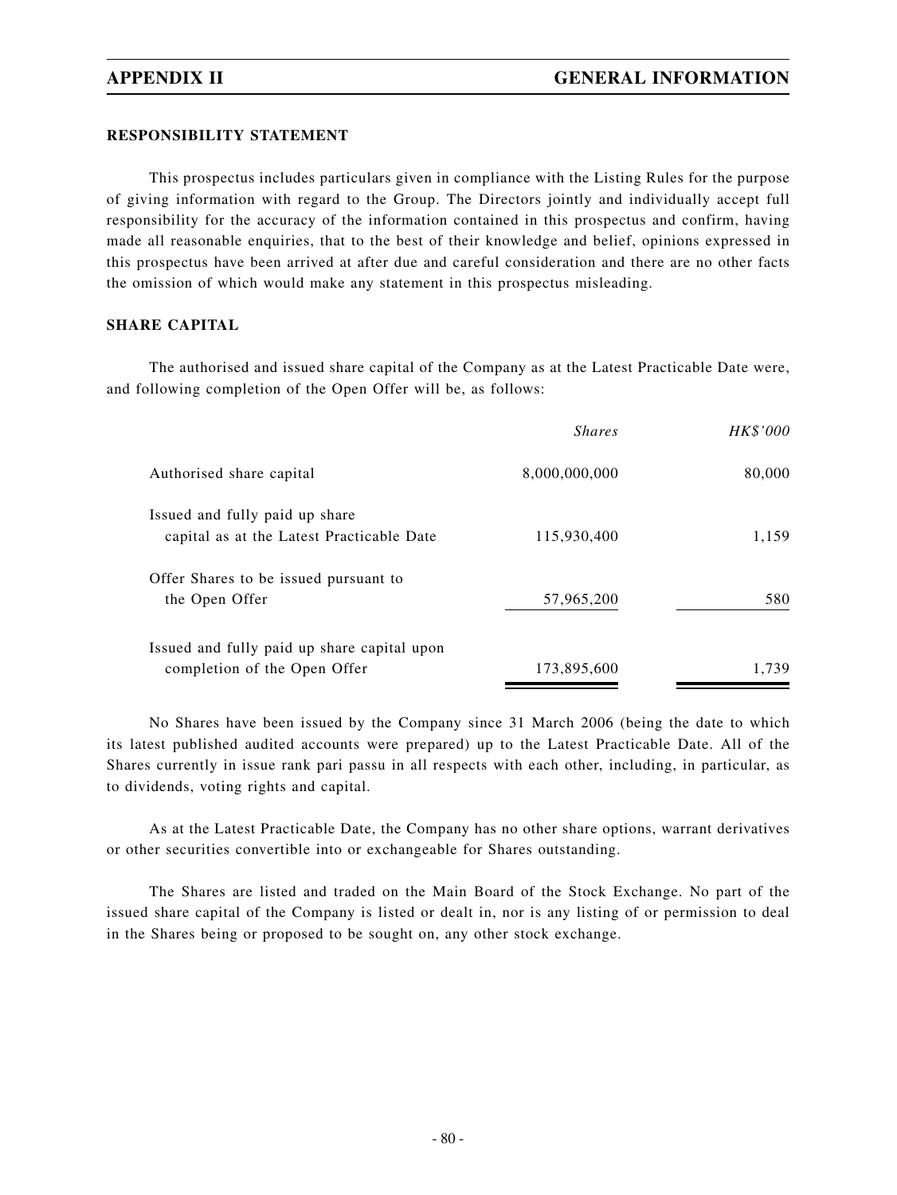# **RESPONSIBILITY STATEMENT**

This prospectus includes particulars given in compliance with the Listing Rules for the purpose of giving information with regard to the Group. The Directors jointly and individually accept full responsibility for the accuracy of the information contained in this prospectus and confirm, having made all reasonable enquiries, that to the best of their knowledge and belief, opinions expressed in this prospectus have been arrived at after due and careful consideration and there are no other facts the omission of which would make any statement in this prospectus misleading.

# **SHARE CAPITAL**

The authorised and issued share capital of the Company as at the Latest Practicable Date were, and following completion of the Open Offer will be, as follows:

|                                                                             | <b>Shares</b> | <i>HK\$'000</i> |
|-----------------------------------------------------------------------------|---------------|-----------------|
| Authorised share capital                                                    | 8,000,000,000 | 80,000          |
| Issued and fully paid up share<br>capital as at the Latest Practicable Date | 115,930,400   | 1,159           |
| Offer Shares to be issued pursuant to<br>the Open Offer                     | 57,965,200    | 580             |
| Issued and fully paid up share capital upon<br>completion of the Open Offer | 173,895,600   | 1.739           |

No Shares have been issued by the Company since 31 March 2006 (being the date to which its latest published audited accounts were prepared) up to the Latest Practicable Date. All of the Shares currently in issue rank pari passu in all respects with each other, including, in particular, as to dividends, voting rights and capital.

As at the Latest Practicable Date, the Company has no other share options, warrant derivatives or other securities convertible into or exchangeable for Shares outstanding.

The Shares are listed and traded on the Main Board of the Stock Exchange. No part of the issued share capital of the Company is listed or dealt in, nor is any listing of or permission to deal in the Shares being or proposed to be sought on, any other stock exchange.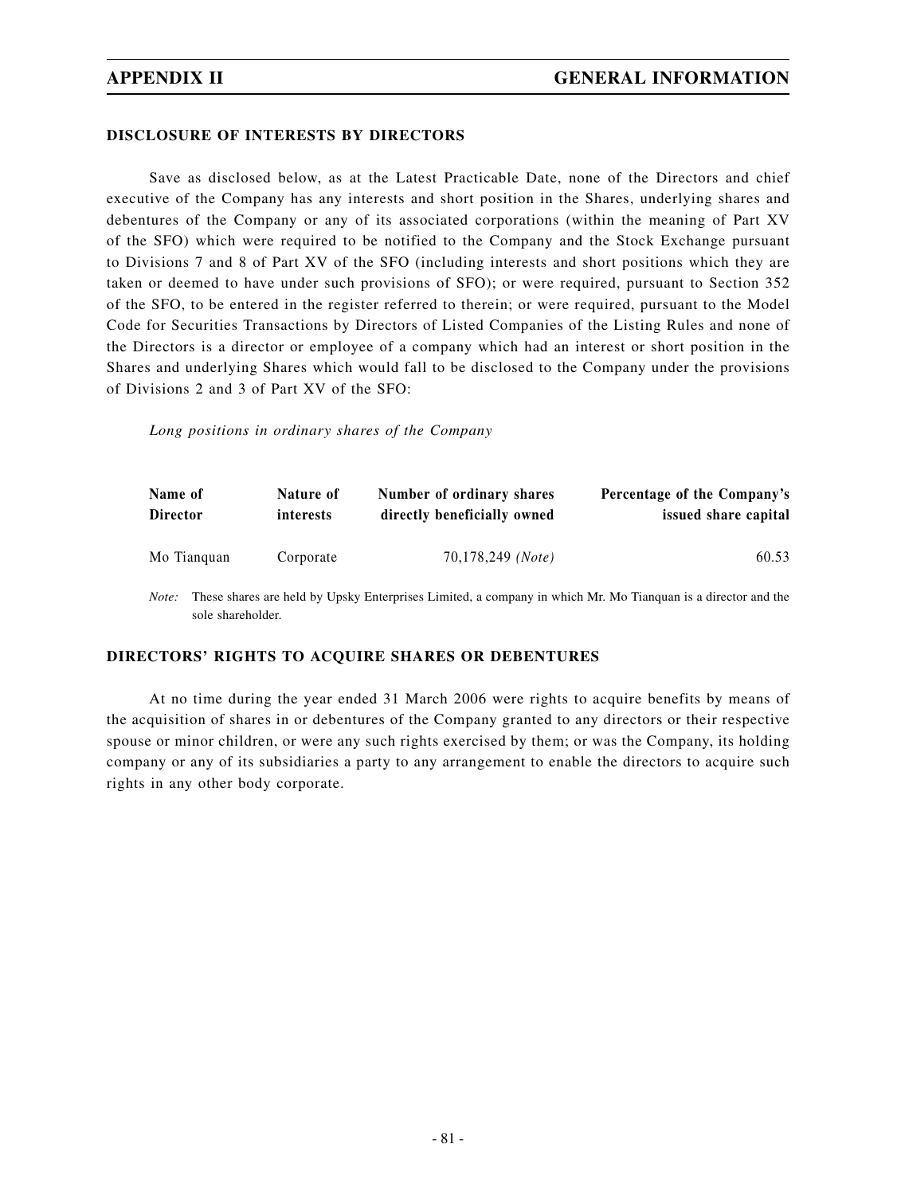# **DISCLOSURE OF INTERESTS BY DIRECTORS**

Save as disclosed below, as at the Latest Practicable Date, none of the Directors and chief executive of the Company has any interests and short position in the Shares, underlying shares and debentures of the Company or any of its associated corporations (within the meaning of Part XV of the SFO) which were required to be notified to the Company and the Stock Exchange pursuant to Divisions 7 and 8 of Part XV of the SFO (including interests and short positions which they are taken or deemed to have under such provisions of SFO); or were required, pursuant to Section 352 of the SFO, to be entered in the register referred to therein; or were required, pursuant to the Model Code for Securities Transactions by Directors of Listed Companies of the Listing Rules and none of the Directors is a director or employee of a company which had an interest or short position in the Shares and underlying Shares which would fall to be disclosed to the Company under the provisions of Divisions 2 and 3 of Part XV of the SFO:

*Long positions in ordinary shares of the Company*

| Name of         | Nature of | Number of ordinary shares   | Percentage of the Company's |
|-----------------|-----------|-----------------------------|-----------------------------|
| <b>Director</b> | interests | directly beneficially owned | issued share capital        |
| Mo Tianguan     | Corporate | 70,178,249 (Note)           | 60.53                       |

*Note:*  These shares are held by Upsky Enterprises Limited, a company in which Mr. Mo Tianquan is a director and the sole shareholder.

### **DIRECTORS' RIGHTS TO ACQUIRE SHARES OR DEBENTURES**

At no time during the year ended 31 March 2006 were rights to acquire benefits by means of the acquisition of shares in or debentures of the Company granted to any directors or their respective spouse or minor children, or were any such rights exercised by them; or was the Company, its holding company or any of its subsidiaries a party to any arrangement to enable the directors to acquire such rights in any other body corporate.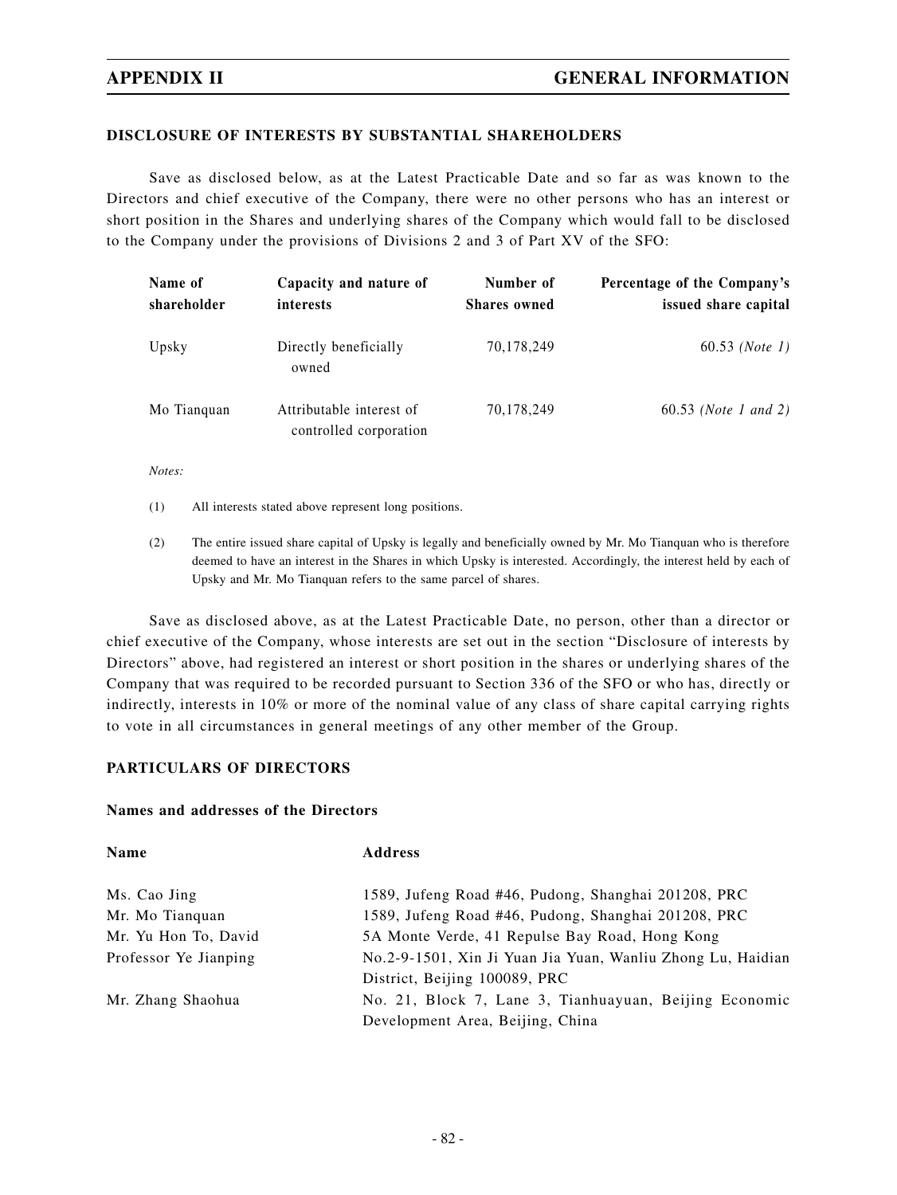### **DISCLOSURE OF INTERESTS BY SUBSTANTIAL SHAREHOLDERS**

Save as disclosed below, as at the Latest Practicable Date and so far as was known to the Directors and chief executive of the Company, there were no other persons who has an interest or short position in the Shares and underlying shares of the Company which would fall to be disclosed to the Company under the provisions of Divisions 2 and 3 of Part XV of the SFO:

| Name of<br>shareholder | Capacity and nature of<br>interests                | Number of<br><b>Shares</b> owned | Percentage of the Company's<br>issued share capital |
|------------------------|----------------------------------------------------|----------------------------------|-----------------------------------------------------|
| Upsky                  | Directly beneficially<br>owned                     | 70,178,249                       | $60.53$ (Note 1)                                    |
| Mo Tianguan            | Attributable interest of<br>controlled corporation | 70,178,249                       | 60.53 ( <i>Note 1 and 2</i> )                       |

*Notes:*

(1) All interests stated above represent long positions.

(2) The entire issued share capital of Upsky is legally and beneficially owned by Mr. Mo Tianquan who is therefore deemed to have an interest in the Shares in which Upsky is interested. Accordingly, the interest held by each of Upsky and Mr. Mo Tianquan refers to the same parcel of shares.

Save as disclosed above, as at the Latest Practicable Date, no person, other than a director or chief executive of the Company, whose interests are set out in the section "Disclosure of interests by Directors" above, had registered an interest or short position in the shares or underlying shares of the Company that was required to be recorded pursuant to Section 336 of the SFO or who has, directly or indirectly, interests in 10% or more of the nominal value of any class of share capital carrying rights to vote in all circumstances in general meetings of any other member of the Group.

### **PARTICULARS OF DIRECTORS**

### **Names and addresses of the Directors**

**Name Address**

| Ms. Cao Jing          | 1589, Jufeng Road #46, Pudong, Shanghai 201208, PRC         |
|-----------------------|-------------------------------------------------------------|
| Mr. Mo Tianguan       | 1589, Jufeng Road #46, Pudong, Shanghai 201208, PRC         |
| Mr. Yu Hon To, David  | 5A Monte Verde, 41 Repulse Bay Road, Hong Kong              |
| Professor Ye Jianping | No.2-9-1501, Xin Ji Yuan Jia Yuan, Wanliu Zhong Lu, Haidian |
|                       | District, Beijing 100089, PRC                               |
| Mr. Zhang Shaohua     | No. 21, Block 7, Lane 3, Tianhuayuan, Beijing Economic      |
|                       | Development Area, Beijing, China                            |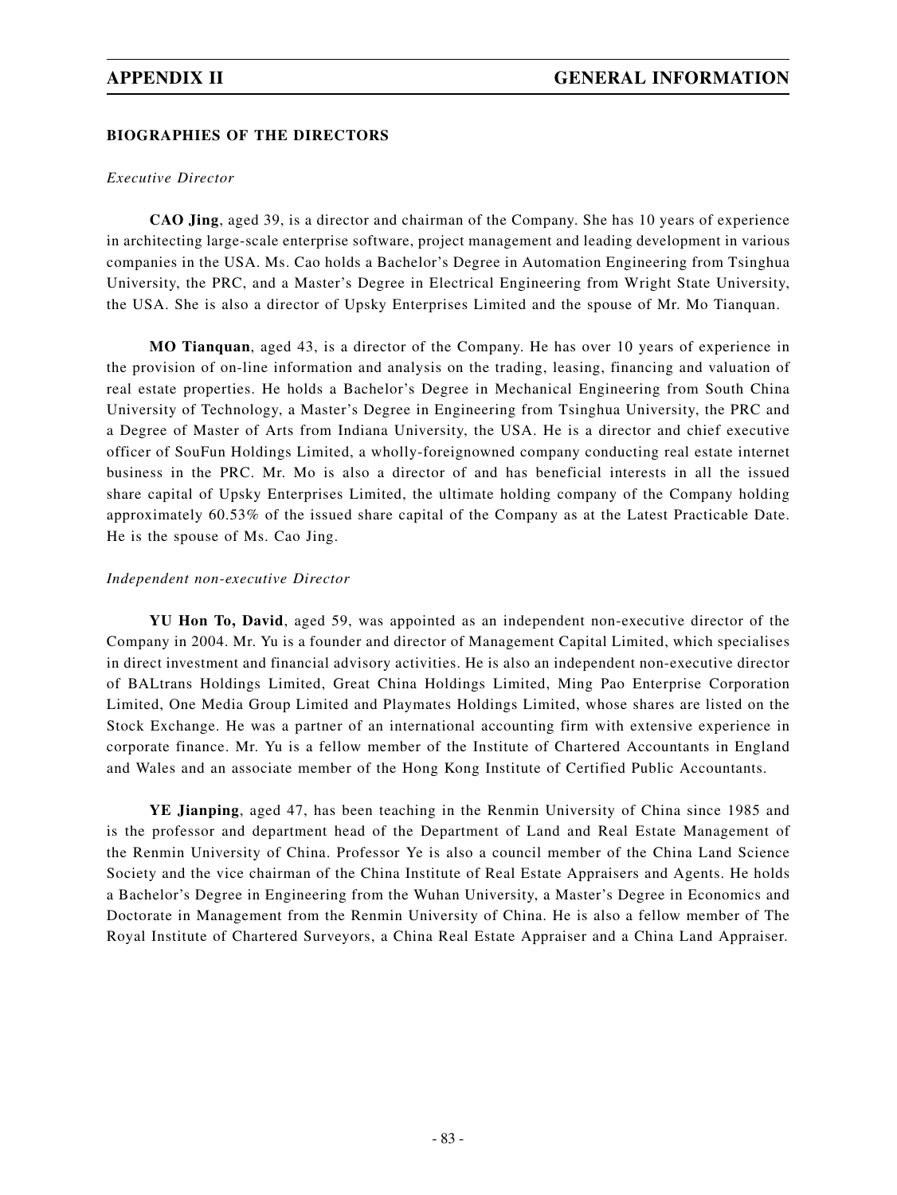# **Biographies of the Directors**

### *Executive Director*

**CAO Jing**, aged 39, is a director and chairman of the Company. She has 10 years of experience in architecting large-scale enterprise software, project management and leading development in various companies in the USA. Ms. Cao holds a Bachelor's Degree in Automation Engineering from Tsinghua University, the PRC, and a Master's Degree in Electrical Engineering from Wright State University, the USA. She is also a director of Upsky Enterprises Limited and the spouse of Mr. Mo Tianquan.

**MO Tianquan**, aged 43, is a director of the Company. He has over 10 years of experience in the provision of on-line information and analysis on the trading, leasing, financing and valuation of real estate properties. He holds a Bachelor's Degree in Mechanical Engineering from South China University of Technology, a Master's Degree in Engineering from Tsinghua University, the PRC and a Degree of Master of Arts from Indiana University, the USA. He is a director and chief executive officer of SouFun Holdings Limited, a wholly-foreignowned company conducting real estate internet business in the PRC. Mr. Mo is also a director of and has beneficial interests in all the issued share capital of Upsky Enterprises Limited, the ultimate holding company of the Company holding approximately 60.53% of the issued share capital of the Company as at the Latest Practicable Date. He is the spouse of Ms. Cao Jing.

### *Independent non-executive Director*

**YU Hon To, David**, aged 59, was appointed as an independent non-executive director of the Company in 2004. Mr. Yu is a founder and director of Management Capital Limited, which specialises in direct investment and financial advisory activities. He is also an independent non-executive director of BALtrans Holdings Limited, Great China Holdings Limited, Ming Pao Enterprise Corporation Limited, One Media Group Limited and Playmates Holdings Limited, whose shares are listed on the Stock Exchange. He was a partner of an international accounting firm with extensive experience in corporate finance. Mr. Yu is a fellow member of the Institute of Chartered Accountants in England and Wales and an associate member of the Hong Kong Institute of Certified Public Accountants.

**YE Jianping**, aged 47, has been teaching in the Renmin University of China since 1985 and is the professor and department head of the Department of Land and Real Estate Management of the Renmin University of China. Professor Ye is also a council member of the China Land Science Society and the vice chairman of the China Institute of Real Estate Appraisers and Agents. He holds a Bachelor's Degree in Engineering from the Wuhan University, a Master's Degree in Economics and Doctorate in Management from the Renmin University of China. He is also a fellow member of The Royal Institute of Chartered Surveyors, a China Real Estate Appraiser and a China Land Appraiser.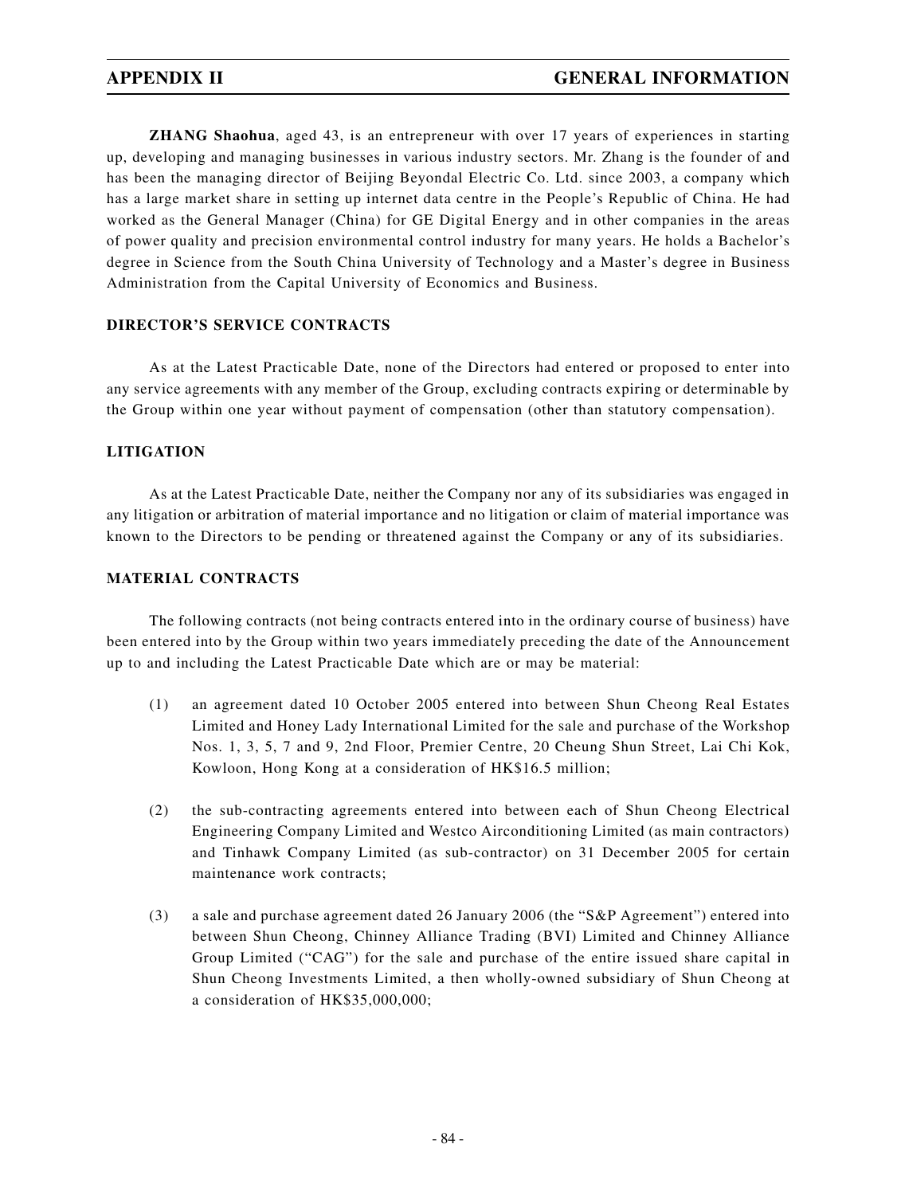**ZHANG Shaohua**, aged 43, is an entrepreneur with over 17 years of experiences in starting up, developing and managing businesses in various industry sectors. Mr. Zhang is the founder of and has been the managing director of Beijing Beyondal Electric Co. Ltd. since 2003, a company which has a large market share in setting up internet data centre in the People's Republic of China. He had worked as the General Manager (China) for GE Digital Energy and in other companies in the areas of power quality and precision environmental control industry for many years. He holds a Bachelor's degree in Science from the South China University of Technology and a Master's degree in Business Administration from the Capital University of Economics and Business.

### **DIRECTOR'S SERVICE CONTRACTS**

As at the Latest Practicable Date, none of the Directors had entered or proposed to enter into any service agreements with any member of the Group, excluding contracts expiring or determinable by the Group within one year without payment of compensation (other than statutory compensation).

### **LITIGATION**

As at the Latest Practicable Date, neither the Company nor any of its subsidiaries was engaged in any litigation or arbitration of material importance and no litigation or claim of material importance was known to the Directors to be pending or threatened against the Company or any of its subsidiaries.

### **MATERIAL CONTRACTS**

The following contracts (not being contracts entered into in the ordinary course of business) have been entered into by the Group within two years immediately preceding the date of the Announcement up to and including the Latest Practicable Date which are or may be material:

- (1) an agreement dated 10 October 2005 entered into between Shun Cheong Real Estates Limited and Honey Lady International Limited for the sale and purchase of the Workshop Nos. 1, 3, 5, 7 and 9, 2nd Floor, Premier Centre, 20 Cheung Shun Street, Lai Chi Kok, Kowloon, Hong Kong at a consideration of HK\$16.5 million;
- (2) the sub-contracting agreements entered into between each of Shun Cheong Electrical Engineering Company Limited and Westco Airconditioning Limited (as main contractors) and Tinhawk Company Limited (as sub-contractor) on 31 December 2005 for certain maintenance work contracts;
- (3) a sale and purchase agreement dated 26 January 2006 (the "S&P Agreement") entered into between Shun Cheong, Chinney Alliance Trading (BVI) Limited and Chinney Alliance Group Limited ("CAG") for the sale and purchase of the entire issued share capital in Shun Cheong Investments Limited, a then wholly-owned subsidiary of Shun Cheong at a consideration of HK\$35,000,000;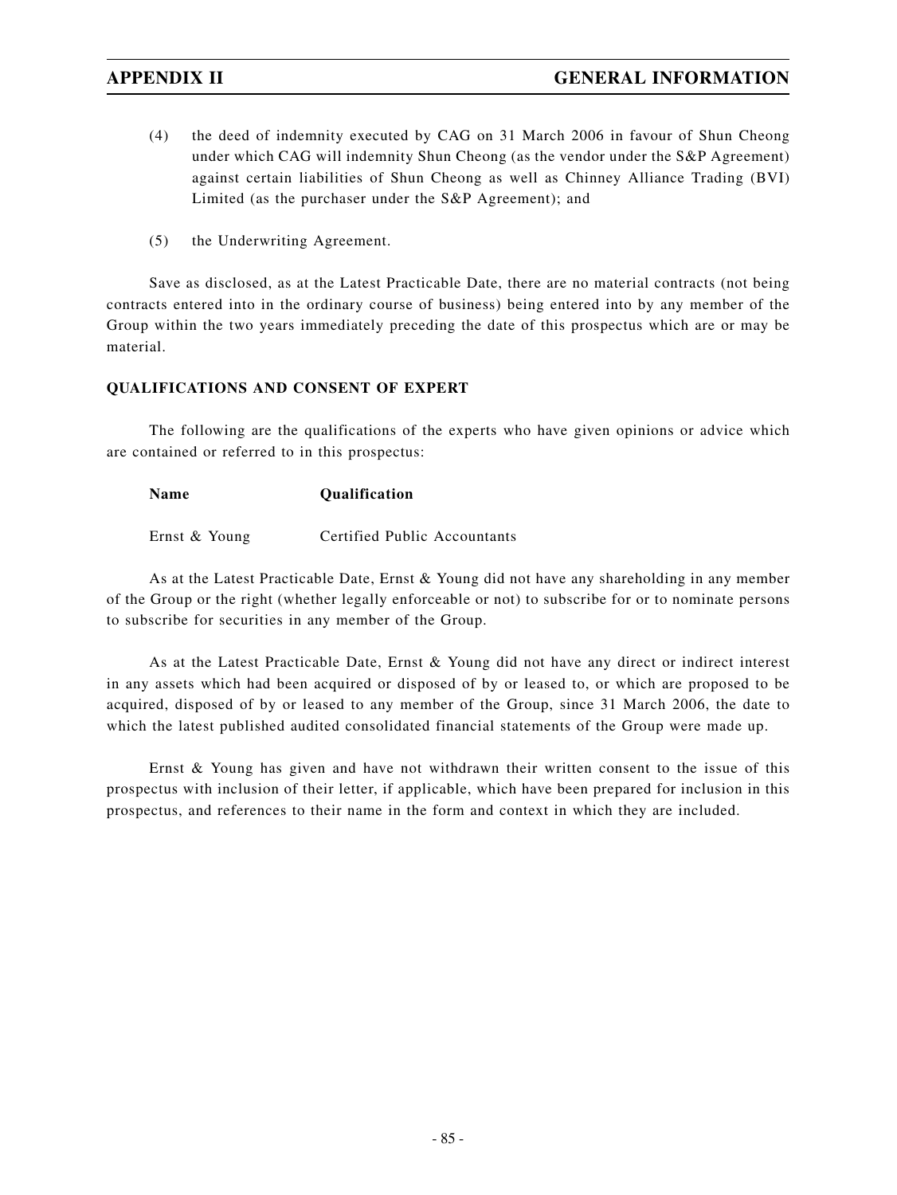- (4) the deed of indemnity executed by CAG on 31 March 2006 in favour of Shun Cheong under which CAG will indemnity Shun Cheong (as the vendor under the S&P Agreement) against certain liabilities of Shun Cheong as well as Chinney Alliance Trading (BVI) Limited (as the purchaser under the S&P Agreement); and
- (5) the Underwriting Agreement.

Save as disclosed, as at the Latest Practicable Date, there are no material contracts (not being contracts entered into in the ordinary course of business) being entered into by any member of the Group within the two years immediately preceding the date of this prospectus which are or may be material.

### **QUALIFICATIONS AND CONSENT OF EXPERT**

The following are the qualifications of the experts who have given opinions or advice which are contained or referred to in this prospectus:

# **Name Qualification** Ernst & Young Certified Public Accountants

As at the Latest Practicable Date, Ernst & Young did not have any shareholding in any member of the Group or the right (whether legally enforceable or not) to subscribe for or to nominate persons to subscribe for securities in any member of the Group.

As at the Latest Practicable Date, Ernst & Young did not have any direct or indirect interest in any assets which had been acquired or disposed of by or leased to, or which are proposed to be acquired, disposed of by or leased to any member of the Group, since 31 March 2006, the date to which the latest published audited consolidated financial statements of the Group were made up.

Ernst & Young has given and have not withdrawn their written consent to the issue of this prospectus with inclusion of their letter, if applicable, which have been prepared for inclusion in this prospectus, and references to their name in the form and context in which they are included.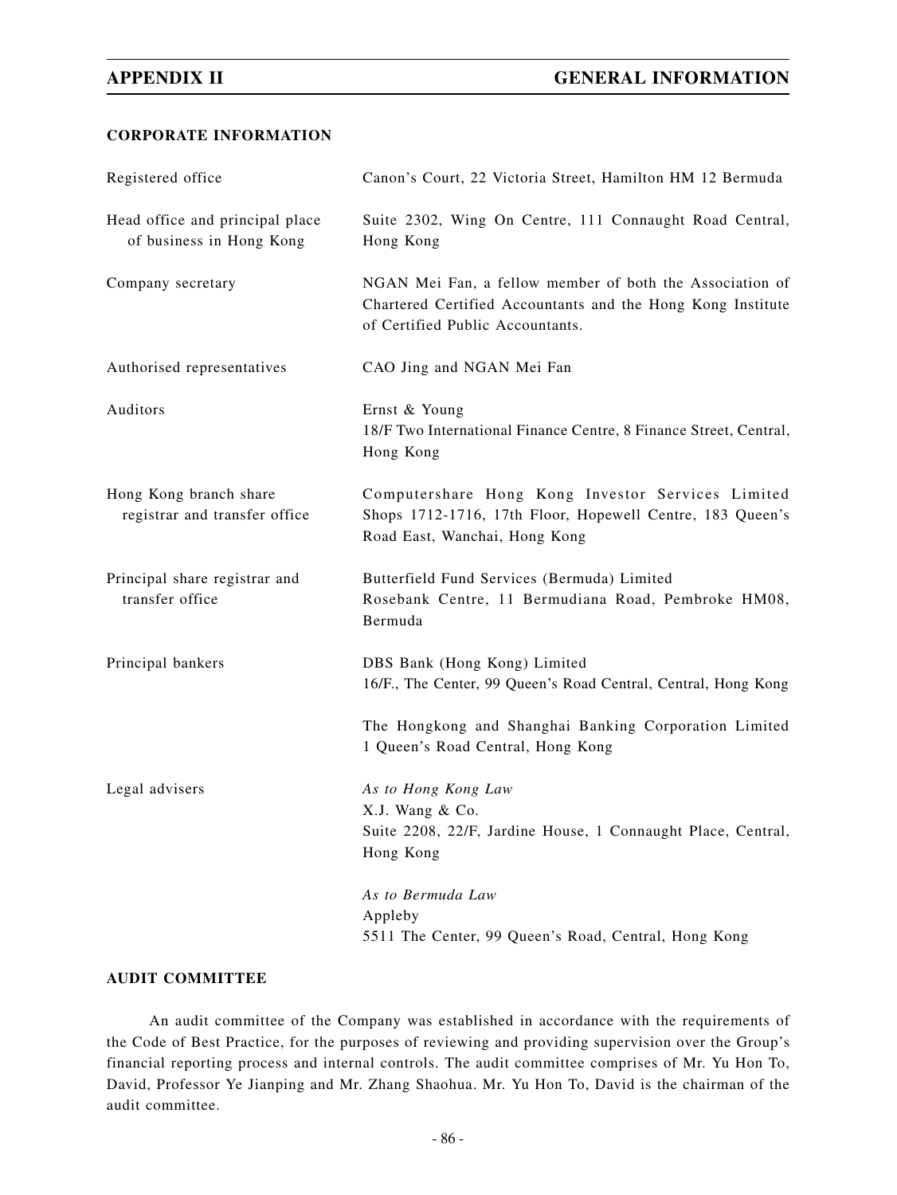# **CORPORATE INFORMATION**

| Registered office                                           | Canon's Court, 22 Victoria Street, Hamilton HM 12 Bermuda                                                                                                   |
|-------------------------------------------------------------|-------------------------------------------------------------------------------------------------------------------------------------------------------------|
| Head office and principal place<br>of business in Hong Kong | Suite 2302, Wing On Centre, 111 Connaught Road Central,<br>Hong Kong                                                                                        |
| Company secretary                                           | NGAN Mei Fan, a fellow member of both the Association of<br>Chartered Certified Accountants and the Hong Kong Institute<br>of Certified Public Accountants. |
| Authorised representatives                                  | CAO Jing and NGAN Mei Fan                                                                                                                                   |
| Auditors                                                    | Ernst & Young<br>18/F Two International Finance Centre, 8 Finance Street, Central,<br>Hong Kong                                                             |
| Hong Kong branch share<br>registrar and transfer office     | Computershare Hong Kong Investor Services Limited<br>Shops 1712-1716, 17th Floor, Hopewell Centre, 183 Queen's<br>Road East, Wanchai, Hong Kong             |
| Principal share registrar and<br>transfer office            | Butterfield Fund Services (Bermuda) Limited<br>Rosebank Centre, 11 Bermudiana Road, Pembroke HM08,<br>Bermuda                                               |
| Principal bankers                                           | DBS Bank (Hong Kong) Limited<br>16/F., The Center, 99 Queen's Road Central, Central, Hong Kong                                                              |
|                                                             | The Hongkong and Shanghai Banking Corporation Limited<br>1 Queen's Road Central, Hong Kong                                                                  |
| Legal advisers                                              | As to Hong Kong Law<br>X.J. Wang & Co.<br>Suite 2208, 22/F, Jardine House, 1 Connaught Place, Central,<br>Hong Kong                                         |
|                                                             | As to Bermuda Law<br>Appleby<br>5511 The Center, 99 Queen's Road, Central, Hong Kong                                                                        |

### **AUDIT COMMITTEE**

An audit committee of the Company was established in accordance with the requirements of the Code of Best Practice, for the purposes of reviewing and providing supervision over the Group's financial reporting process and internal controls. The audit committee comprises of Mr. Yu Hon To, David, Professor Ye Jianping and Mr. Zhang Shaohua. Mr. Yu Hon To, David is the chairman of the audit committee.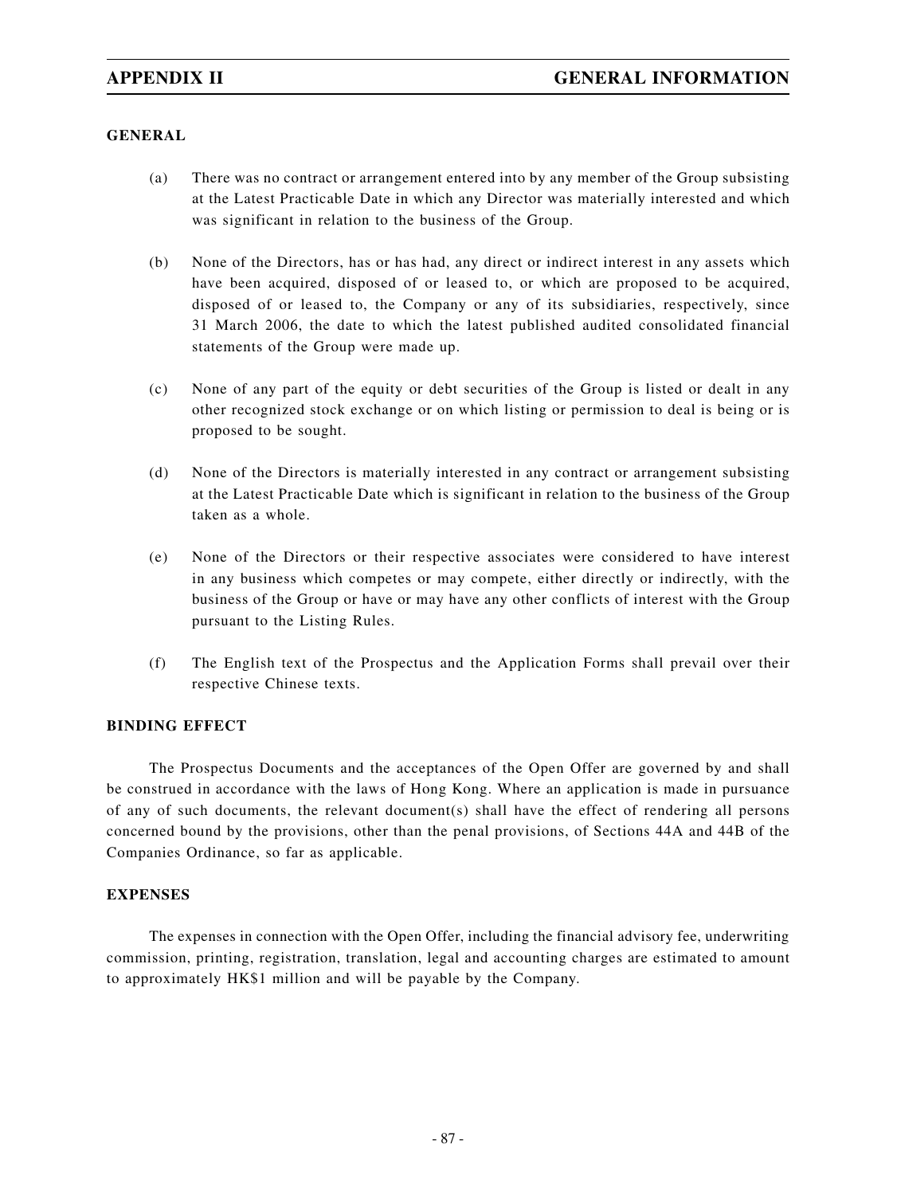# **GENERAL**

- (a) There was no contract or arrangement entered into by any member of the Group subsisting at the Latest Practicable Date in which any Director was materially interested and which was significant in relation to the business of the Group.
- (b) None of the Directors, has or has had, any direct or indirect interest in any assets which have been acquired, disposed of or leased to, or which are proposed to be acquired, disposed of or leased to, the Company or any of its subsidiaries, respectively, since 31 March 2006, the date to which the latest published audited consolidated financial statements of the Group were made up.
- (c) None of any part of the equity or debt securities of the Group is listed or dealt in any other recognized stock exchange or on which listing or permission to deal is being or is proposed to be sought.
- (d) None of the Directors is materially interested in any contract or arrangement subsisting at the Latest Practicable Date which is significant in relation to the business of the Group taken as a whole.
- (e) None of the Directors or their respective associates were considered to have interest in any business which competes or may compete, either directly or indirectly, with the business of the Group or have or may have any other conflicts of interest with the Group pursuant to the Listing Rules.
- (f) The English text of the Prospectus and the Application Forms shall prevail over their respective Chinese texts.

### **BINDING EFFECT**

The Prospectus Documents and the acceptances of the Open Offer are governed by and shall be construed in accordance with the laws of Hong Kong. Where an application is made in pursuance of any of such documents, the relevant document(s) shall have the effect of rendering all persons concerned bound by the provisions, other than the penal provisions, of Sections 44A and 44B of the Companies Ordinance, so far as applicable.

### **EXPENSES**

The expenses in connection with the Open Offer, including the financial advisory fee, underwriting commission, printing, registration, translation, legal and accounting charges are estimated to amount to approximately HK\$1 million and will be payable by the Company.